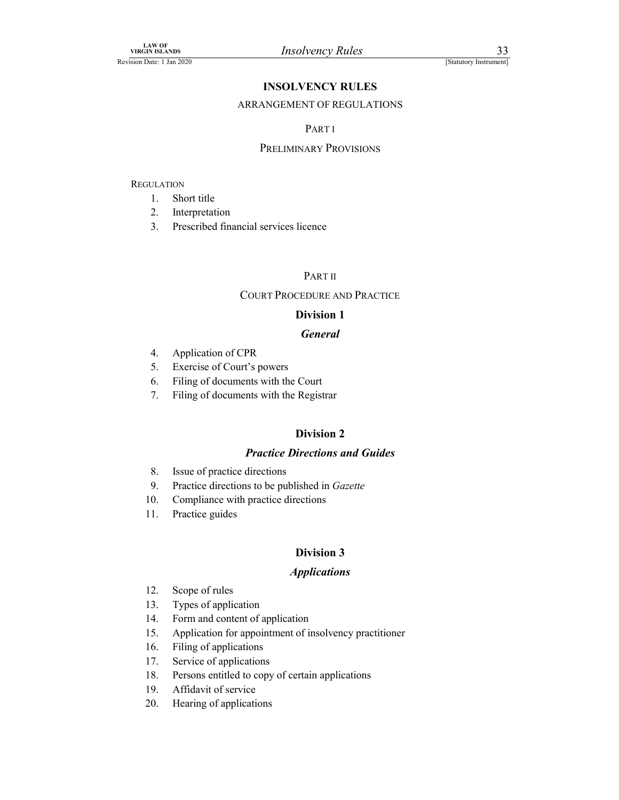### INSOLVENCY RULES

# Final Examinon Control (Statutory Instrument)<br>
INSOLVENCY RULES<br>
ARRANGEMENT OF REGULATIONS<br>
PART I<br>
PRELIMINARY PROVISIONS

### PART I

### PRELIMINARY PROVISIONS

### **REGULATION**

- 1. Short title
- 2. Interpretation
- 3. Prescribed financial services licence

### PART II

### COURT PROCEDURE AND PRACTICE

### Division 1

### General

- 4. Application of CPR
- 5. Exercise of Court's powers
- 6. Filing of documents with the Court
- 7. Filing of documents with the Registrar

### Division 2

### Practice Directions and Guides

- 8. Issue of practice directions
- 9. Practice directions to be published in Gazette
- 10. Compliance with practice directions
- 11. Practice guides

### Division 3

### **Applications**

- 12. Scope of rules
- 13. Types of application
- 14. Form and content of application
- 15. Application for appointment of insolvency practitioner
- 16. Filing of applications
- 17. Service of applications
- 18. Persons entitled to copy of certain applications
- 19. Affidavit of service
- 20. Hearing of applications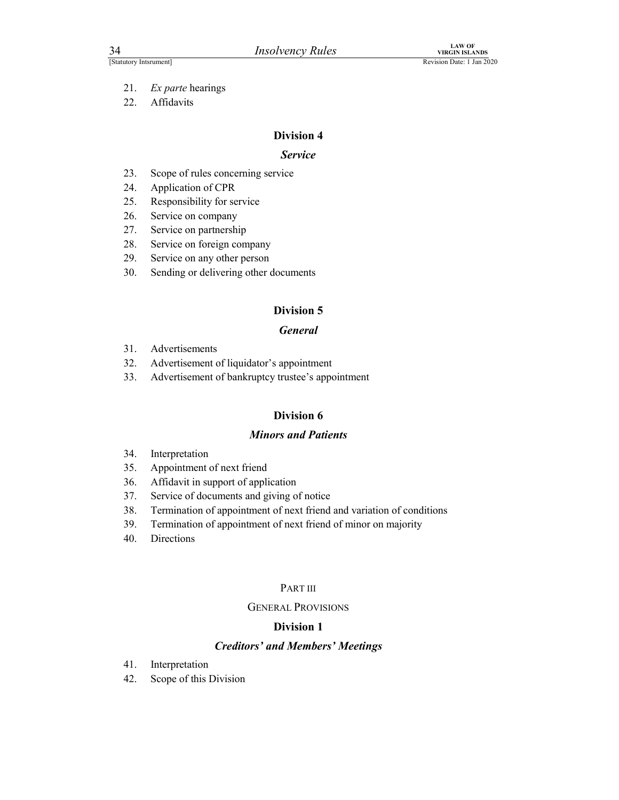- 21. Ex parte hearings
- 22. Affidavits

### Service

- *Insolvency Rules*<br> *VIEX WEGAN ISLANDS*<br> *Revision Date: 1 Jan 2020*<br>
21. *Ex parte* hearings<br>
22. Affidavits<br> **Division 4**<br> **Division 4**<br>
23. Scope of rules concerning service<br>
24. Application of CPR<br>
25. Responsibility
- 24. Application of CPR
- 25. Responsibility for service
- 26. Service on company
- 27. Service on partnership
- 28. Service on foreign company
- 29. Service on any other person
- 30. Sending or delivering other documents

### Division 5

### General

- 31. Advertisements
- 32. Advertisement of liquidator's appointment
- 33. Advertisement of bankruptcy trustee's appointment

### Division 6

### Minors and Patients

- 34. Interpretation
- 35. Appointment of next friend
- 36. Affidavit in support of application
- 37. Service of documents and giving of notice
- 38. Termination of appointment of next friend and variation of conditions
- 39. Termination of appointment of next friend of minor on majority
- 40. Directions

### PART III

### GENERAL PROVISIONS

### Division 1

### Creditors' and Members' Meetings

- 41. Interpretation
- 42. Scope of this Division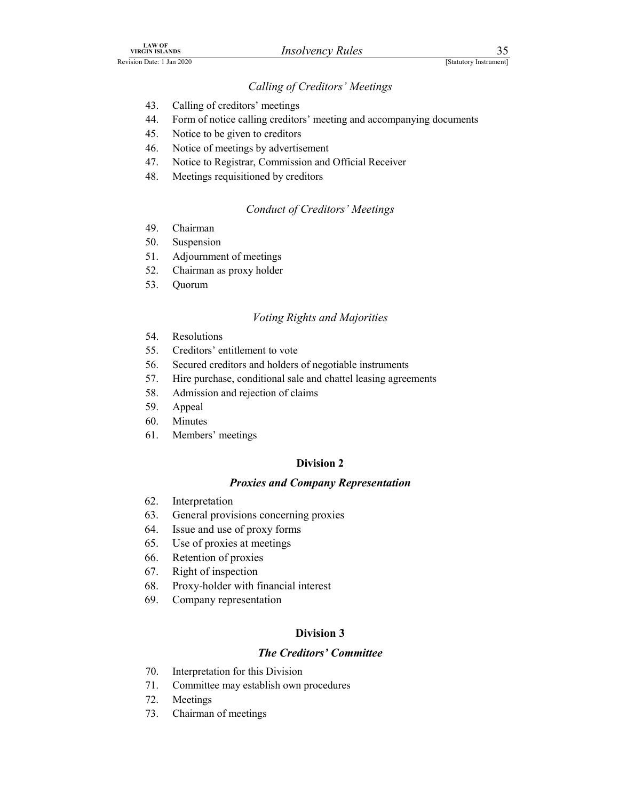### Calling of Creditors' Meetings

- 43. Calling of creditors' meetings
- LAW OF<br>
Revision Date: 1 Jan 2020<br> *Calling of Creditors' Meetings*<br>
43. Calling of creditors' meetings<br>
44. Form of notice calling creditors' meeting and accompanying documents 44. Form of notice calling creditors' meeting and accompanying documents *ANCHANDS*<br>
ANISELANDS<br>
ANISELANDS<br>
ANISELANDS<br>
Calling of Creditors' Meetings<br>
44. Form of notice calling creditors' meeting and accompanying documents<br>
44. Form of notice calling creditors' meeting and accompanying docum
	- 45. Notice to be given to creditors
	- 46. Notice of meetings by advertisement
	- 47. Notice to Registrar, Commission and Official Receiver
	- 48. Meetings requisitioned by creditors

### Conduct of Creditors' Meetings

- 
- 50. Suspension
- 51. Adjournment of meetings
- 52. Chairman as proxy holder
- 53. Quorum

### Voting Rights and Majorities

- 54. Resolutions
- 55. Creditors' entitlement to vote
- 56. Secured creditors and holders of negotiable instruments
- 57. Hire purchase, conditional sale and chattel leasing agreements
- 58. Admission and rejection of claims
- 59. Appeal
- 60. Minutes
- 61. Members' meetings

### Division 2

### Proxies and Company Representation

- 62. Interpretation
- 63. General provisions concerning proxies
- 64. Issue and use of proxy forms
- 65. Use of proxies at meetings
- 66. Retention of proxies
- 67. Right of inspection
- 68. Proxy-holder with financial interest
- 69. Company representation

### Division 3

### The Creditors' Committee

- 70. Interpretation for this Division
- 71. Committee may establish own procedures
- 72. Meetings
- 73. Chairman of meetings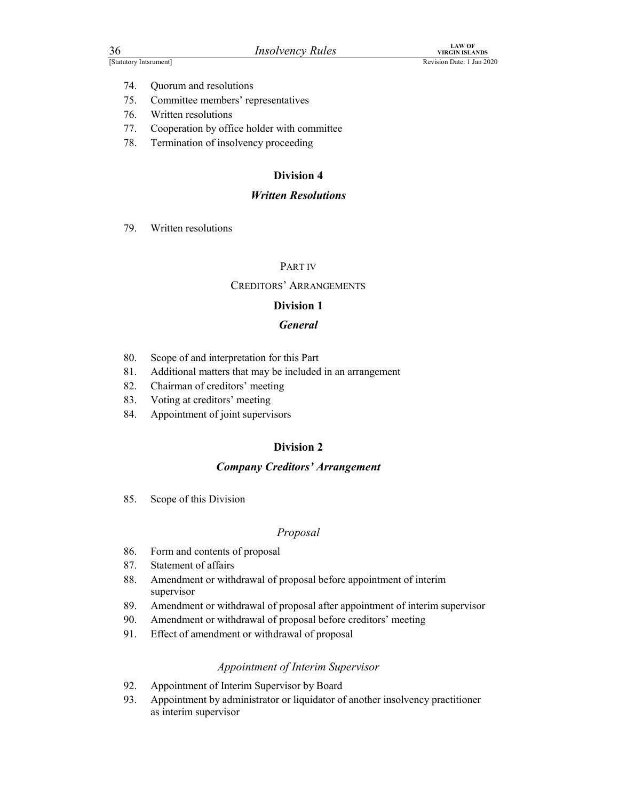- 74. Quorum and resolutions
- Financial Control of the Microsofter Charles Control of the Charles Control of the VIRGIN ISLANDS<br>
Revision Date: 1 Jan 2020<br>
26. Control of The Hotel Presentatives<br>
26. Written resolutions<br>
27. Connection by office holder 75. Committee members' representatives
	- 76. Written resolutions
	- 77. Cooperation by office holder with committee Final Mass of the United States<br>
	1997 Instances Theorem and resolutions<br>
	71. Quorum and resolutions<br>
	75. Committee members' representatives<br>
	76. Written resolutions<br>
	77. Cooperation by office holder with committee<br>
	78. Ter
	- 78. Termination of insolvency proceeding

### Written Resolutions

### PART IV

### CREDITORS' ARRANGEMENTS

### Division 1

### General

- 80. Scope of and interpretation for this Part
- 81. Additional matters that may be included in an arrangement PART IV<br>
CREDITORS' ARRANGEMENTS<br> **Division 1**<br> **General**<br>
80. Scope of and interpretation for this Part<br>
81. Additional matters that may be included in an arrangement<br>
82. Chairman of creditors' meeting<br>
83. Voting at cre
- 82. Chairman of creditors' meeting
- 83. Voting at creditors' meeting
- 84. Appointment of joint supervisors

### Division 2

### Company Creditors' Arrangement

### Proposal

- 86. Form and contents of proposal
- 87. Statement of affairs
- 88. Amendment or withdrawal of proposal before appointment of interim supervisor
- 89. Amendment or withdrawal of proposal after appointment of interim supervisor
- 90. Amendment or withdrawal of proposal before creditors' meeting
- 91. Effect of amendment or withdrawal of proposal

### Appointment of Interim Supervisor

- 92. Appointment of Interim Supervisor by Board
- 93. Appointment by administrator or liquidator of another insolvency practitioner as interim supervisor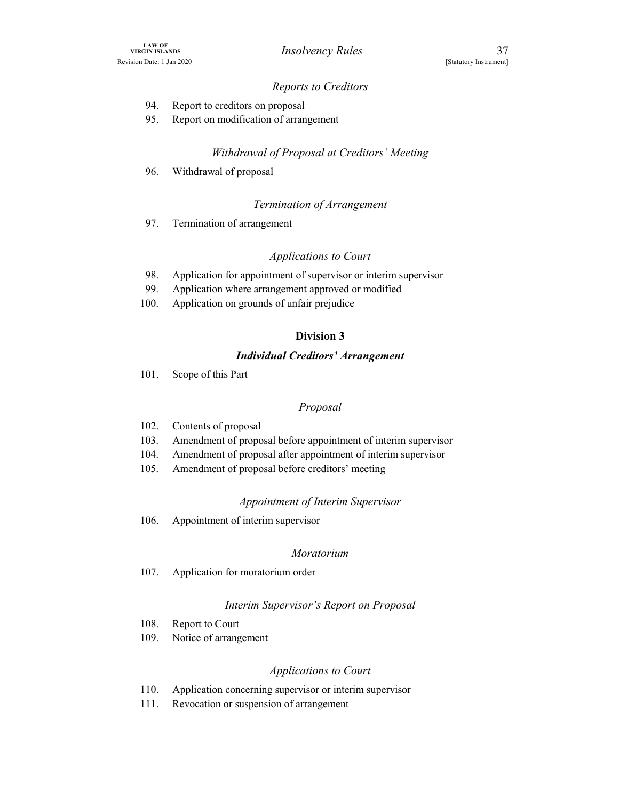### Reports to Creditors

- 94. Report to creditors on proposal
- LAW OF<br>
VIRGIN ISLANDS<br>
Revision Date: 1 Jan 2020<br> **Reports to Creditors**<br>
94. Report to creditors on proposal<br>
95. Report on modification of arrangement 95. Report on modification of arrangement

## Withdrawal of Proposal at Creditors' Meeting EXAND IN SEANDS IN STANDS INSTANT THE USE CONSUMER THE PROOF OF PROPOSAL SPACE 114m 2020<br>
94. Report to creditors on proposal<br>
95. Report on modification of arrangement<br>
96. Withdrawal of proposal<br>
96. Withdrawal of propos

### Termination of Arrangement

### Applications to Court

- $\begin{array}{lll}\n & \text{if } \text{SIANDS} \\
 & \text{INISLANDS} \\
 & \text{In } 2020 \\
 & \text{[Slatutory Institute]} \\
 & \text{[Slatutory Institute]} \\
 & \text{[Slatutory Institute]} \\
 & \text{[Slatutory Institute]} \\
 & \text{[Slatutory Institute]} \\
 & \text{[Slatutory Institute]} \\
 & \text{[Shtutory Institute]} \\
 & \text{[Shtutory Institute]} \\
 & \text{[Shtot" public} \\
 & \text{[Shtot" public} \\
 & \text{[Shtot" public} \\
 & \text{[Shtot" public}$ AN OF ALLAS MESTAINS MEDITED MORE THE 2020<br>
1981.ADS<br>
99. Report to creditors on proposal<br>
99. Report on modification of arrangement<br>
99. Withdrawal of *Proposal at Creditors' Meeting*<br>
99. Withdrawal of *proposal*<br>
71 Ter
- 99. Application where arrangement approved or modified
- 100. Application on grounds of unfair prejudice

### Division 3

### Individual Creditors' Arrangement

101. Scope of this Part

### Proposal

- 102. Contents of proposal
- 103. Amendment of proposal before appointment of interim supervisor 2008. Application for approximation is to courrelate the subset of subsetsion of subsetion where a<br>rangement approved or modified Division 3<br>100. Application on grounds of unfair prejudice Division 3<br>101. Scope of this Par
- 104. Amendment of proposal after appointment of interim supervisor
- 105. Amendment of proposal before creditors' meeting

### Appointment of Interim Supervisor

### Moratorium

107. Application for moratorium order

### Interim Supervisor's Report on Proposal

- 108. Report to Court
- 109. Notice of arrangement

### Applications to Court

- 110. Application concerning supervisor or interim supervisor
- 111. Revocation or suspension of arrangement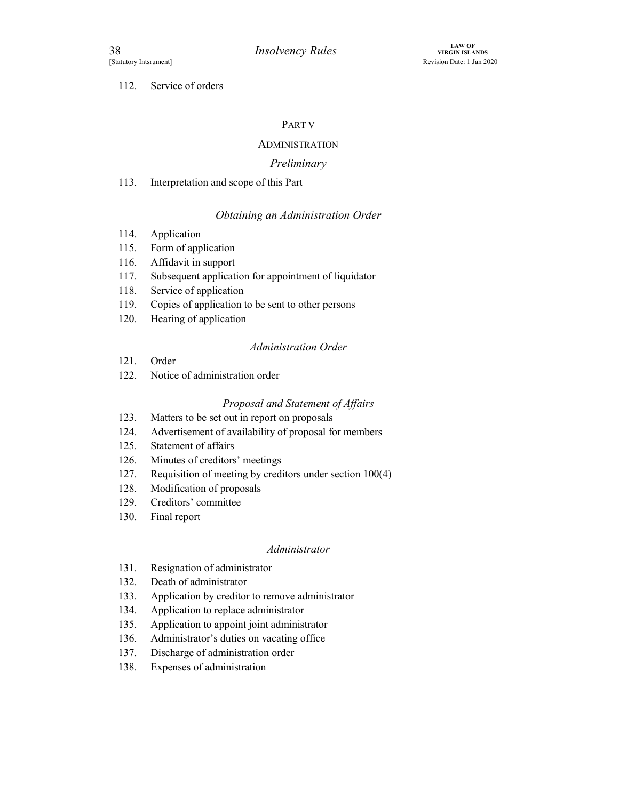### 112. Service of orders

### PART V

### ADMINISTRATION

### Preliminary

# Final Example 113.<br>
Insolvency Rules<br>
The Vision Date: 1 Jan<br>
112. Service of orders<br>
PART V<br>
ADMINISTRATION<br>
Preliminary<br>
113. Interpretation and scope of this Part<br>
2014. Obtaining an Administration Order<br>
114. Applicati

### Obtaining an Administration Order

- 
- 115. Form of application
- 116. Affidavit in support
- Financial Manuscript (Financial Manuscript Manuscript Manuscript Manuscript Manuscript (Financial Manuscript Manuscript Manuscript Manuscript Manuscript (Finding an Administration Order<br>
114. Application<br>
115. Form of appl 117. Subsequent application for appointment of liquidator
- 118. Service of application
- 119. Copies of application to be sent to other persons
- 120. Hearing of application

### Administration Order

- 121. Order
- 122. Notice of administration order

### Proposal and Statement of Affairs

- 123. Matters to be set out in report on proposals
- 124. Advertisement of availability of proposal for members
- 125. Statement of affairs
- 126. Minutes of creditors' meetings
- 127. Requisition of meeting by creditors under section 100(4)
- 128. Modification of proposals
- 129. Creditors' committee
- 130. Final report

### Administrator

- 131. Resignation of administrator
- 132. Death of administrator
- 133. Application by creditor to remove administrator
- 134. Application to replace administrator
- 135. Application to appoint joint administrator
- 136. Administrator's duties on vacating office
- 137. Discharge of administration order
- 138. Expenses of administration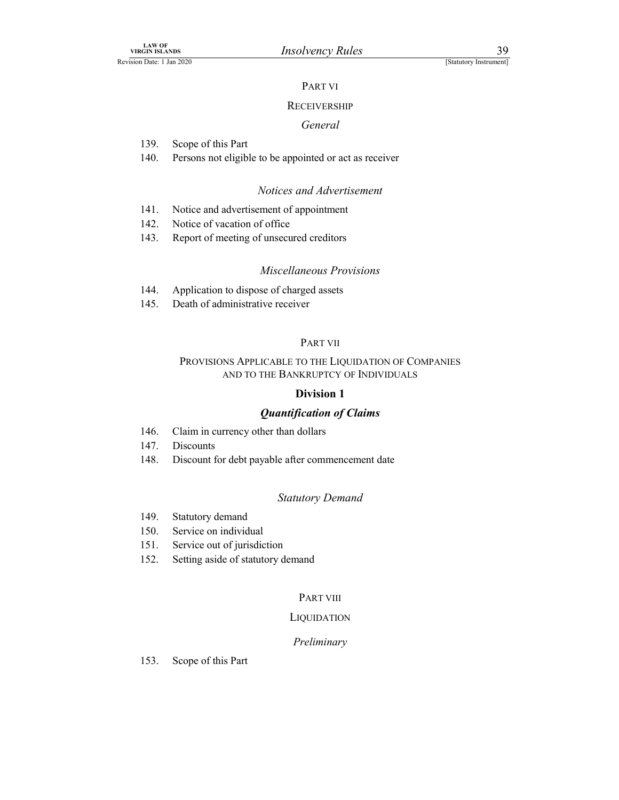### PART VI

### **RECEIVERSHIP**

### General

- 139. Scope of this Part
- 140. Persons not eligible to be appointed or act as receiver 141. Notice and advertisement<br>
141. Receivers and advertisement<br>
141. Notice and advertisement<br>
142. Notice and advertisement<br>
142. Notice of vacation of office<br>
143. Report of meeting of unsecured creditors<br>
143. Notice a

### Notices and Advertisement

- 
- 142. Notice of vacation of office
- 143. Report of meeting of unsecured creditors

### Miscellaneous Provisions

- 144. Application to dispose of charged assets
- 145. Death of administrative receiver

### PART VII

### PROVISIONS APPLICABLE TO THE LIQUIDATION OF COMPANIES AND TO THE BANKRUPTCY OF INDIVIDUALS

### Division 1

### Quantification of Claims

- 146. Claim in currency other than dollars
- 147. Discounts
- 148. Discount for debt payable after commencement date

### Statutory Demand

- 149. Statutory demand
- 150. Service on individual
- 151. Service out of jurisdiction
- 152. Setting aside of statutory demand

### PART VIII

### **LIQUIDATION**

### Preliminary

153. Scope of this Part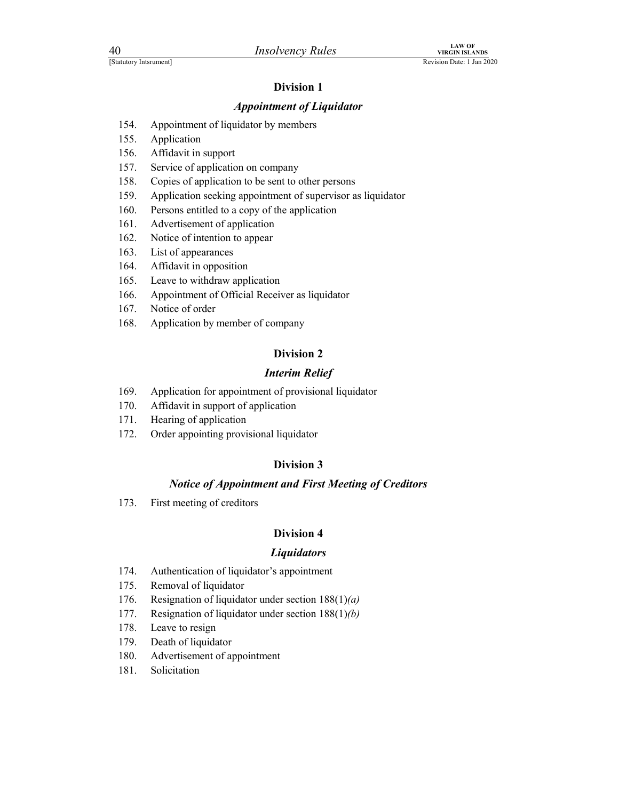### Appointment of Liquidator

- Financy Rules<br>
For VIRGIN ISLANDS<br>
Revision Date: 1 Jan 2020<br> **Division 1**<br> **Appointment of Liquidator**<br>
154. Appointment of liquidator by members
	- 155. Application
	- 156. Affidavit in support
	- 157. Service of application on company
	- 154. Appointment of Liquidator<br>
	154. Appointment of liquidator<br>
	154. Appointment of liquidator<br>
	154. Appointment of liquidator<br>
	155. Application<br>
	156. Affidavit in support<br>
	158. Copies of application to be sent to other pe 158. Copies of application to be sent to other persons
	- 159. Application seeking appointment of supervisor as liquidator
	- 160. Persons entitled to a copy of the application
	- 161. Advertisement of application
	- 162. Notice of intention to appear
	- 163. List of appearances
	- 164. Affidavit in opposition
	- 165. Leave to withdraw application
	- 166. Appointment of Official Receiver as liquidator
	- 167. Notice of order
	- 168. Application by member of company

### Division 2

### Interim Relief

- 169. Application for appointment of provisional liquidator
- 170. Affidavit in support of application
- 171. Hearing of application
- 172. Order appointing provisional liquidator

### Division 3

### Notice of Appointment and First Meeting of Creditors

173. First meeting of creditors

### Division 4

### **Liquidators**

- 174. Authentication of liquidator's appointment
- 175. Removal of liquidator
- 176. Resignation of liquidator under section  $188(1)(a)$
- 177. Resignation of liquidator under section 188(1)(b)
- 178. Leave to resign
- 179. Death of liquidator
- 180. Advertisement of appointment
- 181. Solicitation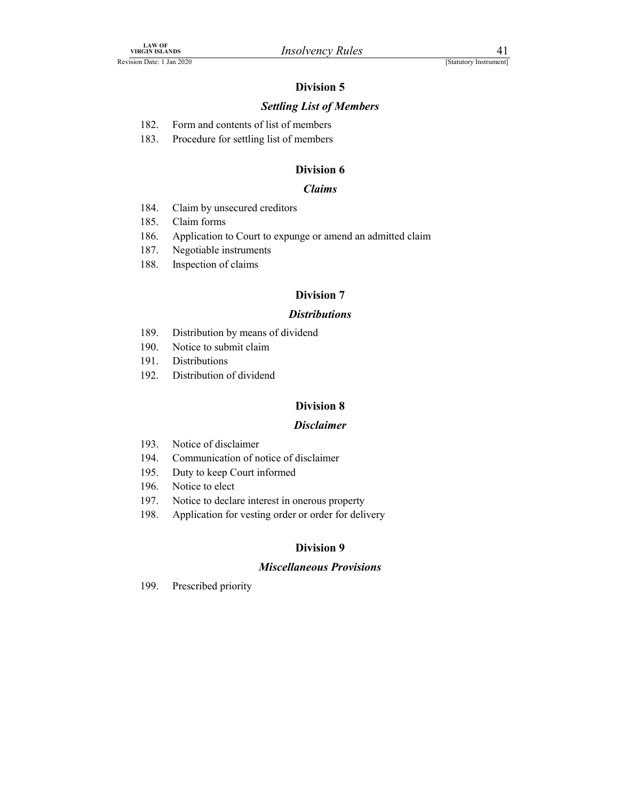### Settling List of Members

|  |  | 182. Form and contents of list of members |
|--|--|-------------------------------------------|
|  |  |                                           |

1.4W OF<br>
182. Form and contents of list of members<br>
182. Form and contents of list of members<br>
183. Procedure for settling list of members<br>
183. Procedure for settling list of members<br>
183. Claims 183. Procedure for settling list of members

### Division 6

### Claims

- 184. Claim by unsecured creditors
- 185. Claim forms
- 186. Application to Court to expunge or amend an admitted claim
- 187. Negotiable instruments
- 188. Inspection of claims

### Division 7

### **Distributions**

- 189. Distribution by means of dividend
- 190. Notice to submit claim
- 191. Distributions
- 192. Distribution of dividend

### Division 8

### Disclaimer

- 193. Notice of disclaimer
- 194. Communication of notice of disclaimer
- 195. Duty to keep Court informed
- 196. Notice to elect
- 197. Notice to declare interest in onerous property
- 198. Application for vesting order or order for delivery

### Division 9

### Miscellaneous Provisions

199. Prescribed priority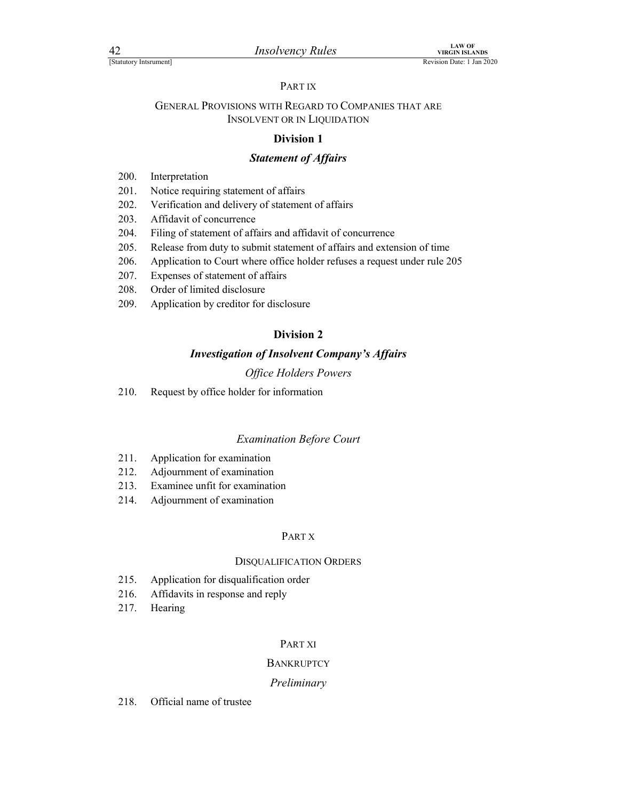### PART IX

### FINITE PROVISIONS WITH REGARD TO COMPANIES THAT ARE<br>
EXPOSITIONS AND REVISION DREVISIONS WITH REGARD TO COMPANIES THAT ARE<br>
NSOLVENT OR IN LIQUIDATION GENERAL PROVISIONS WITH REGARD TO COMPANIES THAT ARE INSOLVENT OR IN LIQUIDATION *Insolvency Rules*<br> **EXECUTE 10**<br> **EXECUTE 11**<br> **EXECUTE 11**<br> **EXECUTE 11**<br> **EXECUTE 11**<br> **EXECUTE 11**<br> **EXECUTE 11**<br> **EXECUTE 11**<br> **EXECUTE 11**<br> **EXECUTE 11**<br> **Division 1**<br> **Statement of Affairs**<br>
200. Interpretation<br>
201

### Division 1

### Statement of Affairs

- 
- 201. Notice requiring statement of affairs
- 202. Verification and delivery of statement of affairs
- 203. Affidavit of concurrence
- 204. Filing of statement of affairs and affidavit of concurrence
- 205. Release from duty to submit statement of affairs and extension of time
- 206. Application to Court where office holder refuses a request under rule 205
- 207. Expenses of statement of affairs
- 208. Order of limited disclosure
- 209. Application by creditor for disclosure

### Division 2

### Investigation of Insolvent Company's Affairs

### Office Holders Powers

210. Request by office holder for information

### Examination Before Court

- 211. Application for examination
- 212. Adjournment of examination
- 213. Examinee unfit for examination
- 214. Adjournment of examination

### PART X

### DISQUALIFICATION ORDERS

- 215. Application for disqualification order
- 216. Affidavits in response and reply
- 217. Hearing

### PART XI

### **BANKRUPTCY**

### Preliminary

218. Official name of trustee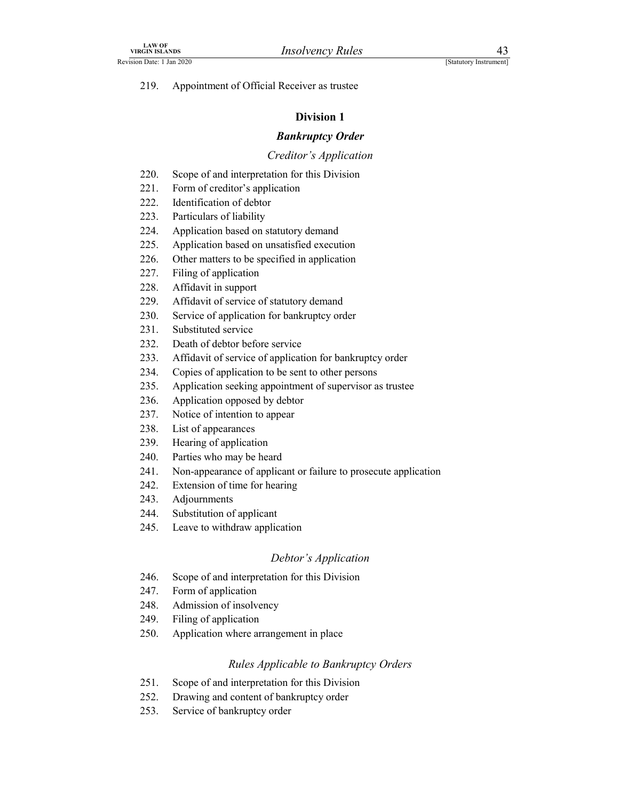LAW OF<br>
VIRGIN ISLANDS<br>
Revision Date: 1 Jan 2020<br>
219. Appointment of Official Receiver as trustee<br>
Division 1 219. Appointment of Official Receiver as trustee

### Division 1

### Bankruptcy Order

### Creditor's Application

- 220. Scope of and interpretation for this Division
- 221. Form of creditor's application
- 222. Identification of debtor
- 223. Particulars of liability
- 224. Application based on statutory demand
- 225. Application based on unsatisfied execution
- 226. Other matters to be specified in application
- 227. Filing of application
- 228. Affidavit in support
- 229. Affidavit of service of statutory demand
- 230. Service of application for bankruptcy order
- 231. Substituted service
- 232. Death of debtor before service
- 233. Affidavit of service of application for bankruptcy order
- 234. Copies of application to be sent to other persons
- 235. Application seeking appointment of supervisor as trustee
- 236. Application opposed by debtor
- 237. Notice of intention to appear
- 238. List of appearances
- 239. Hearing of application
- 240. Parties who may be heard
- 241. Non-appearance of applicant or failure to prosecute application 226. Other matters to be specified in application<br>
227. Filing of application<br>
227. Affidavit of service of statutory demand<br>
229. Affidavit of service of statutory demand<br>
230. Death of debtor before service<br>
231. Death o
- 242. Extension of time for hearing
- 243. Adjournments
- 
- 245. Leave to withdraw application

### Debtor's Application

- 246. Scope of and interpretation for this Division
- 247. Form of application
- 248. Admission of insolvency
- 249. Filing of application
- 250. Application where arrangement in place

### Rules Applicable to Bankruptcy Orders

- 251. Scope of and interpretation for this Division
- 252. Drawing and content of bankruptcy order
- 253. Service of bankruptcy order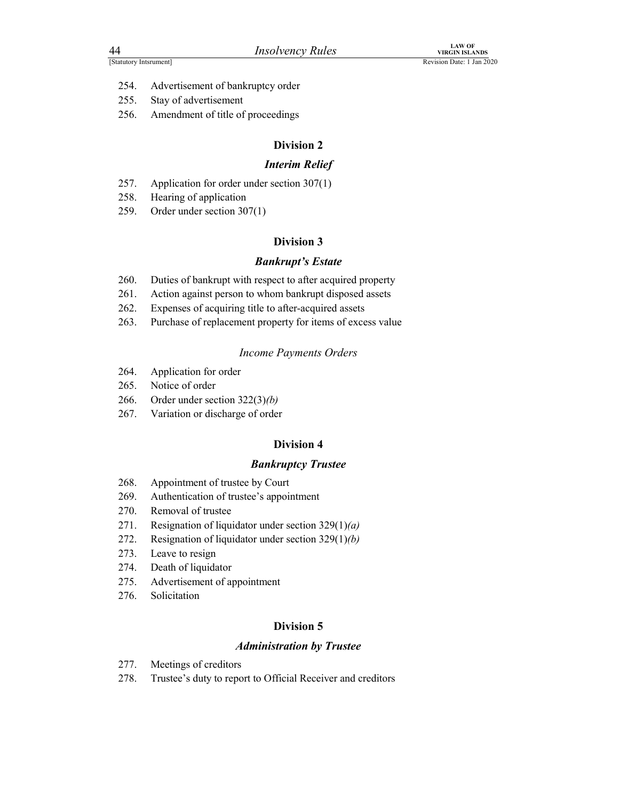- Factory Internetted Materials Material Material Property Rules<br>
Revision Date: 1 Jan 2020<br>
254. Advertisement of bankruptcy order<br>
255. Stay of advertisement<br>
256. Amendment of title of proceedings 254. Advertisement of bankruptcy order
	- 255. Stay of advertisement
	- 256. Amendment of title of proceedings

### Interim Relief

- 257. Application for order under section 307(1)
- 258. Hearing of application
- 259. Order under section 307(1)

### Division 3

### Bankrupt's Estate

- 260. Duties of bankrupt with respect to after acquired property
- 261. Action against person to whom bankrupt disposed assets
- 262. Expenses of acquiring title to after-acquired assets
- 263. Purchase of replacement property for items of excess value

### Income Payments Orders

- 264. Application for order
- 265. Notice of order
- 266. Order under section  $322(3)(b)$
- 267. Variation or discharge of order

### Division 4

### Bankruptcy Trustee

- 268. Appointment of trustee by Court
- 269. Authentication of trustee's appointment
- 270. Removal of trustee
- 271. Resignation of liquidator under section  $329(1)(a)$
- 272. Resignation of liquidator under section  $329(1)(b)$
- 273. Leave to resign
- 274. Death of liquidator
- 275. Advertisement of appointment
- 276. Solicitation

### Division 5

### Administration by Trustee

- 277. Meetings of creditors
- 278. Trustee's duty to report to Official Receiver and creditors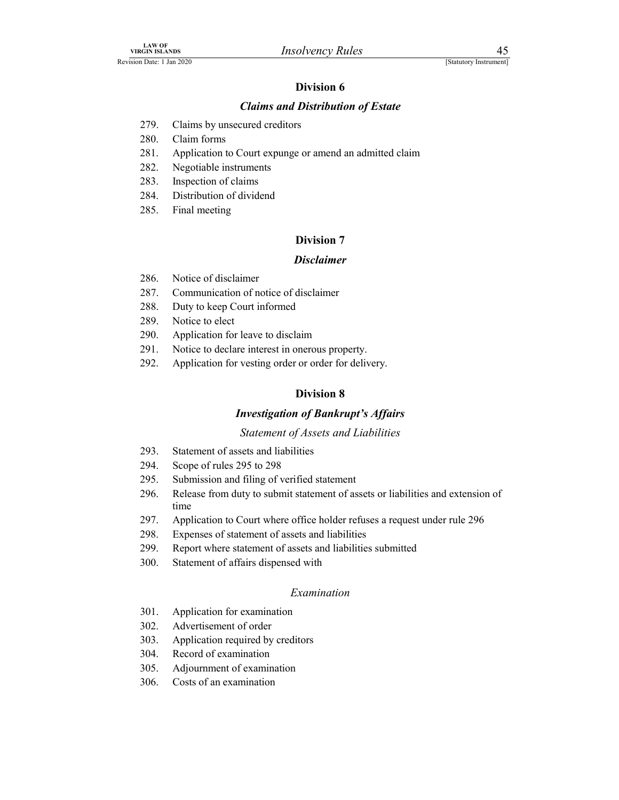## LAW OF<br>
VIRGIN ISLANDS<br>
EREVISION Date: 1 Jan 2020<br> **EXECUTE: 1 Jan 2020**<br> **EXECUTE: 1 Jan 2020**<br> **EXECUTE: 120 279.**<br>
Claims by unsecured creditors Claims and Distribution of Estate

- 
- 280. Claim forms
- EXAND BRAND EGIN ISLANDS<br>
279. Claims by unsecured creditors<br>
279. Claims by unsecured creditors<br>
280. Claim forms<br>
281. Application to Court expunge or amend an admitted claim<br>
282. Negotiable instruments<br>
283. Inspection 281. Application to Court expunge or amend an admitted claim
- 282. Negotiable instruments
- 283. Inspection of claims
- 284. Distribution of dividend
- 285. Final meeting

### Division 7

### Disclaimer

- 286. Notice of disclaimer
- 287. Communication of notice of disclaimer
- 288. Duty to keep Court informed
- 289. Notice to elect
- 290. Application for leave to disclaim
- 291. Notice to declare interest in onerous property.
- 292. Application for vesting order or order for delivery.

### Division 8

### Investigation of Bankrupt's Affairs

### Statement of Assets and Liabilities

- 293. Statement of assets and liabilities
- 294. Scope of rules 295 to 298
- 295. Submission and filing of verified statement
- 296. Release from duty to submit statement of assets or liabilities and extension of time
- 297. Application to Court where office holder refuses a request under rule 296
- 298. Expenses of statement of assets and liabilities
- 299. Report where statement of assets and liabilities submitted
- 300. Statement of affairs dispensed with

### Examination

- 301. Application for examination
- 302. Advertisement of order
- 303. Application required by creditors
- 304. Record of examination
- 305. Adjournment of examination
- 306. Costs of an examination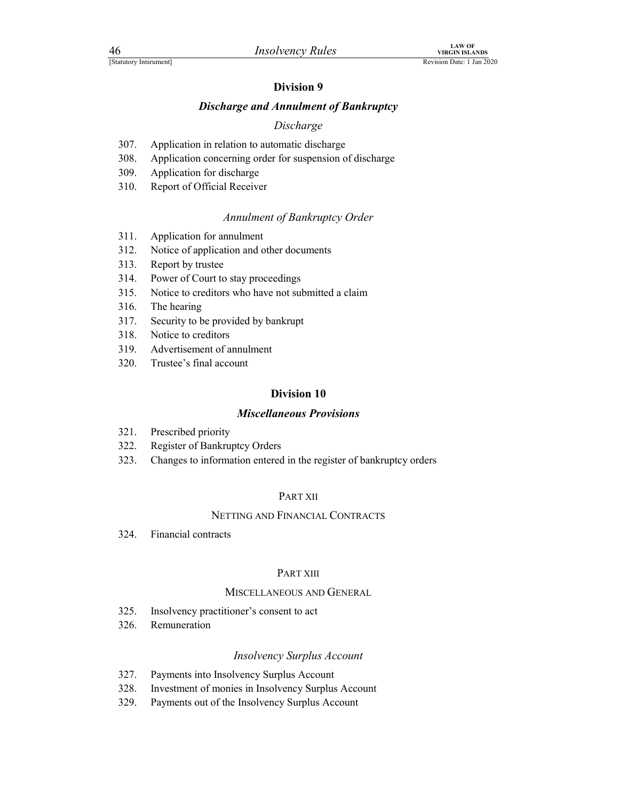## Finance of the Microsofter Control of Bankruptcy<br>
Revision Date: 1 Jan 2020<br>
Division 9<br>
Discharge and Annulment of Bankruptcy<br>
Discharge Discharge and Annulment of Bankruptcy

### Discharge

- 
- FREE SEARCH MANAGE THE UNIVERSITY CONTRACT AND THE UNIVERSITY OF SEVISION DRECENTION OF UNIVERSITY CONTRACT UNIVERSITY CONTRACT UNIVERSITY CONTRACT UNIVERSITY CONTRACT AND MANUSCRIPE AND APPlication in relation to automati 308. Application concerning order for suspension of discharge
- 309. Application for discharge
- 310. Report of Official Receiver

### Annulment of Bankruptcy Order

- 311. Application for annulment
- 312. Notice of application and other documents
- 313. Report by trustee
- 314. Power of Court to stay proceedings
- 315. Notice to creditors who have not submitted a claim
- 316. The hearing
- 317. Security to be provided by bankrupt
- 318. Notice to creditors
- 319. Advertisement of annulment
- 320. Trustee's final account

### Division 10

### Miscellaneous Provisions

- 321. Prescribed priority
- 322. Register of Bankruptcy Orders
- 323. Changes to information entered in the register of bankruptcy orders

### PART XII

### NETTING AND FINANCIAL CONTRACTS

324. Financial contracts

### PART XIII

### MISCELLANEOUS AND GENERAL

- 325. Insolvency practitioner's consent to act
- 326. Remuneration

### Insolvency Surplus Account

- 327. Payments into Insolvency Surplus Account
- 328. Investment of monies in Insolvency Surplus Account
- 329. Payments out of the Insolvency Surplus Account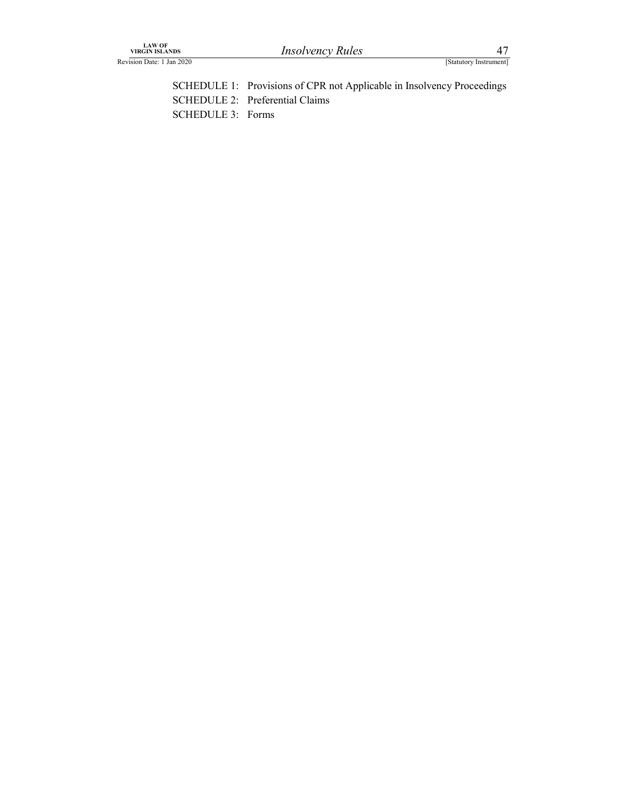| LAW OF<br>VIRGIN ISLANDS<br>Revision Date: 1 Jan 2020 | <b>Insolvency Rules</b>                                                                                   | 47<br>[Statutory Instrument] |  |
|-------------------------------------------------------|-----------------------------------------------------------------------------------------------------------|------------------------------|--|
|                                                       |                                                                                                           |                              |  |
|                                                       | SCHEDULE 1: Provisions of CPR not Applicable in Insolvency Proceedings<br>SCHEDULE 2: Preferential Claims |                              |  |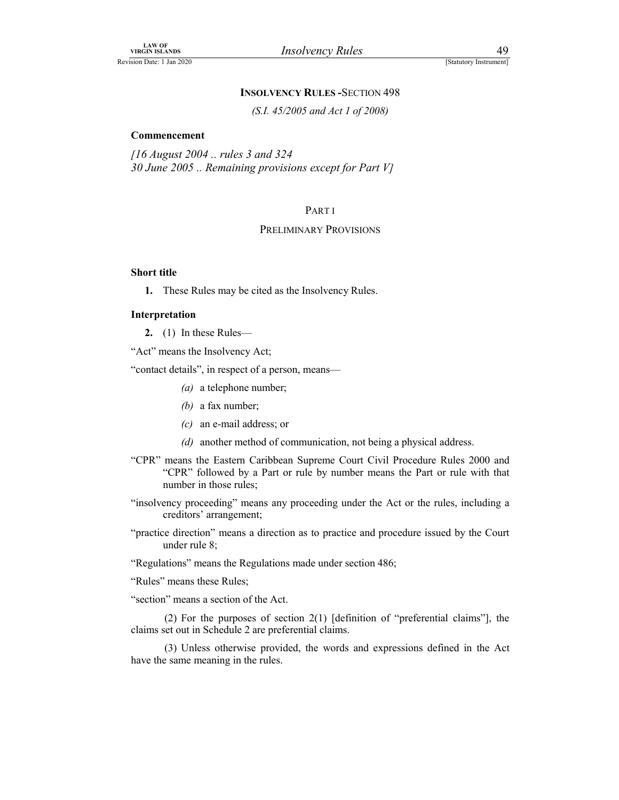### INSOLVENCY RULES -SECTION 498

### Commencement

Insolvency Rules<br>
[Statutory Instrument]<br>
SOLVENCY RULES - SECTION 498<br>
(S.I. 45/2005 and Act 1 of 2008)<br>
and 324<br>
g provisions except for Part V] [16 August 2004 .. rules 3 and 324 30 June 2005 .. Remaining provisions except for Part V]

### PART I

### PRELIMINARY PROVISIONS

### Short title

1. These Rules may be cited as the Insolvency Rules.

### Interpretation

2. (1) In these Rules—

"Act" means the Insolvency Act;

"contact details", in respect of a person, means—

- (a) a telephone number;
- (b) a fax number;
- (c) an e-mail address; or
- (d) another method of communication, not being a physical address.
- "CPR" means the Eastern Caribbean Supreme Court Civil Procedure Rules 2000 and "CPR" followed by a Part or rule by number means the Part or rule with that number in those rules;
- "insolvency proceeding" means any proceeding under the Act or the rules, including a creditors' arrangement;
- "practice direction" means a direction as to practice and procedure issued by the Court under rule 8;

"Regulations" means the Regulations made under section 486;

"Rules" means these Rules;

"section" means a section of the Act.

 (2) For the purposes of section 2(1) [definition of "preferential claims"], the claims set out in Schedule 2 are preferential claims.

 (3) Unless otherwise provided, the words and expressions defined in the Act have the same meaning in the rules.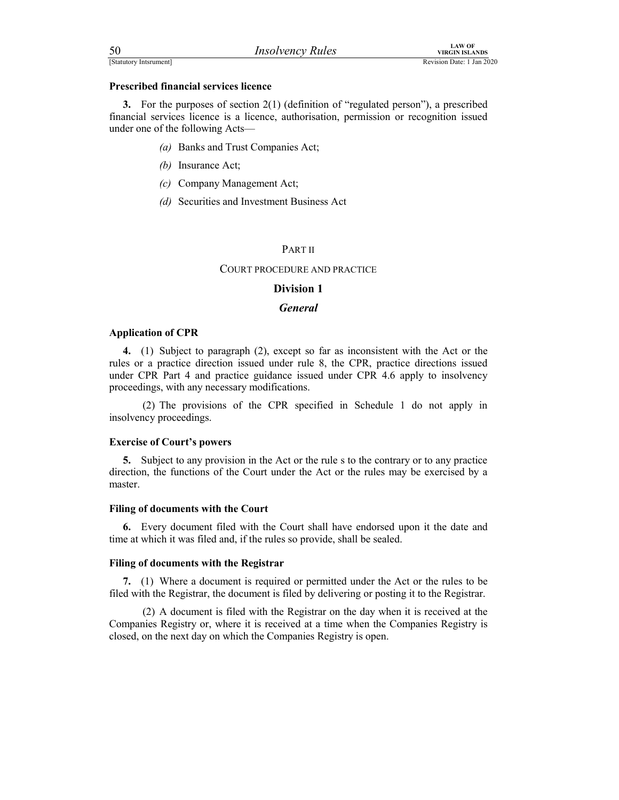| 50                     | <i>Insolvency Rules</i> | LAW OF<br>VIRGIN ISLANDS  |
|------------------------|-------------------------|---------------------------|
| [Statutory Intsrument] |                         | Revision Date: 1 Jan 2020 |

FERECT SERVICES FOR THE CONTROLLATION CONTROLLATION CONTROLLATION CONTROLLATION REVISION DATE: 1 Jan 2020<br> **Prescribed financial services licence**<br> **3.** For the purposes of section 2(1) (definition of "regulated person"), 3. For the purposes of section 2(1) (definition of "regulated person"), a prescribed financial services licence is a licence, authorisation, permission or recognition issued under one of the following Acts—

- (a) Banks and Trust Companies Act;
- (b) Insurance Act;
- (c) Company Management Act;
- (d) Securities and Investment Business Act

### PART II

### COURT PROCEDURE AND PRACTICE

### Division 1

### **General**

### Application of CPR

4. (1) Subject to paragraph (2), except so far as inconsistent with the Act or the rules or a practice direction issued under rule 8, the CPR, practice directions issued under CPR Part 4 and practice guidance issued under CPR 4.6 apply to insolvency proceedings, with any necessary modifications.

 (2) The provisions of the CPR specified in Schedule 1 do not apply in insolvency proceedings.

### Exercise of Court's powers

5. Subject to any provision in the Act or the rule s to the contrary or to any practice direction, the functions of the Court under the Act or the rules may be exercised by a master.

### Filing of documents with the Court

6. Every document filed with the Court shall have endorsed upon it the date and time at which it was filed and, if the rules so provide, shall be sealed.

### Filing of documents with the Registrar

7. (1) Where a document is required or permitted under the Act or the rules to be filed with the Registrar, the document is filed by delivering or posting it to the Registrar.

 (2) A document is filed with the Registrar on the day when it is received at the Companies Registry or, where it is received at a time when the Companies Registry is closed, on the next day on which the Companies Registry is open.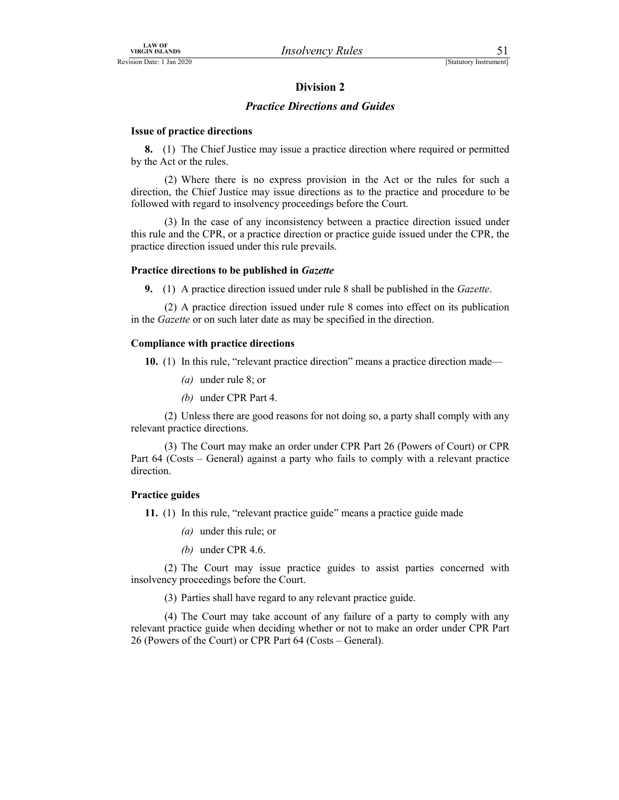### Practice Directions and Guides

### Issue of practice directions

8. (1) The Chief Justice may issue a practice direction where required or permitted by the Act or the rules.

 (2) Where there is no express provision in the Act or the rules for such a direction, the Chief Justice may issue directions as to the practice and procedure to be followed with regard to insolvency proceedings before the Court.

 (3) In the case of any inconsistency between a practice direction issued under this rule and the CPR, or a practice direction or practice guide issued under the CPR, the practice direction issued under this rule prevails.

### Practice directions to be published in Gazette

9. (1) A practice direction issued under rule 8 shall be published in the Gazette.

 (2) A practice direction issued under rule 8 comes into effect on its publication in the Gazette or on such later date as may be specified in the direction.

### Compliance with practice directions

10. (1) In this rule, "relevant practice direction" means a practice direction made—

- (a) under rule 8; or
- (b) under CPR Part 4.

 (2) Unless there are good reasons for not doing so, a party shall comply with any relevant practice directions.

 (3) The Court may make an order under CPR Part 26 (Powers of Court) or CPR Part 64 (Costs – General) against a party who fails to comply with a relevant practice direction.

### Practice guides

11. (1) In this rule, "relevant practice guide" means a practice guide made

- (a) under this rule; or
- (b) under CPR 4.6.

(2) The Court may issue practice guides to assist parties concerned with insolvency proceedings before the Court.

(3) Parties shall have regard to any relevant practice guide.

 (4) The Court may take account of any failure of a party to comply with any relevant practice guide when deciding whether or not to make an order under CPR Part 26 (Powers of the Court) or CPR Part 64 (Costs – General).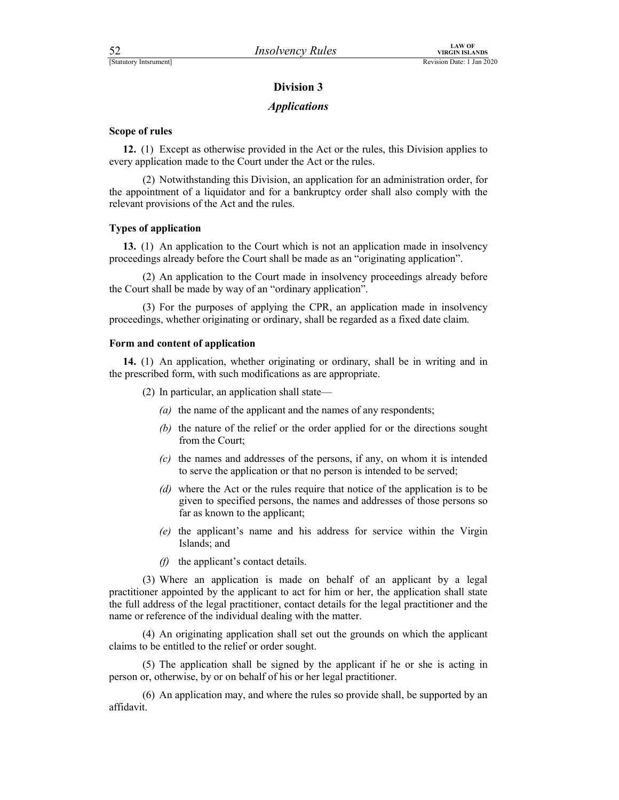### **Applications**

### Scope of rules

12. (1) Except as otherwise provided in the Act or the rules, this Division applies to every application made to the Court under the Act or the rules.

 (2) Notwithstanding this Division, an application for an administration order, for the appointment of a liquidator and for a bankruptcy order shall also comply with the relevant provisions of the Act and the rules.

### Types of application

13. (1) An application to the Court which is not an application made in insolvency proceedings already before the Court shall be made as an "originating application".

 (2) An application to the Court made in insolvency proceedings already before the Court shall be made by way of an "ordinary application".

 (3) For the purposes of applying the CPR, an application made in insolvency proceedings, whether originating or ordinary, shall be regarded as a fixed date claim.

### Form and content of application

14. (1) An application, whether originating or ordinary, shall be in writing and in the prescribed form, with such modifications as are appropriate.

(2) In particular, an application shall state—

- (a) the name of the applicant and the names of any respondents;
- (b) the nature of the relief or the order applied for or the directions sought from the Court;
- (c) the names and addresses of the persons, if any, on whom it is intended to serve the application or that no person is intended to be served;
- (d) where the Act or the rules require that notice of the application is to be given to specified persons, the names and addresses of those persons so far as known to the applicant;
- (e) the applicant's name and his address for service within the Virgin Islands; and
- $(f)$  the applicant's contact details.

 (3) Where an application is made on behalf of an applicant by a legal practitioner appointed by the applicant to act for him or her, the application shall state the full address of the legal practitioner, contact details for the legal practitioner and the name or reference of the individual dealing with the matter.

 (4) An originating application shall set out the grounds on which the applicant claims to be entitled to the relief or order sought.

 (5) The application shall be signed by the applicant if he or she is acting in person or, otherwise, by or on behalf of his or her legal practitioner.

 (6) An application may, and where the rules so provide shall, be supported by an affidavit.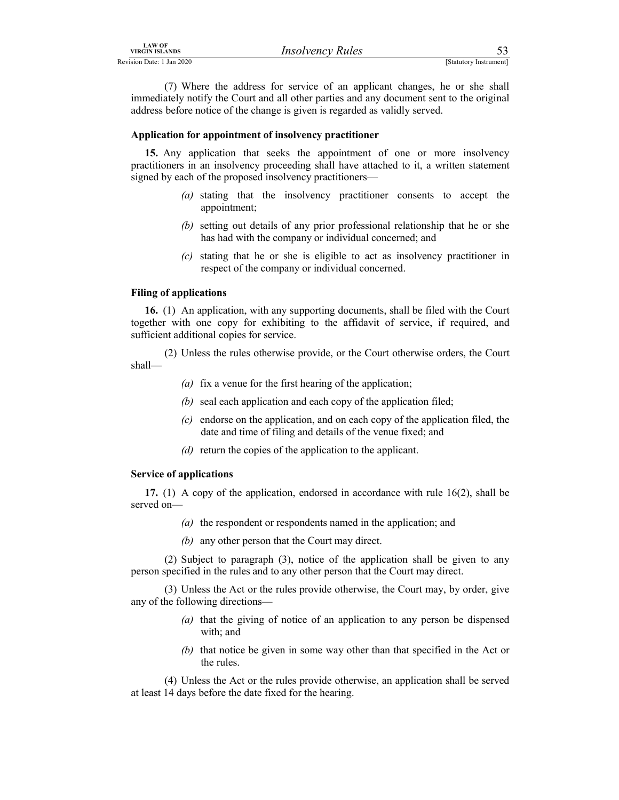*IRSO URGIN ISLANDS*<br>
Revision Date: 1 Jan 2020<br>
(7) Where the address for service of an applicant changes, he or she shall<br>
immediately notify the Court and all other parties and any document sent to the original<br>
address (7) Where the address for service of an applicant changes, he or she shall immediately notify the Court and all other parties and any document sent to the original address before notice of the change is given is regarded as validly served.

### Application for appointment of insolvency practitioner

15. Any application that seeks the appointment of one or more insolvency practitioners in an insolvency proceeding shall have attached to it, a written statement signed by each of the proposed insolvency practitioners—

- (a) stating that the insolvency practitioner consents to accept the appointment;
- (b) setting out details of any prior professional relationship that he or she has had with the company or individual concerned; and
- (c) stating that he or she is eligible to act as insolvency practitioner in respect of the company or individual concerned.

### Filing of applications

16. (1) An application, with any supporting documents, shall be filed with the Court together with one copy for exhibiting to the affidavit of service, if required, and sufficient additional copies for service.

 (2) Unless the rules otherwise provide, or the Court otherwise orders, the Court shall—

- (a) fix a venue for the first hearing of the application;
- (b) seal each application and each copy of the application filed;
- $(c)$  endorse on the application, and on each copy of the application filed, the date and time of filing and details of the venue fixed; and
- (d) return the copies of the application to the applicant.

### Service of applications

17. (1) A copy of the application, endorsed in accordance with rule 16(2), shall be served on—

- (a) the respondent or respondents named in the application; and
- (b) any other person that the Court may direct.

 (2) Subject to paragraph (3), notice of the application shall be given to any person specified in the rules and to any other person that the Court may direct.

 (3) Unless the Act or the rules provide otherwise, the Court may, by order, give any of the following directions—

- (a) that the giving of notice of an application to any person be dispensed with; and
- (b) that notice be given in some way other than that specified in the Act or the rules.

 (4) Unless the Act or the rules provide otherwise, an application shall be served at least 14 days before the date fixed for the hearing.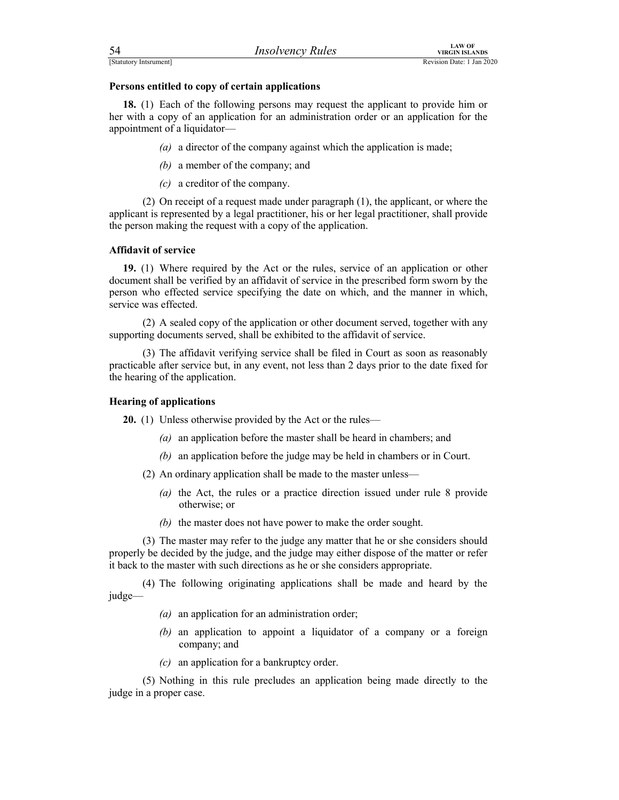| 54                     | <i>Insolvency Rules</i> | AW OF<br>VIRGIN ISLANDS   |
|------------------------|-------------------------|---------------------------|
| [Statutory Intsrument] |                         | Revision Date: 1 Jan 2020 |

FERENT EXAMPLES<br>
FERENT ISLANDS<br>
Revision Date: 1 Jan 2020<br> **Persons entitled to copy of certain applications**<br> **18.** (1) Each of the following persons may request the applicant to provide him or<br>
her with a copy of an app 18. (1) Each of the following persons may request the applicant to provide him or her with a copy of an application for an administration order or an application for the appointment of a liquidator—

(a) a director of the company against which the application is made;

- (b) a member of the company; and
- (c) a creditor of the company.

 (2) On receipt of a request made under paragraph (1), the applicant, or where the applicant is represented by a legal practitioner, his or her legal practitioner, shall provide the person making the request with a copy of the application.

### Affidavit of service

19. (1) Where required by the Act or the rules, service of an application or other document shall be verified by an affidavit of service in the prescribed form sworn by the person who effected service specifying the date on which, and the manner in which, service was effected.

 (2) A sealed copy of the application or other document served, together with any supporting documents served, shall be exhibited to the affidavit of service.

 (3) The affidavit verifying service shall be filed in Court as soon as reasonably practicable after service but, in any event, not less than 2 days prior to the date fixed for the hearing of the application.

### Hearing of applications

20. (1) Unless otherwise provided by the Act or the rules—

- (a) an application before the master shall be heard in chambers; and
- (b) an application before the judge may be held in chambers or in Court.
- (2) An ordinary application shall be made to the master unless—
	- (a) the Act, the rules or a practice direction issued under rule 8 provide otherwise; or
	- (b) the master does not have power to make the order sought.

 (3) The master may refer to the judge any matter that he or she considers should properly be decided by the judge, and the judge may either dispose of the matter or refer it back to the master with such directions as he or she considers appropriate.

 (4) The following originating applications shall be made and heard by the judge—

- (a) an application for an administration order;
- (b) an application to appoint a liquidator of a company or a foreign company; and
- (c) an application for a bankruptcy order.

 (5) Nothing in this rule precludes an application being made directly to the judge in a proper case.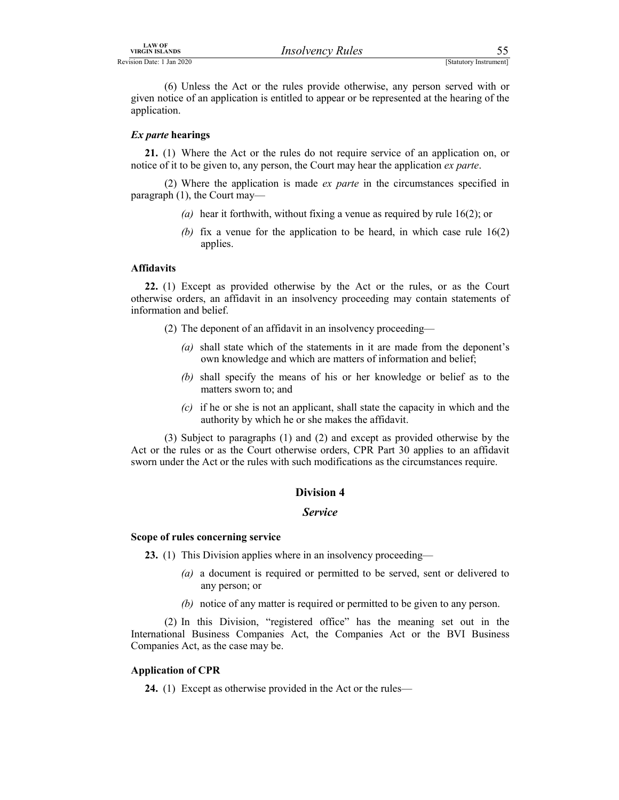LAW OF<br>
Revision Date: 1 Jan 2020<br>
(6) Unless the Act or the rules provide otherwise, any person served with or<br>
given notice of an application is entitled to appear or be represented at the hearing of the<br>
application. (6) Unless the Act or the rules provide otherwise, any person served with or given notice of an application is entitled to appear or be represented at the hearing of the application.

### Ex parte hearings

21. (1) Where the Act or the rules do not require service of an application on, or notice of it to be given to, any person, the Court may hear the application ex parte.

(2) Where the application is made  $ex$  parte in the circumstances specified in paragraph (1), the Court may—

- (a) hear it forthwith, without fixing a venue as required by rule  $16(2)$ ; or
- (b) fix a venue for the application to be heard, in which case rule  $16(2)$ applies.

### Affidavits

22. (1) Except as provided otherwise by the Act or the rules, or as the Court otherwise orders, an affidavit in an insolvency proceeding may contain statements of information and belief.

- (2) The deponent of an affidavit in an insolvency proceeding—
	- (a) shall state which of the statements in it are made from the deponent's own knowledge and which are matters of information and belief;
	- (b) shall specify the means of his or her knowledge or belief as to the matters sworn to; and
	- $(c)$  if he or she is not an applicant, shall state the capacity in which and the authority by which he or she makes the affidavit.

 (3) Subject to paragraphs (1) and (2) and except as provided otherwise by the Act or the rules or as the Court otherwise orders, CPR Part 30 applies to an affidavit sworn under the Act or the rules with such modifications as the circumstances require.

### Division 4

### Service

### Scope of rules concerning service

23. (1) This Division applies where in an insolvency proceeding—

- (a) a document is required or permitted to be served, sent or delivered to any person; or
- (b) notice of any matter is required or permitted to be given to any person.

 (2) In this Division, "registered office" has the meaning set out in the International Business Companies Act, the Companies Act or the BVI Business Companies Act, as the case may be.

### Application of CPR

24. (1) Except as otherwise provided in the Act or the rules—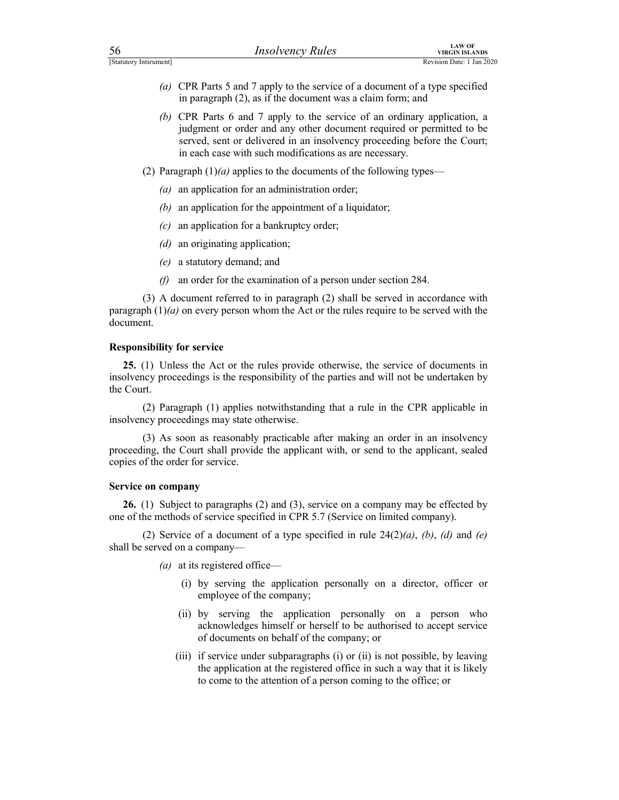- For the content of a type STATUS CONSERVERTIES CONSERVERTIES (STATUS) Revision Date: 1 Jan 2020<br>
(a) CPR Parts 5 and 7 apply to the service of a document of a type specified<br>
in paragraph (2), as if the document was a clai (a) CPR Parts 5 and 7 apply to the service of a document of a type specified in paragraph (2), as if the document was a claim form; and
	- (b) CPR Parts 6 and 7 apply to the service of an ordinary application, a judgment or order and any other document required or permitted to be served, sent or delivered in an insolvency proceeding before the Court; in each case with such modifications as are necessary.
	- (2) Paragraph  $(1)(a)$  applies to the documents of the following types—
		- (a) an application for an administration order;
		- (b) an application for the appointment of a liquidator;
		- (c) an application for a bankruptcy order;
		- (d) an originating application;
		- (e) a statutory demand; and
		- (f) an order for the examination of a person under section 284.

 (3) A document referred to in paragraph (2) shall be served in accordance with paragraph  $(1)(a)$  on every person whom the Act or the rules require to be served with the document.

### Responsibility for service

25. (1) Unless the Act or the rules provide otherwise, the service of documents in insolvency proceedings is the responsibility of the parties and will not be undertaken by the Court.

 (2) Paragraph (1) applies notwithstanding that a rule in the CPR applicable in insolvency proceedings may state otherwise.

 (3) As soon as reasonably practicable after making an order in an insolvency proceeding, the Court shall provide the applicant with, or send to the applicant, sealed copies of the order for service.

### Service on company

26. (1) Subject to paragraphs (2) and (3), service on a company may be effected by one of the methods of service specified in CPR 5.7 (Service on limited company).

(2) Service of a document of a type specified in rule  $24(2)(a)$ , (b), (d) and (e) shall be served on a company—

(*a*) at its registered office—

- (i) by serving the application personally on a director, officer or employee of the company;
- (ii) by serving the application personally on a person who acknowledges himself or herself to be authorised to accept service of documents on behalf of the company; or
- (iii) if service under subparagraphs (i) or (ii) is not possible, by leaving the application at the registered office in such a way that it is likely to come to the attention of a person coming to the office; or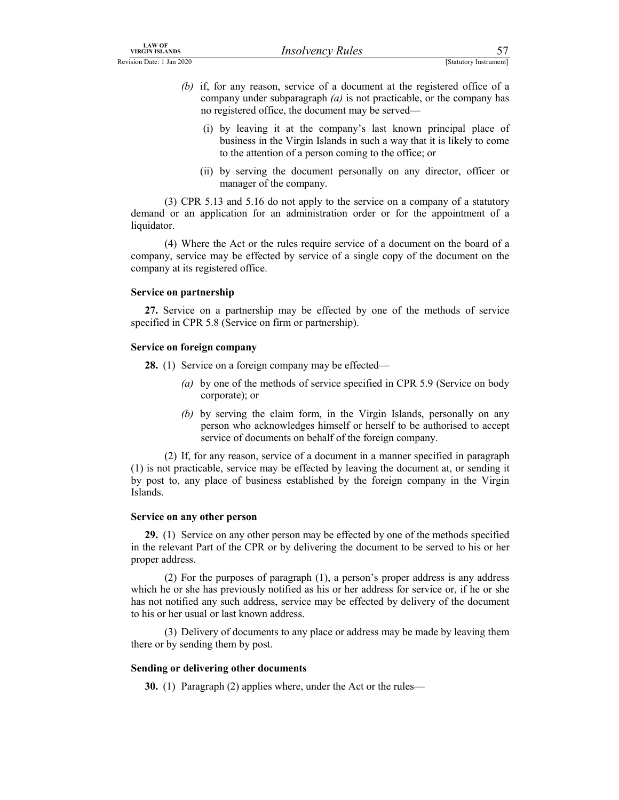- EXAMPLE THE CONSTRIANT UNIVERSELATED THE CONSTRAINT CONSTRAINT THE CONSTRAINT CONSTRAINT THE CONSTRAINT CONSTRAINT CONSTRAINT THE CONSTRAINT CONSTRAINT (b) if, for any reason, service of a document at the registered offic (b) if, for any reason, service of a document at the registered office of a company under subparagraph  $(a)$  is not practicable, or the company has no registered office, the document may be served—
	- (i) by leaving it at the company's last known principal place of business in the Virgin Islands in such a way that it is likely to come to the attention of a person coming to the office; or
	- (ii) by serving the document personally on any director, officer or manager of the company.

 (3) CPR 5.13 and 5.16 do not apply to the service on a company of a statutory demand or an application for an administration order or for the appointment of a liquidator.

 (4) Where the Act or the rules require service of a document on the board of a company, service may be effected by service of a single copy of the document on the company at its registered office.

### Service on partnership

27. Service on a partnership may be effected by one of the methods of service specified in CPR 5.8 (Service on firm or partnership).

### Service on foreign company

28. (1) Service on a foreign company may be effected—

- (a) by one of the methods of service specified in CPR 5.9 (Service on body corporate); or
- (b) by serving the claim form, in the Virgin Islands, personally on any person who acknowledges himself or herself to be authorised to accept service of documents on behalf of the foreign company.

 (2) If, for any reason, service of a document in a manner specified in paragraph (1) is not practicable, service may be effected by leaving the document at, or sending it by post to, any place of business established by the foreign company in the Virgin Islands.

### Service on any other person

29. (1) Service on any other person may be effected by one of the methods specified in the relevant Part of the CPR or by delivering the document to be served to his or her proper address.

 (2) For the purposes of paragraph (1), a person's proper address is any address which he or she has previously notified as his or her address for service or, if he or she has not notified any such address, service may be effected by delivery of the document to his or her usual or last known address.

 (3) Delivery of documents to any place or address may be made by leaving them there or by sending them by post.

### Sending or delivering other documents

30. (1) Paragraph (2) applies where, under the Act or the rules—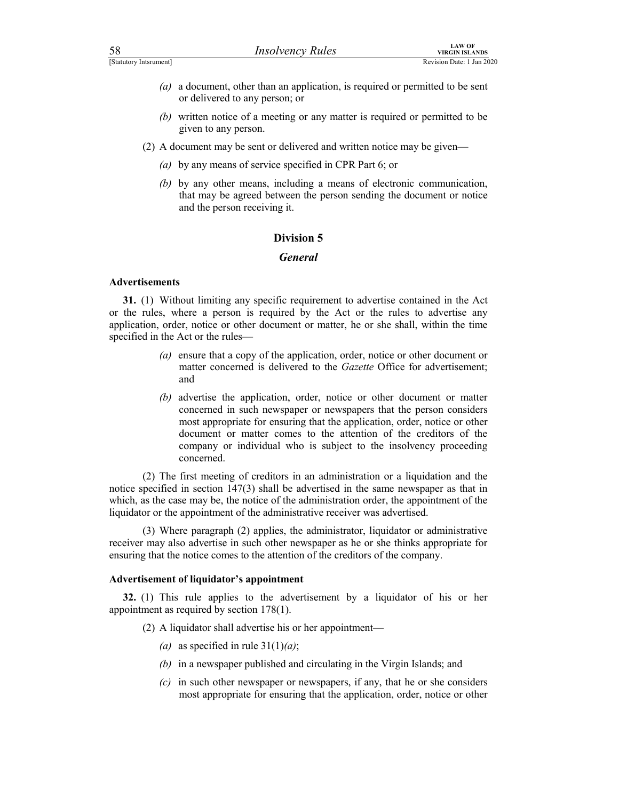- For the contract of a meeting or any matter is required or permitted to be sent<br>
(a) a document, other than an application, is required or permitted to be sent<br>
or delivered to any person; or<br>
(b) written notice of a meeti (a) a document, other than an application, is required or permitted to be sent or delivered to any person; or
	- (b) written notice of a meeting or any matter is required or permitted to be given to any person.
	- (2) A document may be sent or delivered and written notice may be given—
		- (a) by any means of service specified in CPR Part 6; or
		- (b) by any other means, including a means of electronic communication, that may be agreed between the person sending the document or notice and the person receiving it.

### **General**

### **Advertisements**

31. (1) Without limiting any specific requirement to advertise contained in the Act or the rules, where a person is required by the Act or the rules to advertise any application, order, notice or other document or matter, he or she shall, within the time specified in the Act or the rules—

- (a) ensure that a copy of the application, order, notice or other document or matter concerned is delivered to the Gazette Office for advertisement; and
- (b) advertise the application, order, notice or other document or matter concerned in such newspaper or newspapers that the person considers most appropriate for ensuring that the application, order, notice or other document or matter comes to the attention of the creditors of the company or individual who is subject to the insolvency proceeding concerned.

 (2) The first meeting of creditors in an administration or a liquidation and the notice specified in section 147(3) shall be advertised in the same newspaper as that in which, as the case may be, the notice of the administration order, the appointment of the liquidator or the appointment of the administrative receiver was advertised.

 (3) Where paragraph (2) applies, the administrator, liquidator or administrative receiver may also advertise in such other newspaper as he or she thinks appropriate for ensuring that the notice comes to the attention of the creditors of the company.

### Advertisement of liquidator's appointment

32. (1) This rule applies to the advertisement by a liquidator of his or her appointment as required by section 178(1).

(2) A liquidator shall advertise his or her appointment—

- (a) as specified in rule  $31(1)(a)$ ;
- (b) in a newspaper published and circulating in the Virgin Islands; and
- $(c)$  in such other newspaper or newspapers, if any, that he or she considers most appropriate for ensuring that the application, order, notice or other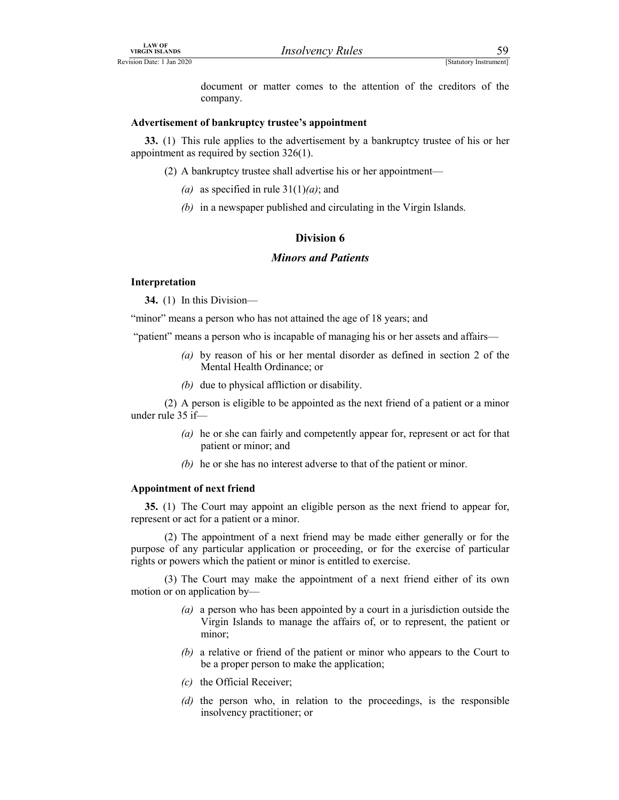LAW OF<br>
VIRGIN ISLANDS<br>
ERVISION Date: 1 Jan 2020<br>
document or matter comes to the attention of the creditors of the<br>
company.<br>
Advertisement of bankruptcy trustee's appointment document or matter comes to the attention of the creditors of the company.

### Advertisement of bankruptcy trustee's appointment

33. (1) This rule applies to the advertisement by a bankruptcy trustee of his or her appointment as required by section 326(1).

- (2) A bankruptcy trustee shall advertise his or her appointment—
	- (a) as specified in rule  $31(1)(a)$ ; and
	- (b) in a newspaper published and circulating in the Virgin Islands.

### Division 6

### Minors and Patients

### Interpretation

34. (1) In this Division—

"minor" means a person who has not attained the age of 18 years; and

"patient" means a person who is incapable of managing his or her assets and affairs—

- (a) by reason of his or her mental disorder as defined in section 2 of the Mental Health Ordinance; or
- (b) due to physical affliction or disability.

 (2) A person is eligible to be appointed as the next friend of a patient or a minor under rule 35 if—

- (a) he or she can fairly and competently appear for, represent or act for that patient or minor; and
- (b) he or she has no interest adverse to that of the patient or minor.

### Appointment of next friend

35. (1) The Court may appoint an eligible person as the next friend to appear for, represent or act for a patient or a minor.

 (2) The appointment of a next friend may be made either generally or for the purpose of any particular application or proceeding, or for the exercise of particular rights or powers which the patient or minor is entitled to exercise.

 (3) The Court may make the appointment of a next friend either of its own motion or on application by—

- (a) a person who has been appointed by a court in a jurisdiction outside the Virgin Islands to manage the affairs of, or to represent, the patient or minor;
- (b) a relative or friend of the patient or minor who appears to the Court to be a proper person to make the application;
- (c) the Official Receiver;
- (d) the person who, in relation to the proceedings, is the responsible insolvency practitioner; or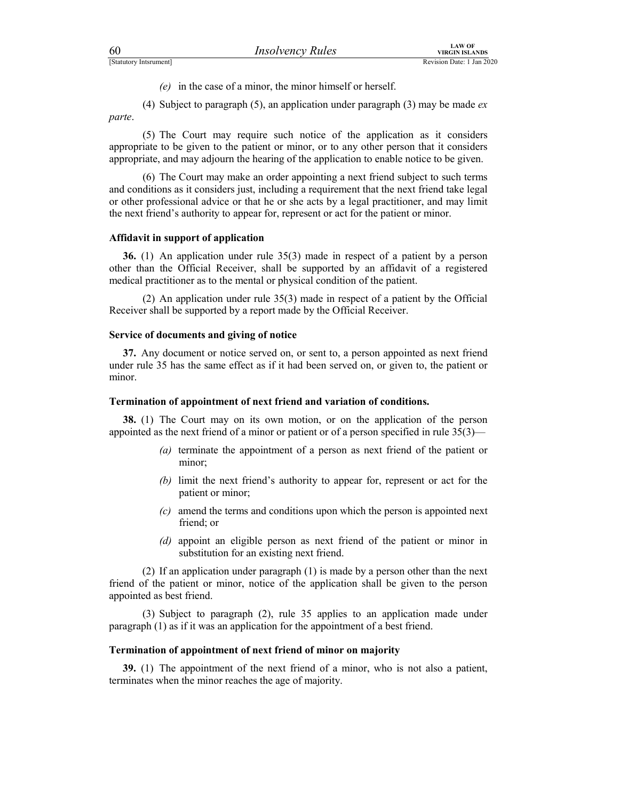$(e)$  in the case of a minor, the minor himself or herself.

For the case of a minor, the minor himself or herself.<br>
(4) Subject to paragraph (5), an application under paragraph (3) may be made *ex* parte. (4) Subject to paragraph (5), an application under paragraph (3) may be made  $ex$ parte.

 (5) The Court may require such notice of the application as it considers appropriate to be given to the patient or minor, or to any other person that it considers appropriate, and may adjourn the hearing of the application to enable notice to be given.

 (6) The Court may make an order appointing a next friend subject to such terms and conditions as it considers just, including a requirement that the next friend take legal or other professional advice or that he or she acts by a legal practitioner, and may limit the next friend's authority to appear for, represent or act for the patient or minor.

### Affidavit in support of application

36. (1) An application under rule 35(3) made in respect of a patient by a person other than the Official Receiver, shall be supported by an affidavit of a registered medical practitioner as to the mental or physical condition of the patient.

 (2) An application under rule 35(3) made in respect of a patient by the Official Receiver shall be supported by a report made by the Official Receiver.

### Service of documents and giving of notice

37. Any document or notice served on, or sent to, a person appointed as next friend under rule 35 has the same effect as if it had been served on, or given to, the patient or minor.

### Termination of appointment of next friend and variation of conditions.

38. (1) The Court may on its own motion, or on the application of the person appointed as the next friend of a minor or patient or of a person specified in rule 35(3)—

- (a) terminate the appointment of a person as next friend of the patient or minor;
- (b) limit the next friend's authority to appear for, represent or act for the patient or minor;
- $(c)$  amend the terms and conditions upon which the person is appointed next friend; or
- (d) appoint an eligible person as next friend of the patient or minor in substitution for an existing next friend.

 (2) If an application under paragraph (1) is made by a person other than the next friend of the patient or minor, notice of the application shall be given to the person appointed as best friend.

 (3) Subject to paragraph (2), rule 35 applies to an application made under paragraph (1) as if it was an application for the appointment of a best friend.

### Termination of appointment of next friend of minor on majority

39. (1) The appointment of the next friend of a minor, who is not also a patient, terminates when the minor reaches the age of majority.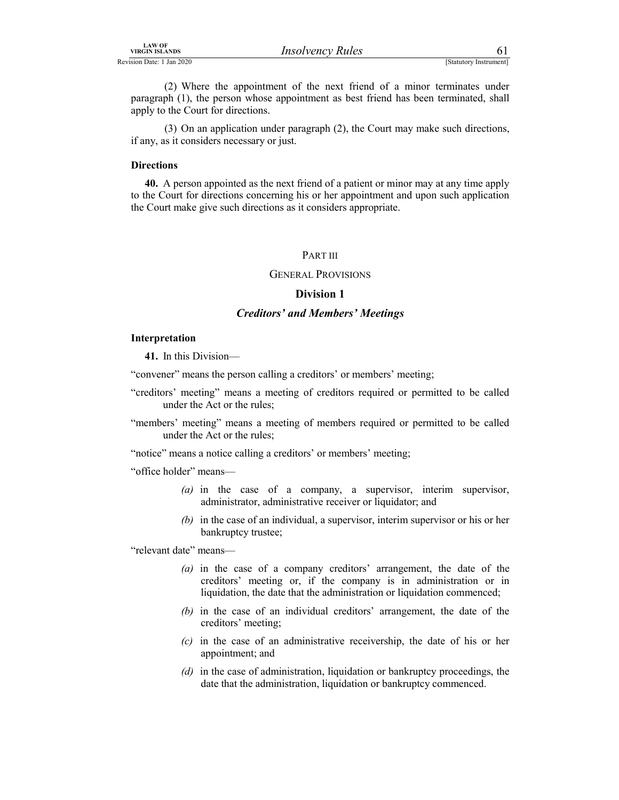VIRGIN ISLANDS<br>
VIRGIN ISLANDS<br>
ERVISION DREV: 1 Jan 2020<br>
(2) Where the appointment of the next friend of a minor terminates under<br>
paragraph (1), the person whose appointment as best friend has been terminated, shall<br>
ap (2) Where the appointment of the next friend of a minor terminates under paragraph (1), the person whose appointment as best friend has been terminated, shall apply to the Court for directions.

 (3) On an application under paragraph (2), the Court may make such directions, if any, as it considers necessary or just.

### **Directions**

40. A person appointed as the next friend of a patient or minor may at any time apply to the Court for directions concerning his or her appointment and upon such application the Court make give such directions as it considers appropriate.

### PART III

### GENERAL PROVISIONS

### Division 1

### Creditors' and Members' Meetings

### Interpretation

41. In this Division—

"convener" means the person calling a creditors' or members' meeting;

"creditors' meeting" means a meeting of creditors required or permitted to be called under the Act or the rules;

"members' meeting" means a meeting of members required or permitted to be called under the Act or the rules;

"notice" means a notice calling a creditors' or members' meeting;

"office holder" means—

- (a) in the case of a company, a supervisor, interim supervisor, administrator, administrative receiver or liquidator; and
- (b) in the case of an individual, a supervisor, interim supervisor or his or her bankruptcy trustee;

"relevant date" means—

- (a) in the case of a company creditors' arrangement, the date of the creditors' meeting or, if the company is in administration or in liquidation, the date that the administration or liquidation commenced;
- (b) in the case of an individual creditors' arrangement, the date of the creditors' meeting;
- (c) in the case of an administrative receivership, the date of his or her appointment; and
- (d) in the case of administration, liquidation or bankruptcy proceedings, the date that the administration, liquidation or bankruptcy commenced.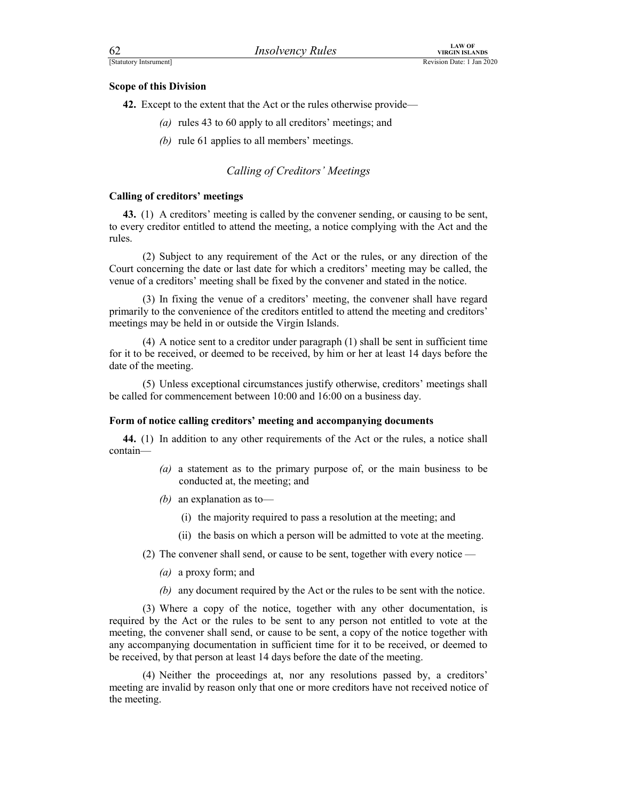### Scope of this Division

Examples<br>
EStatutory Intsrument]<br>
Scope of this Division<br>
A2. Except to the extent that the Act or the rules otherwise provide—<br>
(a) rules 43 to 60 apply to all creditors' meetings; and 42. Except to the extent that the Act or the rules otherwise provide—

- (a) rules 43 to 60 apply to all creditors' meetings; and
- (b) rule 61 applies to all members' meetings.

### Calling of Creditors' Meetings

### Calling of creditors' meetings

43. (1) A creditors' meeting is called by the convener sending, or causing to be sent, to every creditor entitled to attend the meeting, a notice complying with the Act and the rules.

 (2) Subject to any requirement of the Act or the rules, or any direction of the Court concerning the date or last date for which a creditors' meeting may be called, the venue of a creditors' meeting shall be fixed by the convener and stated in the notice.

 (3) In fixing the venue of a creditors' meeting, the convener shall have regard primarily to the convenience of the creditors entitled to attend the meeting and creditors' meetings may be held in or outside the Virgin Islands.

 (4) A notice sent to a creditor under paragraph (1) shall be sent in sufficient time for it to be received, or deemed to be received, by him or her at least 14 days before the date of the meeting.

 (5) Unless exceptional circumstances justify otherwise, creditors' meetings shall be called for commencement between 10:00 and 16:00 on a business day.

### Form of notice calling creditors' meeting and accompanying documents

44. (1) In addition to any other requirements of the Act or the rules, a notice shall contain—

- (a) a statement as to the primary purpose of, or the main business to be conducted at, the meeting; and
- (b) an explanation as to-
	- (i) the majority required to pass a resolution at the meeting; and
	- (ii) the basis on which a person will be admitted to vote at the meeting.
- (2) The convener shall send, or cause to be sent, together with every notice
	- (a) a proxy form; and
	- (b) any document required by the Act or the rules to be sent with the notice.

 (3) Where a copy of the notice, together with any other documentation, is required by the Act or the rules to be sent to any person not entitled to vote at the meeting, the convener shall send, or cause to be sent, a copy of the notice together with any accompanying documentation in sufficient time for it to be received, or deemed to be received, by that person at least 14 days before the date of the meeting.

 (4) Neither the proceedings at, nor any resolutions passed by, a creditors' meeting are invalid by reason only that one or more creditors have not received notice of the meeting.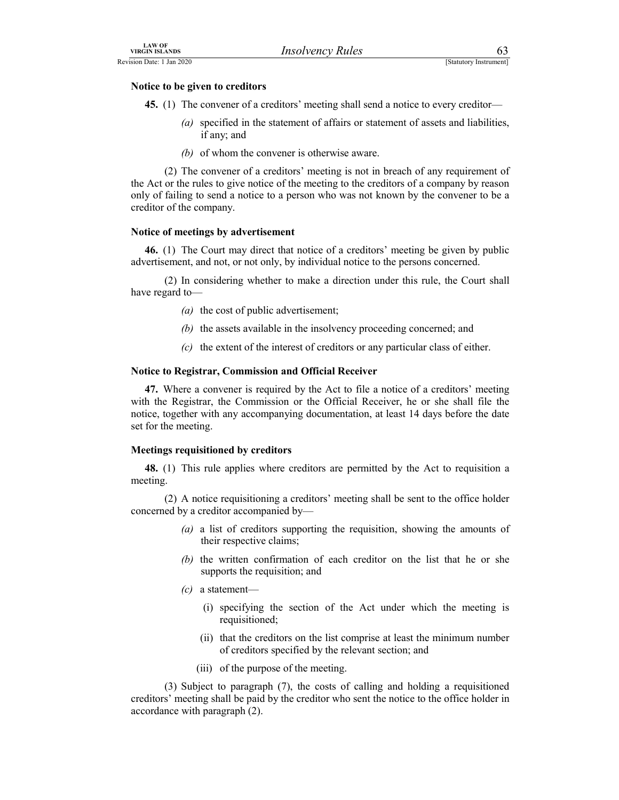### Notice to be given to creditors

EXAVOR<br>
Revision Date: 1 Jan 2020<br>
Notice to be given to creditors<br>
45. (1) The convener of a creditors' meeting shall send a notice to every creditor—<br>
(a) specified in the statement of affairs or statement of assets and 45. (1) The convener of a creditors' meeting shall send a notice to every creditor—

- (a) specified in the statement of affairs or statement of assets and liabilities, if any; and
- (b) of whom the convener is otherwise aware.

 (2) The convener of a creditors' meeting is not in breach of any requirement of the Act or the rules to give notice of the meeting to the creditors of a company by reason only of failing to send a notice to a person who was not known by the convener to be a creditor of the company.

### Notice of meetings by advertisement

46. (1) The Court may direct that notice of a creditors' meeting be given by public advertisement, and not, or not only, by individual notice to the persons concerned.

 (2) In considering whether to make a direction under this rule, the Court shall have regard to—

- (a) the cost of public advertisement;
- (b) the assets available in the insolvency proceeding concerned; and
- $(c)$  the extent of the interest of creditors or any particular class of either.

### Notice to Registrar, Commission and Official Receiver

47. Where a convener is required by the Act to file a notice of a creditors' meeting with the Registrar, the Commission or the Official Receiver, he or she shall file the notice, together with any accompanying documentation, at least 14 days before the date set for the meeting.

### Meetings requisitioned by creditors

48. (1) This rule applies where creditors are permitted by the Act to requisition a meeting.

 (2) A notice requisitioning a creditors' meeting shall be sent to the office holder concerned by a creditor accompanied by—

- (a) a list of creditors supporting the requisition, showing the amounts of their respective claims;
- (b) the written confirmation of each creditor on the list that he or she supports the requisition; and
- $(c)$  a statement—
	- (i) specifying the section of the Act under which the meeting is requisitioned;
	- (ii) that the creditors on the list comprise at least the minimum number of creditors specified by the relevant section; and
	- (iii) of the purpose of the meeting.

 (3) Subject to paragraph (7), the costs of calling and holding a requisitioned creditors' meeting shall be paid by the creditor who sent the notice to the office holder in accordance with paragraph (2).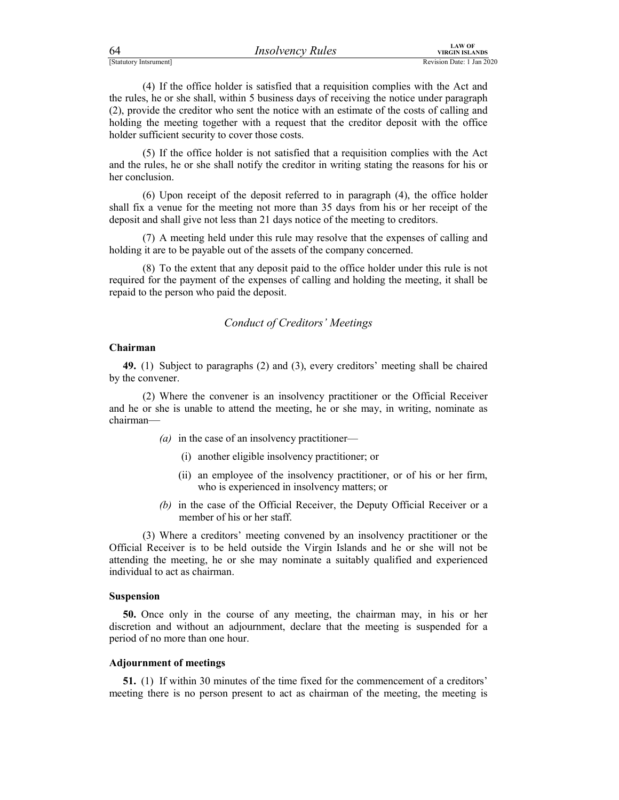| 64                     | <i><b>Insolvency Rules</b></i> | LAW OF<br>VIRGIN ISLANDS  |
|------------------------|--------------------------------|---------------------------|
| [Statutory Intsrument] |                                | Revision Date: 1 Jan 2020 |

FERENT EXAMPLES<br>
FERENT MEGIN ISLANDS<br>
(4) If the office holder is satisfied that a requisition complies with the Act and<br>
the rules, he or she shall, within 5 business days of receiving the notice under paragraph<br>
(2), pr (4) If the office holder is satisfied that a requisition complies with the Act and the rules, he or she shall, within 5 business days of receiving the notice under paragraph (2), provide the creditor who sent the notice with an estimate of the costs of calling and holding the meeting together with a request that the creditor deposit with the office holder sufficient security to cover those costs.

 (5) If the office holder is not satisfied that a requisition complies with the Act and the rules, he or she shall notify the creditor in writing stating the reasons for his or her conclusion.

 (6) Upon receipt of the deposit referred to in paragraph (4), the office holder shall fix a venue for the meeting not more than 35 days from his or her receipt of the deposit and shall give not less than 21 days notice of the meeting to creditors.

 (7) A meeting held under this rule may resolve that the expenses of calling and holding it are to be payable out of the assets of the company concerned.

 (8) To the extent that any deposit paid to the office holder under this rule is not required for the payment of the expenses of calling and holding the meeting, it shall be repaid to the person who paid the deposit.

### Conduct of Creditors' Meetings

### Chairman

49. (1) Subject to paragraphs (2) and (3), every creditors' meeting shall be chaired by the convener.

 (2) Where the convener is an insolvency practitioner or the Official Receiver and he or she is unable to attend the meeting, he or she may, in writing, nominate as chairman—

- (a) in the case of an insolvency practitioner—
	- (i) another eligible insolvency practitioner; or
	- (ii) an employee of the insolvency practitioner, or of his or her firm, who is experienced in insolvency matters; or
- (b) in the case of the Official Receiver, the Deputy Official Receiver or a member of his or her staff.

 (3) Where a creditors' meeting convened by an insolvency practitioner or the Official Receiver is to be held outside the Virgin Islands and he or she will not be attending the meeting, he or she may nominate a suitably qualified and experienced individual to act as chairman.

### Suspension

50. Once only in the course of any meeting, the chairman may, in his or her discretion and without an adjournment, declare that the meeting is suspended for a period of no more than one hour.

### Adjournment of meetings

51. (1) If within 30 minutes of the time fixed for the commencement of a creditors' meeting there is no person present to act as chairman of the meeting, the meeting is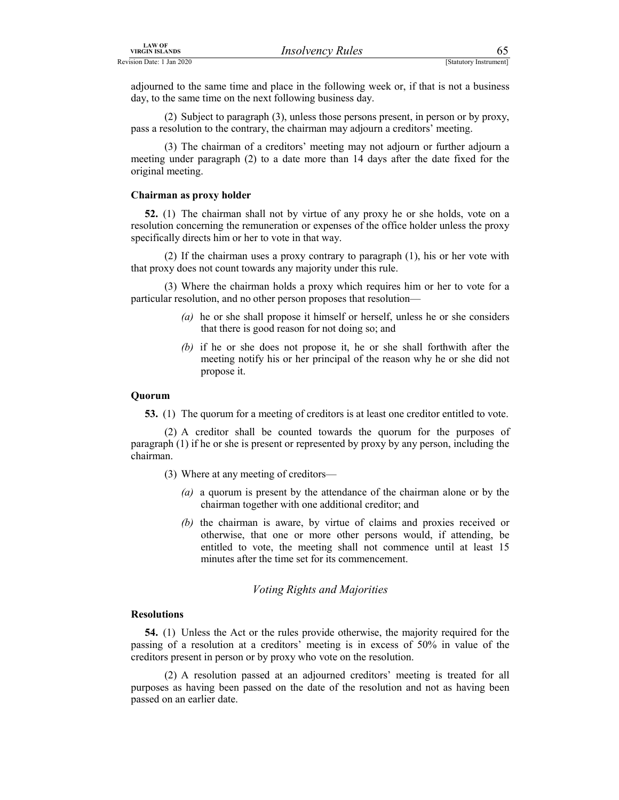EXAMPLE THE CONCRETE THE CONCRETE THE CONCRETE THE CONCRETE THE CONCRETE THE CONCRETE THE CONCRETE THE CONCRETE THE CONCRETE THE CONCRETE THE CONCRETE THE CONCRETE THE CONCRETE THE CONCRETE THE CONCRETE THE CONCRETE THE CO adjourned to the same time and place in the following week or, if that is not a business day, to the same time on the next following business day.

 (2) Subject to paragraph (3), unless those persons present, in person or by proxy, pass a resolution to the contrary, the chairman may adjourn a creditors' meeting.

 (3) The chairman of a creditors' meeting may not adjourn or further adjourn a meeting under paragraph (2) to a date more than 14 days after the date fixed for the original meeting.

### Chairman as proxy holder

52. (1) The chairman shall not by virtue of any proxy he or she holds, vote on a resolution concerning the remuneration or expenses of the office holder unless the proxy specifically directs him or her to vote in that way.

 (2) If the chairman uses a proxy contrary to paragraph (1), his or her vote with that proxy does not count towards any majority under this rule.

 (3) Where the chairman holds a proxy which requires him or her to vote for a particular resolution, and no other person proposes that resolution—

- (a) he or she shall propose it himself or herself, unless he or she considers that there is good reason for not doing so; and
- (b) if he or she does not propose it, he or she shall forthwith after the meeting notify his or her principal of the reason why he or she did not propose it.

### Quorum

53. (1) The quorum for a meeting of creditors is at least one creditor entitled to vote.

 (2) A creditor shall be counted towards the quorum for the purposes of paragraph (1) if he or she is present or represented by proxy by any person, including the chairman.

- (3) Where at any meeting of creditors—
	- (a) a quorum is present by the attendance of the chairman alone or by the chairman together with one additional creditor; and
	- (b) the chairman is aware, by virtue of claims and proxies received or otherwise, that one or more other persons would, if attending, be entitled to vote, the meeting shall not commence until at least 15 minutes after the time set for its commencement.

### Voting Rights and Majorities

### Resolutions

54. (1) Unless the Act or the rules provide otherwise, the majority required for the passing of a resolution at a creditors' meeting is in excess of 50% in value of the creditors present in person or by proxy who vote on the resolution.

 (2) A resolution passed at an adjourned creditors' meeting is treated for all purposes as having been passed on the date of the resolution and not as having been passed on an earlier date.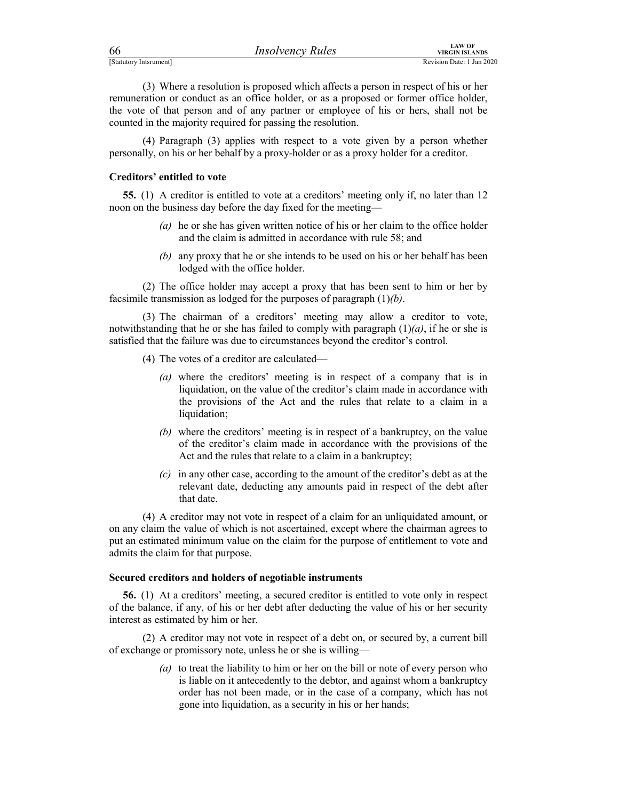| 66                     | <i><b>Insolvency Rules</b></i> | LAW OF<br>VIRGIN ISLANDS  |
|------------------------|--------------------------------|---------------------------|
| [Statutory Intsrument] |                                | Revision Date: 1 Jan 2020 |

FERENTIAL THE CONTROLL CONTROLL THE TERM OF THE CONTROLL THE CONTROLL OF THE CONTROLL OF THE CONTROLL OF THE CONTROLL OF THE CONTROLL OF THE CONTROLL OF THE CONTROLL OF THE CONTROLL OF THE CONTROLL OF THE CONTROLL OF THE C (3) Where a resolution is proposed which affects a person in respect of his or her remuneration or conduct as an office holder, or as a proposed or former office holder, the vote of that person and of any partner or employee of his or hers, shall not be counted in the majority required for passing the resolution.

 (4) Paragraph (3) applies with respect to a vote given by a person whether personally, on his or her behalf by a proxy-holder or as a proxy holder for a creditor.

### Creditors' entitled to vote

55. (1) A creditor is entitled to vote at a creditors' meeting only if, no later than 12 noon on the business day before the day fixed for the meeting—

- (a) he or she has given written notice of his or her claim to the office holder and the claim is admitted in accordance with rule 58; and
- (b) any proxy that he or she intends to be used on his or her behalf has been lodged with the office holder.

 (2) The office holder may accept a proxy that has been sent to him or her by facsimile transmission as lodged for the purposes of paragraph  $(1)(b)$ .

 (3) The chairman of a creditors' meeting may allow a creditor to vote, notwithstanding that he or she has failed to comply with paragraph  $(1)(a)$ , if he or she is satisfied that the failure was due to circumstances beyond the creditor's control.

- (4) The votes of a creditor are calculated—
	- (a) where the creditors' meeting is in respect of a company that is in liquidation, on the value of the creditor's claim made in accordance with the provisions of the Act and the rules that relate to a claim in a liquidation;
	- (b) where the creditors' meeting is in respect of a bankruptcy, on the value of the creditor's claim made in accordance with the provisions of the Act and the rules that relate to a claim in a bankruptcy;
	- (c) in any other case, according to the amount of the creditor's debt as at the relevant date, deducting any amounts paid in respect of the debt after that date.

 (4) A creditor may not vote in respect of a claim for an unliquidated amount, or on any claim the value of which is not ascertained, except where the chairman agrees to put an estimated minimum value on the claim for the purpose of entitlement to vote and admits the claim for that purpose.

### Secured creditors and holders of negotiable instruments

56. (1) At a creditors' meeting, a secured creditor is entitled to vote only in respect of the balance, if any, of his or her debt after deducting the value of his or her security interest as estimated by him or her.

 (2) A creditor may not vote in respect of a debt on, or secured by, a current bill of exchange or promissory note, unless he or she is willing—

> (a) to treat the liability to him or her on the bill or note of every person who is liable on it antecedently to the debtor, and against whom a bankruptcy order has not been made, or in the case of a company, which has not gone into liquidation, as a security in his or her hands;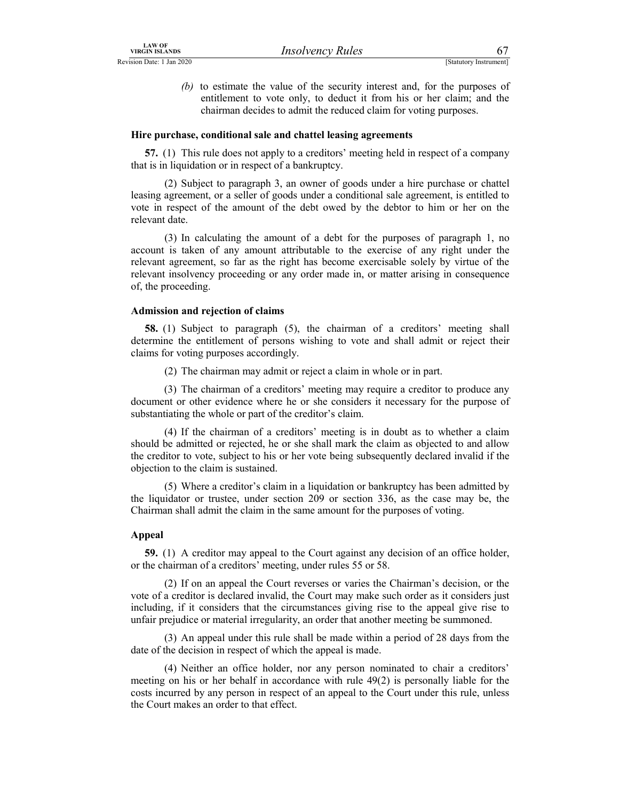LAW OF<br>
Revision Date: 1 Jan 2020<br>
(b) to estimate the value of the security interest and, for the purposes of<br>
entitlement to vote only, to deduct it from his or her claim; and the<br>
chairman decides to admit the reduced c (b) to estimate the value of the security interest and, for the purposes of entitlement to vote only, to deduct it from his or her claim; and the chairman decides to admit the reduced claim for voting purposes.

### Hire purchase, conditional sale and chattel leasing agreements

57. (1) This rule does not apply to a creditors' meeting held in respect of a company that is in liquidation or in respect of a bankruptcy.

 (2) Subject to paragraph 3, an owner of goods under a hire purchase or chattel leasing agreement, or a seller of goods under a conditional sale agreement, is entitled to vote in respect of the amount of the debt owed by the debtor to him or her on the relevant date.

 (3) In calculating the amount of a debt for the purposes of paragraph 1, no account is taken of any amount attributable to the exercise of any right under the relevant agreement, so far as the right has become exercisable solely by virtue of the relevant insolvency proceeding or any order made in, or matter arising in consequence of, the proceeding.

### Admission and rejection of claims

58. (1) Subject to paragraph (5), the chairman of a creditors' meeting shall determine the entitlement of persons wishing to vote and shall admit or reject their claims for voting purposes accordingly.

(2) The chairman may admit or reject a claim in whole or in part.

 (3) The chairman of a creditors' meeting may require a creditor to produce any document or other evidence where he or she considers it necessary for the purpose of substantiating the whole or part of the creditor's claim.

 (4) If the chairman of a creditors' meeting is in doubt as to whether a claim should be admitted or rejected, he or she shall mark the claim as objected to and allow the creditor to vote, subject to his or her vote being subsequently declared invalid if the objection to the claim is sustained.

 (5) Where a creditor's claim in a liquidation or bankruptcy has been admitted by the liquidator or trustee, under section 209 or section 336, as the case may be, the Chairman shall admit the claim in the same amount for the purposes of voting.

### Appeal

59. (1) A creditor may appeal to the Court against any decision of an office holder, or the chairman of a creditors' meeting, under rules 55 or 58.

 (2) If on an appeal the Court reverses or varies the Chairman's decision, or the vote of a creditor is declared invalid, the Court may make such order as it considers just including, if it considers that the circumstances giving rise to the appeal give rise to unfair prejudice or material irregularity, an order that another meeting be summoned.

 (3) An appeal under this rule shall be made within a period of 28 days from the date of the decision in respect of which the appeal is made.

 (4) Neither an office holder, nor any person nominated to chair a creditors' meeting on his or her behalf in accordance with rule 49(2) is personally liable for the costs incurred by any person in respect of an appeal to the Court under this rule, unless the Court makes an order to that effect.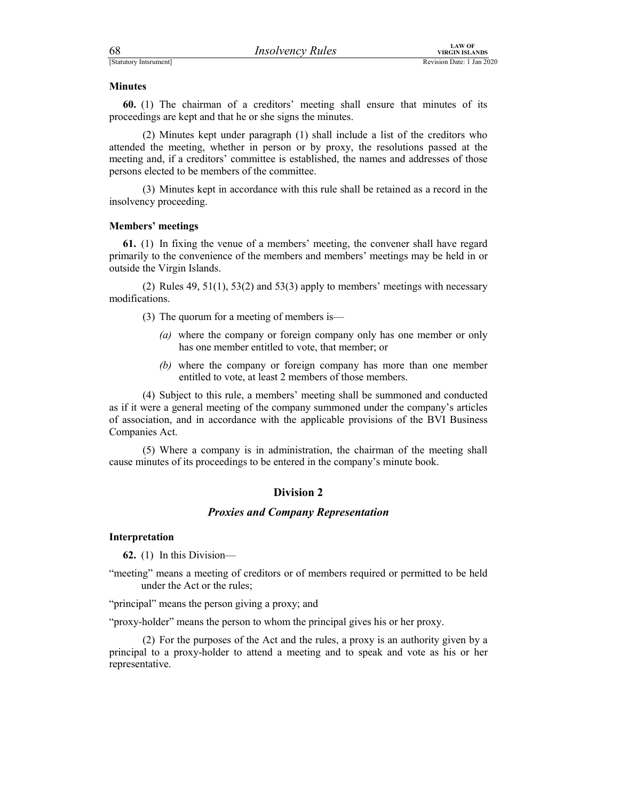For Extension Date: 1 Jan 2020<br>
Minutes<br> **Statutory Intsrument**<br>
Revision Date: 1 Jan 2020<br> **Minutes**<br> **60.** (1) The chairman of a creditors' meeting shall ensure that minutes of its<br>
proceedings are kept and that he or sh 60. (1) The chairman of a creditors' meeting shall ensure that minutes of its proceedings are kept and that he or she signs the minutes.

 (2) Minutes kept under paragraph (1) shall include a list of the creditors who attended the meeting, whether in person or by proxy, the resolutions passed at the meeting and, if a creditors' committee is established, the names and addresses of those persons elected to be members of the committee.

 (3) Minutes kept in accordance with this rule shall be retained as a record in the insolvency proceeding.

### Members' meetings

61. (1) In fixing the venue of a members' meeting, the convener shall have regard primarily to the convenience of the members and members' meetings may be held in or outside the Virgin Islands.

 (2) Rules 49, 51(1), 53(2) and 53(3) apply to members' meetings with necessary modifications.

(3) The quorum for a meeting of members is—

- (a) where the company or foreign company only has one member or only has one member entitled to vote, that member; or
- (b) where the company or foreign company has more than one member entitled to vote, at least 2 members of those members.

 (4) Subject to this rule, a members' meeting shall be summoned and conducted as if it were a general meeting of the company summoned under the company's articles of association, and in accordance with the applicable provisions of the BVI Business Companies Act.

 (5) Where a company is in administration, the chairman of the meeting shall cause minutes of its proceedings to be entered in the company's minute book.

### Division 2

### Proxies and Company Representation

### Interpretation

62. (1) In this Division—

"meeting" means a meeting of creditors or of members required or permitted to be held under the Act or the rules;

"principal" means the person giving a proxy; and

"proxy-holder" means the person to whom the principal gives his or her proxy.

 (2) For the purposes of the Act and the rules, a proxy is an authority given by a principal to a proxy-holder to attend a meeting and to speak and vote as his or her representative.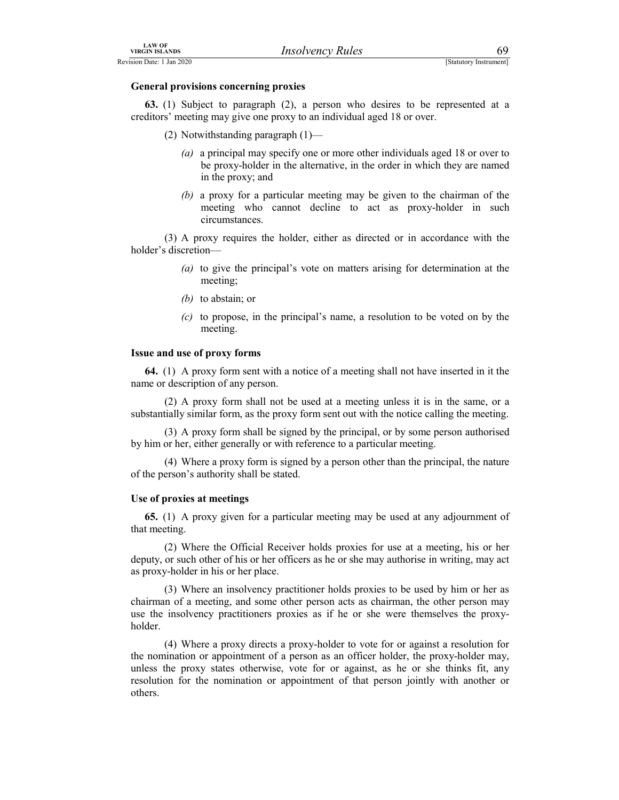### General provisions concerning proxies

EXAVOR<br>
Revision Date: 1 Jan 2020<br>
General provisions concerning proxies<br>
63. (1) Subject to paragraph (2), a person who desires to be represented at a<br>
creditors' meeting may give one proxy to an individual aged 18 or ove 63. (1) Subject to paragraph (2), a person who desires to be represented at a creditors' meeting may give one proxy to an individual aged 18 or over.

- (2) Notwithstanding paragraph (1)—
	- (a) a principal may specify one or more other individuals aged 18 or over to be proxy-holder in the alternative, in the order in which they are named in the proxy; and
	- (b) a proxy for a particular meeting may be given to the chairman of the meeting who cannot decline to act as proxy-holder in such circumstances.

 (3) A proxy requires the holder, either as directed or in accordance with the holder's discretion—

- (a) to give the principal's vote on matters arising for determination at the meeting;
- (b) to abstain; or
- $(c)$  to propose, in the principal's name, a resolution to be voted on by the meeting.

### Issue and use of proxy forms

64. (1) A proxy form sent with a notice of a meeting shall not have inserted in it the name or description of any person.

 (2) A proxy form shall not be used at a meeting unless it is in the same, or a substantially similar form, as the proxy form sent out with the notice calling the meeting.

 (3) A proxy form shall be signed by the principal, or by some person authorised by him or her, either generally or with reference to a particular meeting.

 (4) Where a proxy form is signed by a person other than the principal, the nature of the person's authority shall be stated.

### Use of proxies at meetings

65. (1) A proxy given for a particular meeting may be used at any adjournment of that meeting.

 (2) Where the Official Receiver holds proxies for use at a meeting, his or her deputy, or such other of his or her officers as he or she may authorise in writing, may act as proxy-holder in his or her place.

 (3) Where an insolvency practitioner holds proxies to be used by him or her as chairman of a meeting, and some other person acts as chairman, the other person may use the insolvency practitioners proxies as if he or she were themselves the proxyholder.

 (4) Where a proxy directs a proxy-holder to vote for or against a resolution for the nomination or appointment of a person as an officer holder, the proxy-holder may, unless the proxy states otherwise, vote for or against, as he or she thinks fit, any resolution for the nomination or appointment of that person jointly with another or others.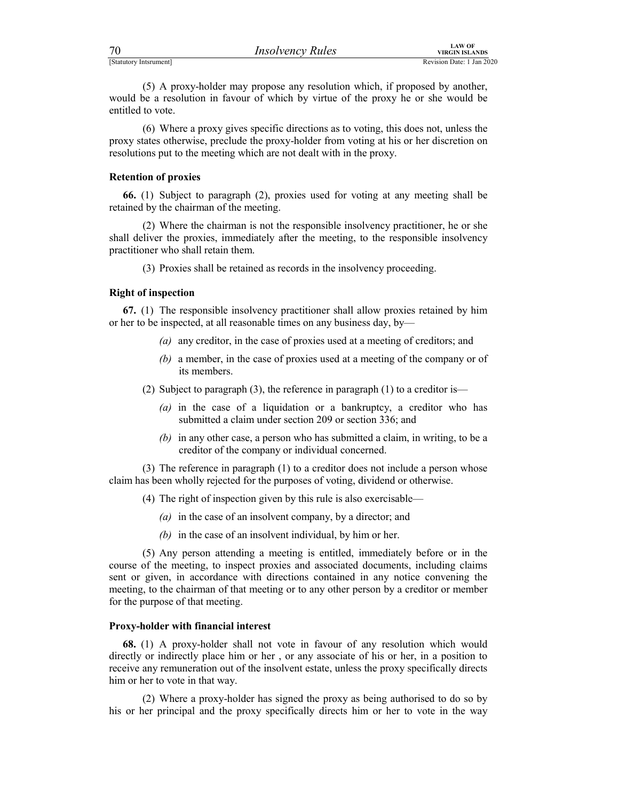| 70                     | <b>Insolvency Rules</b> | <b>LAW OF</b><br>VIRGIN ISLANDS |
|------------------------|-------------------------|---------------------------------|
| [Statutory Intsrument] |                         | Revision Date: 1 Jan 2020       |

For the control of the proxy-holder may propose any resolution which, if proposed by another,<br>
Statutory Internation Date: 1 Jan 2020<br>
(5) A proxy-holder may propose any resolution which, if proposed by another,<br>
would be (5) A proxy-holder may propose any resolution which, if proposed by another, would be a resolution in favour of which by virtue of the proxy he or she would be entitled to vote.

 (6) Where a proxy gives specific directions as to voting, this does not, unless the proxy states otherwise, preclude the proxy-holder from voting at his or her discretion on resolutions put to the meeting which are not dealt with in the proxy.

### Retention of proxies

66. (1) Subject to paragraph (2), proxies used for voting at any meeting shall be retained by the chairman of the meeting.

 (2) Where the chairman is not the responsible insolvency practitioner, he or she shall deliver the proxies, immediately after the meeting, to the responsible insolvency practitioner who shall retain them.

(3) Proxies shall be retained as records in the insolvency proceeding.

### Right of inspection

67. (1) The responsible insolvency practitioner shall allow proxies retained by him or her to be inspected, at all reasonable times on any business day, by—

- (a) any creditor, in the case of proxies used at a meeting of creditors; and
- (b) a member, in the case of proxies used at a meeting of the company or of its members.
- (2) Subject to paragraph (3), the reference in paragraph (1) to a creditor is—
	- (a) in the case of a liquidation or a bankruptcy, a creditor who has submitted a claim under section 209 or section 336; and
	- (b) in any other case, a person who has submitted a claim, in writing, to be a creditor of the company or individual concerned.

 (3) The reference in paragraph (1) to a creditor does not include a person whose claim has been wholly rejected for the purposes of voting, dividend or otherwise.

- (4) The right of inspection given by this rule is also exercisable—
	- $(a)$  in the case of an insolvent company, by a director; and
	- (b) in the case of an insolvent individual, by him or her.

 (5) Any person attending a meeting is entitled, immediately before or in the course of the meeting, to inspect proxies and associated documents, including claims sent or given, in accordance with directions contained in any notice convening the meeting, to the chairman of that meeting or to any other person by a creditor or member for the purpose of that meeting.

### Proxy-holder with financial interest

68. (1) A proxy-holder shall not vote in favour of any resolution which would directly or indirectly place him or her , or any associate of his or her, in a position to receive any remuneration out of the insolvent estate, unless the proxy specifically directs him or her to vote in that way.

 (2) Where a proxy-holder has signed the proxy as being authorised to do so by his or her principal and the proxy specifically directs him or her to vote in the way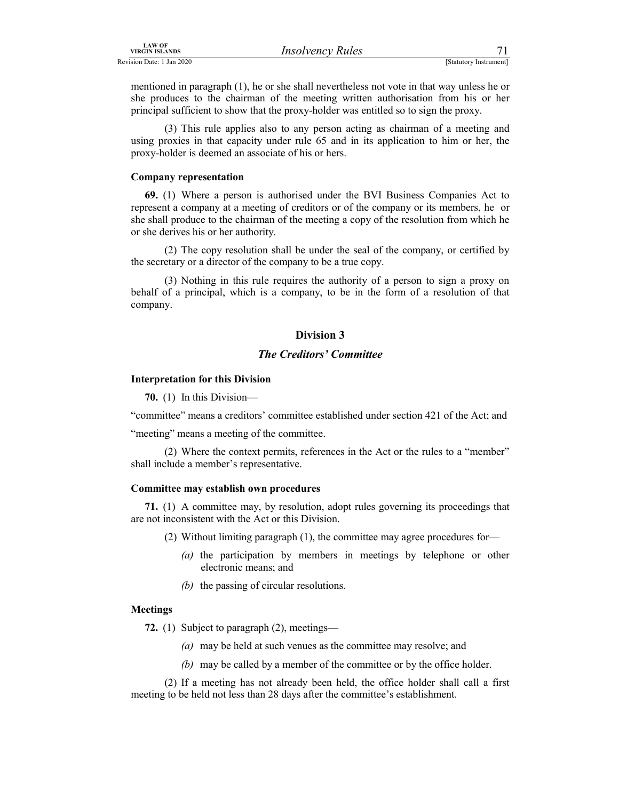| <b>LAW OF</b><br><b>VIRGIN ISLANDS</b>                                                                                                               | Rules<br>Insolvency<br>しししい |                           |
|------------------------------------------------------------------------------------------------------------------------------------------------------|-----------------------------|---------------------------|
| <b>Revision Date:</b><br>Jan 2020<br>the contract of the contract of the contract of the contract of the contract of the contract of the contract of |                             | Statutory<br>' Instrument |

*IRSO URGIN ISLANDS*<br>
Revision Date: 1 Jan 2020<br> **Exactlery Property Property Property Property Property Arthur (Statutory Instrument)**<br> **Exactlery Instrument**<br> **Exactlery Instrument**<br> **Exactlery Instrument**<br> **Exactlery In** mentioned in paragraph (1), he or she shall nevertheless not vote in that way unless he or she produces to the chairman of the meeting written authorisation from his or her principal sufficient to show that the proxy-holder was entitled so to sign the proxy.

 (3) This rule applies also to any person acting as chairman of a meeting and using proxies in that capacity under rule 65 and in its application to him or her, the proxy-holder is deemed an associate of his or hers.

### Company representation

69. (1) Where a person is authorised under the BVI Business Companies Act to represent a company at a meeting of creditors or of the company or its members, he or she shall produce to the chairman of the meeting a copy of the resolution from which he or she derives his or her authority.

 (2) The copy resolution shall be under the seal of the company, or certified by the secretary or a director of the company to be a true copy.

 (3) Nothing in this rule requires the authority of a person to sign a proxy on behalf of a principal, which is a company, to be in the form of a resolution of that company.

# Division 3

### The Creditors' Committee

### Interpretation for this Division

70. (1) In this Division—

"committee" means a creditors' committee established under section 421 of the Act; and

"meeting" means a meeting of the committee.

 (2) Where the context permits, references in the Act or the rules to a "member" shall include a member's representative.

### Committee may establish own procedures

71. (1) A committee may, by resolution, adopt rules governing its proceedings that are not inconsistent with the Act or this Division.

(2) Without limiting paragraph (1), the committee may agree procedures for—

- (a) the participation by members in meetings by telephone or other electronic means; and
- (b) the passing of circular resolutions.

### Meetings

72. (1) Subject to paragraph (2), meetings—

- (a) may be held at such venues as the committee may resolve; and
- (b) may be called by a member of the committee or by the office holder.

 (2) If a meeting has not already been held, the office holder shall call a first meeting to be held not less than 28 days after the committee's establishment.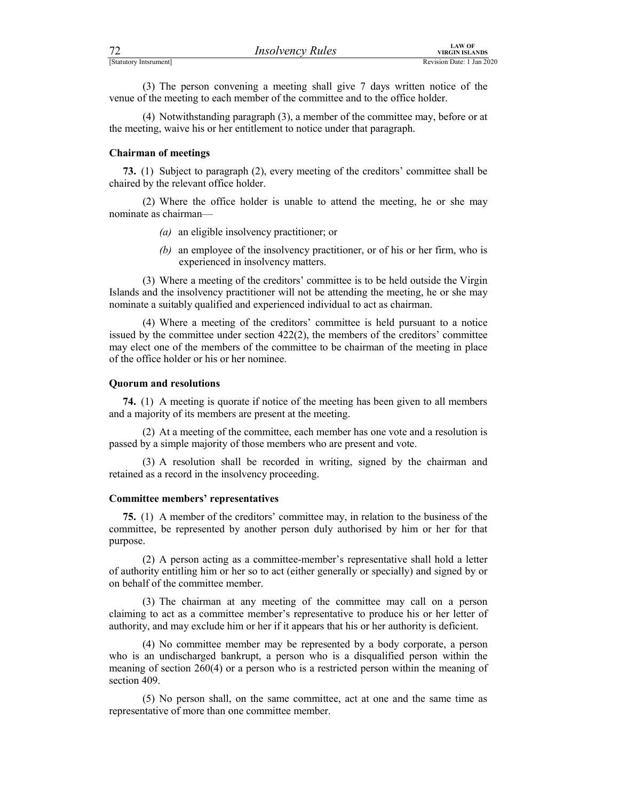| 72                     | <b>Insolvency Rules</b>                                                                                                                                      | <b>LAW OF</b>                                      |  |
|------------------------|--------------------------------------------------------------------------------------------------------------------------------------------------------------|----------------------------------------------------|--|
| [Statutory Intsrument] |                                                                                                                                                              | <b>VIRGIN ISLANDS</b><br>Revision Date: 1 Jan 2020 |  |
|                        | (3) The person convening a meeting shall give 7 days written notice of the<br>venue of the meeting to each member of the committee and to the office holder. |                                                    |  |
|                        | (4) Notwithstanding paragraph (3), a member of the committee may, before or at<br>the meeting weive his or her entitlement to notice under that personal     |                                                    |  |

 (4) Notwithstanding paragraph (3), a member of the committee may, before or at the meeting, waive his or her entitlement to notice under that paragraph.

### Chairman of meetings

73. (1) Subject to paragraph (2), every meeting of the creditors' committee shall be chaired by the relevant office holder.

 (2) Where the office holder is unable to attend the meeting, he or she may nominate as chairman—

- (a) an eligible insolvency practitioner; or
- (b) an employee of the insolvency practitioner, or of his or her firm, who is experienced in insolvency matters.

 (3) Where a meeting of the creditors' committee is to be held outside the Virgin Islands and the insolvency practitioner will not be attending the meeting, he or she may nominate a suitably qualified and experienced individual to act as chairman.

 (4) Where a meeting of the creditors' committee is held pursuant to a notice issued by the committee under section 422(2), the members of the creditors' committee may elect one of the members of the committee to be chairman of the meeting in place of the office holder or his or her nominee.

### Quorum and resolutions

74. (1) A meeting is quorate if notice of the meeting has been given to all members and a majority of its members are present at the meeting.

 (2) At a meeting of the committee, each member has one vote and a resolution is passed by a simple majority of those members who are present and vote.

 (3) A resolution shall be recorded in writing, signed by the chairman and retained as a record in the insolvency proceeding.

### Committee members' representatives

75. (1) A member of the creditors' committee may, in relation to the business of the committee, be represented by another person duly authorised by him or her for that purpose.

 (2) A person acting as a committee-member's representative shall hold a letter of authority entitling him or her so to act (either generally or specially) and signed by or on behalf of the committee member.

 (3) The chairman at any meeting of the committee may call on a person claiming to act as a committee member's representative to produce his or her letter of authority, and may exclude him or her if it appears that his or her authority is deficient.

 (4) No committee member may be represented by a body corporate, a person who is an undischarged bankrupt, a person who is a disqualified person within the meaning of section 260(4) or a person who is a restricted person within the meaning of section 409.

 (5) No person shall, on the same committee, act at one and the same time as representative of more than one committee member.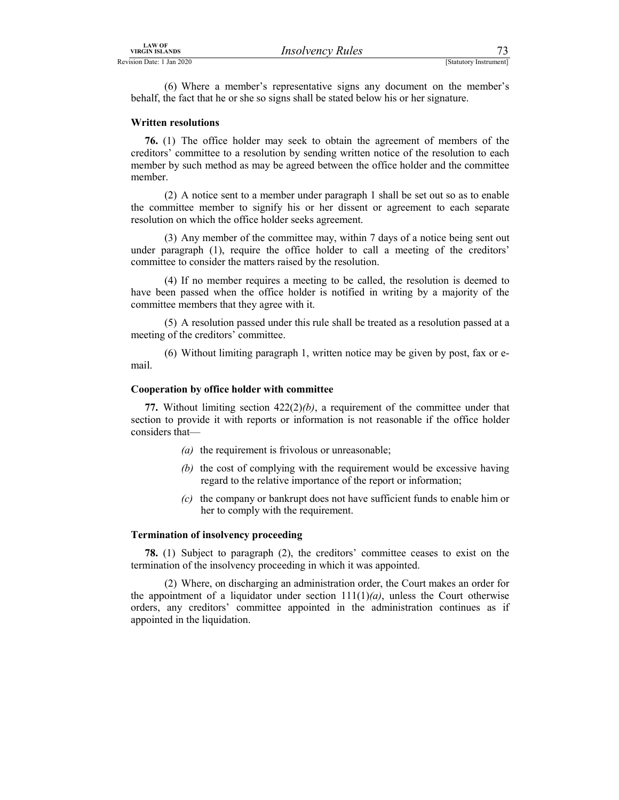LAW OF<br>
Revision Date: 1 Jan 2020<br>
(6) Where a member's representative signs any document on the member's<br>
behalf, the fact that he or she so signs shall be stated below his or her signature.<br>
Written resolutions (6) Where a member's representative signs any document on the member's behalf, the fact that he or she so signs shall be stated below his or her signature.

### Written resolutions

76. (1) The office holder may seek to obtain the agreement of members of the creditors' committee to a resolution by sending written notice of the resolution to each member by such method as may be agreed between the office holder and the committee member.

 (2) A notice sent to a member under paragraph 1 shall be set out so as to enable the committee member to signify his or her dissent or agreement to each separate resolution on which the office holder seeks agreement.

 (3) Any member of the committee may, within 7 days of a notice being sent out under paragraph (1), require the office holder to call a meeting of the creditors' committee to consider the matters raised by the resolution.

 (4) If no member requires a meeting to be called, the resolution is deemed to have been passed when the office holder is notified in writing by a majority of the committee members that they agree with it.

 (5) A resolution passed under this rule shall be treated as a resolution passed at a meeting of the creditors' committee.

 (6) Without limiting paragraph 1, written notice may be given by post, fax or email.

### Cooperation by office holder with committee

77. Without limiting section  $422(2)(b)$ , a requirement of the committee under that section to provide it with reports or information is not reasonable if the office holder considers that—

- (a) the requirement is frivolous or unreasonable;
- (b) the cost of complying with the requirement would be excessive having regard to the relative importance of the report or information;
- (c) the company or bankrupt does not have sufficient funds to enable him or her to comply with the requirement.

### Termination of insolvency proceeding

78. (1) Subject to paragraph (2), the creditors' committee ceases to exist on the termination of the insolvency proceeding in which it was appointed.

 (2) Where, on discharging an administration order, the Court makes an order for the appointment of a liquidator under section  $111(1)(a)$ , unless the Court otherwise orders, any creditors' committee appointed in the administration continues as if appointed in the liquidation.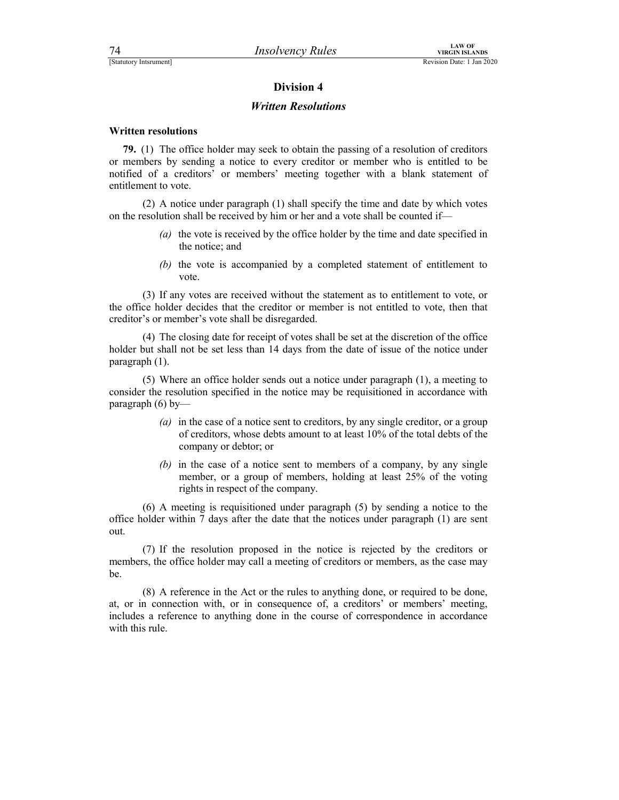### Written Resolutions

### Written resolutions

79. (1) The office holder may seek to obtain the passing of a resolution of creditors or members by sending a notice to every creditor or member who is entitled to be notified of a creditors' or members' meeting together with a blank statement of entitlement to vote.

 (2) A notice under paragraph (1) shall specify the time and date by which votes on the resolution shall be received by him or her and a vote shall be counted if—

- (a) the vote is received by the office holder by the time and date specified in the notice; and
- (b) the vote is accompanied by a completed statement of entitlement to vote.

 (3) If any votes are received without the statement as to entitlement to vote, or the office holder decides that the creditor or member is not entitled to vote, then that creditor's or member's vote shall be disregarded.

 (4) The closing date for receipt of votes shall be set at the discretion of the office holder but shall not be set less than 14 days from the date of issue of the notice under paragraph (1).

 (5) Where an office holder sends out a notice under paragraph (1), a meeting to consider the resolution specified in the notice may be requisitioned in accordance with paragraph (6) by—

- (a) in the case of a notice sent to creditors, by any single creditor, or a group of creditors, whose debts amount to at least 10% of the total debts of the company or debtor; or
- (b) in the case of a notice sent to members of a company, by any single member, or a group of members, holding at least 25% of the voting rights in respect of the company.

 (6) A meeting is requisitioned under paragraph (5) by sending a notice to the office holder within 7 days after the date that the notices under paragraph (1) are sent out.

 (7) If the resolution proposed in the notice is rejected by the creditors or members, the office holder may call a meeting of creditors or members, as the case may be.

 (8) A reference in the Act or the rules to anything done, or required to be done, at, or in connection with, or in consequence of, a creditors' or members' meeting, includes a reference to anything done in the course of correspondence in accordance with this rule.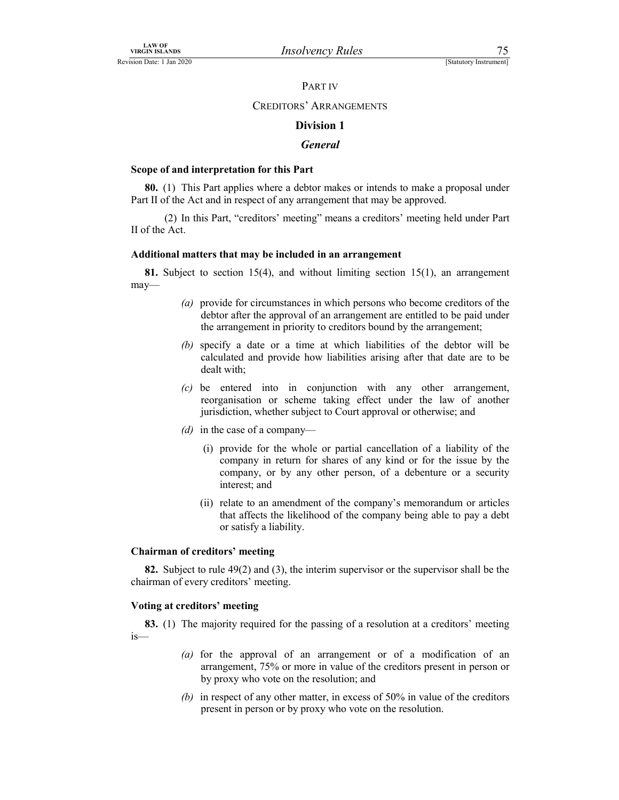### PART IV

# CREDITORS' ARRANGEMENTS

### Division 1

### **General**

### Scope of and interpretation for this Part

80. (1) This Part applies where a debtor makes or intends to make a proposal under Part II of the Act and in respect of any arrangement that may be approved.

 (2) In this Part, "creditors' meeting" means a creditors' meeting held under Part II of the Act.

### Additional matters that may be included in an arrangement

81. Subject to section 15(4), and without limiting section 15(1), an arrangement may—

- (a) provide for circumstances in which persons who become creditors of the debtor after the approval of an arrangement are entitled to be paid under the arrangement in priority to creditors bound by the arrangement;
- (b) specify a date or a time at which liabilities of the debtor will be calculated and provide how liabilities arising after that date are to be dealt with;
- (c) be entered into in conjunction with any other arrangement, reorganisation or scheme taking effect under the law of another jurisdiction, whether subject to Court approval or otherwise; and
- (d) in the case of a company—
	- (i) provide for the whole or partial cancellation of a liability of the company in return for shares of any kind or for the issue by the company, or by any other person, of a debenture or a security interest; and
	- (ii) relate to an amendment of the company's memorandum or articles that affects the likelihood of the company being able to pay a debt or satisfy a liability.

### Chairman of creditors' meeting

82. Subject to rule 49(2) and (3), the interim supervisor or the supervisor shall be the chairman of every creditors' meeting.

### Voting at creditors' meeting

83. (1) The majority required for the passing of a resolution at a creditors' meeting is—

- (a) for the approval of an arrangement or of a modification of an arrangement, 75% or more in value of the creditors present in person or by proxy who vote on the resolution; and
- (b) in respect of any other matter, in excess of 50% in value of the creditors present in person or by proxy who vote on the resolution.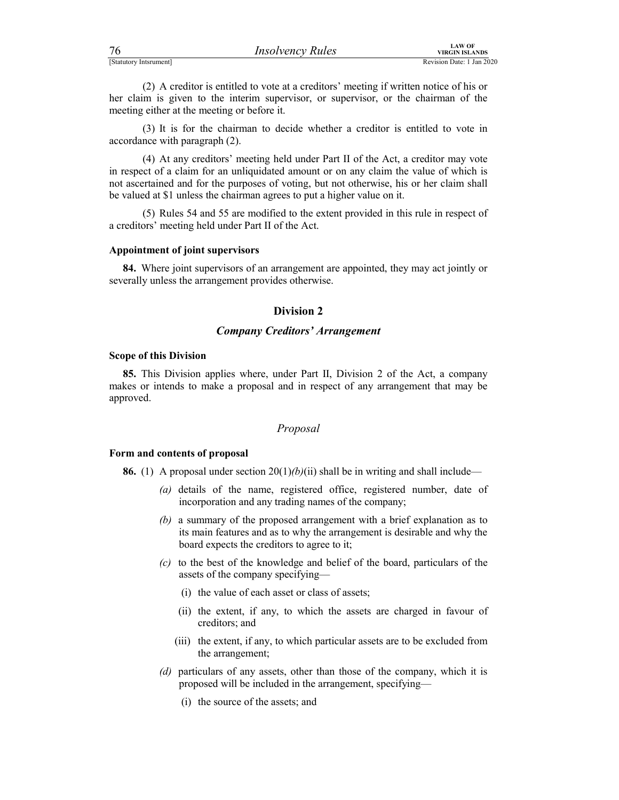| 76                     | <b>Insolvency Rules</b> | <b>LAW OF</b><br>VIRGIN ISLANDS |
|------------------------|-------------------------|---------------------------------|
| [Statutory Intsrument] |                         | Revision Date: 1 Jan 2020       |

For the content of the content of the content of the content of the content of the content of the meeting either at the meeting or before it.<br>
(2) A creditor is entitled to vote at a creditors' meeting if written notice of (2) A creditor is entitled to vote at a creditors' meeting if written notice of his or her claim is given to the interim supervisor, or supervisor, or the chairman of the meeting either at the meeting or before it.

 (3) It is for the chairman to decide whether a creditor is entitled to vote in accordance with paragraph (2).

 (4) At any creditors' meeting held under Part II of the Act, a creditor may vote in respect of a claim for an unliquidated amount or on any claim the value of which is not ascertained and for the purposes of voting, but not otherwise, his or her claim shall be valued at \$1 unless the chairman agrees to put a higher value on it.

 (5) Rules 54 and 55 are modified to the extent provided in this rule in respect of a creditors' meeting held under Part II of the Act.

### Appointment of joint supervisors

84. Where joint supervisors of an arrangement are appointed, they may act jointly or severally unless the arrangement provides otherwise.

### Division 2

# Company Creditors' Arrangement

### Scope of this Division

85. This Division applies where, under Part II, Division 2 of the Act, a company makes or intends to make a proposal and in respect of any arrangement that may be approved.

# Proposal

### Form and contents of proposal

**86.** (1) A proposal under section  $20(1)(b)(ii)$  shall be in writing and shall include—

- (a) details of the name, registered office, registered number, date of incorporation and any trading names of the company;
- (b) a summary of the proposed arrangement with a brief explanation as to its main features and as to why the arrangement is desirable and why the board expects the creditors to agree to it;
- (c) to the best of the knowledge and belief of the board, particulars of the assets of the company specifying—
	- (i) the value of each asset or class of assets;
	- (ii) the extent, if any, to which the assets are charged in favour of creditors; and
	- (iii) the extent, if any, to which particular assets are to be excluded from the arrangement;
- (d) particulars of any assets, other than those of the company, which it is proposed will be included in the arrangement, specifying—
	- (i) the source of the assets; and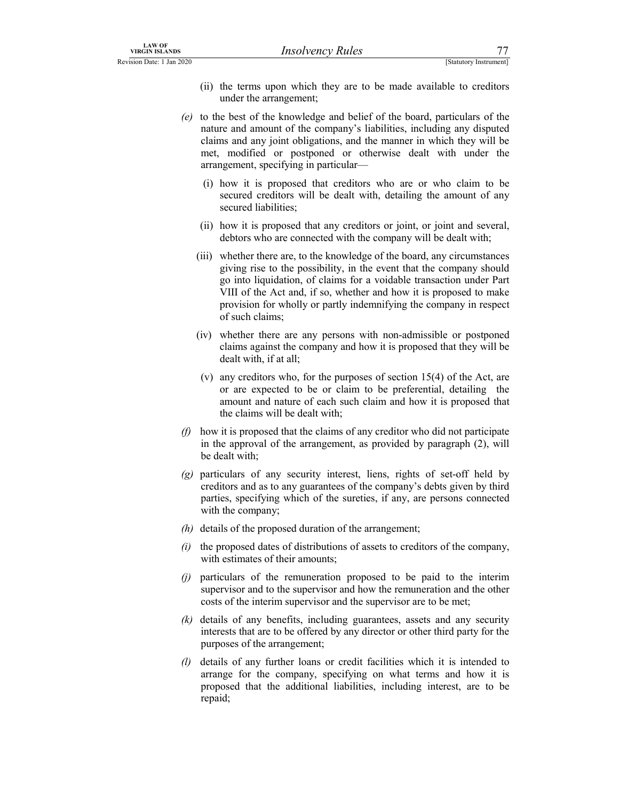- LAW OF<br>
VIRGIN ISLANDS<br>
Revision Date: 1 Jan 2020<br>
(ii) the terms upon which they are to be made available to creditors<br>
under the arrangement;<br>
(e) to the best of the knowledge and belief of the board, particulars of the<br> (ii) the terms upon which they are to be made available to creditors under the arrangement;
	- (e) to the best of the knowledge and belief of the board, particulars of the nature and amount of the company's liabilities, including any disputed claims and any joint obligations, and the manner in which they will be met, modified or postponed or otherwise dealt with under the arrangement, specifying in particular—
		- (i) how it is proposed that creditors who are or who claim to be secured creditors will be dealt with, detailing the amount of any secured liabilities;
		- (ii) how it is proposed that any creditors or joint, or joint and several, debtors who are connected with the company will be dealt with;
		- (iii) whether there are, to the knowledge of the board, any circumstances giving rise to the possibility, in the event that the company should go into liquidation, of claims for a voidable transaction under Part VIII of the Act and, if so, whether and how it is proposed to make provision for wholly or partly indemnifying the company in respect of such claims;
		- (iv) whether there are any persons with non-admissible or postponed claims against the company and how it is proposed that they will be dealt with, if at all;
		- (v) any creditors who, for the purposes of section 15(4) of the Act, are or are expected to be or claim to be preferential, detailing the amount and nature of each such claim and how it is proposed that the claims will be dealt with;
	- $(f)$  how it is proposed that the claims of any creditor who did not participate in the approval of the arrangement, as provided by paragraph (2), will be dealt with;
	- $(g)$  particulars of any security interest, liens, rights of set-off held by creditors and as to any guarantees of the company's debts given by third parties, specifying which of the sureties, if any, are persons connected with the company;
	- $(h)$  details of the proposed duration of the arrangement;
	- $(i)$  the proposed dates of distributions of assets to creditors of the company, with estimates of their amounts;
	- (j) particulars of the remuneration proposed to be paid to the interim supervisor and to the supervisor and how the remuneration and the other costs of the interim supervisor and the supervisor are to be met;
	- (k) details of any benefits, including guarantees, assets and any security interests that are to be offered by any director or other third party for the purposes of the arrangement;
	- (l) details of any further loans or credit facilities which it is intended to arrange for the company, specifying on what terms and how it is proposed that the additional liabilities, including interest, are to be repaid;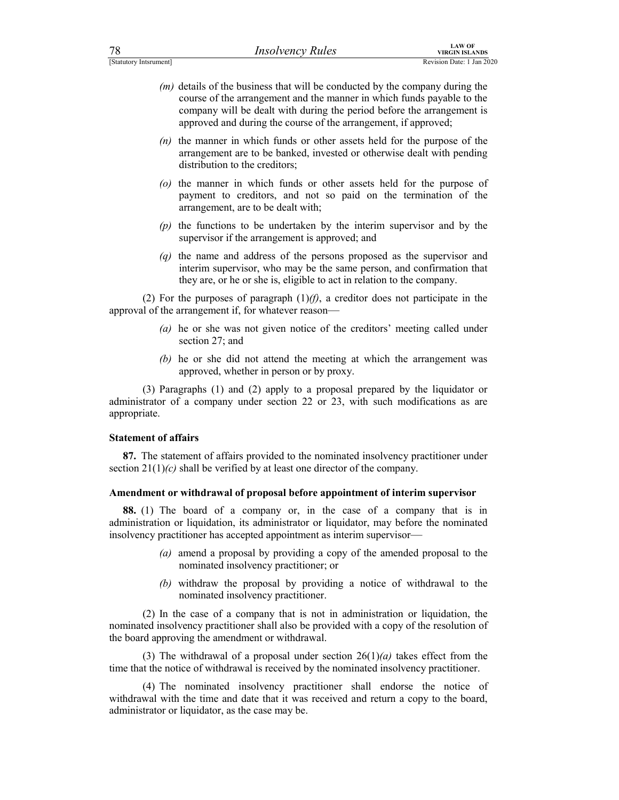| 78                     | <i>Insolvency Rules</i> | <b>LAW OF</b><br>VIRGIN ISLANDS |
|------------------------|-------------------------|---------------------------------|
| [Statutory Intsrument] |                         | Revision Date: 1 Jan 202        |

- For the company and during the conducted by the company during the<br>
Estatutory Internation Date: 1 Jan 2020<br>
(*m*) details of the business that will be conducted by the company during the<br>
course of the arrangement and the  $(m)$  details of the business that will be conducted by the company during the course of the arrangement and the manner in which funds payable to the company will be dealt with during the period before the arrangement is approved and during the course of the arrangement, if approved;
	- $(n)$  the manner in which funds or other assets held for the purpose of the arrangement are to be banked, invested or otherwise dealt with pending distribution to the creditors;
	- (o) the manner in which funds or other assets held for the purpose of payment to creditors, and not so paid on the termination of the arrangement, are to be dealt with;
	- (p) the functions to be undertaken by the interim supervisor and by the supervisor if the arrangement is approved; and
	- $(q)$  the name and address of the persons proposed as the supervisor and interim supervisor, who may be the same person, and confirmation that they are, or he or she is, eligible to act in relation to the company.

(2) For the purposes of paragraph  $(1)(f)$ , a creditor does not participate in the approval of the arrangement if, for whatever reason—

- (a) he or she was not given notice of the creditors' meeting called under section 27; and
- (b) he or she did not attend the meeting at which the arrangement was approved, whether in person or by proxy.

 (3) Paragraphs (1) and (2) apply to a proposal prepared by the liquidator or administrator of a company under section 22 or 23, with such modifications as are appropriate.

### Statement of affairs

87. The statement of affairs provided to the nominated insolvency practitioner under section  $21(1)(c)$  shall be verified by at least one director of the company.

### Amendment or withdrawal of proposal before appointment of interim supervisor

88. (1) The board of a company or, in the case of a company that is in administration or liquidation, its administrator or liquidator, may before the nominated insolvency practitioner has accepted appointment as interim supervisor—

- (a) amend a proposal by providing a copy of the amended proposal to the nominated insolvency practitioner; or
- (b) withdraw the proposal by providing a notice of withdrawal to the nominated insolvency practitioner.

 (2) In the case of a company that is not in administration or liquidation, the nominated insolvency practitioner shall also be provided with a copy of the resolution of the board approving the amendment or withdrawal.

(3) The withdrawal of a proposal under section  $26(1)(a)$  takes effect from the time that the notice of withdrawal is received by the nominated insolvency practitioner.

 (4) The nominated insolvency practitioner shall endorse the notice of withdrawal with the time and date that it was received and return a copy to the board, administrator or liquidator, as the case may be.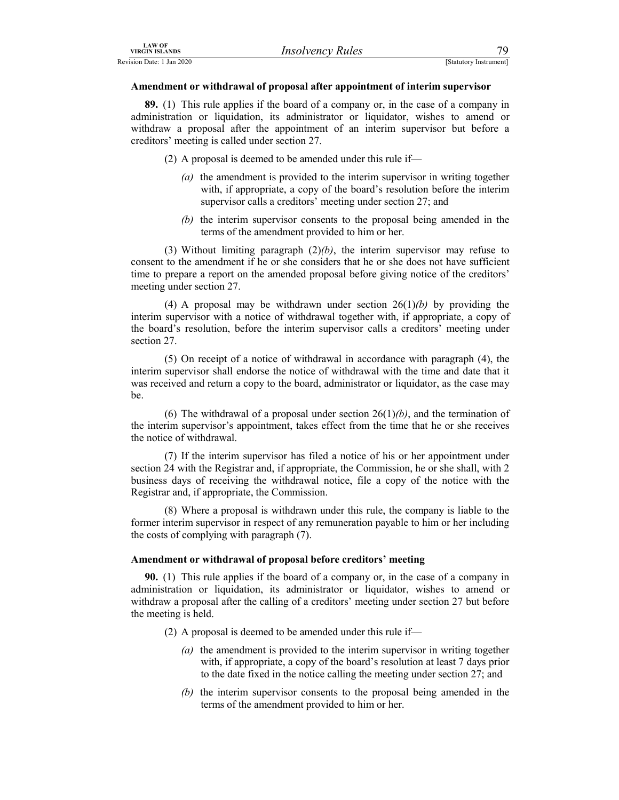### Amendment or withdrawal of proposal after appointment of interim supervisor

EXAMPLE THE CONSULTER THE CONSULTER THE CONSULTER THE CONSULTER THE CONSULTER THE CONSULTER THE CONSULTER THE CONSULTER THE CONSULTER THE CONSULTER THE CONSULTER THE CONSULTER THE CONSULTER THE CONSULTER THE CONSULTER THE 89. (1) This rule applies if the board of a company or, in the case of a company in administration or liquidation, its administrator or liquidator, wishes to amend or withdraw a proposal after the appointment of an interim supervisor but before a creditors' meeting is called under section 27.

(2) A proposal is deemed to be amended under this rule if—

- (a) the amendment is provided to the interim supervisor in writing together with, if appropriate, a copy of the board's resolution before the interim supervisor calls a creditors' meeting under section 27; and
- (b) the interim supervisor consents to the proposal being amended in the terms of the amendment provided to him or her.

(3) Without limiting paragraph  $(2)(b)$ , the interim supervisor may refuse to consent to the amendment if he or she considers that he or she does not have sufficient time to prepare a report on the amended proposal before giving notice of the creditors' meeting under section 27.

(4) A proposal may be withdrawn under section  $26(1)(b)$  by providing the interim supervisor with a notice of withdrawal together with, if appropriate, a copy of the board's resolution, before the interim supervisor calls a creditors' meeting under section 27.

 (5) On receipt of a notice of withdrawal in accordance with paragraph (4), the interim supervisor shall endorse the notice of withdrawal with the time and date that it was received and return a copy to the board, administrator or liquidator, as the case may be.

(6) The withdrawal of a proposal under section  $26(1)(b)$ , and the termination of the interim supervisor's appointment, takes effect from the time that he or she receives the notice of withdrawal.

 (7) If the interim supervisor has filed a notice of his or her appointment under section 24 with the Registrar and, if appropriate, the Commission, he or she shall, with 2 business days of receiving the withdrawal notice, file a copy of the notice with the Registrar and, if appropriate, the Commission.

 (8) Where a proposal is withdrawn under this rule, the company is liable to the former interim supervisor in respect of any remuneration payable to him or her including the costs of complying with paragraph (7).

### Amendment or withdrawal of proposal before creditors' meeting

90. (1) This rule applies if the board of a company or, in the case of a company in administration or liquidation, its administrator or liquidator, wishes to amend or withdraw a proposal after the calling of a creditors' meeting under section 27 but before the meeting is held.

- (2) A proposal is deemed to be amended under this rule if—
	- (a) the amendment is provided to the interim supervisor in writing together with, if appropriate, a copy of the board's resolution at least 7 days prior to the date fixed in the notice calling the meeting under section 27; and
	- (b) the interim supervisor consents to the proposal being amended in the terms of the amendment provided to him or her.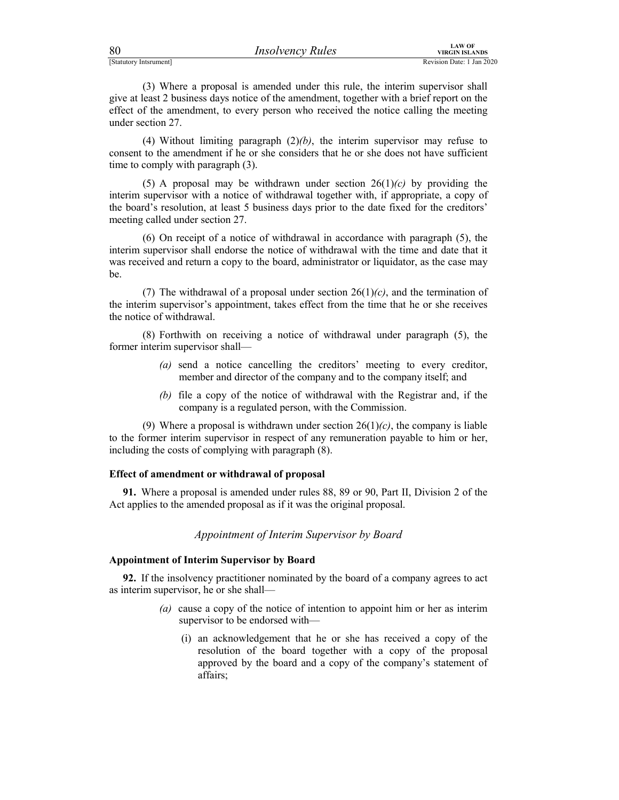| 80 | <i>Insolvency Rules</i> | VIRGIN |
|----|-------------------------|--------|
|    |                         |        |

FIRECTIVE STATUTED MANAGEM EXAMPLES<br>
(STATUTED VIRGIN ISLANDS<br>
(3) Where a proposal is amended under this rule, the interim supervisor shall<br>
give at least 2 business days notice of the amendment, together with a brief rep (3) Where a proposal is amended under this rule, the interim supervisor shall give at least 2 business days notice of the amendment, together with a brief report on the effect of the amendment, to every person who received the notice calling the meeting under section 27.

(4) Without limiting paragraph  $(2)(b)$ , the interim supervisor may refuse to consent to the amendment if he or she considers that he or she does not have sufficient time to comply with paragraph (3).

(5) A proposal may be withdrawn under section  $26(1)(c)$  by providing the interim supervisor with a notice of withdrawal together with, if appropriate, a copy of the board's resolution, at least 5 business days prior to the date fixed for the creditors' meeting called under section 27.

 (6) On receipt of a notice of withdrawal in accordance with paragraph (5), the interim supervisor shall endorse the notice of withdrawal with the time and date that it was received and return a copy to the board, administrator or liquidator, as the case may be.

(7) The withdrawal of a proposal under section  $26(1)(c)$ , and the termination of the interim supervisor's appointment, takes effect from the time that he or she receives the notice of withdrawal.

 (8) Forthwith on receiving a notice of withdrawal under paragraph (5), the former interim supervisor shall—

- (a) send a notice cancelling the creditors' meeting to every creditor, member and director of the company and to the company itself; and
- (b) file a copy of the notice of withdrawal with the Registrar and, if the company is a regulated person, with the Commission.

(9) Where a proposal is withdrawn under section  $26(1)(c)$ , the company is liable to the former interim supervisor in respect of any remuneration payable to him or her, including the costs of complying with paragraph (8).

### Effect of amendment or withdrawal of proposal

91. Where a proposal is amended under rules 88, 89 or 90, Part II, Division 2 of the Act applies to the amended proposal as if it was the original proposal.

### Appointment of Interim Supervisor by Board

### Appointment of Interim Supervisor by Board

92. If the insolvency practitioner nominated by the board of a company agrees to act as interim supervisor, he or she shall—

- (a) cause a copy of the notice of intention to appoint him or her as interim supervisor to be endorsed with—
	- (i) an acknowledgement that he or she has received a copy of the resolution of the board together with a copy of the proposal approved by the board and a copy of the company's statement of affairs;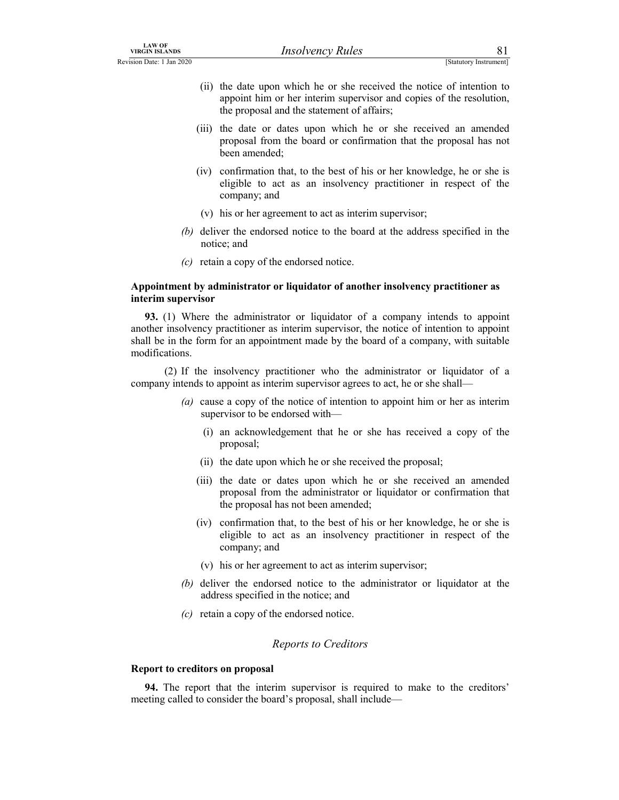- LAW OF<br>
Revision Date: 1 Jan 2020<br>
(ii) the date upon which he or she received the notice of intention to<br>
appoint him or her interim supervisor and copies of the resolution,<br>
the proposal and the statement of affairs;<br>
(i (ii) the date upon which he or she received the notice of intention to appoint him or her interim supervisor and copies of the resolution, the proposal and the statement of affairs;
	- (iii) the date or dates upon which he or she received an amended proposal from the board or confirmation that the proposal has not been amended;
	- (iv) confirmation that, to the best of his or her knowledge, he or she is eligible to act as an insolvency practitioner in respect of the company; and
	- (v) his or her agreement to act as interim supervisor;
	- (b) deliver the endorsed notice to the board at the address specified in the notice; and
	- (c) retain a copy of the endorsed notice.

### Appointment by administrator or liquidator of another insolvency practitioner as interim supervisor

93. (1) Where the administrator or liquidator of a company intends to appoint another insolvency practitioner as interim supervisor, the notice of intention to appoint shall be in the form for an appointment made by the board of a company, with suitable modifications.

 (2) If the insolvency practitioner who the administrator or liquidator of a company intends to appoint as interim supervisor agrees to act, he or she shall—

- (a) cause a copy of the notice of intention to appoint him or her as interim supervisor to be endorsed with—
	- (i) an acknowledgement that he or she has received a copy of the proposal;
	- (ii) the date upon which he or she received the proposal;
	- (iii) the date or dates upon which he or she received an amended proposal from the administrator or liquidator or confirmation that the proposal has not been amended;
	- (iv) confirmation that, to the best of his or her knowledge, he or she is eligible to act as an insolvency practitioner in respect of the company; and
	- (v) his or her agreement to act as interim supervisor;
- (b) deliver the endorsed notice to the administrator or liquidator at the address specified in the notice; and
- (c) retain a copy of the endorsed notice.

### Reports to Creditors

### Report to creditors on proposal

94. The report that the interim supervisor is required to make to the creditors' meeting called to consider the board's proposal, shall include—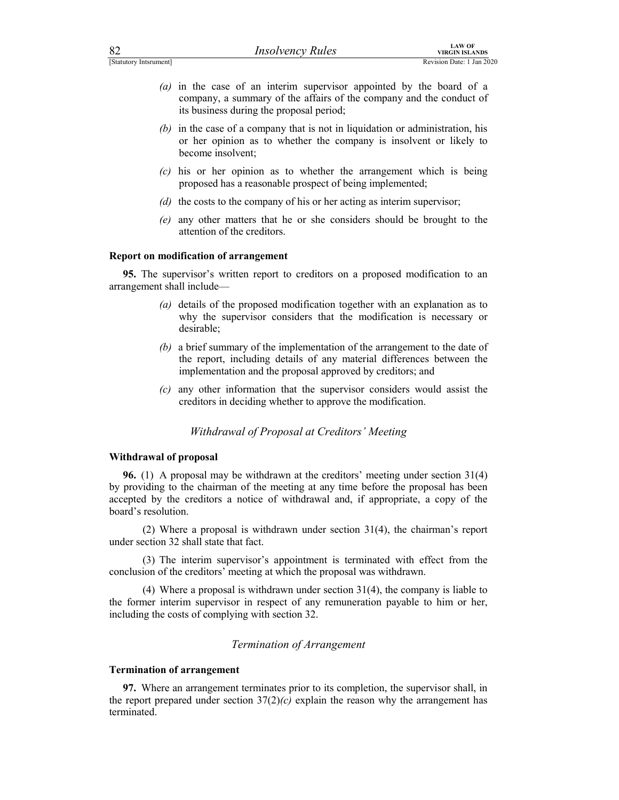| <b>LAW OF</b><br>82<br><b>Insolvency Rules</b><br><b>VIRGIN ISLANDS</b><br>[Statutory Intsrument]<br>Revision Date: 1 Jan 2020          |  | $\left(a\right)$ | its business during the proposal period;                                      |  |
|-----------------------------------------------------------------------------------------------------------------------------------------|--|------------------|-------------------------------------------------------------------------------|--|
| in the case of an interim supervisor appointed by the board of a<br>company, a summary of the affairs of the company and the conduct of |  |                  | (b) in the case of a company that is not in liquidation or administration his |  |

- (a) in the case of an interim supervisor appointed by the board of a company, a summary of the affairs of the company and the conduct of its business during the proposal period;
- (b) in the case of a company that is not in liquidation or administration, his or her opinion as to whether the company is insolvent or likely to become insolvent;
- (c) his or her opinion as to whether the arrangement which is being proposed has a reasonable prospect of being implemented;
- (d) the costs to the company of his or her acting as interim supervisor;
- (e) any other matters that he or she considers should be brought to the attention of the creditors.

### Report on modification of arrangement

95. The supervisor's written report to creditors on a proposed modification to an arrangement shall include—

- (a) details of the proposed modification together with an explanation as to why the supervisor considers that the modification is necessary or desirable;
- (b) a brief summary of the implementation of the arrangement to the date of the report, including details of any material differences between the implementation and the proposal approved by creditors; and
- (c) any other information that the supervisor considers would assist the creditors in deciding whether to approve the modification.

### Withdrawal of Proposal at Creditors' Meeting

### Withdrawal of proposal

96. (1) A proposal may be withdrawn at the creditors' meeting under section 31(4) by providing to the chairman of the meeting at any time before the proposal has been accepted by the creditors a notice of withdrawal and, if appropriate, a copy of the board's resolution.

 (2) Where a proposal is withdrawn under section 31(4), the chairman's report under section 32 shall state that fact.

 (3) The interim supervisor's appointment is terminated with effect from the conclusion of the creditors' meeting at which the proposal was withdrawn.

 (4) Where a proposal is withdrawn under section 31(4), the company is liable to the former interim supervisor in respect of any remuneration payable to him or her, including the costs of complying with section 32.

# Termination of Arrangement

### Termination of arrangement

97. Where an arrangement terminates prior to its completion, the supervisor shall, in the report prepared under section  $37(2)(c)$  explain the reason why the arrangement has terminated.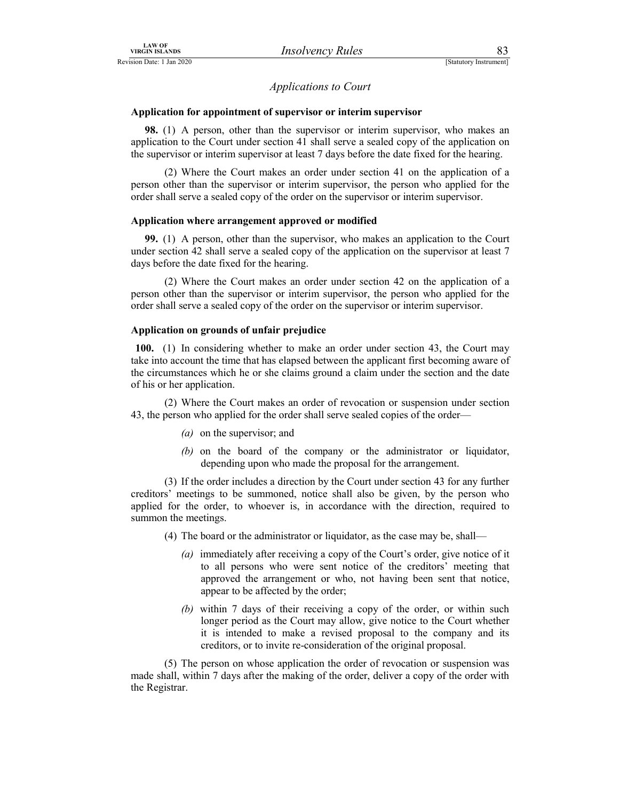# Applications to Court

# LAW OF<br>
VIRGIN ISLANDS<br>
EREVISION Date: 1 Jan 2020<br>
Applications to Court<br>
Application for appointment of supervisor or interim supervisor<br>
20 (1) A gauge at her than the american an interim supervisor Application for appointment of supervisor or interim supervisor

98. (1) A person, other than the supervisor or interim supervisor, who makes an application to the Court under section 41 shall serve a sealed copy of the application on the supervisor or interim supervisor at least 7 days before the date fixed for the hearing.

 (2) Where the Court makes an order under section 41 on the application of a person other than the supervisor or interim supervisor, the person who applied for the order shall serve a sealed copy of the order on the supervisor or interim supervisor.

### Application where arrangement approved or modified

99. (1) A person, other than the supervisor, who makes an application to the Court under section 42 shall serve a sealed copy of the application on the supervisor at least 7 days before the date fixed for the hearing.

 (2) Where the Court makes an order under section 42 on the application of a person other than the supervisor or interim supervisor, the person who applied for the order shall serve a sealed copy of the order on the supervisor or interim supervisor.

### Application on grounds of unfair prejudice

100. (1) In considering whether to make an order under section 43, the Court may take into account the time that has elapsed between the applicant first becoming aware of the circumstances which he or she claims ground a claim under the section and the date of his or her application.

 (2) Where the Court makes an order of revocation or suspension under section 43, the person who applied for the order shall serve sealed copies of the order—

- (a) on the supervisor; and
- (b) on the board of the company or the administrator or liquidator, depending upon who made the proposal for the arrangement.

 (3) If the order includes a direction by the Court under section 43 for any further creditors' meetings to be summoned, notice shall also be given, by the person who applied for the order, to whoever is, in accordance with the direction, required to summon the meetings.

- (4) The board or the administrator or liquidator, as the case may be, shall—
	- (a) immediately after receiving a copy of the Court's order, give notice of it to all persons who were sent notice of the creditors' meeting that approved the arrangement or who, not having been sent that notice, appear to be affected by the order;
	- (b) within 7 days of their receiving a copy of the order, or within such longer period as the Court may allow, give notice to the Court whether it is intended to make a revised proposal to the company and its creditors, or to invite re-consideration of the original proposal.

 (5) The person on whose application the order of revocation or suspension was made shall, within 7 days after the making of the order, deliver a copy of the order with the Registrar.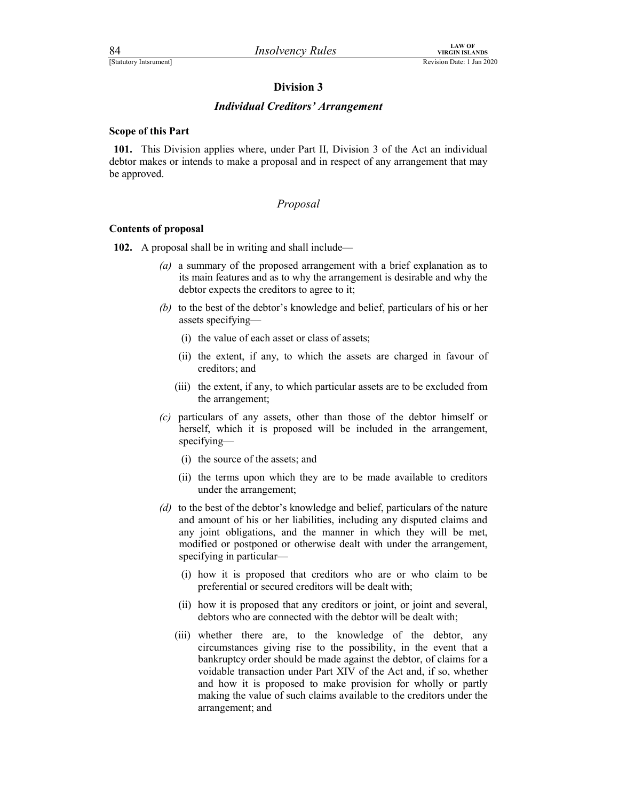# Finance of the Microsofter Control of the Microsofter Plan 2020<br>
Revision Date: 1 Jan 2020<br> **Division 3**<br> **Control of the Control of the Control of the Control of the Control of the Control of the Control of the Control of** Individual Creditors' Arrangement

### Scope of this Part

101. This Division applies where, under Part II, Division 3 of the Act an individual debtor makes or intends to make a proposal and in respect of any arrangement that may be approved.

## Proposal

### Contents of proposal

102. A proposal shall be in writing and shall include—

- (a) a summary of the proposed arrangement with a brief explanation as to its main features and as to why the arrangement is desirable and why the debtor expects the creditors to agree to it;
- (b) to the best of the debtor's knowledge and belief, particulars of his or her assets specifying—
	- (i) the value of each asset or class of assets;
	- (ii) the extent, if any, to which the assets are charged in favour of creditors; and
	- (iii) the extent, if any, to which particular assets are to be excluded from the arrangement;
- (c) particulars of any assets, other than those of the debtor himself or herself, which it is proposed will be included in the arrangement, specifying—
	- (i) the source of the assets; and
	- (ii) the terms upon which they are to be made available to creditors under the arrangement;
- (d) to the best of the debtor's knowledge and belief, particulars of the nature and amount of his or her liabilities, including any disputed claims and any joint obligations, and the manner in which they will be met, modified or postponed or otherwise dealt with under the arrangement, specifying in particular—
	- (i) how it is proposed that creditors who are or who claim to be preferential or secured creditors will be dealt with;
	- (ii) how it is proposed that any creditors or joint, or joint and several, debtors who are connected with the debtor will be dealt with;
	- (iii) whether there are, to the knowledge of the debtor, any circumstances giving rise to the possibility, in the event that a bankruptcy order should be made against the debtor, of claims for a voidable transaction under Part XIV of the Act and, if so, whether and how it is proposed to make provision for wholly or partly making the value of such claims available to the creditors under the arrangement; and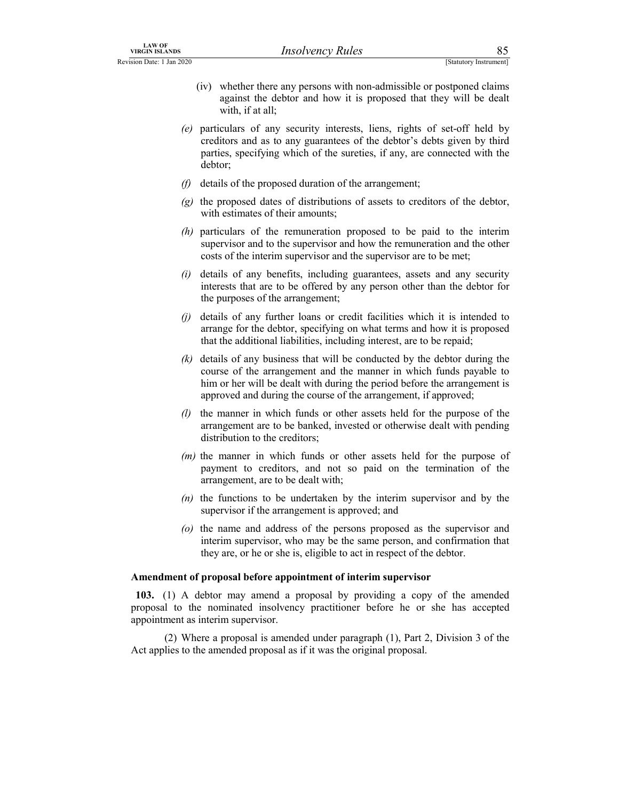- LAW OF<br>
IRSO VERGIN ISLANDS<br>
ISTANDID DATE: 1 Jan 2020<br>
(iv) whether there any persons with non-admissible or postponed claims<br>
against the debtor and how it is proposed that they will be dealt<br>
with, if at all;<br>
(a) parti (iv) whether there any persons with non-admissible or postponed claims against the debtor and how it is proposed that they will be dealt with, if at all;
	- (e) particulars of any security interests, liens, rights of set-off held by creditors and as to any guarantees of the debtor's debts given by third parties, specifying which of the sureties, if any, are connected with the debtor;
	- $(f)$  details of the proposed duration of the arrangement;
	- $(g)$  the proposed dates of distributions of assets to creditors of the debtor, with estimates of their amounts;
	- (h) particulars of the remuneration proposed to be paid to the interim supervisor and to the supervisor and how the remuneration and the other costs of the interim supervisor and the supervisor are to be met;
	- $(i)$  details of any benefits, including guarantees, assets and any security interests that are to be offered by any person other than the debtor for the purposes of the arrangement;
	- (j) details of any further loans or credit facilities which it is intended to arrange for the debtor, specifying on what terms and how it is proposed that the additional liabilities, including interest, are to be repaid;
	- $(k)$  details of any business that will be conducted by the debtor during the course of the arrangement and the manner in which funds payable to him or her will be dealt with during the period before the arrangement is approved and during the course of the arrangement, if approved;
	- (l) the manner in which funds or other assets held for the purpose of the arrangement are to be banked, invested or otherwise dealt with pending distribution to the creditors;
	- $(m)$  the manner in which funds or other assets held for the purpose of payment to creditors, and not so paid on the termination of the arrangement, are to be dealt with;
	- $(n)$  the functions to be undertaken by the interim supervisor and by the supervisor if the arrangement is approved; and
	- (o) the name and address of the persons proposed as the supervisor and interim supervisor, who may be the same person, and confirmation that they are, or he or she is, eligible to act in respect of the debtor.

### Amendment of proposal before appointment of interim supervisor

103. (1) A debtor may amend a proposal by providing a copy of the amended proposal to the nominated insolvency practitioner before he or she has accepted appointment as interim supervisor.

 (2) Where a proposal is amended under paragraph (1), Part 2, Division 3 of the Act applies to the amended proposal as if it was the original proposal.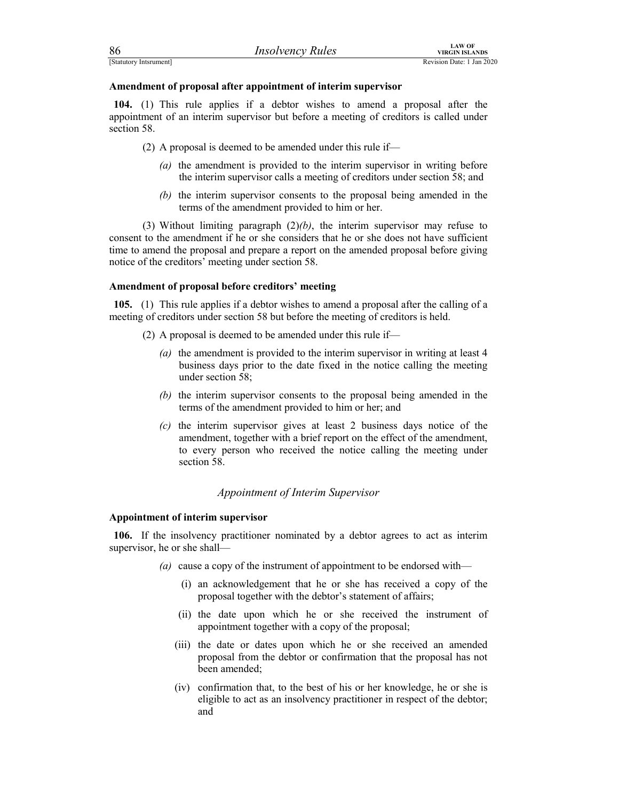| 86                     | <i>Insolvency Rules</i> | LAW OF<br>VIRGIN ISLANDS  |
|------------------------|-------------------------|---------------------------|
| [Statutory Intsrument] |                         | Revision Date: 1 Jan 2020 |

FERECTIVE TO THE MANUAL MANUAL MANUAL MANUAL MANUAL MANUAL REVISION DELAIN ISLANDS<br>
Revision Date: 1 Jan 2020<br> **Amendment of proposal after appointment of interim supervisor**<br> **104.** (1) This rule applies if a debtor wishe 104. (1) This rule applies if a debtor wishes to amend a proposal after the appointment of an interim supervisor but before a meeting of creditors is called under section 58.

(2) A proposal is deemed to be amended under this rule if—

- (a) the amendment is provided to the interim supervisor in writing before the interim supervisor calls a meeting of creditors under section 58; and
- (b) the interim supervisor consents to the proposal being amended in the terms of the amendment provided to him or her.

(3) Without limiting paragraph  $(2)/b$ , the interim supervisor may refuse to consent to the amendment if he or she considers that he or she does not have sufficient time to amend the proposal and prepare a report on the amended proposal before giving notice of the creditors' meeting under section 58.

### Amendment of proposal before creditors' meeting

105. (1) This rule applies if a debtor wishes to amend a proposal after the calling of a meeting of creditors under section 58 but before the meeting of creditors is held.

- (2) A proposal is deemed to be amended under this rule if—
	- (a) the amendment is provided to the interim supervisor in writing at least 4 business days prior to the date fixed in the notice calling the meeting under section 58;
	- (b) the interim supervisor consents to the proposal being amended in the terms of the amendment provided to him or her; and
	- (c) the interim supervisor gives at least 2 business days notice of the amendment, together with a brief report on the effect of the amendment, to every person who received the notice calling the meeting under section 58.

### Appointment of Interim Supervisor

### Appointment of interim supervisor

106. If the insolvency practitioner nominated by a debtor agrees to act as interim supervisor, he or she shall—

- (a) cause a copy of the instrument of appointment to be endorsed with—
	- (i) an acknowledgement that he or she has received a copy of the proposal together with the debtor's statement of affairs;
	- (ii) the date upon which he or she received the instrument of appointment together with a copy of the proposal;
	- (iii) the date or dates upon which he or she received an amended proposal from the debtor or confirmation that the proposal has not been amended;
	- (iv) confirmation that, to the best of his or her knowledge, he or she is eligible to act as an insolvency practitioner in respect of the debtor; and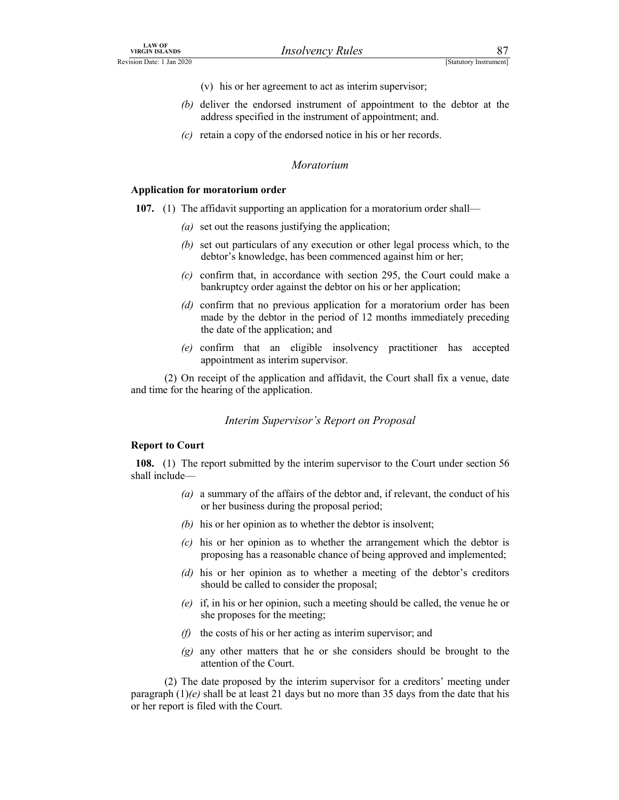- (v) his or her agreement to act as interim supervisor;
- LAW OF<br>
Revision Date: 1 Jan 2020<br>
(Statutory Instrument)<br>
(v) his or her agreement to act as interim supervisor;<br>
(b) deliver the endorsed instrument of appointment to the debtor at the<br>
address specified in the instrumen (b) deliver the endorsed instrument of appointment to the debtor at the address specified in the instrument of appointment; and.
	- (c) retain a copy of the endorsed notice in his or her records.

### Moratorium

### Application for moratorium order

### 107. (1) The affidavit supporting an application for a moratorium order shall—

- (a) set out the reasons justifying the application;
- (b) set out particulars of any execution or other legal process which, to the debtor's knowledge, has been commenced against him or her;
- (c) confirm that, in accordance with section 295, the Court could make a bankruptcy order against the debtor on his or her application;
- (d) confirm that no previous application for a moratorium order has been made by the debtor in the period of 12 months immediately preceding the date of the application; and
- (e) confirm that an eligible insolvency practitioner has accepted appointment as interim supervisor.

 (2) On receipt of the application and affidavit, the Court shall fix a venue, date and time for the hearing of the application.

### Interim Supervisor's Report on Proposal

### Report to Court

108. (1) The report submitted by the interim supervisor to the Court under section 56 shall include—

- (a) a summary of the affairs of the debtor and, if relevant, the conduct of his or her business during the proposal period;
- (b) his or her opinion as to whether the debtor is insolvent;
- (c) his or her opinion as to whether the arrangement which the debtor is proposing has a reasonable chance of being approved and implemented;
- (d) his or her opinion as to whether a meeting of the debtor's creditors should be called to consider the proposal;
- (e) if, in his or her opinion, such a meeting should be called, the venue he or she proposes for the meeting;
- $(f)$  the costs of his or her acting as interim supervisor; and
- $\gamma$  any other matters that he or she considers should be brought to the attention of the Court.

 (2) The date proposed by the interim supervisor for a creditors' meeting under paragraph  $(1)(e)$  shall be at least 21 days but no more than 35 days from the date that his or her report is filed with the Court.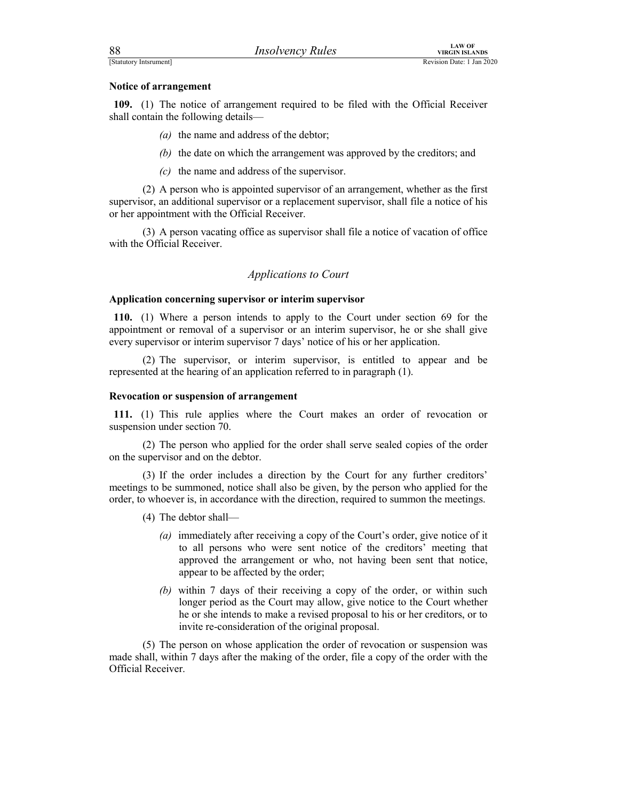| 88                                   | <b>Insolvency Rules</b>                                                            | <b>LAW OF</b><br><b>VIRGIN ISLANDS</b> |  |
|--------------------------------------|------------------------------------------------------------------------------------|----------------------------------------|--|
| [Statutory Intsrument]               |                                                                                    | Revision Date: 1 Jan 2020              |  |
| Notice of arrangement                |                                                                                    |                                        |  |
|                                      |                                                                                    |                                        |  |
| shall contain the following details- | 109. (1) The notice of arrangement required to be filed with the Official Receiver |                                        |  |

- (a) the name and address of the debtor;
- (b) the date on which the arrangement was approved by the creditors; and
- (c) the name and address of the supervisor.

 (2) A person who is appointed supervisor of an arrangement, whether as the first supervisor, an additional supervisor or a replacement supervisor, shall file a notice of his or her appointment with the Official Receiver.

 (3) A person vacating office as supervisor shall file a notice of vacation of office with the Official Receiver.

### Applications to Court

# Application concerning supervisor or interim supervisor

110. (1) Where a person intends to apply to the Court under section 69 for the appointment or removal of a supervisor or an interim supervisor, he or she shall give every supervisor or interim supervisor 7 days' notice of his or her application.

 (2) The supervisor, or interim supervisor, is entitled to appear and be represented at the hearing of an application referred to in paragraph (1).

### Revocation or suspension of arrangement

111. (1) This rule applies where the Court makes an order of revocation or suspension under section 70.

 (2) The person who applied for the order shall serve sealed copies of the order on the supervisor and on the debtor.

 (3) If the order includes a direction by the Court for any further creditors' meetings to be summoned, notice shall also be given, by the person who applied for the order, to whoever is, in accordance with the direction, required to summon the meetings.

- (4) The debtor shall—
	- (a) immediately after receiving a copy of the Court's order, give notice of it to all persons who were sent notice of the creditors' meeting that approved the arrangement or who, not having been sent that notice, appear to be affected by the order;
	- (b) within 7 days of their receiving a copy of the order, or within such longer period as the Court may allow, give notice to the Court whether he or she intends to make a revised proposal to his or her creditors, or to invite re-consideration of the original proposal.

 (5) The person on whose application the order of revocation or suspension was made shall, within 7 days after the making of the order, file a copy of the order with the Official Receiver.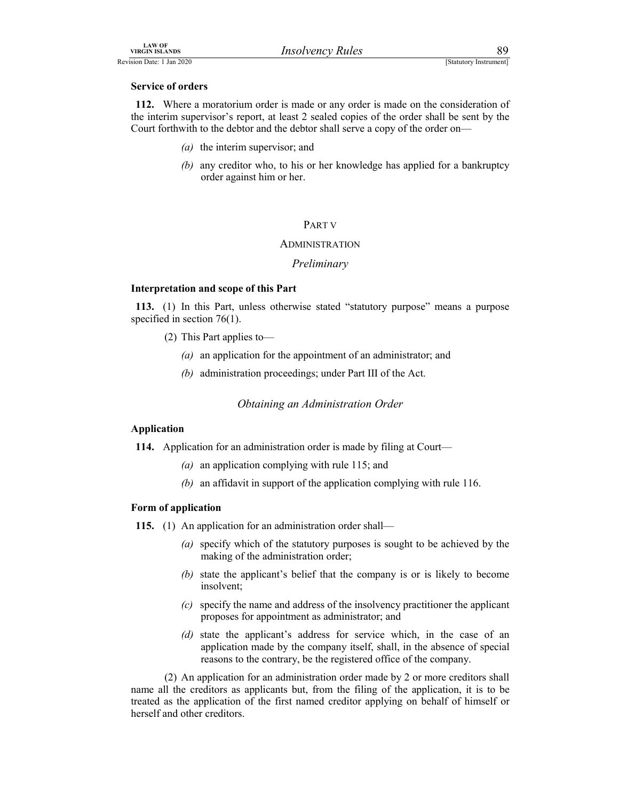### Service of orders

LAW OF<br>
VIRGIN ISLANDS<br>
Revision Date: 1 Jan 2020<br>
Service of orders<br>
112. Where a moratorium order is made or any order is made on the consideration of<br>
the interim supervisor's report, at least 2 sealed copies of the ord 112. Where a moratorium order is made or any order is made on the consideration of the interim supervisor's report, at least 2 sealed copies of the order shall be sent by the Court forthwith to the debtor and the debtor shall serve a copy of the order on—

- (a) the interim supervisor; and
- (b) any creditor who, to his or her knowledge has applied for a bankruptcy order against him or her.

### PART V

### ADMINISTRATION

### Preliminary

### Interpretation and scope of this Part

113. (1) In this Part, unless otherwise stated "statutory purpose" means a purpose specified in section 76(1).

- (2) This Part applies to—
	- (a) an application for the appointment of an administrator; and
	- (b) administration proceedings; under Part III of the Act.

Obtaining an Administration Order

### Application

114. Application for an administration order is made by filing at Court—

- (a) an application complying with rule 115; and
- (b) an affidavit in support of the application complying with rule 116.

### Form of application

- 115. (1) An application for an administration order shall—
	- (a) specify which of the statutory purposes is sought to be achieved by the making of the administration order;
	- (b) state the applicant's belief that the company is or is likely to become insolvent;
	- (c) specify the name and address of the insolvency practitioner the applicant proposes for appointment as administrator; and
	- (d) state the applicant's address for service which, in the case of an application made by the company itself, shall, in the absence of special reasons to the contrary, be the registered office of the company.

 (2) An application for an administration order made by 2 or more creditors shall name all the creditors as applicants but, from the filing of the application, it is to be treated as the application of the first named creditor applying on behalf of himself or herself and other creditors.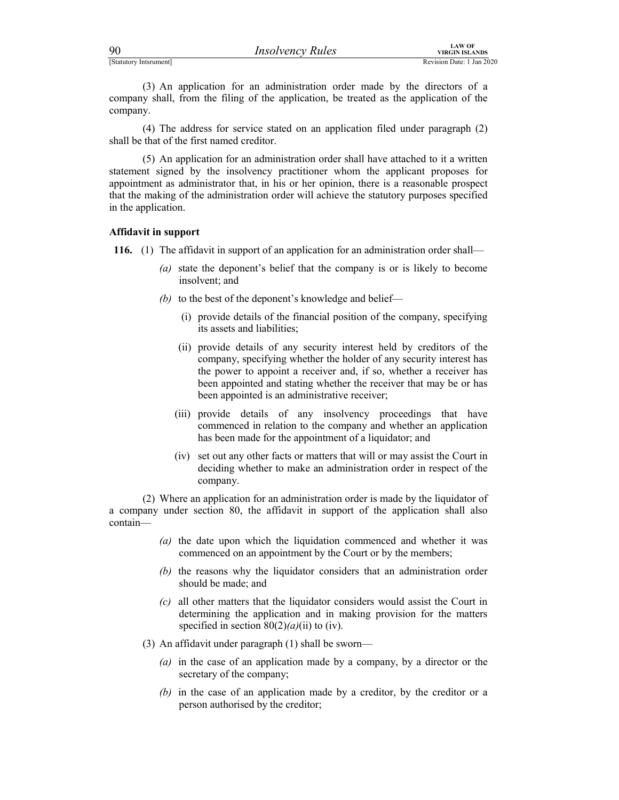| 90 | <i>Insolvency Rules</i> | VIRGIN |
|----|-------------------------|--------|
|    |                         |        |

Final Context of California Context of California Context of California Context of California Context of Accompany shall, from the filing of the application, be treated as the application of the company.<br>
(4) The eddress f (3) An application for an administration order made by the directors of a company shall, from the filing of the application, be treated as the application of the company.

 (4) The address for service stated on an application filed under paragraph (2) shall be that of the first named creditor.

 (5) An application for an administration order shall have attached to it a written statement signed by the insolvency practitioner whom the applicant proposes for appointment as administrator that, in his or her opinion, there is a reasonable prospect that the making of the administration order will achieve the statutory purposes specified in the application.

### Affidavit in support

116. (1) The affidavit in support of an application for an administration order shall—

- (a) state the deponent's belief that the company is or is likely to become insolvent; and
- (b) to the best of the deponent's knowledge and belief—
	- (i) provide details of the financial position of the company, specifying its assets and liabilities;
	- (ii) provide details of any security interest held by creditors of the company, specifying whether the holder of any security interest has the power to appoint a receiver and, if so, whether a receiver has been appointed and stating whether the receiver that may be or has been appointed is an administrative receiver;
	- (iii) provide details of any insolvency proceedings that have commenced in relation to the company and whether an application has been made for the appointment of a liquidator; and
	- (iv) set out any other facts or matters that will or may assist the Court in deciding whether to make an administration order in respect of the company.

 (2) Where an application for an administration order is made by the liquidator of a company under section 80, the affidavit in support of the application shall also contain—

- (a) the date upon which the liquidation commenced and whether it was commenced on an appointment by the Court or by the members;
- (b) the reasons why the liquidator considers that an administration order should be made; and
- (c) all other matters that the liquidator considers would assist the Court in determining the application and in making provision for the matters specified in section  $80(2)(a)(ii)$  to (iv).
- (3) An affidavit under paragraph (1) shall be sworn—
	- (a) in the case of an application made by a company, by a director or the secretary of the company;
	- (b) in the case of an application made by a creditor, by the creditor or a person authorised by the creditor;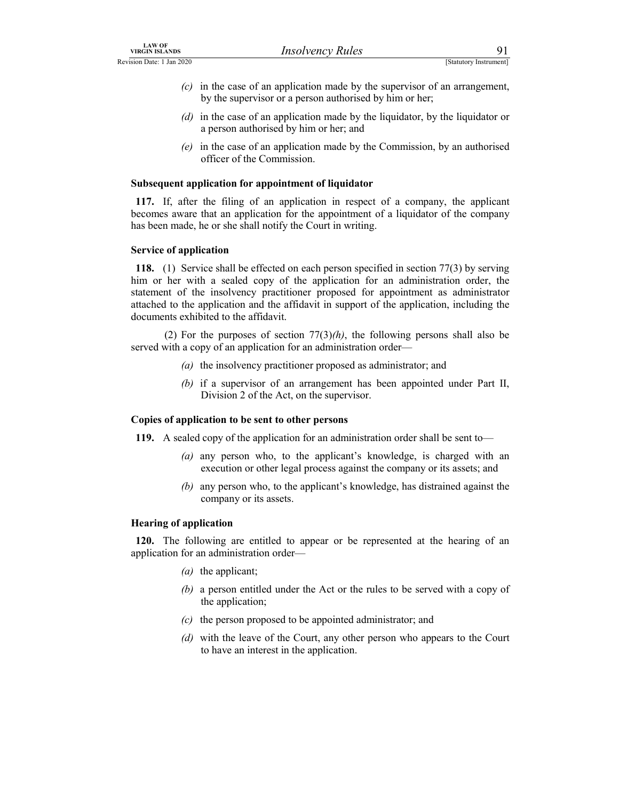- EXAMPLE THE CONSTRIANT UNIVERSE THE CONSTRIANT UNIVERSELY PRUP TO THE CONSTRATION CONSTRATION (C) In the case of an application made by the supervisor of an arrangement, by the supervisor or a person authorised by him or h  $(c)$  in the case of an application made by the supervisor of an arrangement, by the supervisor or a person authorised by him or her;
	- (d) in the case of an application made by the liquidator, by the liquidator or a person authorised by him or her; and
	- (e) in the case of an application made by the Commission, by an authorised officer of the Commission.

### Subsequent application for appointment of liquidator

117. If, after the filing of an application in respect of a company, the applicant becomes aware that an application for the appointment of a liquidator of the company has been made, he or she shall notify the Court in writing.

### Service of application

118. (1) Service shall be effected on each person specified in section 77(3) by serving him or her with a sealed copy of the application for an administration order, the statement of the insolvency practitioner proposed for appointment as administrator attached to the application and the affidavit in support of the application, including the documents exhibited to the affidavit.

(2) For the purposes of section  $77(3)$ (h), the following persons shall also be served with a copy of an application for an administration order—

- (a) the insolvency practitioner proposed as administrator; and
- (b) if a supervisor of an arrangement has been appointed under Part II, Division 2 of the Act, on the supervisor.

### Copies of application to be sent to other persons

119. A sealed copy of the application for an administration order shall be sent to—

- (a) any person who, to the applicant's knowledge, is charged with an execution or other legal process against the company or its assets; and
- (b) any person who, to the applicant's knowledge, has distrained against the company or its assets.

### Hearing of application

120. The following are entitled to appear or be represented at the hearing of an application for an administration order—

- (a) the applicant;
- (b) a person entitled under the Act or the rules to be served with a copy of the application;
- $(c)$  the person proposed to be appointed administrator; and
- (d) with the leave of the Court, any other person who appears to the Court to have an interest in the application.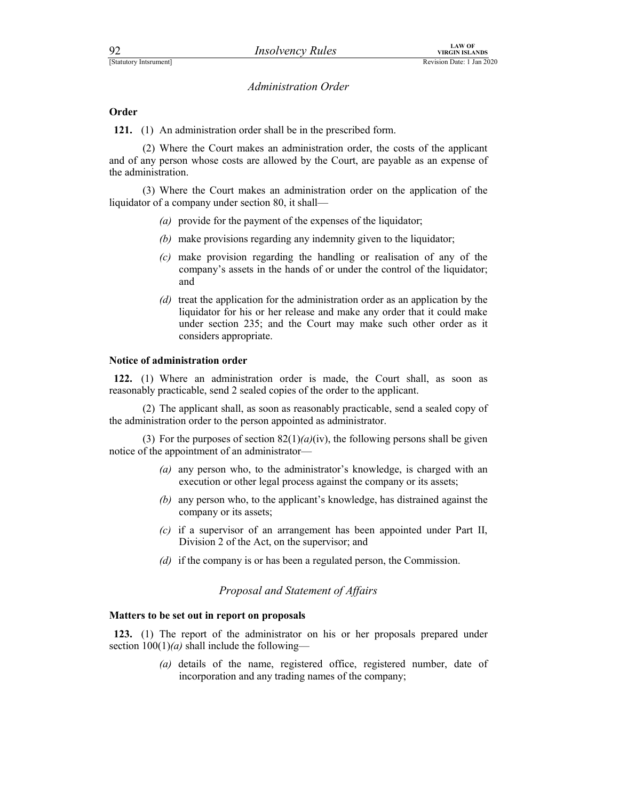### **Order**

121. (1) An administration order shall be in the prescribed form.

 (2) Where the Court makes an administration order, the costs of the applicant and of any person whose costs are allowed by the Court, are payable as an expense of the administration.

 (3) Where the Court makes an administration order on the application of the liquidator of a company under section 80, it shall—

- (a) provide for the payment of the expenses of the liquidator;
- (b) make provisions regarding any indemnity given to the liquidator;
- (c) make provision regarding the handling or realisation of any of the company's assets in the hands of or under the control of the liquidator; and
- (d) treat the application for the administration order as an application by the liquidator for his or her release and make any order that it could make under section 235; and the Court may make such other order as it considers appropriate.

### Notice of administration order

122. (1) Where an administration order is made, the Court shall, as soon as reasonably practicable, send 2 sealed copies of the order to the applicant.

 (2) The applicant shall, as soon as reasonably practicable, send a sealed copy of the administration order to the person appointed as administrator.

(3) For the purposes of section  $82(1)(a)(iv)$ , the following persons shall be given notice of the appointment of an administrator—

- (a) any person who, to the administrator's knowledge, is charged with an execution or other legal process against the company or its assets;
- (b) any person who, to the applicant's knowledge, has distrained against the company or its assets;
- (c) if a supervisor of an arrangement has been appointed under Part II, Division 2 of the Act, on the supervisor; and
- (d) if the company is or has been a regulated person, the Commission.

### Proposal and Statement of Affairs

### Matters to be set out in report on proposals

123. (1) The report of the administrator on his or her proposals prepared under section  $100(1)(a)$  shall include the following—

> (a) details of the name, registered office, registered number, date of incorporation and any trading names of the company;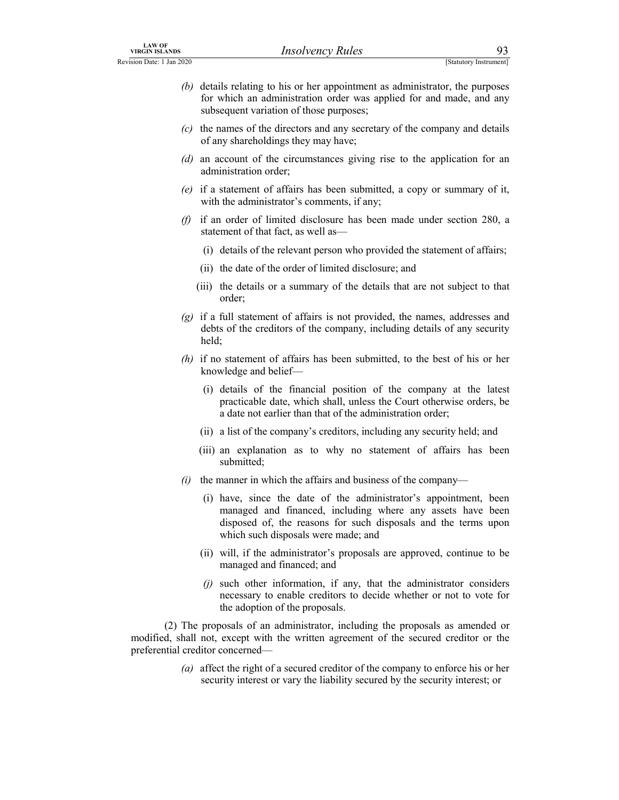- LAW OF<br>
Revision Date: 1 Jan 2020<br>
(b) details relating to his or her appointment as administrator, the purposes<br>
for which an administration order was applied for and made, and any<br>
subsequent variation of those purposes; (b) details relating to his or her appointment as administrator, the purposes for which an administration order was applied for and made, and any subsequent variation of those purposes;
	- (c) the names of the directors and any secretary of the company and details of any shareholdings they may have;
	- (d) an account of the circumstances giving rise to the application for an administration order;
	- (e) if a statement of affairs has been submitted, a copy or summary of it, with the administrator's comments, if any;
	- (f) if an order of limited disclosure has been made under section 280, a statement of that fact, as well as—
		- (i) details of the relevant person who provided the statement of affairs;
		- (ii) the date of the order of limited disclosure; and
		- (iii) the details or a summary of the details that are not subject to that order;
	- $(g)$  if a full statement of affairs is not provided, the names, addresses and debts of the creditors of the company, including details of any security held;
	- (h) if no statement of affairs has been submitted, to the best of his or her knowledge and belief—
		- (i) details of the financial position of the company at the latest practicable date, which shall, unless the Court otherwise orders, be a date not earlier than that of the administration order;
		- (ii) a list of the company's creditors, including any security held; and
		- (iii) an explanation as to why no statement of affairs has been submitted;
	- (i) the manner in which the affairs and business of the company—
		- (i) have, since the date of the administrator's appointment, been managed and financed, including where any assets have been disposed of, the reasons for such disposals and the terms upon which such disposals were made; and
		- (ii) will, if the administrator's proposals are approved, continue to be managed and financed; and
		- $(i)$  such other information, if any, that the administrator considers necessary to enable creditors to decide whether or not to vote for the adoption of the proposals.

 (2) The proposals of an administrator, including the proposals as amended or modified, shall not, except with the written agreement of the secured creditor or the preferential creditor concerned—

> (a) affect the right of a secured creditor of the company to enforce his or her security interest or vary the liability secured by the security interest; or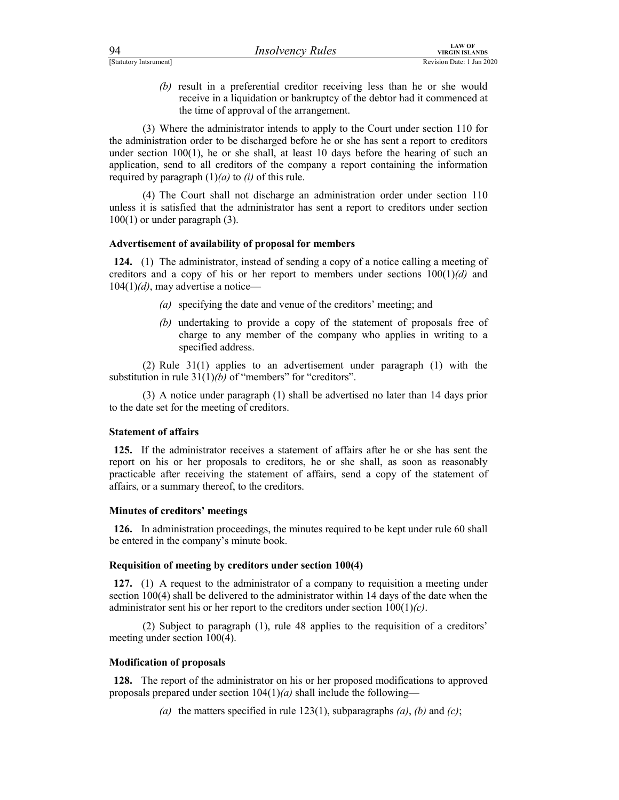| 94                     | <i>Insolvency Rules</i> | LAW OF<br>VIRGIN ISLANDS  |
|------------------------|-------------------------|---------------------------|
| [Statutory Intsrument] |                         | Revision Date: 1 Jan 2020 |

FINCO PROVIDED PROVIDED PROVIDED TO THE CONTROLLATO CONTROLLATO REVISION DETENTIONS REVISION DATA PROVIDED REVISION DATE: 1 Jan 2020 (b) result in a preferential creditor receiving less than he or she would receive in a liquidation or bankruptcy of the debtor had it commenced at the time of approval of the arrangement.

 (3) Where the administrator intends to apply to the Court under section 110 for the administration order to be discharged before he or she has sent a report to creditors under section  $100(1)$ , he or she shall, at least 10 days before the hearing of such an application, send to all creditors of the company a report containing the information required by paragraph  $(1)(a)$  to  $(i)$  of this rule.

 (4) The Court shall not discharge an administration order under section 110 unless it is satisfied that the administrator has sent a report to creditors under section 100(1) or under paragraph (3).

### Advertisement of availability of proposal for members

124. (1) The administrator, instead of sending a copy of a notice calling a meeting of creditors and a copy of his or her report to members under sections  $100(1)(d)$  and  $104(1)(d)$ , may advertise a notice—

- (a) specifying the date and venue of the creditors' meeting; and
- (b) undertaking to provide a copy of the statement of proposals free of charge to any member of the company who applies in writing to a specified address.

 (2) Rule 31(1) applies to an advertisement under paragraph (1) with the substitution in rule  $31(1)(b)$  of "members" for "creditors".

 (3) A notice under paragraph (1) shall be advertised no later than 14 days prior to the date set for the meeting of creditors.

### Statement of affairs

125. If the administrator receives a statement of affairs after he or she has sent the report on his or her proposals to creditors, he or she shall, as soon as reasonably practicable after receiving the statement of affairs, send a copy of the statement of affairs, or a summary thereof, to the creditors.

### Minutes of creditors' meetings

126. In administration proceedings, the minutes required to be kept under rule 60 shall be entered in the company's minute book.

### Requisition of meeting by creditors under section 100(4)

127. (1) A request to the administrator of a company to requisition a meeting under section 100(4) shall be delivered to the administrator within 14 days of the date when the administrator sent his or her report to the creditors under section  $100(1)(c)$ .

 (2) Subject to paragraph (1), rule 48 applies to the requisition of a creditors' meeting under section 100(4).

### Modification of proposals

128. The report of the administrator on his or her proposed modifications to approved proposals prepared under section  $104(1)(a)$  shall include the following—

(a) the matters specified in rule 123(1), subparagraphs  $(a)$ ,  $(b)$  and  $(c)$ ;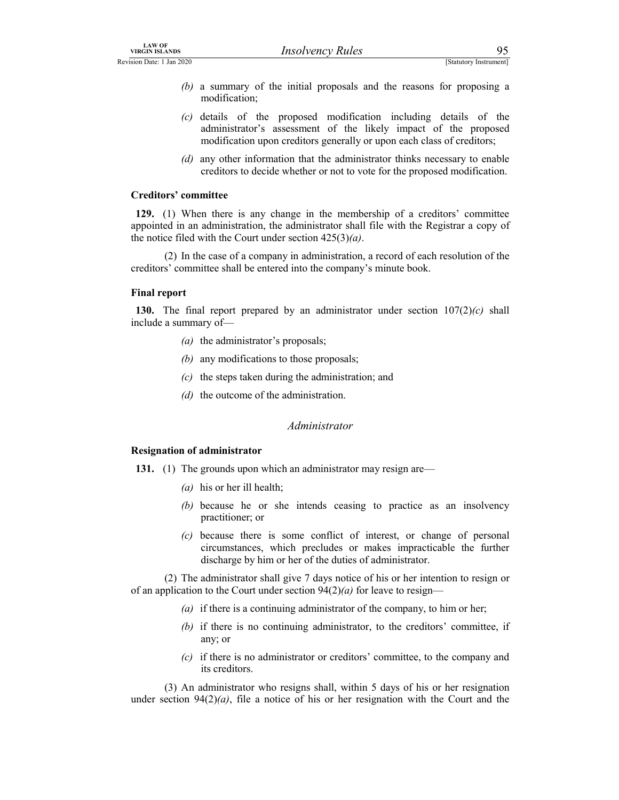- EXAMPLE THE CONSTRIANT MANUSING THE CONSTRIANT MANUSISM CONSTRAINS TREVISION Date: 1 Jan 2020<br>
(b) a summary of the initial proposals and the reasons for proposing a modification;<br>
(c) details of the proposed modification (b) a summary of the initial proposals and the reasons for proposing a modification;
	- (c) details of the proposed modification including details of the administrator's assessment of the likely impact of the proposed modification upon creditors generally or upon each class of creditors; **Example 18** IS (Statutory Instrument)<br> **EXECUTE CONCO**<br> **EXECUTE CONCO**<br> **EXECUTE SECUTE SECUTE ASSEM IS (SECUTE 2016)**<br> **EXECUTE ASSEMENT OF THE SECUTE ASSEMENT OF THE ASSEMENT OF THE ADMINISTRATOR IS assessment of the**
	- (d) any other information that the administrator thinks necessary to enable

### Creditors' committee

129. (1) When there is any change in the membership of a creditors' committee appointed in an administration, the administrator shall file with the Registrar a copy of the notice filed with the Court under section  $425(3)(a)$ .

 (2) In the case of a company in administration, a record of each resolution of the creditors' committee shall be entered into the company's minute book.

### Final report

130. The final report prepared by an administrator under section  $107(2)(c)$  shall include a summary of—

- $(a)$  the administrator's proposals;
- (b) any modifications to those proposals;
- $(c)$  the steps taken during the administration; and
- (d) the outcome of the administration.

### Administrator

### Resignation of administrator

- 131. (1) The grounds upon which an administrator may resign are—
	- (*a*) his or her ill health;
	- (b) because he or she intends ceasing to practice as an insolvency practitioner; or
	- (c) because there is some conflict of interest, or change of personal circumstances, which precludes or makes impracticable the further discharge by him or her of the duties of administrator.

 (2) The administrator shall give 7 days notice of his or her intention to resign or of an application to the Court under section  $94(2)(a)$  for leave to resign—

- (a) if there is a continuing administrator of the company, to him or her;
- (b) if there is no continuing administrator, to the creditors' committee, if any; or
- (c) if there is no administrator or creditors' committee, to the company and its creditors.

 (3) An administrator who resigns shall, within 5 days of his or her resignation under section  $94(2)(a)$ , file a notice of his or her resignation with the Court and the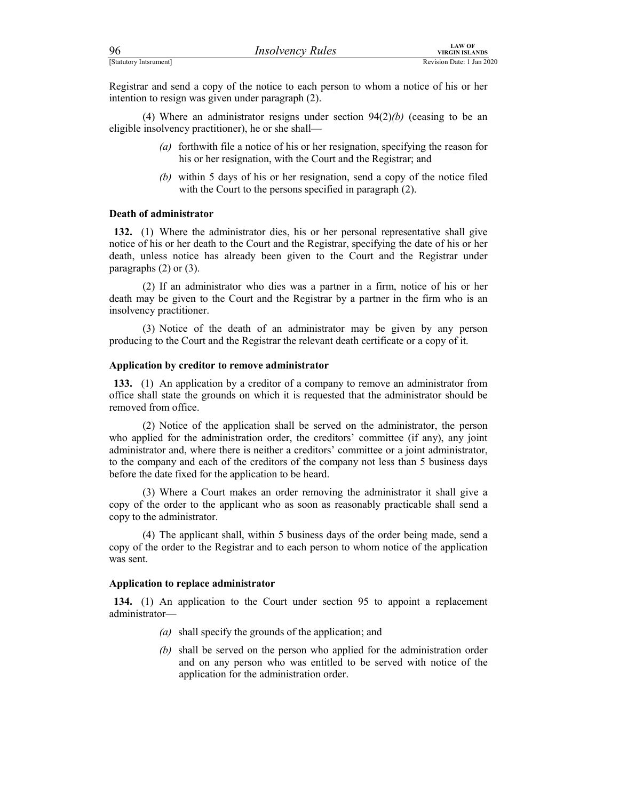| 96                                               | <b>Insolvency Rules</b>                                                                                                                     | <b>LAW OF</b><br><b>VIRGIN ISLANDS</b> |  |
|--------------------------------------------------|---------------------------------------------------------------------------------------------------------------------------------------------|----------------------------------------|--|
| [Statutory Intsrument]                           |                                                                                                                                             | Revision Date: 1 Jan 2020              |  |
|                                                  | Registrar and send a copy of the notice to each person to whom a notice of his or her<br>intention to resign was given under paragraph (2). |                                        |  |
| digible incolveney prectitioner) he or she shell | (4) Where an administrator resigns under section $94(2)(b)$ (ceasing to be an                                                               |                                        |  |

(4) Where an administrator resigns under section  $94(2)/b$ ) (ceasing to be an eligible insolvency practitioner), he or she shall—

- (a) forthwith file a notice of his or her resignation, specifying the reason for his or her resignation, with the Court and the Registrar; and
- (b) within 5 days of his or her resignation, send a copy of the notice filed with the Court to the persons specified in paragraph (2).

### Death of administrator

132. (1) Where the administrator dies, his or her personal representative shall give notice of his or her death to the Court and the Registrar, specifying the date of his or her death, unless notice has already been given to the Court and the Registrar under paragraphs (2) or (3).

 (2) If an administrator who dies was a partner in a firm, notice of his or her death may be given to the Court and the Registrar by a partner in the firm who is an insolvency practitioner.

 (3) Notice of the death of an administrator may be given by any person producing to the Court and the Registrar the relevant death certificate or a copy of it.

### Application by creditor to remove administrator

133. (1) An application by a creditor of a company to remove an administrator from office shall state the grounds on which it is requested that the administrator should be removed from office.

 (2) Notice of the application shall be served on the administrator, the person who applied for the administration order, the creditors' committee (if any), any joint administrator and, where there is neither a creditors' committee or a joint administrator, to the company and each of the creditors of the company not less than 5 business days before the date fixed for the application to be heard.

 (3) Where a Court makes an order removing the administrator it shall give a copy of the order to the applicant who as soon as reasonably practicable shall send a copy to the administrator.

 (4) The applicant shall, within 5 business days of the order being made, send a copy of the order to the Registrar and to each person to whom notice of the application was sent.

### Application to replace administrator

134. (1) An application to the Court under section 95 to appoint a replacement administrator—

- (a) shall specify the grounds of the application; and
- (b) shall be served on the person who applied for the administration order and on any person who was entitled to be served with notice of the application for the administration order.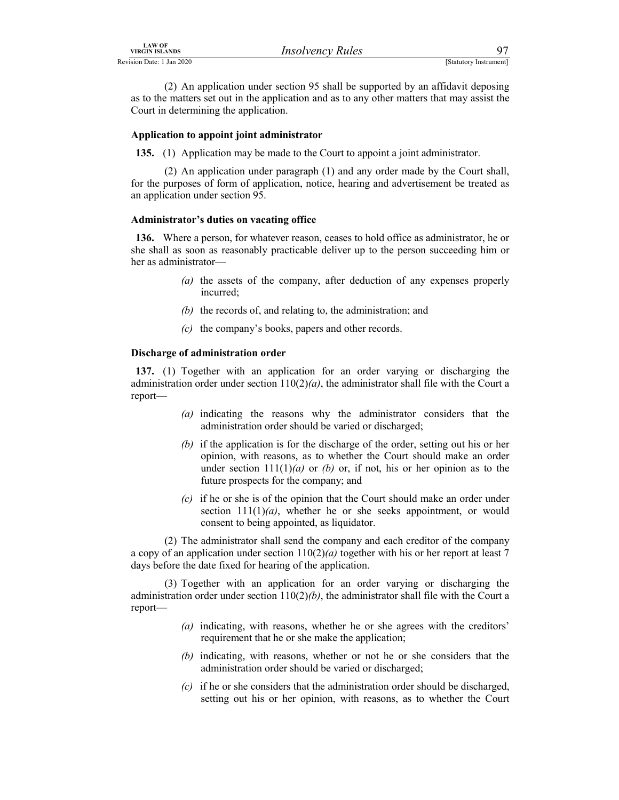LAW OF<br>
Revision Date: 1 Jan 2020<br>
(2) An application under section 95 shall be supported by an affidavit deposing<br>
as to the matters set out in the application and as to any other matters that may assist the<br>
Court in det (2) An application under section 95 shall be supported by an affidavit deposing as to the matters set out in the application and as to any other matters that may assist the Court in determining the application.

### Application to appoint joint administrator

135. (1) Application may be made to the Court to appoint a joint administrator.

 (2) An application under paragraph (1) and any order made by the Court shall, for the purposes of form of application, notice, hearing and advertisement be treated as an application under section 95.

### Administrator's duties on vacating office

136. Where a person, for whatever reason, ceases to hold office as administrator, he or she shall as soon as reasonably practicable deliver up to the person succeeding him or her as administrator—

- (a) the assets of the company, after deduction of any expenses properly incurred;
- (b) the records of, and relating to, the administration; and
- (c) the company's books, papers and other records.

### Discharge of administration order

137. (1) Together with an application for an order varying or discharging the administration order under section  $110(2)(a)$ , the administrator shall file with the Court a report—

- (a) indicating the reasons why the administrator considers that the administration order should be varied or discharged;
- (b) if the application is for the discharge of the order, setting out his or her opinion, with reasons, as to whether the Court should make an order under section  $111(1)(a)$  or (b) or, if not, his or her opinion as to the future prospects for the company; and
- $(c)$  if he or she is of the opinion that the Court should make an order under section  $111(1)(a)$ , whether he or she seeks appointment, or would consent to being appointed, as liquidator.

 (2) The administrator shall send the company and each creditor of the company a copy of an application under section  $110(2)(a)$  together with his or her report at least 7 days before the date fixed for hearing of the application.

 (3) Together with an application for an order varying or discharging the administration order under section  $110(2)(b)$ , the administrator shall file with the Court a report—

- (a) indicating, with reasons, whether he or she agrees with the creditors' requirement that he or she make the application;
- (b) indicating, with reasons, whether or not he or she considers that the administration order should be varied or discharged;
- $(c)$  if he or she considers that the administration order should be discharged, setting out his or her opinion, with reasons, as to whether the Court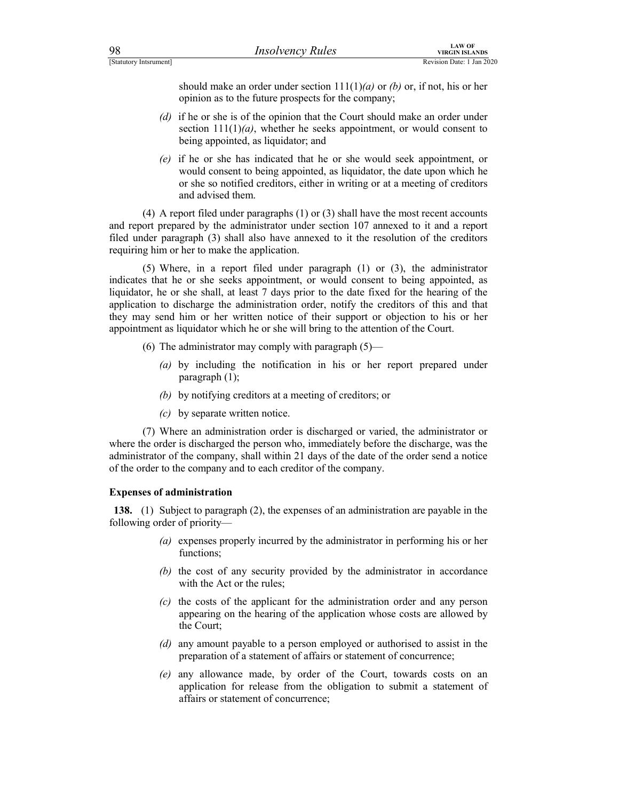should make an order under section  $111(1)(a)$  or (b) or, if not, his or her opinion as to the future prospects for the company;

- (d) if he or she is of the opinion that the Court should make an order under section  $111(1)(a)$ , whether he seeks appointment, or would consent to being appointed, as liquidator; and
- (e) if he or she has indicated that he or she would seek appointment, or would consent to being appointed, as liquidator, the date upon which he or she so notified creditors, either in writing or at a meeting of creditors and advised them.

 (4) A report filed under paragraphs (1) or (3) shall have the most recent accounts and report prepared by the administrator under section 107 annexed to it and a report filed under paragraph (3) shall also have annexed to it the resolution of the creditors requiring him or her to make the application.

 (5) Where, in a report filed under paragraph (1) or (3), the administrator indicates that he or she seeks appointment, or would consent to being appointed, as liquidator, he or she shall, at least 7 days prior to the date fixed for the hearing of the application to discharge the administration order, notify the creditors of this and that they may send him or her written notice of their support or objection to his or her appointment as liquidator which he or she will bring to the attention of the Court.

- (6) The administrator may comply with paragraph  $(5)$ 
	- (a) by including the notification in his or her report prepared under paragraph (1);
	- (b) by notifying creditors at a meeting of creditors; or
	- (c) by separate written notice.

 (7) Where an administration order is discharged or varied, the administrator or where the order is discharged the person who, immediately before the discharge, was the administrator of the company, shall within 21 days of the date of the order send a notice of the order to the company and to each creditor of the company.

### Expenses of administration

138. (1) Subject to paragraph (2), the expenses of an administration are payable in the following order of priority—

- (a) expenses properly incurred by the administrator in performing his or her functions;
- (b) the cost of any security provided by the administrator in accordance with the Act or the rules;
- (c) the costs of the applicant for the administration order and any person appearing on the hearing of the application whose costs are allowed by the Court;
- (d) any amount payable to a person employed or authorised to assist in the preparation of a statement of affairs or statement of concurrence;
- (e) any allowance made, by order of the Court, towards costs on an application for release from the obligation to submit a statement of affairs or statement of concurrence;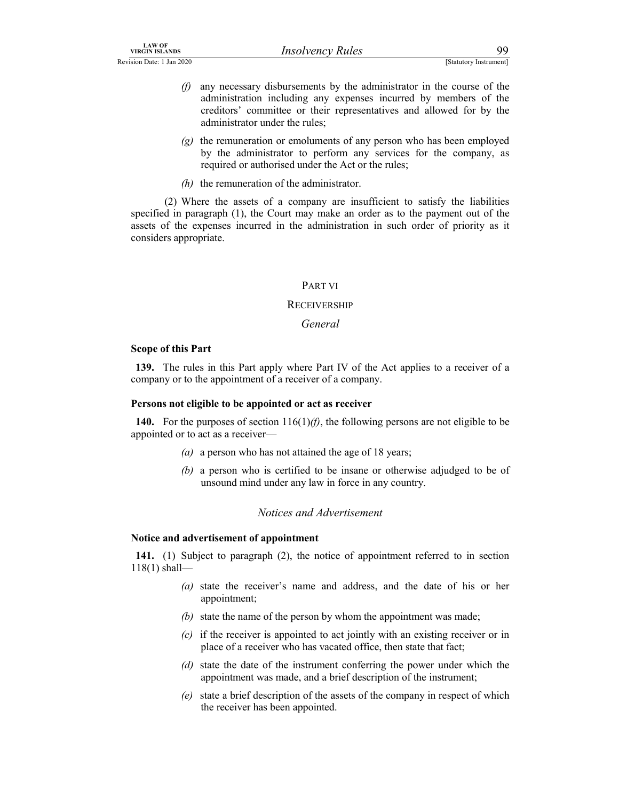- LAW OF<br>
Revision Date: 1 Jan 2020<br>
(f) any necessary disbursements by the administrator in the course of the<br>
administration including any expenses incurred by members of the<br>
creditors' committee or their representatives  $(f)$  any necessary disbursements by the administrator in the course of the administration including any expenses incurred by members of the creditors' committee or their representatives and allowed for by the administrator under the rules;
	- $(g)$  the remuneration or emoluments of any person who has been employed by the administrator to perform any services for the company, as required or authorised under the Act or the rules;
	- $(h)$  the remuneration of the administrator.

 (2) Where the assets of a company are insufficient to satisfy the liabilities specified in paragraph (1), the Court may make an order as to the payment out of the assets of the expenses incurred in the administration in such order of priority as it considers appropriate.

### PART VI

### **RECEIVERSHIP**

### General

### Scope of this Part

139. The rules in this Part apply where Part IV of the Act applies to a receiver of a company or to the appointment of a receiver of a company.

### Persons not eligible to be appointed or act as receiver

140. For the purposes of section  $116(1)$ (f), the following persons are not eligible to be appointed or to act as a receiver—

- (a) a person who has not attained the age of 18 years;
- (b) a person who is certified to be insane or otherwise adjudged to be of unsound mind under any law in force in any country.

### Notices and Advertisement

### Notice and advertisement of appointment

141. (1) Subject to paragraph (2), the notice of appointment referred to in section 118(1) shall—

- (a) state the receiver's name and address, and the date of his or her appointment;
- (b) state the name of the person by whom the appointment was made;
- (c) if the receiver is appointed to act jointly with an existing receiver or in place of a receiver who has vacated office, then state that fact;
- (d) state the date of the instrument conferring the power under which the appointment was made, and a brief description of the instrument;
- (e) state a brief description of the assets of the company in respect of which the receiver has been appointed.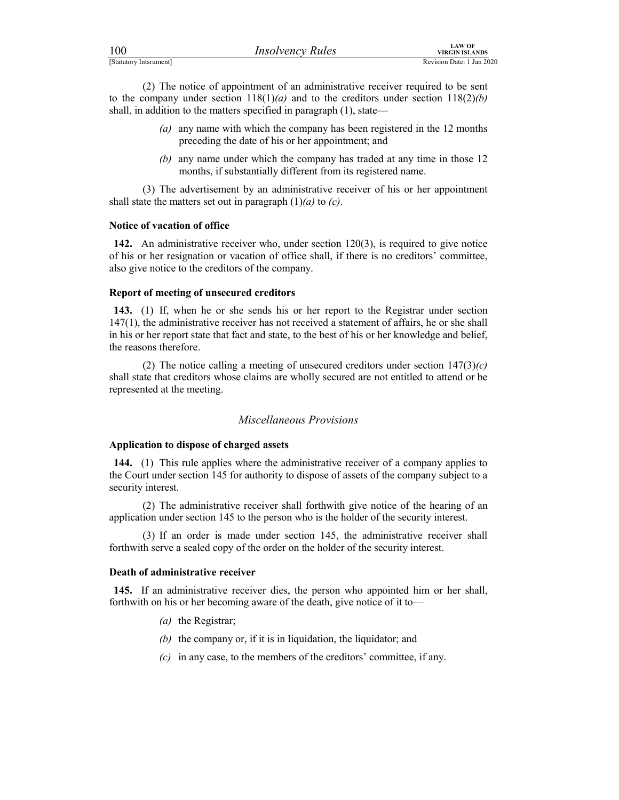| 100                    | <i>Insolvency Rules</i> | LAW OF<br>VIRGIN ISLANDS  |
|------------------------|-------------------------|---------------------------|
| [Statutory Intsrument] |                         | Revision Date: 1 Jan 2020 |

For the company internet of a method of a method is the company internet of a method of a method is the company under section 118(1)(*a*) and to the creditors under section 118(2)(*b*) shall, in addition to the matters sp (2) The notice of appointment of an administrative receiver required to be sent to the company under section  $118(1)(a)$  and to the creditors under section  $118(2)(b)$ shall, in addition to the matters specified in paragraph (1), state—

- (a) any name with which the company has been registered in the 12 months preceding the date of his or her appointment; and
- (b) any name under which the company has traded at any time in those 12 months, if substantially different from its registered name.

 (3) The advertisement by an administrative receiver of his or her appointment shall state the matters set out in paragraph  $(1)(a)$  to  $(c)$ .

### Notice of vacation of office

142. An administrative receiver who, under section 120(3), is required to give notice of his or her resignation or vacation of office shall, if there is no creditors' committee, also give notice to the creditors of the company.

### Report of meeting of unsecured creditors

143. (1) If, when he or she sends his or her report to the Registrar under section 147(1), the administrative receiver has not received a statement of affairs, he or she shall in his or her report state that fact and state, to the best of his or her knowledge and belief, the reasons therefore.

(2) The notice calling a meeting of unsecured creditors under section  $147(3)(c)$ shall state that creditors whose claims are wholly secured are not entitled to attend or be represented at the meeting.

# Miscellaneous Provisions

### Application to dispose of charged assets

144. (1) This rule applies where the administrative receiver of a company applies to the Court under section 145 for authority to dispose of assets of the company subject to a security interest.

 (2) The administrative receiver shall forthwith give notice of the hearing of an application under section 145 to the person who is the holder of the security interest.

 (3) If an order is made under section 145, the administrative receiver shall forthwith serve a sealed copy of the order on the holder of the security interest.

### Death of administrative receiver

145. If an administrative receiver dies, the person who appointed him or her shall, forthwith on his or her becoming aware of the death, give notice of it to—

- (*a*) the Registrar;
- (b) the company or, if it is in liquidation, the liquidator; and
- $(c)$  in any case, to the members of the creditors' committee, if any.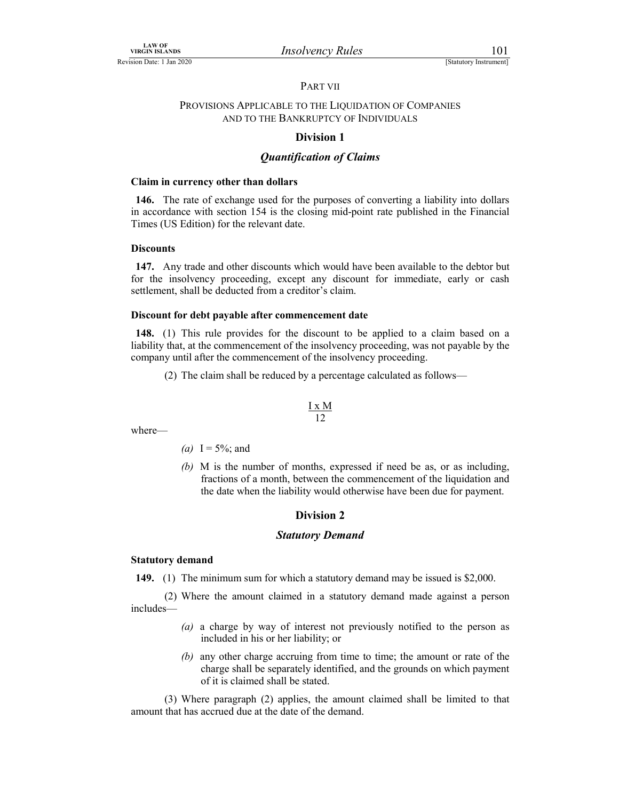### PART VII

# LAW OF<br>
Revision Date: 1 Jan 2020<br>
PART VII<br>
PROVISIONS APPLICABLE TO THE LIQUIDATION OF COMPANIES<br>
AND TO THE BANKRUPTCY OF INDIVIDUALS PROVISIONS APPLICABLE TO THE LIQUIDATION OF COMPANIES AND TO THE BANKRUPTCY OF INDIVIDUALS

### Division 1

### Quantification of Claims

### Claim in currency other than dollars

146. The rate of exchange used for the purposes of converting a liability into dollars in accordance with section 154 is the closing mid-point rate published in the Financial Times (US Edition) for the relevant date.

### **Discounts**

147. Any trade and other discounts which would have been available to the debtor but for the insolvency proceeding, except any discount for immediate, early or cash settlement, shall be deducted from a creditor's claim.

### Discount for debt payable after commencement date

148. (1) This rule provides for the discount to be applied to a claim based on a liability that, at the commencement of the insolvency proceeding, was not payable by the company until after the commencement of the insolvency proceeding.

(2) The claim shall be reduced by a percentage calculated as follows—

$$
\frac{I x M}{12}
$$

where—

- (*a*) I =  $5\%$ ; and
- (b) M is the number of months, expressed if need be as, or as including, fractions of a month, between the commencement of the liquidation and the date when the liability would otherwise have been due for payment.

### Division 2

### Statutory Demand

### Statutory demand

149. (1) The minimum sum for which a statutory demand may be issued is \$2,000.

 (2) Where the amount claimed in a statutory demand made against a person includes—

- (a) a charge by way of interest not previously notified to the person as included in his or her liability; or
- (b) any other charge accruing from time to time; the amount or rate of the charge shall be separately identified, and the grounds on which payment of it is claimed shall be stated.

 (3) Where paragraph (2) applies, the amount claimed shall be limited to that amount that has accrued due at the date of the demand.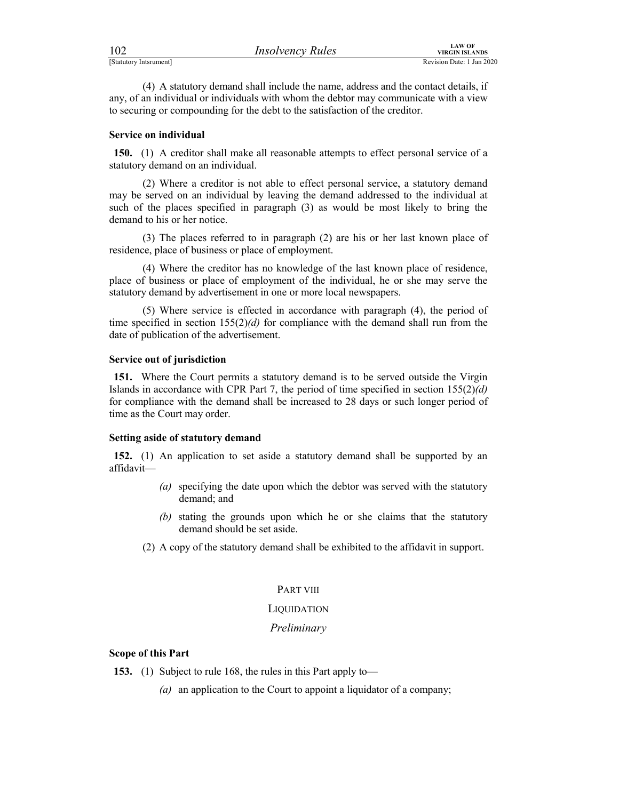| 102                    | <b>Insolvency Rules</b> | LAW OF<br>VIRGIN ISLANDS  |
|------------------------|-------------------------|---------------------------|
| [Statutory Intsrument] |                         | Revision Date: 1 Jan 2020 |

FERENT EXTRIGHT THE CHARL THE CHARL THE CHARL THE CHARL THE CHARL THE CHARL THE CHARL THE CHARL THE CHARL THE CHARL OF THE CHARL OF THE CHARL THE CHARL OF THE CHARL OF THE CHARL OF THE CHARL THE CHARL OF THE CHARL THE CHAR (4) A statutory demand shall include the name, address and the contact details, if any, of an individual or individuals with whom the debtor may communicate with a view to securing or compounding for the debt to the satisfaction of the creditor.

### Service on individual

150. (1) A creditor shall make all reasonable attempts to effect personal service of a statutory demand on an individual.

 (2) Where a creditor is not able to effect personal service, a statutory demand may be served on an individual by leaving the demand addressed to the individual at such of the places specified in paragraph (3) as would be most likely to bring the demand to his or her notice.

 (3) The places referred to in paragraph (2) are his or her last known place of residence, place of business or place of employment.

 (4) Where the creditor has no knowledge of the last known place of residence, place of business or place of employment of the individual, he or she may serve the statutory demand by advertisement in one or more local newspapers.

 (5) Where service is effected in accordance with paragraph (4), the period of time specified in section  $155(2)(d)$  for compliance with the demand shall run from the date of publication of the advertisement.

### Service out of jurisdiction

151. Where the Court permits a statutory demand is to be served outside the Virgin Islands in accordance with CPR Part 7, the period of time specified in section  $155(2)(d)$ for compliance with the demand shall be increased to 28 days or such longer period of time as the Court may order.

### Setting aside of statutory demand

152. (1) An application to set aside a statutory demand shall be supported by an affidavit—

- (a) specifying the date upon which the debtor was served with the statutory demand; and
- (b) stating the grounds upon which he or she claims that the statutory demand should be set aside.
- (2) A copy of the statutory demand shall be exhibited to the affidavit in support.

### PART VIII

### **LIQUIDATION**

### Preliminary

### Scope of this Part

153. (1) Subject to rule 168, the rules in this Part apply to-

(a) an application to the Court to appoint a liquidator of a company;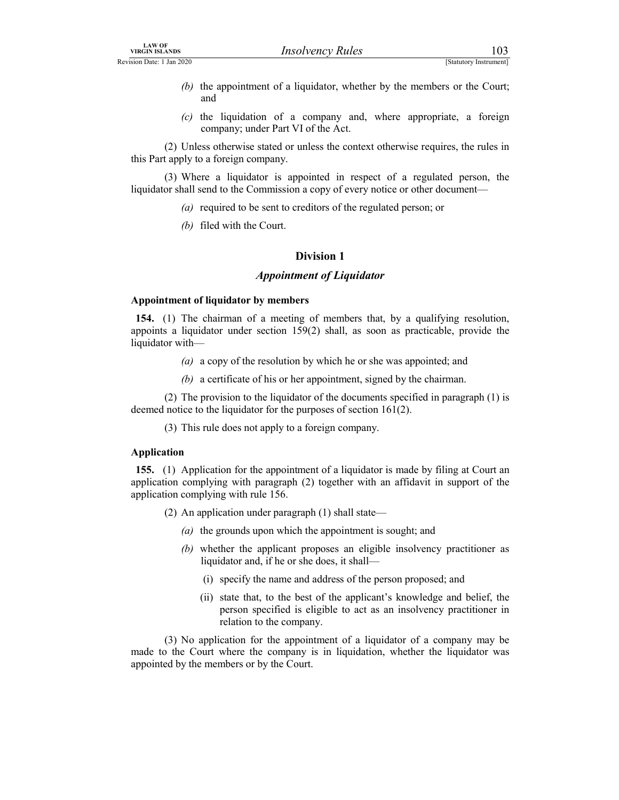- EXAMPLE THE CINE OF THE CINE OF THE CINE OF THE CINE OF THE CINE OF THE COULD AND THE COULD AND THE COULD CONTINUES OF THE COULD COUPLED A CHARGE OF THE COULD COUPLED A COMPANY USE A CHARGE OF THE COUPLED COMPANY USE OF TH (b) the appointment of a liquidator, whether by the members or the Court; and
	- $(c)$  the liquidation of a company and, where appropriate, a foreign company; under Part VI of the Act.

 (2) Unless otherwise stated or unless the context otherwise requires, the rules in this Part apply to a foreign company.

 (3) Where a liquidator is appointed in respect of a regulated person, the liquidator shall send to the Commission a copy of every notice or other document—

- (a) required to be sent to creditors of the regulated person; or
- (b) filed with the Court.

### Division 1

### Appointment of Liquidator

### Appointment of liquidator by members

154. (1) The chairman of a meeting of members that, by a qualifying resolution, appoints a liquidator under section  $159(2)$  shall, as soon as practicable, provide the liquidator with—

- (a) a copy of the resolution by which he or she was appointed; and
- (b) a certificate of his or her appointment, signed by the chairman.

 (2) The provision to the liquidator of the documents specified in paragraph (1) is deemed notice to the liquidator for the purposes of section 161(2).

(3) This rule does not apply to a foreign company.

### Application

155. (1) Application for the appointment of a liquidator is made by filing at Court an application complying with paragraph (2) together with an affidavit in support of the application complying with rule 156.

- (2) An application under paragraph (1) shall state—
	- (a) the grounds upon which the appointment is sought; and
	- (b) whether the applicant proposes an eligible insolvency practitioner as liquidator and, if he or she does, it shall—
		- (i) specify the name and address of the person proposed; and
		- (ii) state that, to the best of the applicant's knowledge and belief, the person specified is eligible to act as an insolvency practitioner in relation to the company.

 (3) No application for the appointment of a liquidator of a company may be made to the Court where the company is in liquidation, whether the liquidator was appointed by the members or by the Court.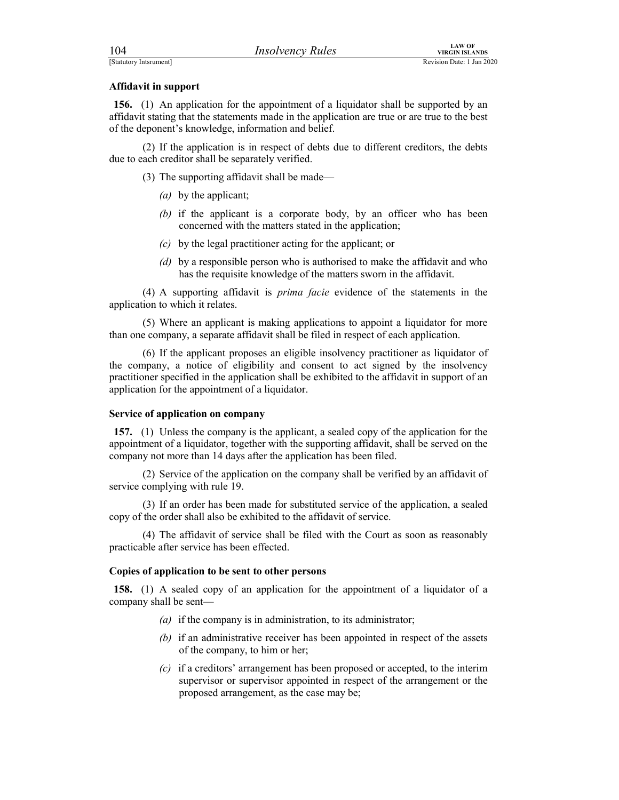FERENT EXAMPLERS TRANSFORT PROPERTY PROPERTY PROPERTY AND REVISION INCONSIDERATION ISLANDS<br>
Revision Date: 1 Jan 2020<br> **Affidavit in support**<br> **156.** (1) An application for the appointment of a liquidator shall be supporte 156. (1) An application for the appointment of a liquidator shall be supported by an affidavit stating that the statements made in the application are true or are true to the best of the deponent's knowledge, information and belief.

 (2) If the application is in respect of debts due to different creditors, the debts due to each creditor shall be separately verified.

(3) The supporting affidavit shall be made—

- (a) by the applicant;
- (b) if the applicant is a corporate body, by an officer who has been concerned with the matters stated in the application;
- (c) by the legal practitioner acting for the applicant; or
- (d) by a responsible person who is authorised to make the affidavit and who has the requisite knowledge of the matters sworn in the affidavit.

 (4) A supporting affidavit is prima facie evidence of the statements in the application to which it relates.

 (5) Where an applicant is making applications to appoint a liquidator for more than one company, a separate affidavit shall be filed in respect of each application.

 (6) If the applicant proposes an eligible insolvency practitioner as liquidator of the company, a notice of eligibility and consent to act signed by the insolvency practitioner specified in the application shall be exhibited to the affidavit in support of an application for the appointment of a liquidator. concerned with the matters stated in the application;<br>
(c) by the legal practitioner acting for the application;<br>
(d) by a responsible person who is authorised to make the affidavit and who<br>
has the requisite knowledge of has the requistic knowledge of the matters sworn in the affidavit.<br>
(4) A supporting affidavit is *prima facie* evidence of the statements in the<br>
(5) Where an applicant is making applications to appoint a liquidator for

### Service of application on company

157. (1) Unless the company is the applicant, a sealed copy of the application for the appointment of a liquidator, together with the supporting affidavit, shall be served on the company not more than 14 days after the application has been filed.

(2) Service of the application on the company shall be verified by an affidavit of

 (3) If an order has been made for substituted service of the application, a sealed copy of the order shall also be exhibited to the affidavit of service.

practicable after service has been effected.

### Copies of application to be sent to other persons

158. (1) A sealed copy of an application for the appointment of a liquidator of a company shall be sent—

- (a) if the company is in administration, to its administrator;
- (b) if an administrative receiver has been appointed in respect of the assets of the company, to him or her;
- (c) if a creditors' arrangement has been proposed or accepted, to the interim supervisor or supervisor appointed in respect of the arrangement or the proposed arrangement, as the case may be;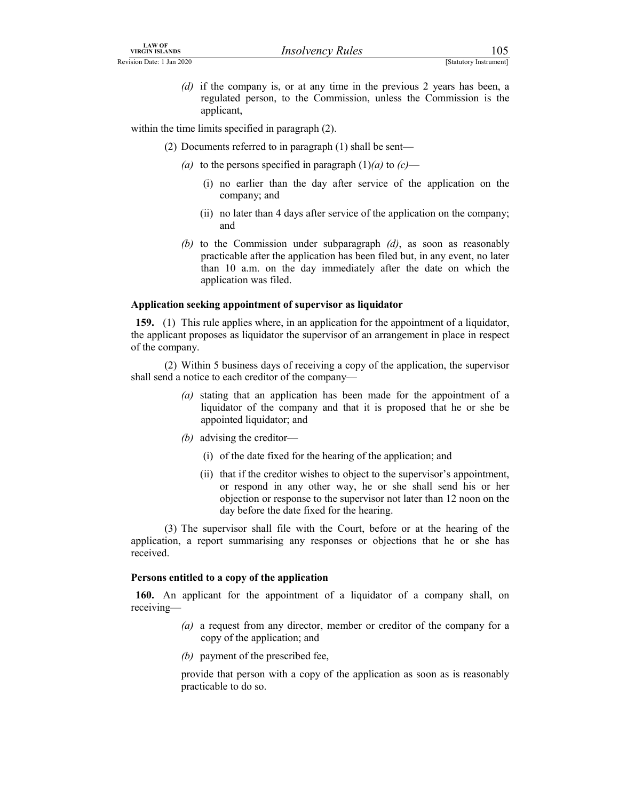LAW OF<br>
Revision Date: 1 Jan 2020<br>
(*d*) if the company is, or at any time in the previous 2 years has been, a<br>
regulated person, to the Commission, unless the Commission is the<br>
applicant,<br>
within the time limits expected (d) if the company is, or at any time in the previous 2 years has been, a regulated person, to the Commission, unless the Commission is the applicant,

within the time limits specified in paragraph  $(2)$ .

- (2) Documents referred to in paragraph (1) shall be sent—
	- (a) to the persons specified in paragraph  $(1)(a)$  to  $(c)$ 
		- (i) no earlier than the day after service of the application on the company; and
		- (ii) no later than 4 days after service of the application on the company; and
	- (b) to the Commission under subparagraph  $(d)$ , as soon as reasonably practicable after the application has been filed but, in any event, no later than 10 a.m. on the day immediately after the date on which the application was filed.

## Application seeking appointment of supervisor as liquidator

159. (1) This rule applies where, in an application for the appointment of a liquidator, the applicant proposes as liquidator the supervisor of an arrangement in place in respect of the company.

 (2) Within 5 business days of receiving a copy of the application, the supervisor shall send a notice to each creditor of the company—

- (a) stating that an application has been made for the appointment of a liquidator of the company and that it is proposed that he or she be appointed liquidator; and
- (b) advising the creditor—
	- (i) of the date fixed for the hearing of the application; and
	- (ii) that if the creditor wishes to object to the supervisor's appointment, or respond in any other way, he or she shall send his or her objection or response to the supervisor not later than 12 noon on the day before the date fixed for the hearing.

 (3) The supervisor shall file with the Court, before or at the hearing of the application, a report summarising any responses or objections that he or she has received.

#### Persons entitled to a copy of the application

160. An applicant for the appointment of a liquidator of a company shall, on receiving—

- (a) a request from any director, member or creditor of the company for a copy of the application; and
- (b) payment of the prescribed fee,

provide that person with a copy of the application as soon as is reasonably practicable to do so.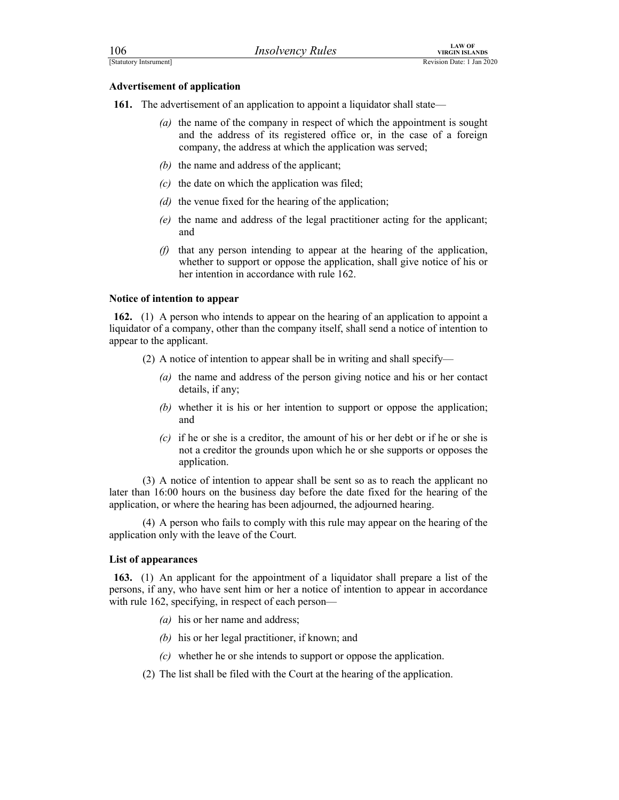| 106                                 | <b>Insolvency Rules</b>                                                       | <b>LAW OF</b><br><b>VIRGIN ISLANDS</b> |  |
|-------------------------------------|-------------------------------------------------------------------------------|----------------------------------------|--|
| [Statutory Intsrument]              |                                                                               | Revision Date: 1 Jan 2020              |  |
| <b>Advertisement of application</b> |                                                                               |                                        |  |
|                                     | 161. The advertisement of an application to appoint a liquidator shall state- |                                        |  |
|                                     | $(a)$ the name of the company in respect of which the appointment is sought   |                                        |  |

- (a) the name of the company in respect of which the appointment is sought and the address of its registered office or, in the case of a foreign company, the address at which the application was served;
- (b) the name and address of the applicant;
- $(c)$  the date on which the application was filed;
- (d) the venue fixed for the hearing of the application;
- (e) the name and address of the legal practitioner acting for the applicant; and
- $(f)$  that any person intending to appear at the hearing of the application, whether to support or oppose the application, shall give notice of his or her intention in accordance with rule 162.

## Notice of intention to appear

162. (1) A person who intends to appear on the hearing of an application to appoint a liquidator of a company, other than the company itself, shall send a notice of intention to appear to the applicant.

- (2) A notice of intention to appear shall be in writing and shall specify—
	- (a) the name and address of the person giving notice and his or her contact details, if any;
	- (b) whether it is his or her intention to support or oppose the application; and
	- (c) if he or she is a creditor, the amount of his or her debt or if he or she is not a creditor the grounds upon which he or she supports or opposes the application.

 (3) A notice of intention to appear shall be sent so as to reach the applicant no later than 16:00 hours on the business day before the date fixed for the hearing of the application, or where the hearing has been adjourned, the adjourned hearing.

 (4) A person who fails to comply with this rule may appear on the hearing of the application only with the leave of the Court.

#### List of appearances

163. (1) An applicant for the appointment of a liquidator shall prepare a list of the persons, if any, who have sent him or her a notice of intention to appear in accordance with rule 162, specifying, in respect of each person—

- $(a)$  his or her name and address;
- (b) his or her legal practitioner, if known; and
- (c) whether he or she intends to support or oppose the application.
- (2) The list shall be filed with the Court at the hearing of the application.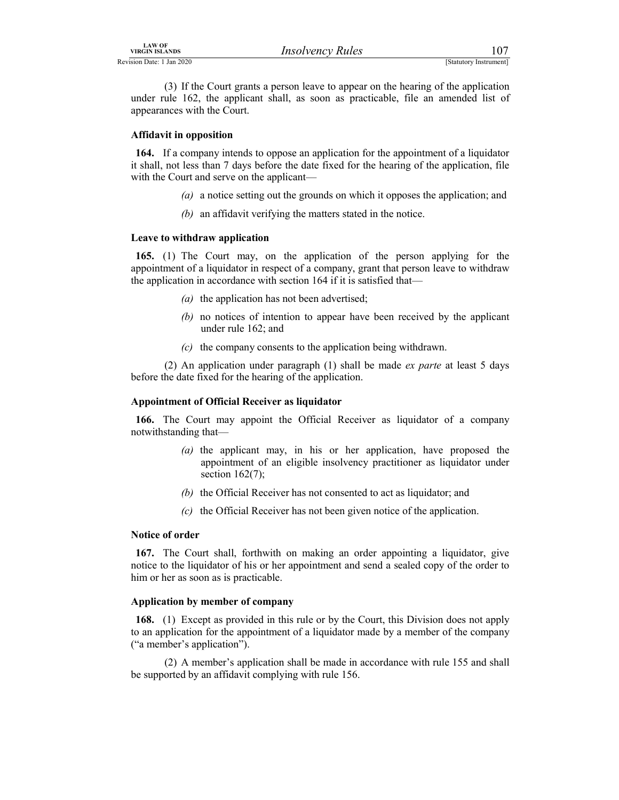LAW OF<br>
Revision Date: 1 Jan 2020<br>
(3) If the Court grants a person leave to appear on the hearing of the application<br>
under rule 162, the applicant shall, as soon as practicable, file an amended list of<br>
appearances with (3) If the Court grants a person leave to appear on the hearing of the application under rule 162, the applicant shall, as soon as practicable, file an amended list of appearances with the Court.

# Affidavit in opposition

164. If a company intends to oppose an application for the appointment of a liquidator it shall, not less than 7 days before the date fixed for the hearing of the application, file with the Court and serve on the applicant—

- (a) a notice setting out the grounds on which it opposes the application; and
- (b) an affidavit verifying the matters stated in the notice.

## Leave to withdraw application

165. (1) The Court may, on the application of the person applying for the appointment of a liquidator in respect of a company, grant that person leave to withdraw the application in accordance with section 164 if it is satisfied that—

- (a) the application has not been advertised;
- (b) no notices of intention to appear have been received by the applicant under rule 162; and
- (c) the company consents to the application being withdrawn.

(2) An application under paragraph  $(1)$  shall be made ex parte at least 5 days before the date fixed for the hearing of the application.

# Appointment of Official Receiver as liquidator

166. The Court may appoint the Official Receiver as liquidator of a company notwithstanding that—

- (a) the applicant may, in his or her application, have proposed the appointment of an eligible insolvency practitioner as liquidator under section  $162(7)$ ;
- (b) the Official Receiver has not consented to act as liquidator; and
- (c) the Official Receiver has not been given notice of the application.

#### Notice of order

167. The Court shall, forthwith on making an order appointing a liquidator, give notice to the liquidator of his or her appointment and send a sealed copy of the order to him or her as soon as is practicable.

# Application by member of company

168. (1) Except as provided in this rule or by the Court, this Division does not apply to an application for the appointment of a liquidator made by a member of the company ("a member's application").

 (2) A member's application shall be made in accordance with rule 155 and shall be supported by an affidavit complying with rule 156.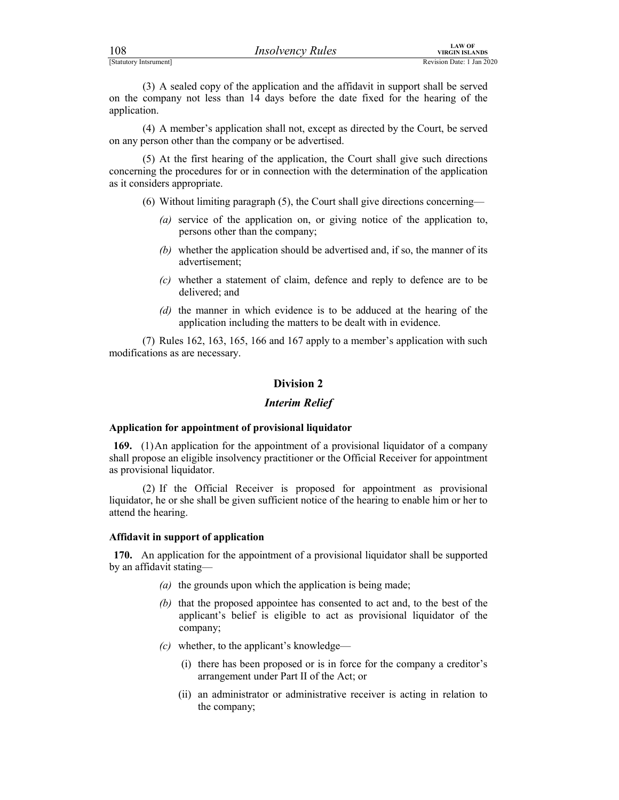| 108                    | <i><b>Insolvency Rules</b></i> | <b>LAW OF</b><br><b>VIRGIN ISLAND</b> |
|------------------------|--------------------------------|---------------------------------------|
| [Statutory Intsrument] |                                | Revision Date: 1 Jan:                 |

For the company of the application and the affidavit in support shall be served<br>
(3) A sealed copy of the application and the affidavit in support shall be served<br>
on the company not less than 14 days before the date fixed (3) A sealed copy of the application and the affidavit in support shall be served on the company not less than 14 days before the date fixed for the hearing of the application.

 (4) A member's application shall not, except as directed by the Court, be served on any person other than the company or be advertised.

 (5) At the first hearing of the application, the Court shall give such directions concerning the procedures for or in connection with the determination of the application as it considers appropriate.

- (6) Without limiting paragraph (5), the Court shall give directions concerning—
	- (a) service of the application on, or giving notice of the application to, persons other than the company;
	- (b) whether the application should be advertised and, if so, the manner of its advertisement;
	- (c) whether a statement of claim, defence and reply to defence are to be delivered; and
	- (d) the manner in which evidence is to be adduced at the hearing of the application including the matters to be dealt with in evidence.

 (7) Rules 162, 163, 165, 166 and 167 apply to a member's application with such modifications as are necessary.

# Division 2

#### Interim Relief

# Application for appointment of provisional liquidator

169. (1) An application for the appointment of a provisional liquidator of a company shall propose an eligible insolvency practitioner or the Official Receiver for appointment as provisional liquidator.

 (2) If the Official Receiver is proposed for appointment as provisional liquidator, he or she shall be given sufficient notice of the hearing to enable him or her to attend the hearing.

#### Affidavit in support of application

170. An application for the appointment of a provisional liquidator shall be supported by an affidavit stating—

- (a) the grounds upon which the application is being made;
- (b) that the proposed appointee has consented to act and, to the best of the applicant's belief is eligible to act as provisional liquidator of the company;
- $(c)$  whether, to the applicant's knowledge—
	- (i) there has been proposed or is in force for the company a creditor's arrangement under Part II of the Act; or
	- (ii) an administrator or administrative receiver is acting in relation to the company;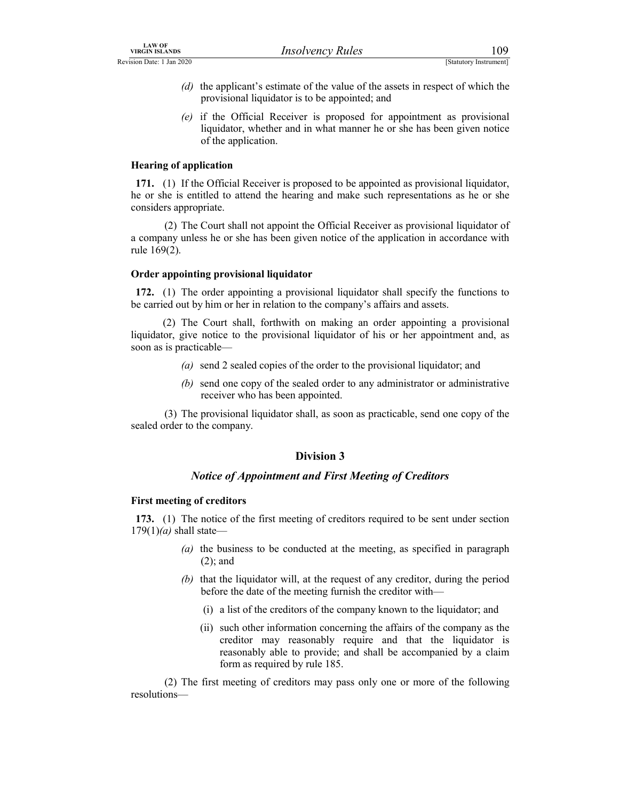- LAW OF<br>
Revision Date: 1 Jan 2020<br>
(d) the applicant's estimate of the value of the assets in respect of which the<br>
provisional liquidator is to be appointed; and<br>
(e) if the Official Receiver is proposed for appointment a (d) the applicant's estimate of the value of the assets in respect of which the provisional liquidator is to be appointed; and
	- (e) if the Official Receiver is proposed for appointment as provisional liquidator, whether and in what manner he or she has been given notice of the application.

# Hearing of application

171. (1) If the Official Receiver is proposed to be appointed as provisional liquidator, he or she is entitled to attend the hearing and make such representations as he or she considers appropriate.

 (2) The Court shall not appoint the Official Receiver as provisional liquidator of a company unless he or she has been given notice of the application in accordance with rule 169(2).

## Order appointing provisional liquidator

172. (1) The order appointing a provisional liquidator shall specify the functions to be carried out by him or her in relation to the company's affairs and assets.

 (2) The Court shall, forthwith on making an order appointing a provisional liquidator, give notice to the provisional liquidator of his or her appointment and, as soon as is practicable—

- (a) send 2 sealed copies of the order to the provisional liquidator; and
- (b) send one copy of the sealed order to any administrator or administrative receiver who has been appointed.

 (3) The provisional liquidator shall, as soon as practicable, send one copy of the sealed order to the company.

# Division 3

# Notice of Appointment and First Meeting of Creditors

# First meeting of creditors

173. (1) The notice of the first meeting of creditors required to be sent under section  $179(1)(a)$  shall state—

- (a) the business to be conducted at the meeting, as specified in paragraph (2); and
- (b) that the liquidator will, at the request of any creditor, during the period before the date of the meeting furnish the creditor with—
	- (i) a list of the creditors of the company known to the liquidator; and
	- (ii) such other information concerning the affairs of the company as the creditor may reasonably require and that the liquidator is reasonably able to provide; and shall be accompanied by a claim form as required by rule 185.

 (2) The first meeting of creditors may pass only one or more of the following resolutions—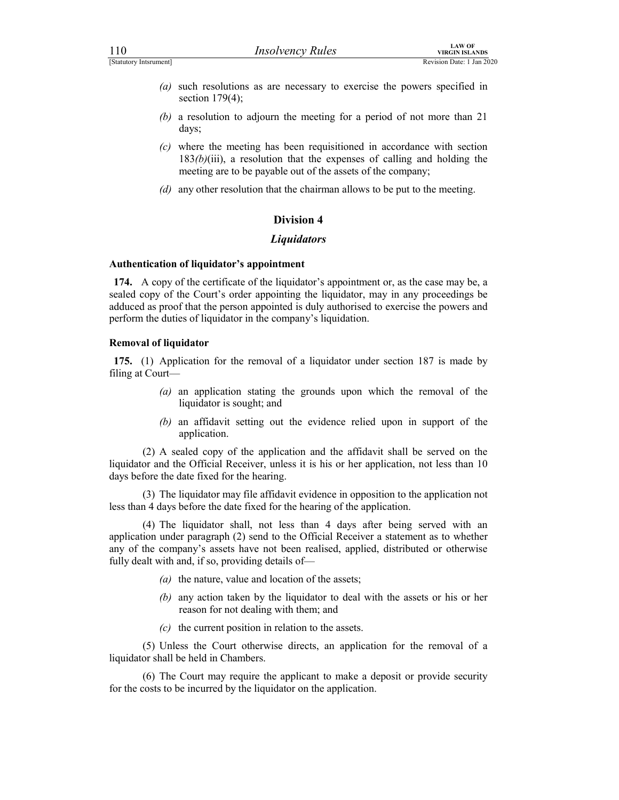- (a) such resolutions as are necessary to exercise the powers specified in section 179(4);
- (b) a resolution to adjourn the meeting for a period of not more than 21 days;
- $(c)$  where the meeting has been requisitioned in accordance with section  $183(b)(iii)$ , a resolution that the expenses of calling and holding the meeting are to be payable out of the assets of the company;
- (d) any other resolution that the chairman allows to be put to the meeting.

# Division 4

# **Liquidators**

## Authentication of liquidator's appointment

174. A copy of the certificate of the liquidator's appointment or, as the case may be, a sealed copy of the Court's order appointing the liquidator, may in any proceedings be adduced as proof that the person appointed is duly authorised to exercise the powers and perform the duties of liquidator in the company's liquidation.

## Removal of liquidator

175. (1) Application for the removal of a liquidator under section 187 is made by filing at Court—

- (a) an application stating the grounds upon which the removal of the liquidator is sought; and
- (b) an affidavit setting out the evidence relied upon in support of the application.

 (2) A sealed copy of the application and the affidavit shall be served on the liquidator and the Official Receiver, unless it is his or her application, not less than 10 days before the date fixed for the hearing.

 (3) The liquidator may file affidavit evidence in opposition to the application not less than 4 days before the date fixed for the hearing of the application.

 (4) The liquidator shall, not less than 4 days after being served with an application under paragraph (2) send to the Official Receiver a statement as to whether any of the company's assets have not been realised, applied, distributed or otherwise fully dealt with and, if so, providing details of—

- (a) the nature, value and location of the assets;
- (b) any action taken by the liquidator to deal with the assets or his or her reason for not dealing with them; and
- $(c)$  the current position in relation to the assets.

 (5) Unless the Court otherwise directs, an application for the removal of a liquidator shall be held in Chambers.

 (6) The Court may require the applicant to make a deposit or provide security for the costs to be incurred by the liquidator on the application.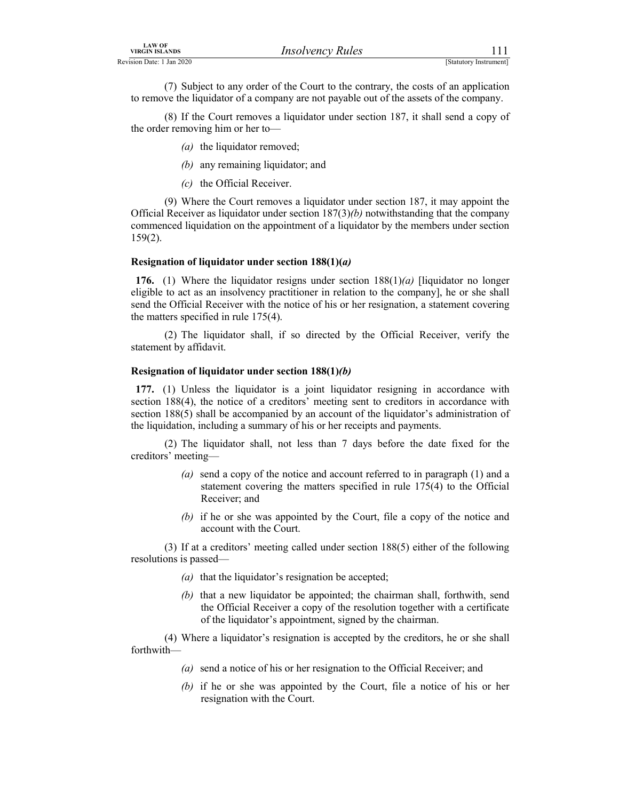| <b>LAW OF</b><br><b>VIRGIN ISLANDS</b> | <b>Insolvency Rules</b>                                                                                                                                                       | 111                    |  |
|----------------------------------------|-------------------------------------------------------------------------------------------------------------------------------------------------------------------------------|------------------------|--|
| Revision Date: 1 Jan 2020              |                                                                                                                                                                               | [Statutory Instrument] |  |
|                                        | (7) Subject to any order of the Court to the contrary, the costs of an application<br>to remove the liquidator of a company are not payable out of the assets of the company. |                        |  |
| the order removing him or her to       | (8) If the Court removes a liquidator under section 187, it shall send a copy of                                                                                              |                        |  |

 (8) If the Court removes a liquidator under section 187, it shall send a copy of the order removing him or her to—

- (a) the liquidator removed;
- (b) any remaining liquidator; and
- (c) the Official Receiver.

 (9) Where the Court removes a liquidator under section 187, it may appoint the Official Receiver as liquidator under section  $187(3)$ (b) notwithstanding that the company commenced liquidation on the appointment of a liquidator by the members under section 159(2).

## Resignation of liquidator under section  $188(1)(a)$

176. (1) Where the liquidator resigns under section  $188(1)(a)$  [liquidator no longer eligible to act as an insolvency practitioner in relation to the company], he or she shall send the Official Receiver with the notice of his or her resignation, a statement covering the matters specified in rule 175(4).

 (2) The liquidator shall, if so directed by the Official Receiver, verify the statement by affidavit.

# Resignation of liquidator under section 188(1)(b)

177. (1) Unless the liquidator is a joint liquidator resigning in accordance with section 188(4), the notice of a creditors' meeting sent to creditors in accordance with section 188(5) shall be accompanied by an account of the liquidator's administration of the liquidation, including a summary of his or her receipts and payments.

 (2) The liquidator shall, not less than 7 days before the date fixed for the creditors' meeting—

- (a) send a copy of the notice and account referred to in paragraph  $(1)$  and a statement covering the matters specified in rule 175(4) to the Official Receiver; and
- (b) if he or she was appointed by the Court, file a copy of the notice and account with the Court.

 (3) If at a creditors' meeting called under section 188(5) either of the following resolutions is passed—

- ( $a$ ) that the liquidator's resignation be accepted;
- (b) that a new liquidator be appointed; the chairman shall, forthwith, send the Official Receiver a copy of the resolution together with a certificate of the liquidator's appointment, signed by the chairman.

 (4) Where a liquidator's resignation is accepted by the creditors, he or she shall forthwith—

- (a) send a notice of his or her resignation to the Official Receiver; and
- (b) if he or she was appointed by the Court, file a notice of his or her resignation with the Court.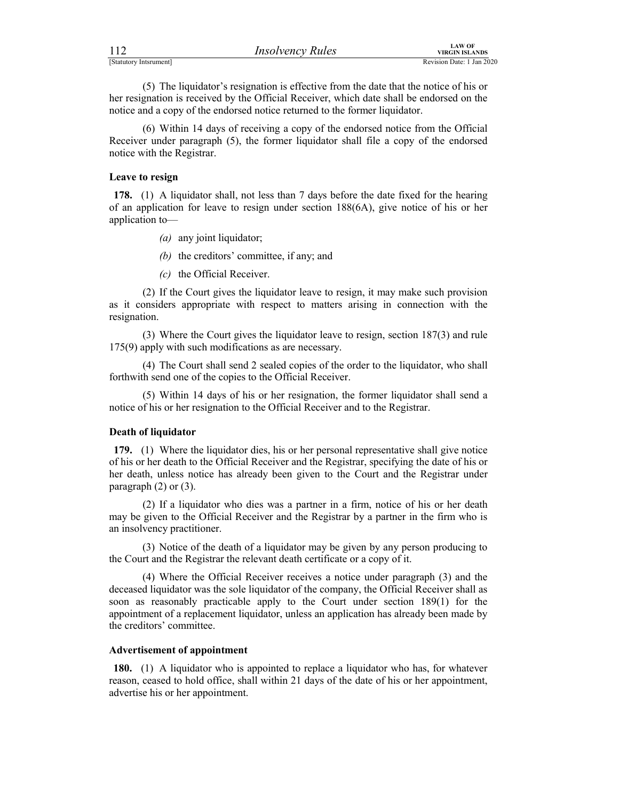| 112                    | <b>Insolvency Rules</b> | LAW OF<br>VIRGIN ISLANDS  |
|------------------------|-------------------------|---------------------------|
| [Statutory Intsrument] |                         | Revision Date: 1 Jan 2020 |

FERENTIAL MUNITED MANAGEMENT (STATUTED MANAGEMENT PREVISION DATA PREVISION DATA PREVISION DATE: 1 Jan 2020<br>
(5) The liquidator's resignation is effective from the date that the notice of his or<br>
her resignation is received (5) The liquidator's resignation is effective from the date that the notice of his or her resignation is received by the Official Receiver, which date shall be endorsed on the notice and a copy of the endorsed notice returned to the former liquidator.

 (6) Within 14 days of receiving a copy of the endorsed notice from the Official Receiver under paragraph (5), the former liquidator shall file a copy of the endorsed notice with the Registrar.

#### Leave to resign

178. (1) A liquidator shall, not less than 7 days before the date fixed for the hearing of an application for leave to resign under section 188(6A), give notice of his or her application to—

- (a) any joint liquidator;
- (b) the creditors' committee, if any; and
- (c) the Official Receiver.

 (2) If the Court gives the liquidator leave to resign, it may make such provision as it considers appropriate with respect to matters arising in connection with the resignation.

 (3) Where the Court gives the liquidator leave to resign, section 187(3) and rule 175(9) apply with such modifications as are necessary.

 (4) The Court shall send 2 sealed copies of the order to the liquidator, who shall forthwith send one of the copies to the Official Receiver.

 (5) Within 14 days of his or her resignation, the former liquidator shall send a notice of his or her resignation to the Official Receiver and to the Registrar.

# Death of liquidator

179. (1) Where the liquidator dies, his or her personal representative shall give notice of his or her death to the Official Receiver and the Registrar, specifying the date of his or her death, unless notice has already been given to the Court and the Registrar under paragraph  $(2)$  or  $(3)$ .

 (2) If a liquidator who dies was a partner in a firm, notice of his or her death may be given to the Official Receiver and the Registrar by a partner in the firm who is an insolvency practitioner.

 (3) Notice of the death of a liquidator may be given by any person producing to the Court and the Registrar the relevant death certificate or a copy of it.

 (4) Where the Official Receiver receives a notice under paragraph (3) and the deceased liquidator was the sole liquidator of the company, the Official Receiver shall as soon as reasonably practicable apply to the Court under section 189(1) for the appointment of a replacement liquidator, unless an application has already been made by the creditors' committee.

#### Advertisement of appointment

180. (1) A liquidator who is appointed to replace a liquidator who has, for whatever reason, ceased to hold office, shall within 21 days of the date of his or her appointment, advertise his or her appointment.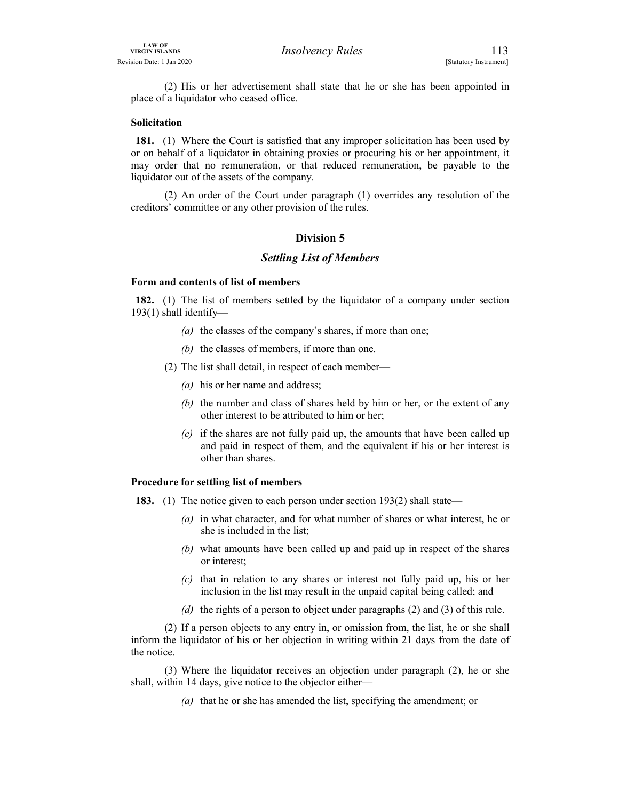LAW OF<br>
VIRGIN ISLANDS<br>
Revision Date: 1 Jan 2020<br>
(2) His or her advertisement shall state that he or she has been appointed in<br>
place of a liquidator who ceased office.<br>
Solicitation (2) His or her advertisement shall state that he or she has been appointed in place of a liquidator who ceased office.

#### Solicitation

181. (1) Where the Court is satisfied that any improper solicitation has been used by or on behalf of a liquidator in obtaining proxies or procuring his or her appointment, it may order that no remuneration, or that reduced remuneration, be payable to the liquidator out of the assets of the company.

 (2) An order of the Court under paragraph (1) overrides any resolution of the creditors' committee or any other provision of the rules.

## Division 5

#### Settling List of Members

#### Form and contents of list of members

182. (1) The list of members settled by the liquidator of a company under section 193(1) shall identify—

- (a) the classes of the company's shares, if more than one;
- (b) the classes of members, if more than one.
- (2) The list shall detail, in respect of each member—
	- $(a)$  his or her name and address;
	- $(b)$  the number and class of shares held by him or her, or the extent of any other interest to be attributed to him or her;
	- $(c)$  if the shares are not fully paid up, the amounts that have been called up and paid in respect of them, and the equivalent if his or her interest is other than shares.

#### Procedure for settling list of members

- 183. (1) The notice given to each person under section 193(2) shall state—
	- (a) in what character, and for what number of shares or what interest, he or she is included in the list;
	- (b) what amounts have been called up and paid up in respect of the shares or interest;
	- $(c)$  that in relation to any shares or interest not fully paid up, his or her inclusion in the list may result in the unpaid capital being called; and
	- (d) the rights of a person to object under paragraphs  $(2)$  and  $(3)$  of this rule.

 (2) If a person objects to any entry in, or omission from, the list, he or she shall inform the liquidator of his or her objection in writing within 21 days from the date of the notice.

 (3) Where the liquidator receives an objection under paragraph (2), he or she shall, within 14 days, give notice to the objector either—

(a) that he or she has amended the list, specifying the amendment; or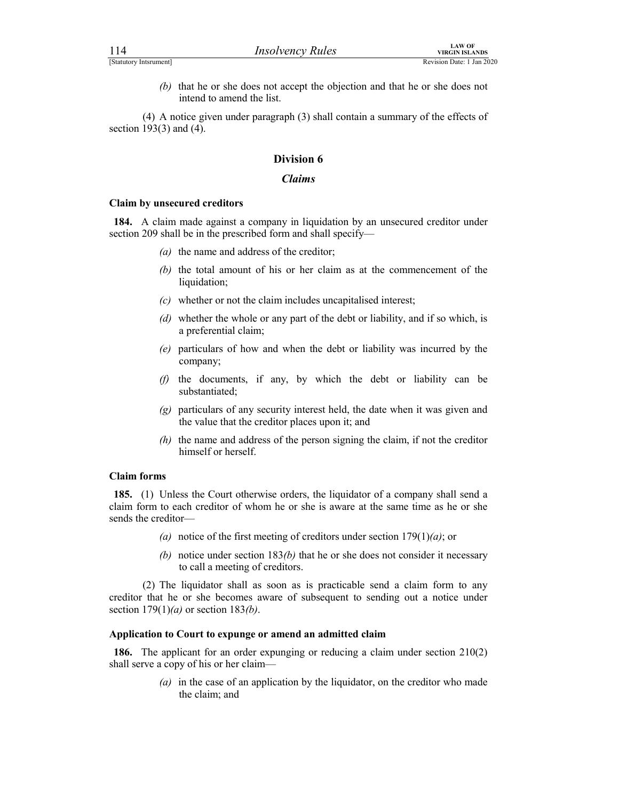| 114                        | <b>Insolvency Rules</b>                                                                               | <b>LAW OF</b><br><b>VIRGIN ISLANDS</b> |  |
|----------------------------|-------------------------------------------------------------------------------------------------------|----------------------------------------|--|
| [Statutory Intsrument]     |                                                                                                       | Revision Date: 1 Jan 2020              |  |
| (b)                        | that he or she does not accept the objection and that he or she does not<br>intend to amend the list. |                                        |  |
| soction $102(2)$ and $(4)$ | (4) A notice given under paragraph (3) shall contain a summary of the effects of                      |                                        |  |

 (4) A notice given under paragraph (3) shall contain a summary of the effects of section 193(3) and (4).

# Division 6

#### Claims

#### Claim by unsecured creditors

184. A claim made against a company in liquidation by an unsecured creditor under section 209 shall be in the prescribed form and shall specify—

- (a) the name and address of the creditor;
- (b) the total amount of his or her claim as at the commencement of the liquidation;
- $(c)$  whether or not the claim includes uncapitalised interest;
- (d) whether the whole or any part of the debt or liability, and if so which, is a preferential claim;
- (e) particulars of how and when the debt or liability was incurred by the company;
- (f) the documents, if any, by which the debt or liability can be substantiated;
- (g) particulars of any security interest held, the date when it was given and the value that the creditor places upon it; and
- (h) the name and address of the person signing the claim, if not the creditor himself or herself.

# Claim forms

185. (1) Unless the Court otherwise orders, the liquidator of a company shall send a claim form to each creditor of whom he or she is aware at the same time as he or she sends the creditor—

- (a) notice of the first meeting of creditors under section  $179(1)(a)$ ; or
- (b) notice under section  $183(b)$  that he or she does not consider it necessary to call a meeting of creditors.

 (2) The liquidator shall as soon as is practicable send a claim form to any creditor that he or she becomes aware of subsequent to sending out a notice under section  $179(1)(a)$  or section  $183(b)$ .

#### Application to Court to expunge or amend an admitted claim

186. The applicant for an order expunging or reducing a claim under section 210(2) shall serve a copy of his or her claim—

> (a) in the case of an application by the liquidator, on the creditor who made the claim; and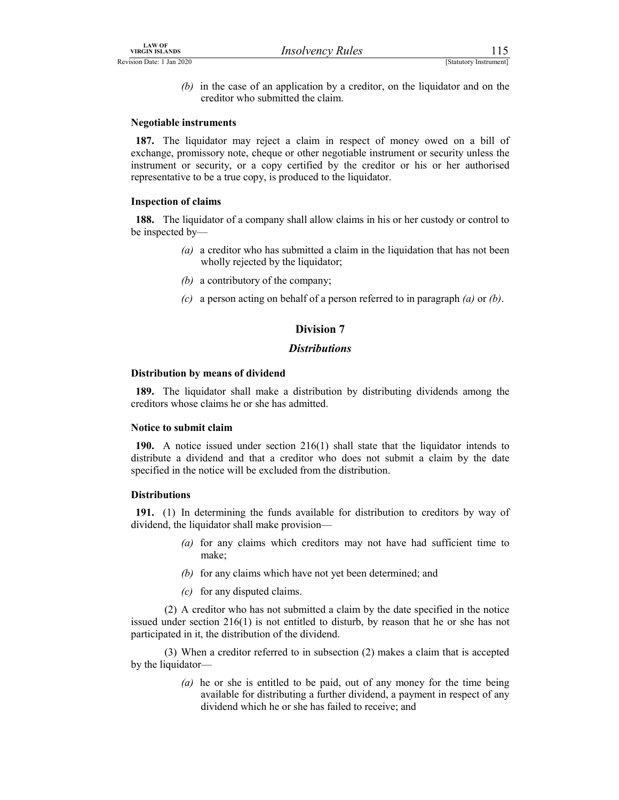- 
- LAW OF<br>
VIRGIN ISLANDS<br>
Revision Date: 1 Jan 2020<br>
(b) in the case of an application by a creditor, on the liquidator and on the<br>
creditor who submitted the claim.<br>
Negotiable instruments (b) in the case of an application by a creditor, on the liquidator and on the creditor who submitted the claim.

# Negotiable instruments

187. The liquidator may reject a claim in respect of money owed on a bill of exchange, promissory note, cheque or other negotiable instrument or security unless the instrument or security, or a copy certified by the creditor or his or her authorised representative to be a true copy, is produced to the liquidator.

#### Inspection of claims

188. The liquidator of a company shall allow claims in his or her custody or control to be inspected by—

- (a) a creditor who has submitted a claim in the liquidation that has not been wholly rejected by the liquidator;
- (b) a contributory of the company;
- (c) a person acting on behalf of a person referred to in paragraph  $(a)$  or  $(b)$ .

# Division 7

## **Distributions**

#### Distribution by means of dividend

189. The liquidator shall make a distribution by distributing dividends among the creditors whose claims he or she has admitted.

#### Notice to submit claim

190. A notice issued under section 216(1) shall state that the liquidator intends to distribute a dividend and that a creditor who does not submit a claim by the date specified in the notice will be excluded from the distribution.

# **Distributions**

191. (1) In determining the funds available for distribution to creditors by way of dividend, the liquidator shall make provision—

- (a) for any claims which creditors may not have had sufficient time to make;
- (b) for any claims which have not yet been determined; and
- (c) for any disputed claims.

 (2) A creditor who has not submitted a claim by the date specified in the notice issued under section 216(1) is not entitled to disturb, by reason that he or she has not participated in it, the distribution of the dividend.

 (3) When a creditor referred to in subsection (2) makes a claim that is accepted by the liquidator—

> (a) he or she is entitled to be paid, out of any money for the time being available for distributing a further dividend, a payment in respect of any dividend which he or she has failed to receive; and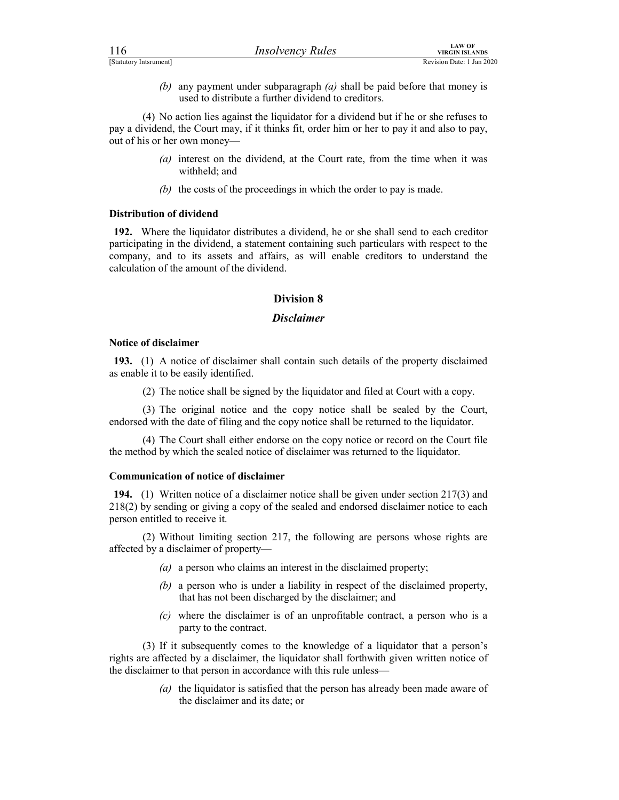|                               |                                                                                                                                                                                   | <b>LAW OF</b>                                      |  |
|-------------------------------|-----------------------------------------------------------------------------------------------------------------------------------------------------------------------------------|----------------------------------------------------|--|
| 116<br>[Statutory Intsrument] | <b>Insolvency Rules</b>                                                                                                                                                           | <b>VIRGIN ISLANDS</b><br>Revision Date: 1 Jan 2020 |  |
| (b)                           | any payment under subparagraph $(a)$ shall be paid before that money is<br>used to distribute a further dividend to creditors.                                                    |                                                    |  |
|                               | (4) No action lies against the liquidator for a dividend but if he or she refuses to<br>nove dividend the Court may if it thinks fit ender him or her to nove it and also to nove |                                                    |  |

 (4) No action lies against the liquidator for a dividend but if he or she refuses to pay a dividend, the Court may, if it thinks fit, order him or her to pay it and also to pay, out of his or her own money—

- (a) interest on the dividend, at the Court rate, from the time when it was withheld; and
- (b) the costs of the proceedings in which the order to pay is made.

# Distribution of dividend

192. Where the liquidator distributes a dividend, he or she shall send to each creditor participating in the dividend, a statement containing such particulars with respect to the company, and to its assets and affairs, as will enable creditors to understand the calculation of the amount of the dividend.

# Division 8

# Disclaimer

## Notice of disclaimer

193. (1) A notice of disclaimer shall contain such details of the property disclaimed as enable it to be easily identified.

(2) The notice shall be signed by the liquidator and filed at Court with a copy.

 (3) The original notice and the copy notice shall be sealed by the Court, endorsed with the date of filing and the copy notice shall be returned to the liquidator.

 (4) The Court shall either endorse on the copy notice or record on the Court file the method by which the sealed notice of disclaimer was returned to the liquidator.

#### Communication of notice of disclaimer

194. (1) Written notice of a disclaimer notice shall be given under section 217(3) and 218(2) by sending or giving a copy of the sealed and endorsed disclaimer notice to each person entitled to receive it.

 (2) Without limiting section 217, the following are persons whose rights are affected by a disclaimer of property—

- (a) a person who claims an interest in the disclaimed property;
- (b) a person who is under a liability in respect of the disclaimed property, that has not been discharged by the disclaimer; and
- $(c)$  where the disclaimer is of an unprofitable contract, a person who is a party to the contract.

 (3) If it subsequently comes to the knowledge of a liquidator that a person's rights are affected by a disclaimer, the liquidator shall forthwith given written notice of the disclaimer to that person in accordance with this rule unless—

> (a) the liquidator is satisfied that the person has already been made aware of the disclaimer and its date; or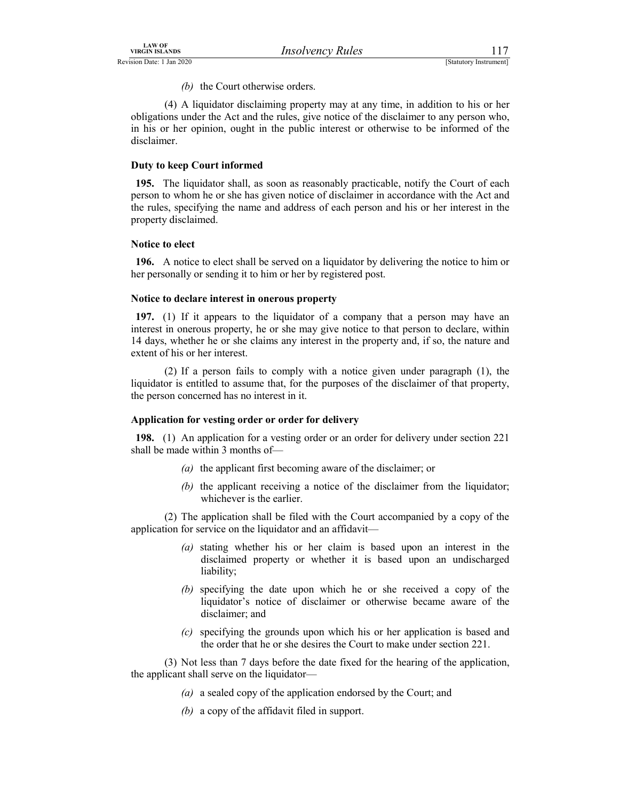(b) the Court otherwise orders.

LAW OF<br>
VIRGIN ISLANDS<br>
Revision Date: 1 Jan 2020<br>
(b) the Court otherwise orders.<br>
(d) A liquidator disclaiming property may at any time, in addition to his or her<br>
obligations under the Act and the rules, give notice of (4) A liquidator disclaiming property may at any time, in addition to his or her obligations under the Act and the rules, give notice of the disclaimer to any person who, in his or her opinion, ought in the public interest or otherwise to be informed of the disclaimer.

# Duty to keep Court informed

195. The liquidator shall, as soon as reasonably practicable, notify the Court of each person to whom he or she has given notice of disclaimer in accordance with the Act and the rules, specifying the name and address of each person and his or her interest in the property disclaimed.

## Notice to elect

196. A notice to elect shall be served on a liquidator by delivering the notice to him or her personally or sending it to him or her by registered post.

#### Notice to declare interest in onerous property

197. (1) If it appears to the liquidator of a company that a person may have an interest in onerous property, he or she may give notice to that person to declare, within 14 days, whether he or she claims any interest in the property and, if so, the nature and extent of his or her interest.

 (2) If a person fails to comply with a notice given under paragraph (1), the liquidator is entitled to assume that, for the purposes of the disclaimer of that property, the person concerned has no interest in it.

# Application for vesting order or order for delivery

198. (1) An application for a vesting order or an order for delivery under section 221 shall be made within 3 months of—

- (a) the applicant first becoming aware of the disclaimer; or
- (b) the applicant receiving a notice of the disclaimer from the liquidator; whichever is the earlier.

 (2) The application shall be filed with the Court accompanied by a copy of the application for service on the liquidator and an affidavit—

- (a) stating whether his or her claim is based upon an interest in the disclaimed property or whether it is based upon an undischarged liability;
- (b) specifying the date upon which he or she received a copy of the liquidator's notice of disclaimer or otherwise became aware of the disclaimer; and
- (c) specifying the grounds upon which his or her application is based and the order that he or she desires the Court to make under section 221.

 (3) Not less than 7 days before the date fixed for the hearing of the application, the applicant shall serve on the liquidator—

- (a) a sealed copy of the application endorsed by the Court; and
- (b) a copy of the affidavit filed in support.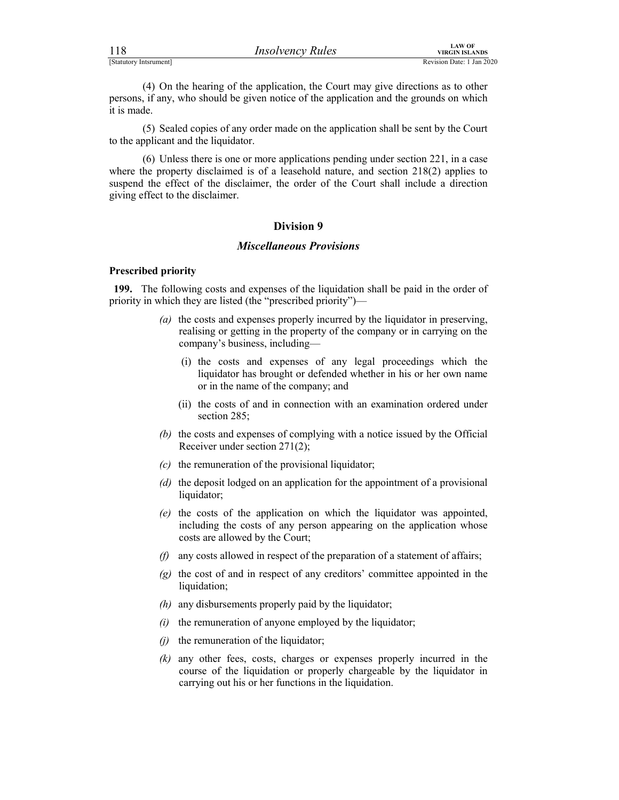| 118                    | <i>Insolvency Rules</i> | <b>LAW OF</b><br>VIRGIN ISLANDS |
|------------------------|-------------------------|---------------------------------|
| [Statutory Intsrument] |                         | Revision Date: 1 Jan 2020       |

For the control of the application, the Court may give directions as to other<br>
ESTANDIST PREVISION DATA (4) On the hearing of the application, the Court may give directions as to other<br>
persons, if any, who should be given (4) On the hearing of the application, the Court may give directions as to other persons, if any, who should be given notice of the application and the grounds on which it is made.

 (5) Sealed copies of any order made on the application shall be sent by the Court to the applicant and the liquidator.

 (6) Unless there is one or more applications pending under section 221, in a case where the property disclaimed is of a leasehold nature, and section 218(2) applies to suspend the effect of the disclaimer, the order of the Court shall include a direction giving effect to the disclaimer.

# Division 9

# Miscellaneous Provisions

#### Prescribed priority

199. The following costs and expenses of the liquidation shall be paid in the order of priority in which they are listed (the "prescribed priority")—

- (a) the costs and expenses properly incurred by the liquidator in preserving, realising or getting in the property of the company or in carrying on the company's business, including—
	- (i) the costs and expenses of any legal proceedings which the liquidator has brought or defended whether in his or her own name or in the name of the company; and
	- (ii) the costs of and in connection with an examination ordered under section 285;
- (b) the costs and expenses of complying with a notice issued by the Official Receiver under section 271(2);
- $(c)$  the remuneration of the provisional liquidator;
- (d) the deposit lodged on an application for the appointment of a provisional liquidator;
- (e) the costs of the application on which the liquidator was appointed, including the costs of any person appearing on the application whose costs are allowed by the Court;
- $(f)$  any costs allowed in respect of the preparation of a statement of affairs;
- $(g)$  the cost of and in respect of any creditors' committee appointed in the liquidation;
- $(h)$  any disbursements properly paid by the liquidator;
- $(i)$  the remuneration of anyone employed by the liquidator;
- $(i)$  the remuneration of the liquidator;
- (k) any other fees, costs, charges or expenses properly incurred in the course of the liquidation or properly chargeable by the liquidator in carrying out his or her functions in the liquidation.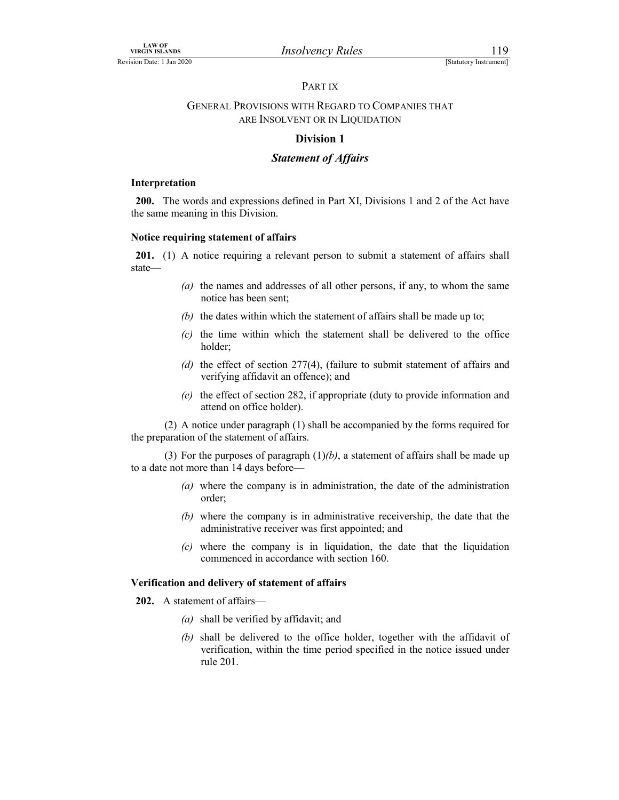# PART IX

# VIRGIN ISLANDS<br>
VIRGIN ISLANDS *Insolvency Rules* [Statutory Instrument]<br>
PART IX<br> **GENERAL PROVISIONS WITH REGARD TO COMPANIES THAT**<br>
ARE INSOLVENT OR IN LIQUIDATION GENERAL PROVISIONS WITH REGARD TO COMPANIES THAT ARE INSOLVENT OR IN LIQUIDATION

# Division 1

# Statement of Affairs

## Interpretation

200. The words and expressions defined in Part XI, Divisions 1 and 2 of the Act have the same meaning in this Division.

# Notice requiring statement of affairs

201. (1) A notice requiring a relevant person to submit a statement of affairs shall state—

- (a) the names and addresses of all other persons, if any, to whom the same notice has been sent;
- (b) the dates within which the statement of affairs shall be made up to;
- (c) the time within which the statement shall be delivered to the office holder;
- (d) the effect of section 277(4), (failure to submit statement of affairs and verifying affidavit an offence); and
- (e) the effect of section 282, if appropriate (duty to provide information and attend on office holder).

 (2) A notice under paragraph (1) shall be accompanied by the forms required for the preparation of the statement of affairs.

(3) For the purposes of paragraph  $(1)(b)$ , a statement of affairs shall be made up to a date not more than 14 days before—

- (a) where the company is in administration, the date of the administration order;
- (b) where the company is in administrative receivership, the date that the administrative receiver was first appointed; and
- (c) where the company is in liquidation, the date that the liquidation commenced in accordance with section 160.

# Verification and delivery of statement of affairs

202. A statement of affairs—

- (a) shall be verified by affidavit; and
- (b) shall be delivered to the office holder, together with the affidavit of verification, within the time period specified in the notice issued under rule 201.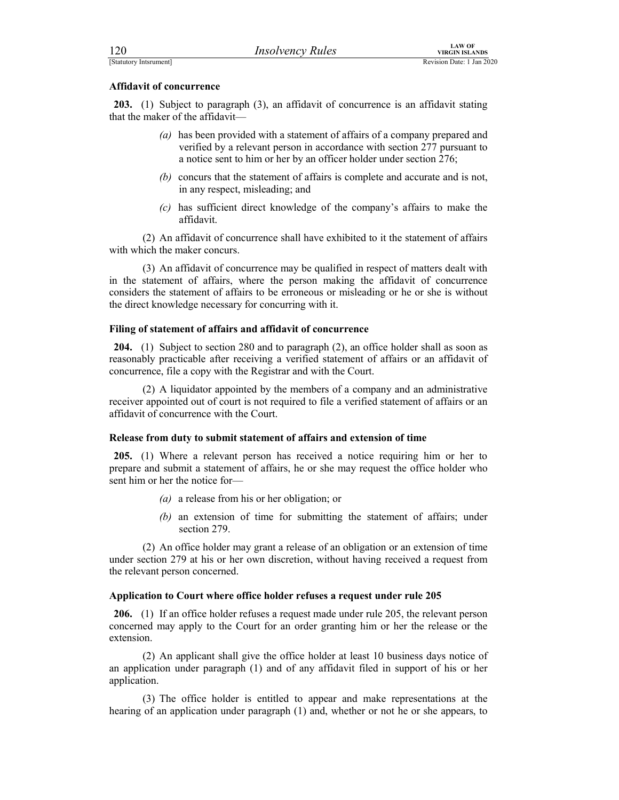| 120                              | <b>Insolvency Rules</b>                                                                | <b>LAW OF</b><br><b>VIRGIN ISLANDS</b> |  |
|----------------------------------|----------------------------------------------------------------------------------------|----------------------------------------|--|
|                                  |                                                                                        | Revision Date: 1 Jan 2020              |  |
| [Statutory Intsrument]           |                                                                                        |                                        |  |
| <b>Affidavit of concurrence</b>  |                                                                                        |                                        |  |
| that the maker of the affidavit- | 203. (1) Subject to paragraph (3), an affidavit of concurrence is an affidavit stating |                                        |  |

- (a) has been provided with a statement of affairs of a company prepared and verified by a relevant person in accordance with section 277 pursuant to a notice sent to him or her by an officer holder under section 276;
- (b) concurs that the statement of affairs is complete and accurate and is not, in any respect, misleading; and
- (c) has sufficient direct knowledge of the company's affairs to make the affidavit.

 (2) An affidavit of concurrence shall have exhibited to it the statement of affairs with which the maker concurs.

 (3) An affidavit of concurrence may be qualified in respect of matters dealt with in the statement of affairs, where the person making the affidavit of concurrence considers the statement of affairs to be erroneous or misleading or he or she is without the direct knowledge necessary for concurring with it.

# Filing of statement of affairs and affidavit of concurrence

204. (1) Subject to section 280 and to paragraph (2), an office holder shall as soon as reasonably practicable after receiving a verified statement of affairs or an affidavit of concurrence, file a copy with the Registrar and with the Court.

 (2) A liquidator appointed by the members of a company and an administrative receiver appointed out of court is not required to file a verified statement of affairs or an affidavit of concurrence with the Court.

#### Release from duty to submit statement of affairs and extension of time

205. (1) Where a relevant person has received a notice requiring him or her to prepare and submit a statement of affairs, he or she may request the office holder who sent him or her the notice for—

- (a) a release from his or her obligation; or
- (b) an extension of time for submitting the statement of affairs; under section 279.

 (2) An office holder may grant a release of an obligation or an extension of time under section 279 at his or her own discretion, without having received a request from the relevant person concerned.

# Application to Court where office holder refuses a request under rule 205

206. (1) If an office holder refuses a request made under rule 205, the relevant person concerned may apply to the Court for an order granting him or her the release or the extension.

 (2) An applicant shall give the office holder at least 10 business days notice of an application under paragraph (1) and of any affidavit filed in support of his or her application.

 (3) The office holder is entitled to appear and make representations at the hearing of an application under paragraph (1) and, whether or not he or she appears, to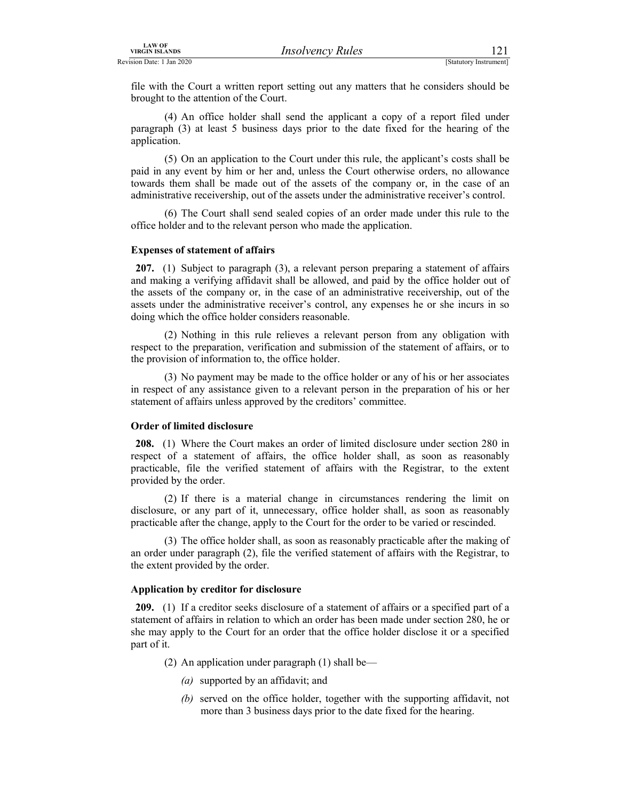EXAMPLE THE VIRGIN ISLANDS<br>
Revision Date: 1 Jan 2020<br>
[Statutory Instrument]<br>
File with the Court a written report setting out any matters that he considers should be<br>
brought to the attention of the Court.<br>
(4) An office file with the Court a written report setting out any matters that he considers should be brought to the attention of the Court.

 (4) An office holder shall send the applicant a copy of a report filed under paragraph (3) at least 5 business days prior to the date fixed for the hearing of the application.

 (5) On an application to the Court under this rule, the applicant's costs shall be paid in any event by him or her and, unless the Court otherwise orders, no allowance towards them shall be made out of the assets of the company or, in the case of an administrative receivership, out of the assets under the administrative receiver's control.

 (6) The Court shall send sealed copies of an order made under this rule to the office holder and to the relevant person who made the application.

#### Expenses of statement of affairs

207. (1) Subject to paragraph (3), a relevant person preparing a statement of affairs and making a verifying affidavit shall be allowed, and paid by the office holder out of the assets of the company or, in the case of an administrative receivership, out of the assets under the administrative receiver's control, any expenses he or she incurs in so doing which the office holder considers reasonable.

 (2) Nothing in this rule relieves a relevant person from any obligation with respect to the preparation, verification and submission of the statement of affairs, or to the provision of information to, the office holder.

 (3) No payment may be made to the office holder or any of his or her associates in respect of any assistance given to a relevant person in the preparation of his or her statement of affairs unless approved by the creditors' committee.

#### Order of limited disclosure

208. (1) Where the Court makes an order of limited disclosure under section 280 in respect of a statement of affairs, the office holder shall, as soon as reasonably practicable, file the verified statement of affairs with the Registrar, to the extent provided by the order.

 (2) If there is a material change in circumstances rendering the limit on disclosure, or any part of it, unnecessary, office holder shall, as soon as reasonably practicable after the change, apply to the Court for the order to be varied or rescinded.

 (3) The office holder shall, as soon as reasonably practicable after the making of an order under paragraph (2), file the verified statement of affairs with the Registrar, to the extent provided by the order.

#### Application by creditor for disclosure

209. (1) If a creditor seeks disclosure of a statement of affairs or a specified part of a statement of affairs in relation to which an order has been made under section 280, he or she may apply to the Court for an order that the office holder disclose it or a specified part of it.

- (2) An application under paragraph (1) shall be—
	- (a) supported by an affidavit; and
	- (b) served on the office holder, together with the supporting affidavit, not more than 3 business days prior to the date fixed for the hearing.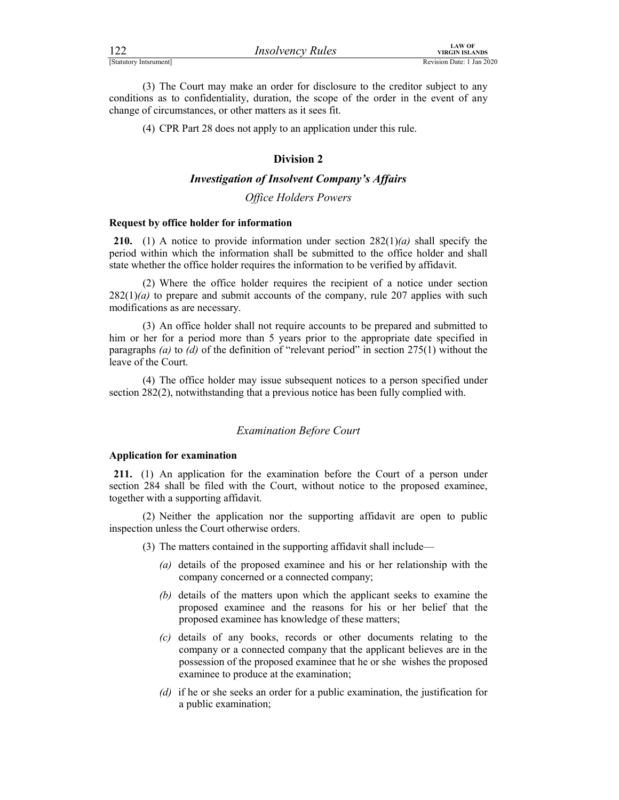| 122                    | <i>Insolvency Rules</i> | LAW OF<br><b>VIRGIN ISLANDS</b> |
|------------------------|-------------------------|---------------------------------|
| [Statutory Intsrument] |                         | Revision Date: 1 Jan 2020       |

FERENTIAL MURTHER MANUS (STATUTE)<br>
[Statutory Intsrument]<br>
(3) The Court may make an order for disclosure to the creditor subject to any<br>
conditions as to confidentiality, duration, the scope of the order in the event of a (3) The Court may make an order for disclosure to the creditor subject to any conditions as to confidentiality, duration, the scope of the order in the event of any change of circumstances, or other matters as it sees fit.

(4) CPR Part 28 does not apply to an application under this rule.

# Division 2

# Investigation of Insolvent Company's Affairs

## Office Holders Powers

#### Request by office holder for information

210. (1) A notice to provide information under section  $282(1)(a)$  shall specify the period within which the information shall be submitted to the office holder and shall state whether the office holder requires the information to be verified by affidavit.

 (2) Where the office holder requires the recipient of a notice under section  $282(1)(a)$  to prepare and submit accounts of the company, rule 207 applies with such modifications as are necessary.

 (3) An office holder shall not require accounts to be prepared and submitted to him or her for a period more than 5 years prior to the appropriate date specified in paragraphs (a) to (d) of the definition of "relevant period" in section  $275(1)$  without the leave of the Court.

 (4) The office holder may issue subsequent notices to a person specified under section 282(2), notwithstanding that a previous notice has been fully complied with.

# Examination Before Court

# Application for examination

211. (1) An application for the examination before the Court of a person under section 284 shall be filed with the Court, without notice to the proposed examinee, together with a supporting affidavit.

 (2) Neither the application nor the supporting affidavit are open to public inspection unless the Court otherwise orders.

- (3) The matters contained in the supporting affidavit shall include—
	- (a) details of the proposed examinee and his or her relationship with the company concerned or a connected company;
	- (b) details of the matters upon which the applicant seeks to examine the proposed examinee and the reasons for his or her belief that the proposed examinee has knowledge of these matters;
	- (c) details of any books, records or other documents relating to the company or a connected company that the applicant believes are in the possession of the proposed examinee that he or she wishes the proposed examinee to produce at the examination;
	- (d) if he or she seeks an order for a public examination, the justification for a public examination;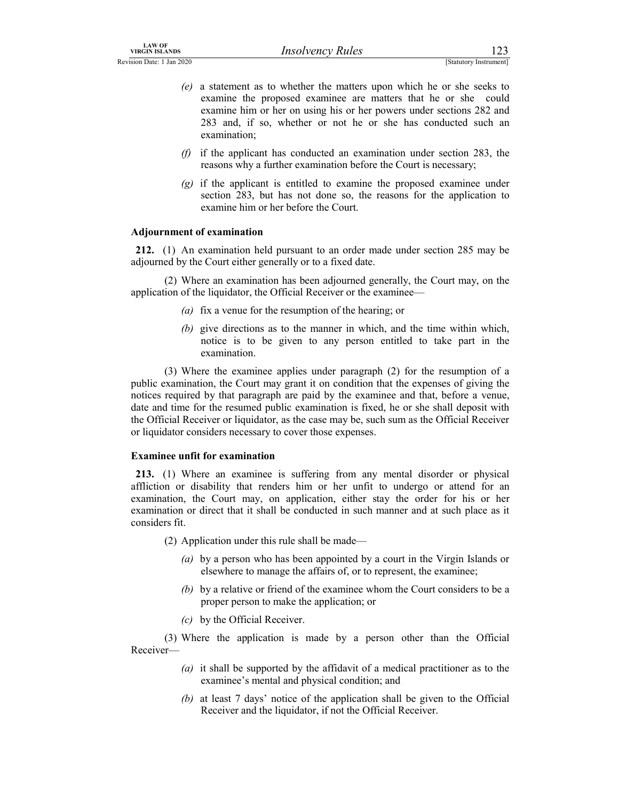- LAW OF<br>
Revision Date: 1 Jan 2020<br>
(*e*) a statement as to whether the matters upon which he or she seeks to<br>
examine the proposed examinee are matters that he or she seeks to<br>
examine him or her on using his or her powers (e) a statement as to whether the matters upon which he or she seeks to examine the proposed examinee are matters that he or she could examine him or her on using his or her powers under sections 282 and 283 and, if so, whether or not he or she has conducted such an examination;
	- (f) if the applicant has conducted an examination under section 283, the reasons why a further examination before the Court is necessary;
	- (g) if the applicant is entitled to examine the proposed examinee under section 283, but has not done so, the reasons for the application to examine him or her before the Court.

# Adjournment of examination

212. (1) An examination held pursuant to an order made under section 285 may be adjourned by the Court either generally or to a fixed date.

 (2) Where an examination has been adjourned generally, the Court may, on the application of the liquidator, the Official Receiver or the examinee—

- (a) fix a venue for the resumption of the hearing; or
- (b) give directions as to the manner in which, and the time within which, notice is to be given to any person entitled to take part in the examination.

 (3) Where the examinee applies under paragraph (2) for the resumption of a public examination, the Court may grant it on condition that the expenses of giving the notices required by that paragraph are paid by the examinee and that, before a venue, date and time for the resumed public examination is fixed, he or she shall deposit with the Official Receiver or liquidator, as the case may be, such sum as the Official Receiver or liquidator considers necessary to cover those expenses.

# Examinee unfit for examination

213. (1) Where an examinee is suffering from any mental disorder or physical affliction or disability that renders him or her unfit to undergo or attend for an examination, the Court may, on application, either stay the order for his or her examination or direct that it shall be conducted in such manner and at such place as it considers fit.

(2) Application under this rule shall be made—

- (a) by a person who has been appointed by a court in the Virgin Islands or elsewhere to manage the affairs of, or to represent, the examinee;
- (b) by a relative or friend of the examinee whom the Court considers to be a proper person to make the application; or
- (c) by the Official Receiver.

 (3) Where the application is made by a person other than the Official Receiver—

- (a) it shall be supported by the affidavit of a medical practitioner as to the examinee's mental and physical condition; and
- (b) at least 7 days' notice of the application shall be given to the Official Receiver and the liquidator, if not the Official Receiver.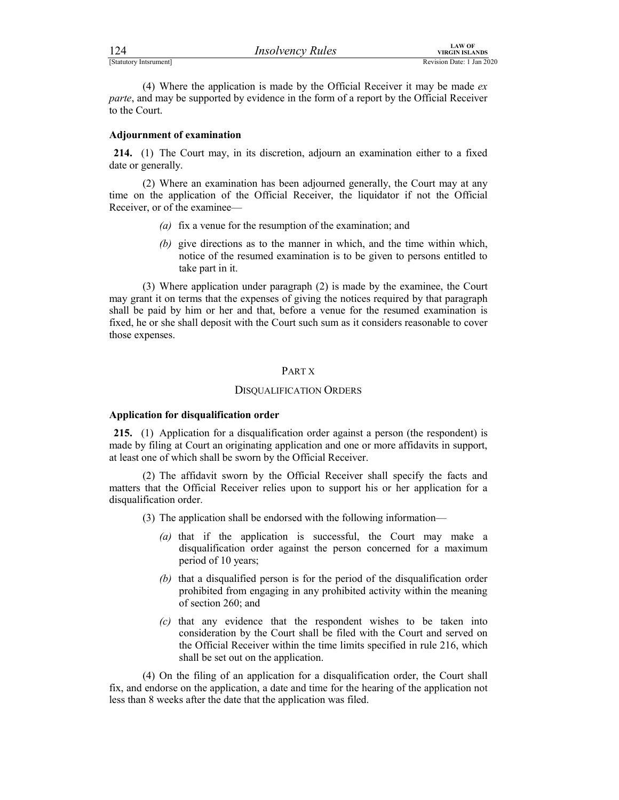| 124                    | <b>Insolvency Rules</b> | LAW OF<br><b>VIRGIN ISLANDS</b> |
|------------------------|-------------------------|---------------------------------|
| [Statutory Intsrument] |                         | Revision Date: 1 Jan 2020       |

FERENTIAL MURTHALT PROVIDED TO THE CONTROL VIRGIN ISLANDS<br>
[Statutory Intsrument]<br>
(4) Where the application is made by the Official Receiver it may be made *ex*<br>
parte, and may be supported by evidence in the form of a re (4) Where the application is made by the Official Receiver it may be made  $ex$ parte, and may be supported by evidence in the form of a report by the Official Receiver to the Court.

#### Adjournment of examination

214. (1) The Court may, in its discretion, adjourn an examination either to a fixed date or generally.

 (2) Where an examination has been adjourned generally, the Court may at any time on the application of the Official Receiver, the liquidator if not the Official Receiver, or of the examinee—

- (a) fix a venue for the resumption of the examination; and
- (b) give directions as to the manner in which, and the time within which, notice of the resumed examination is to be given to persons entitled to take part in it.

 (3) Where application under paragraph (2) is made by the examinee, the Court may grant it on terms that the expenses of giving the notices required by that paragraph shall be paid by him or her and that, before a venue for the resumed examination is fixed, he or she shall deposit with the Court such sum as it considers reasonable to cover those expenses.

## PART X

#### DISQUALIFICATION ORDERS

#### Application for disqualification order

215. (1) Application for a disqualification order against a person (the respondent) is made by filing at Court an originating application and one or more affidavits in support, at least one of which shall be sworn by the Official Receiver.

 (2) The affidavit sworn by the Official Receiver shall specify the facts and matters that the Official Receiver relies upon to support his or her application for a disqualification order.

- (3) The application shall be endorsed with the following information—
	- (a) that if the application is successful, the Court may make a disqualification order against the person concerned for a maximum period of 10 years;
	- (b) that a disqualified person is for the period of the disqualification order prohibited from engaging in any prohibited activity within the meaning of section 260; and
	- $(c)$  that any evidence that the respondent wishes to be taken into consideration by the Court shall be filed with the Court and served on the Official Receiver within the time limits specified in rule 216, which shall be set out on the application.

 (4) On the filing of an application for a disqualification order, the Court shall fix, and endorse on the application, a date and time for the hearing of the application not less than 8 weeks after the date that the application was filed.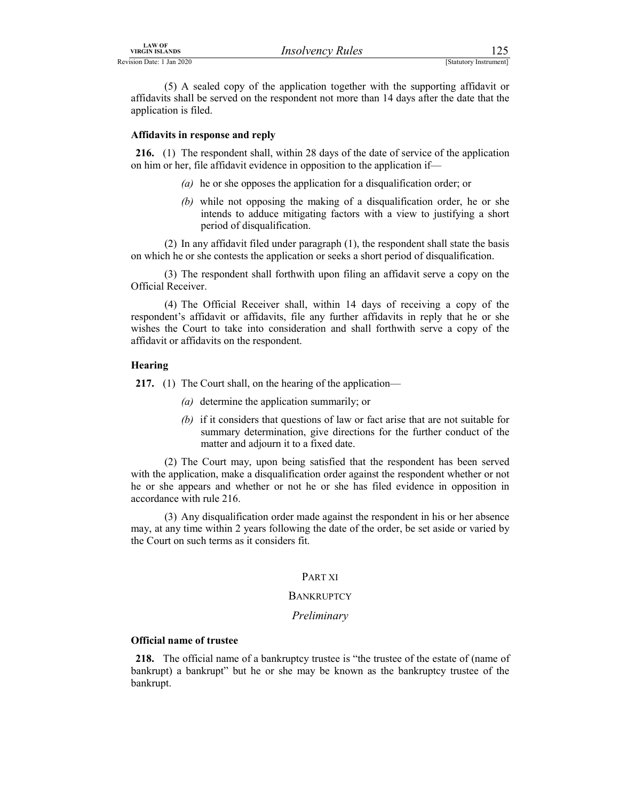LAW OF<br>
Revision Date: 1 Jan 2020<br>
(5) A sealed copy of the application together with the supporting affidavit or<br>
affidavits shall be served on the respondent not more than 14 days after the date that the<br>
application is (5) A sealed copy of the application together with the supporting affidavit or affidavits shall be served on the respondent not more than 14 days after the date that the application is filed.

## Affidavits in response and reply

216. (1) The respondent shall, within 28 days of the date of service of the application on him or her, file affidavit evidence in opposition to the application if—

- (a) he or she opposes the application for a disqualification order; or
- (b) while not opposing the making of a disqualification order, he or she intends to adduce mitigating factors with a view to justifying a short period of disqualification.

 (2) In any affidavit filed under paragraph (1), the respondent shall state the basis on which he or she contests the application or seeks a short period of disqualification.

Official Receiver.

EXECT MANUSE FOR THE TRIGATE THE TRIGATE (5) A scaled copy of the application together with the supporting affidavit or is shall be served on the respondent not more than 14 days after the date that the ion is filed.<br> **(3**  (4) The Official Receiver shall, within 14 days of receiving a copy of the respondent's affidavit or affidavits, file any further affidavits in reply that he or she wishes the Court to take into consideration and shall forthwith serve a copy of the affidavit or affidavits on the respondent.

# Hearing

217. (1) The Court shall, on the hearing of the application—

- (a) determine the application summarily; or
- (b) if it considers that questions of law or fact arise that are not suitable for summary determination, give directions for the further conduct of the matter and adjourn it to a fixed date.

 (2) The Court may, upon being satisfied that the respondent has been served with the application, make a disqualification order against the respondent whether or not he or she appears and whether or not he or she has filed evidence in opposition in accordance with rule 216.

 (3) Any disqualification order made against the respondent in his or her absence may, at any time within 2 years following the date of the order, be set aside or varied by the Court on such terms as it considers fit.

# PART XI

# **BANKRUPTCY**

#### Preliminary

#### Official name of trustee

218. The official name of a bankruptcy trustee is "the trustee of the estate of (name of bankrupt) a bankrupt" but he or she may be known as the bankruptcy trustee of the bankrupt.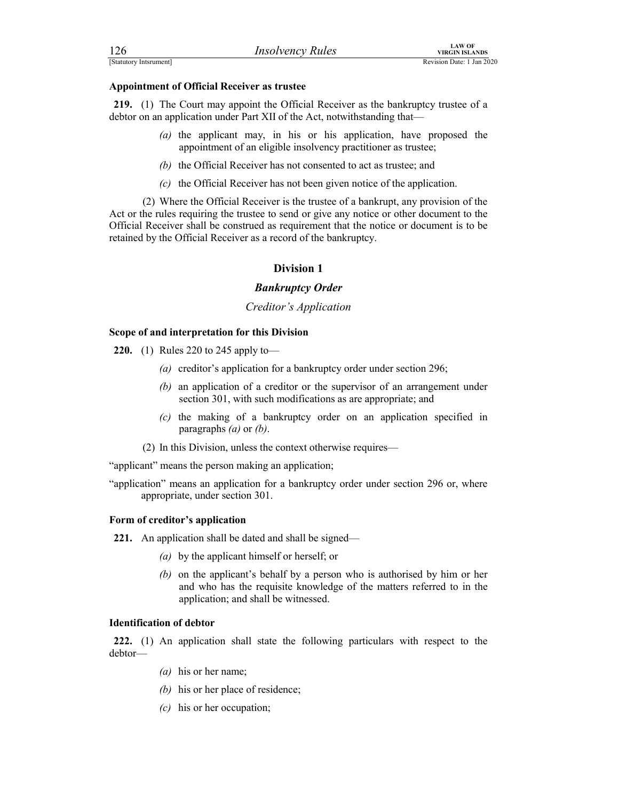| 126                    | <i>Insolvency Rules</i> | <b>LAW OF</b><br>VIRGIN ISLANDS |
|------------------------|-------------------------|---------------------------------|
| [Statutory Intsrument] |                         | Revision Date: 1 Jan 2020       |

FERENTIAN CONTROLLATION INTEGRAL MEAN CONTROLLATION INTO THE COULD APPOINTMENT OF OFficial Receiver as trustee<br> **Appointment of Official Receiver as trustee**<br> **CAP COULD APPOINT APPOINT APPOINT APPOINT APPOINT APPOINT APPO** 219. (1) The Court may appoint the Official Receiver as the bankruptcy trustee of a debtor on an application under Part XII of the Act, notwithstanding that—

- (a) the applicant may, in his or his application, have proposed the appointment of an eligible insolvency practitioner as trustee;
- (b) the Official Receiver has not consented to act as trustee; and
- (c) the Official Receiver has not been given notice of the application.

 (2) Where the Official Receiver is the trustee of a bankrupt, any provision of the Act or the rules requiring the trustee to send or give any notice or other document to the Official Receiver shall be construed as requirement that the notice or document is to be retained by the Official Receiver as a record of the bankruptcy.

# Division 1

# Bankruptcy Order

#### Creditor's Application

#### Scope of and interpretation for this Division

220. (1) Rules 220 to 245 apply to—

- (a) creditor's application for a bankruptcy order under section 296;
- (b) an application of a creditor or the supervisor of an arrangement under section 301, with such modifications as are appropriate; and
- (c) the making of a bankruptcy order on an application specified in paragraphs  $(a)$  or  $(b)$ .
- (2) In this Division, unless the context otherwise requires—

"applicant" means the person making an application;

"application" means an application for a bankruptcy order under section 296 or, where appropriate, under section 301.

#### Form of creditor's application

221. An application shall be dated and shall be signed—

- (a) by the applicant himself or herself; or
- (b) on the applicant's behalf by a person who is authorised by him or her and who has the requisite knowledge of the matters referred to in the application; and shall be witnessed.

# Identification of debtor

222. (1) An application shall state the following particulars with respect to the debtor—

- (a) his or her name;
- (b) his or her place of residence;
- (c) his or her occupation;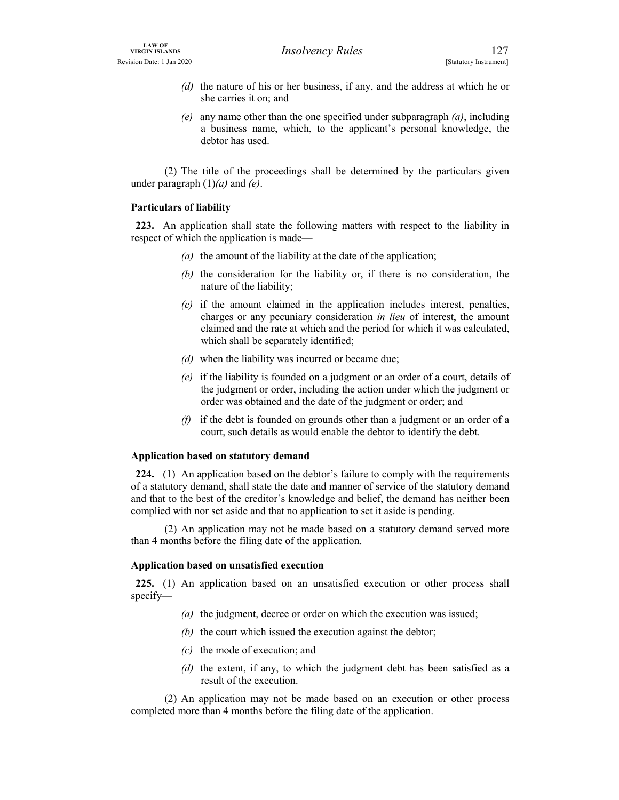- EXAMPLE THE CONSTRIANT UNIVERSE THE CONSTRIBUTE OF A REVISION Date: 1 Jan 2020<br>
(a) the nature of his or her business, if any, and the address at which he or she carries it on; and (e) any name other than the one specifie (d) the nature of his or her business, if any, and the address at which he or she carries it on; and
	- (e) any name other than the one specified under subparagraph  $(a)$ , including a business name, which, to the applicant's personal knowledge, the debtor has used.

 (2) The title of the proceedings shall be determined by the particulars given under paragraph  $(1)(a)$  and  $(e)$ .

## Particulars of liability

223. An application shall state the following matters with respect to the liability in respect of which the application is made—

- (a) the amount of the liability at the date of the application;
- (b) the consideration for the liability or, if there is no consideration, the nature of the liability;
- $(c)$  if the amount claimed in the application includes interest, penalties, charges or any pecuniary consideration *in lieu* of interest, the amount claimed and the rate at which and the period for which it was calculated, which shall be separately identified;
- (d) when the liability was incurred or became due;
- (e) if the liability is founded on a judgment or an order of a court, details of the judgment or order, including the action under which the judgment or order was obtained and the date of the judgment or order; and
- $(f)$  if the debt is founded on grounds other than a judgment or an order of a court, such details as would enable the debtor to identify the debt.

# Application based on statutory demand

224. (1) An application based on the debtor's failure to comply with the requirements of a statutory demand, shall state the date and manner of service of the statutory demand and that to the best of the creditor's knowledge and belief, the demand has neither been complied with nor set aside and that no application to set it aside is pending.

 (2) An application may not be made based on a statutory demand served more than 4 months before the filing date of the application.

# Application based on unsatisfied execution

225. (1) An application based on an unsatisfied execution or other process shall specify—

- (a) the judgment, decree or order on which the execution was issued;
- (b) the court which issued the execution against the debtor;
- (c) the mode of execution; and
- (d) the extent, if any, to which the judgment debt has been satisfied as a result of the execution.

 (2) An application may not be made based on an execution or other process completed more than 4 months before the filing date of the application.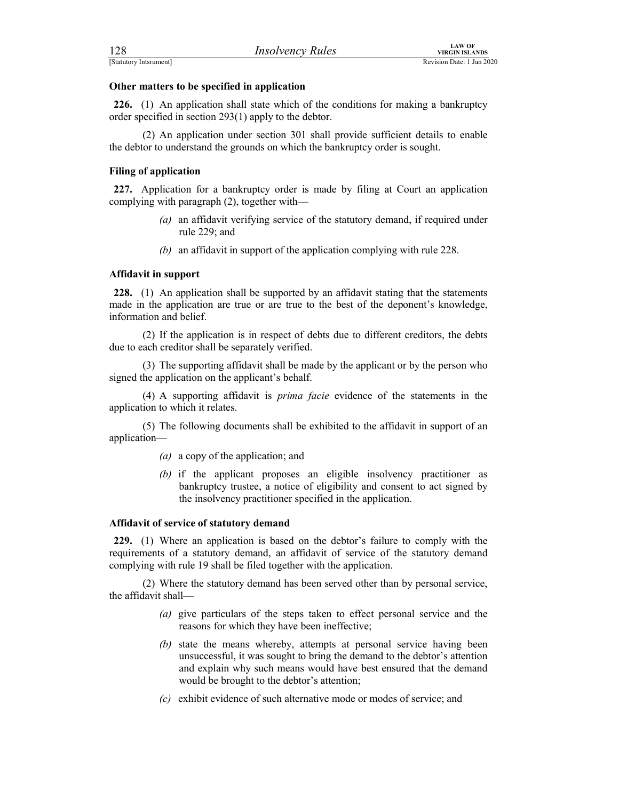FERENT MEAN OF VIRGIN ISLANDS<br>
ESTATUTE TO A THE TRANSMENT REVISION DATA REVISION DATA REVISION DATE: 1 Jan 2020<br> **Other matters to be specified in application**<br> **226.** (1) An application shall state which of the condition 226. (1) An application shall state which of the conditions for making a bankruptcy order specified in section 293(1) apply to the debtor.

 (2) An application under section 301 shall provide sufficient details to enable the debtor to understand the grounds on which the bankruptcy order is sought.

# Filing of application

227. Application for a bankruptcy order is made by filing at Court an application complying with paragraph (2), together with—

- (a) an affidavit verifying service of the statutory demand, if required under rule 229; and
- (b) an affidavit in support of the application complying with rule 228.

## Affidavit in support

228. (1) An application shall be supported by an affidavit stating that the statements made in the application are true or are true to the best of the deponent's knowledge, information and belief.

 (2) If the application is in respect of debts due to different creditors, the debts due to each creditor shall be separately verified.

 (3) The supporting affidavit shall be made by the applicant or by the person who signed the application on the applicant's behalf.

 (4) A supporting affidavit is prima facie evidence of the statements in the application to which it relates.

 (5) The following documents shall be exhibited to the affidavit in support of an application—

- (a) a copy of the application; and
- (b) if the applicant proposes an eligible insolvency practitioner as bankruptcy trustee, a notice of eligibility and consent to act signed by the insolvency practitioner specified in the application.

# Affidavit of service of statutory demand

229. (1) Where an application is based on the debtor's failure to comply with the requirements of a statutory demand, an affidavit of service of the statutory demand complying with rule 19 shall be filed together with the application.

 (2) Where the statutory demand has been served other than by personal service, the affidavit shall—

- (a) give particulars of the steps taken to effect personal service and the reasons for which they have been ineffective;
- (b) state the means whereby, attempts at personal service having been unsuccessful, it was sought to bring the demand to the debtor's attention and explain why such means would have best ensured that the demand would be brought to the debtor's attention;
- (c) exhibit evidence of such alternative mode or modes of service; and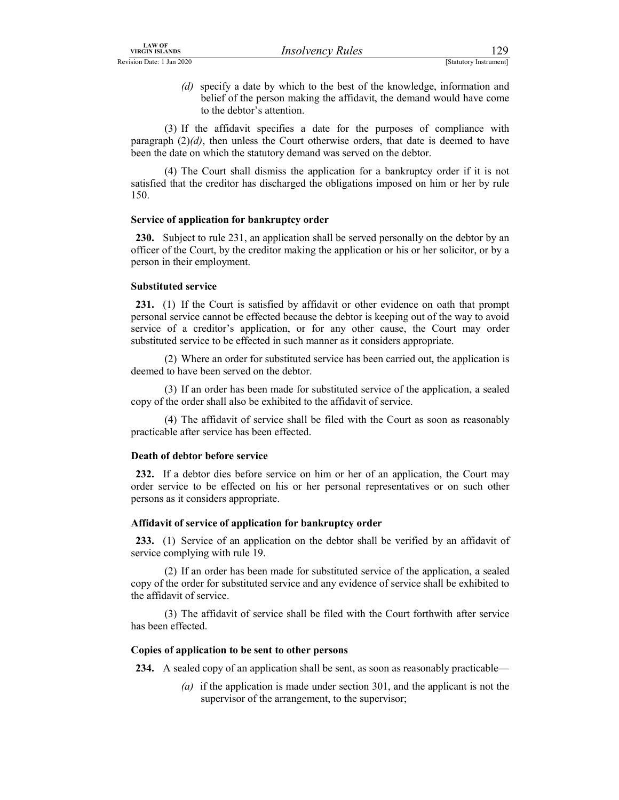LAW OF<br>
Revision Date: 1 Jan 2020<br>
(*d*) specify a date by which to the best of the knowledge, information and<br>
belief of the person making the affidavit, the demand would have come<br>
to the debtor's attention.<br>
(3) If the (d) specify a date by which to the best of the knowledge, information and belief of the person making the affidavit, the demand would have come to the debtor's attention.

 (3) If the affidavit specifies a date for the purposes of compliance with paragraph  $(2)(d)$ , then unless the Court otherwise orders, that date is deemed to have been the date on which the statutory demand was served on the debtor.

 (4) The Court shall dismiss the application for a bankruptcy order if it is not satisfied that the creditor has discharged the obligations imposed on him or her by rule 150.

## Service of application for bankruptcy order

230. Subject to rule 231, an application shall be served personally on the debtor by an officer of the Court, by the creditor making the application or his or her solicitor, or by a person in their employment.

## Substituted service

231. (1) If the Court is satisfied by affidavit or other evidence on oath that prompt personal service cannot be effected because the debtor is keeping out of the way to avoid service of a creditor's application, or for any other cause, the Court may order substituted service to be effected in such manner as it considers appropriate.

 (2) Where an order for substituted service has been carried out, the application is deemed to have been served on the debtor.

 (3) If an order has been made for substituted service of the application, a sealed copy of the order shall also be exhibited to the affidavit of service.

 (4) The affidavit of service shall be filed with the Court as soon as reasonably practicable after service has been effected.

# Death of debtor before service

232. If a debtor dies before service on him or her of an application, the Court may order service to be effected on his or her personal representatives or on such other persons as it considers appropriate.

#### Affidavit of service of application for bankruptcy order

233. (1) Service of an application on the debtor shall be verified by an affidavit of service complying with rule 19.

 (2) If an order has been made for substituted service of the application, a sealed copy of the order for substituted service and any evidence of service shall be exhibited to the affidavit of service.

 (3) The affidavit of service shall be filed with the Court forthwith after service has been effected.

#### Copies of application to be sent to other persons

234. A sealed copy of an application shall be sent, as soon as reasonably practicable—

(a) if the application is made under section 301, and the applicant is not the supervisor of the arrangement, to the supervisor;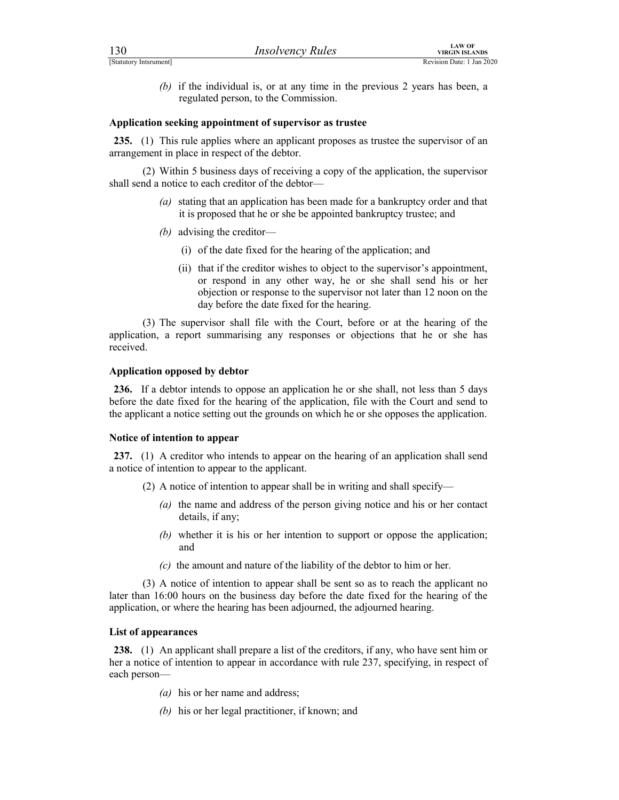| 130                    | <b>Insolvency Rules</b>                                                                                                | <b>LAW OF</b><br><b>VIRGIN ISLANDS</b> |  |
|------------------------|------------------------------------------------------------------------------------------------------------------------|----------------------------------------|--|
| [Statutory Intsrument] |                                                                                                                        | Revision Date: 1 Jan 2020              |  |
|                        | (b) if the individual is, or at any time in the previous $2$ years has been, a<br>regulated person, to the Commission. |                                        |  |
|                        | Application seeking appointment of supervisor as trustee                                                               |                                        |  |

#### Application seeking appointment of supervisor as trustee

235. (1) This rule applies where an applicant proposes as trustee the supervisor of an arrangement in place in respect of the debtor.

 (2) Within 5 business days of receiving a copy of the application, the supervisor shall send a notice to each creditor of the debtor—

- (a) stating that an application has been made for a bankruptcy order and that it is proposed that he or she be appointed bankruptcy trustee; and
- (b) advising the creditor—
	- (i) of the date fixed for the hearing of the application; and
	- (ii) that if the creditor wishes to object to the supervisor's appointment, or respond in any other way, he or she shall send his or her objection or response to the supervisor not later than 12 noon on the day before the date fixed for the hearing.

 (3) The supervisor shall file with the Court, before or at the hearing of the application, a report summarising any responses or objections that he or she has received.

#### Application opposed by debtor

236. If a debtor intends to oppose an application he or she shall, not less than 5 days before the date fixed for the hearing of the application, file with the Court and send to the applicant a notice setting out the grounds on which he or she opposes the application.

#### Notice of intention to appear

237. (1) A creditor who intends to appear on the hearing of an application shall send a notice of intention to appear to the applicant.

- (2) A notice of intention to appear shall be in writing and shall specify—
	- (a) the name and address of the person giving notice and his or her contact details, if any;
	- (b) whether it is his or her intention to support or oppose the application; and
	- $(c)$  the amount and nature of the liability of the debtor to him or her.

 (3) A notice of intention to appear shall be sent so as to reach the applicant no later than 16:00 hours on the business day before the date fixed for the hearing of the application, or where the hearing has been adjourned, the adjourned hearing.

# List of appearances

238. (1) An applicant shall prepare a list of the creditors, if any, who have sent him or her a notice of intention to appear in accordance with rule 237, specifying, in respect of each person—

- $(a)$  his or her name and address;
- (b) his or her legal practitioner, if known; and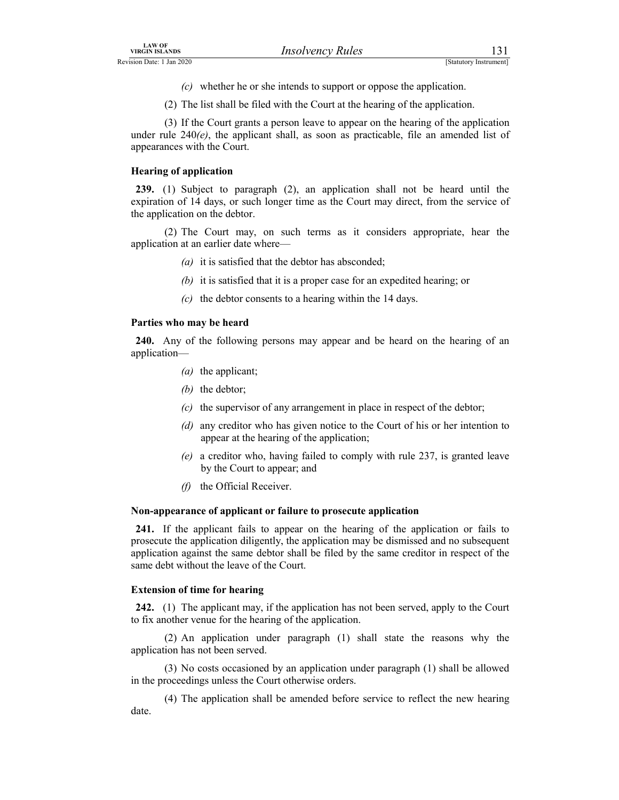- (c) whether he or she intends to support or oppose the application.
- (2) The list shall be filed with the Court at the hearing of the application.

LAW OF<br>
Revision Date: 1 Jan 2020<br>
(*C*) whether he or she intends to support or oppose the application.<br>
(2) The list shall be filed with the Court at the hearing of the application.<br>
(3) If the Court grants a person leav (3) If the Court grants a person leave to appear on the hearing of the application under rule  $240(e)$ , the applicant shall, as soon as practicable, file an amended list of appearances with the Court.

# Hearing of application

239. (1) Subject to paragraph (2), an application shall not be heard until the expiration of 14 days, or such longer time as the Court may direct, from the service of the application on the debtor.

 (2) The Court may, on such terms as it considers appropriate, hear the application at an earlier date where—

- (a) it is satisfied that the debtor has absconded;
- (b) it is satisfied that it is a proper case for an expedited hearing; or
- $(c)$  the debtor consents to a hearing within the 14 days.

# Parties who may be heard

240. Any of the following persons may appear and be heard on the hearing of an application—

- (a) the applicant;
- (b) the debtor;
- $(c)$  the supervisor of any arrangement in place in respect of the debtor;
- (d) any creditor who has given notice to the Court of his or her intention to appear at the hearing of the application;
- (e) a creditor who, having failed to comply with rule 237, is granted leave by the Court to appear; and
- $(f)$  the Official Receiver.

# Non-appearance of applicant or failure to prosecute application

241. If the applicant fails to appear on the hearing of the application or fails to prosecute the application diligently, the application may be dismissed and no subsequent application against the same debtor shall be filed by the same creditor in respect of the same debt without the leave of the Court.

# Extension of time for hearing

242. (1) The applicant may, if the application has not been served, apply to the Court to fix another venue for the hearing of the application.

 (2) An application under paragraph (1) shall state the reasons why the application has not been served.

 (3) No costs occasioned by an application under paragraph (1) shall be allowed in the proceedings unless the Court otherwise orders.

 (4) The application shall be amended before service to reflect the new hearing date.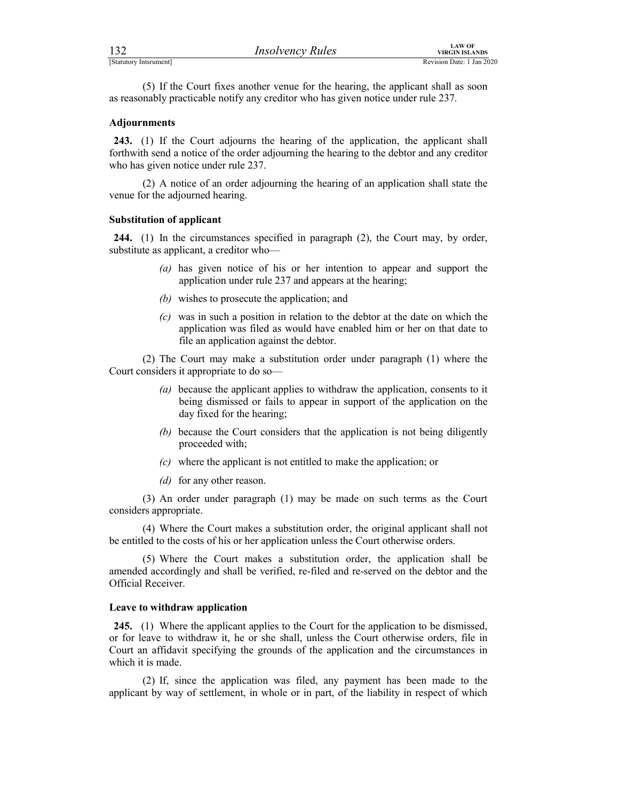FERENT SEARING MINOR TRANSFORM MANAGEM ISLANDS<br>
[Statutory Intsrument]<br>
(5) If the Court fixes another venue for the hearing, the applicant shall as soon<br>
as reasonably practicable notify any creditor who has given notice (5) If the Court fixes another venue for the hearing, the applicant shall as soon as reasonably practicable notify any creditor who has given notice under rule 237.

## Adjournments

243. (1) If the Court adjourns the hearing of the application, the applicant shall forthwith send a notice of the order adjourning the hearing to the debtor and any creditor who has given notice under rule 237.

 (2) A notice of an order adjourning the hearing of an application shall state the venue for the adjourned hearing.

# Substitution of applicant

244. (1) In the circumstances specified in paragraph (2), the Court may, by order, substitute as applicant, a creditor who—

- (a) has given notice of his or her intention to appear and support the application under rule 237 and appears at the hearing;
- (b) wishes to prosecute the application; and
- (c) was in such a position in relation to the debtor at the date on which the application was filed as would have enabled him or her on that date to file an application against the debtor.

 (2) The Court may make a substitution order under paragraph (1) where the Court considers it appropriate to do so—

- (a) because the applicant applies to withdraw the application, consents to it being dismissed or fails to appear in support of the application on the day fixed for the hearing;
- (b) because the Court considers that the application is not being diligently proceeded with;
- (c) where the applicant is not entitled to make the application; or
- (d) for any other reason.

 (3) An order under paragraph (1) may be made on such terms as the Court considers appropriate.

 (4) Where the Court makes a substitution order, the original applicant shall not be entitled to the costs of his or her application unless the Court otherwise orders.

 (5) Where the Court makes a substitution order, the application shall be amended accordingly and shall be verified, re-filed and re-served on the debtor and the Official Receiver.

#### Leave to withdraw application

245. (1) Where the applicant applies to the Court for the application to be dismissed, or for leave to withdraw it, he or she shall, unless the Court otherwise orders, file in Court an affidavit specifying the grounds of the application and the circumstances in which it is made.

 (2) If, since the application was filed, any payment has been made to the applicant by way of settlement, in whole or in part, of the liability in respect of which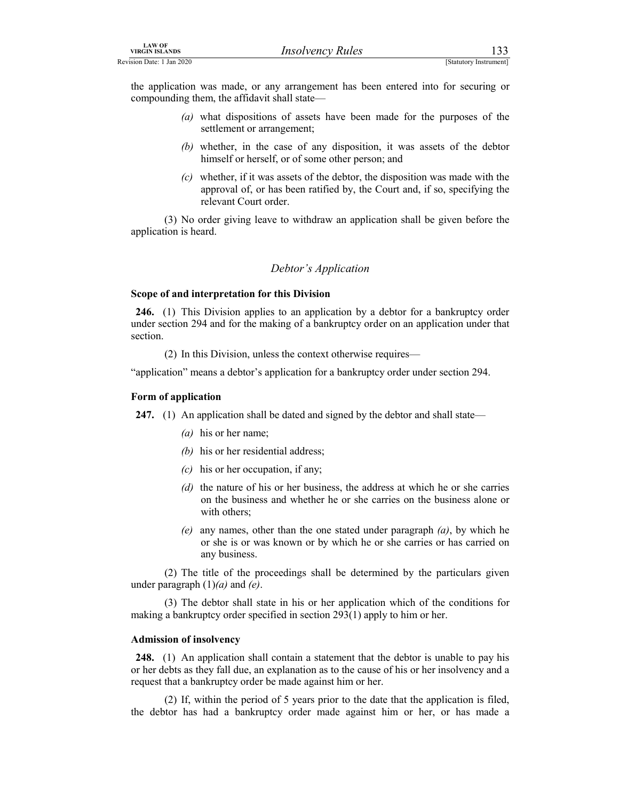the application was made, or any arrangement has been entered into for securing or compounding them, the affidavit shall state—

- (a) what dispositions of assets have been made for the purposes of the settlement or arrangement;
- (b) whether, in the case of any disposition, it was assets of the debtor himself or herself, or of some other person; and
- $(c)$  whether, if it was assets of the debtor, the disposition was made with the approval of, or has been ratified by, the Court and, if so, specifying the relevant Court order. (3)  $\frac{1}{3}$  No order giving leave to withdraw an application shall be given before the purposes of the settlement or arrangement;<br>
(4) whething them, the antifologities of assets have been made for the purposes of the s

application is heard.

# Debtor's Application

#### Scope of and interpretation for this Division

246. (1) This Division applies to an application by a debtor for a bankruptcy order under section 294 and for the making of a bankruptcy order on an application under that section.

(2) In this Division, unless the context otherwise requires—

"application" means a debtor's application for a bankruptcy order under section 294.

#### Form of application

247. (1) An application shall be dated and signed by the debtor and shall state—

- (a) his or her name;
- (b) his or her residential address;
- $(c)$  his or her occupation, if any;
- (d) the nature of his or her business, the address at which he or she carries on the business and whether he or she carries on the business alone or with others;
- (e) any names, other than the one stated under paragraph  $(a)$ , by which he or she is or was known or by which he or she carries or has carried on any business.

 (2) The title of the proceedings shall be determined by the particulars given under paragraph  $(1)(a)$  and  $(e)$ .

 (3) The debtor shall state in his or her application which of the conditions for making a bankruptcy order specified in section 293(1) apply to him or her.

#### Admission of insolvency

248. (1) An application shall contain a statement that the debtor is unable to pay his or her debts as they fall due, an explanation as to the cause of his or her insolvency and a request that a bankruptcy order be made against him or her.

 (2) If, within the period of 5 years prior to the date that the application is filed, the debtor has had a bankruptcy order made against him or her, or has made a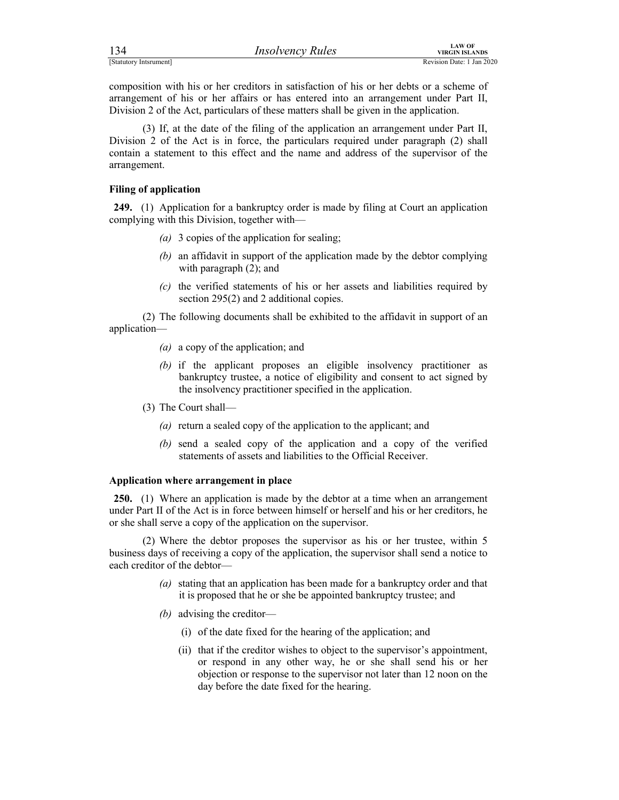| 134                    | <i><b>Insolvency Rules</b></i> | LAW OF<br>VIRGIN ISLANDS  |
|------------------------|--------------------------------|---------------------------|
| [Statutory Intsrument] |                                | Revision Date: 1 Jan 2020 |

FERENTIAL MURTHER MANUS (STATUTE)<br>
[Statutory Intsrument]<br>
COMPOSITION WITH AND THE CONDUCT TO REVISION DATE: 1 Jan 2020<br>
2011 The Act, particulars of these matters shall be given in the application.<br>
(2) If at the data of composition with his or her creditors in satisfaction of his or her debts or a scheme of arrangement of his or her affairs or has entered into an arrangement under Part II, Division 2 of the Act, particulars of these matters shall be given in the application.

 (3) If, at the date of the filing of the application an arrangement under Part II, Division 2 of the Act is in force, the particulars required under paragraph (2) shall contain a statement to this effect and the name and address of the supervisor of the arrangement.

# Filing of application

249. (1) Application for a bankruptcy order is made by filing at Court an application complying with this Division, together with—

- (a) 3 copies of the application for sealing;
- (b) an affidavit in support of the application made by the debtor complying with paragraph  $(2)$ ; and
- (c) the verified statements of his or her assets and liabilities required by section 295(2) and 2 additional copies.

 (2) The following documents shall be exhibited to the affidavit in support of an application—

- (a) a copy of the application; and
- (b) if the applicant proposes an eligible insolvency practitioner as bankruptcy trustee, a notice of eligibility and consent to act signed by the insolvency practitioner specified in the application.
- (3) The Court shall—
	- (a) return a sealed copy of the application to the applicant; and
	- (b) send a sealed copy of the application and a copy of the verified statements of assets and liabilities to the Official Receiver.

# Application where arrangement in place

250. (1) Where an application is made by the debtor at a time when an arrangement under Part II of the Act is in force between himself or herself and his or her creditors, he or she shall serve a copy of the application on the supervisor.

 (2) Where the debtor proposes the supervisor as his or her trustee, within 5 business days of receiving a copy of the application, the supervisor shall send a notice to each creditor of the debtor—

- (a) stating that an application has been made for a bankruptcy order and that it is proposed that he or she be appointed bankruptcy trustee; and
- (b) advising the creditor—
	- (i) of the date fixed for the hearing of the application; and
	- (ii) that if the creditor wishes to object to the supervisor's appointment, or respond in any other way, he or she shall send his or her objection or response to the supervisor not later than 12 noon on the day before the date fixed for the hearing.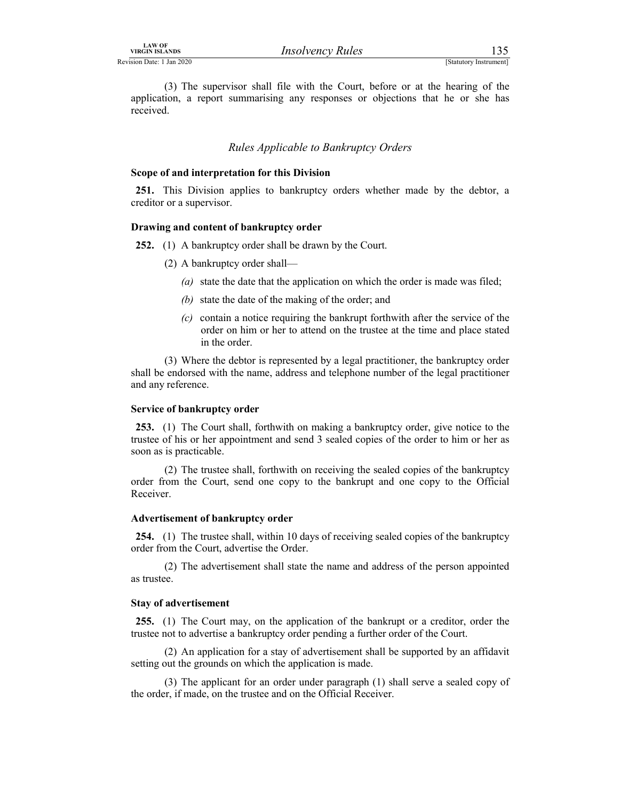LAW OF<br>
Revision Date: 1 Jan 2020<br>
(3) The supervisor shall file with the Court, before or at the hearing of the<br>
application, a report summarising any responses or objections that he or she has<br>
received. (3) The supervisor shall file with the Court, before or at the hearing of the application, a report summarising any responses or objections that he or she has received. Insolvency Rules<br>
Statutory Instrument]<br>
Statutory Instrument]<br>
Statutory Instrument]<br>
Statutory Instrument]<br>
Statutory Instrument<br>
Statutors for this pivision<br>
Rules Applicable to Bankruptcy Orders<br>
Station for this Divis

#### Scope of and interpretation for this Division

251. This Division applies to bankruptcy orders whether made by the debtor, a creditor or a supervisor.

#### Drawing and content of bankruptcy order

252. (1) A bankruptcy order shall be drawn by the Court.

- (2) A bankruptcy order shall—
	- (a) state the date that the application on which the order is made was filed;
	- (b) state the date of the making of the order; and
	- (c) contain a notice requiring the bankrupt forthwith after the service of the order on him or her to attend on the trustee at the time and place stated in the order.

 (3) Where the debtor is represented by a legal practitioner, the bankruptcy order shall be endorsed with the name, address and telephone number of the legal practitioner and any reference.

#### Service of bankruptcy order

253. (1) The Court shall, forthwith on making a bankruptcy order, give notice to the trustee of his or her appointment and send 3 sealed copies of the order to him or her as soon as is practicable.

 (2) The trustee shall, forthwith on receiving the sealed copies of the bankruptcy order from the Court, send one copy to the bankrupt and one copy to the Official Receiver.

#### Advertisement of bankruptcy order

254. (1) The trustee shall, within 10 days of receiving sealed copies of the bankruptcy order from the Court, advertise the Order.

 (2) The advertisement shall state the name and address of the person appointed as trustee.

#### Stay of advertisement

255. (1) The Court may, on the application of the bankrupt or a creditor, order the trustee not to advertise a bankruptcy order pending a further order of the Court.

 (2) An application for a stay of advertisement shall be supported by an affidavit setting out the grounds on which the application is made.

 (3) The applicant for an order under paragraph (1) shall serve a sealed copy of the order, if made, on the trustee and on the Official Receiver.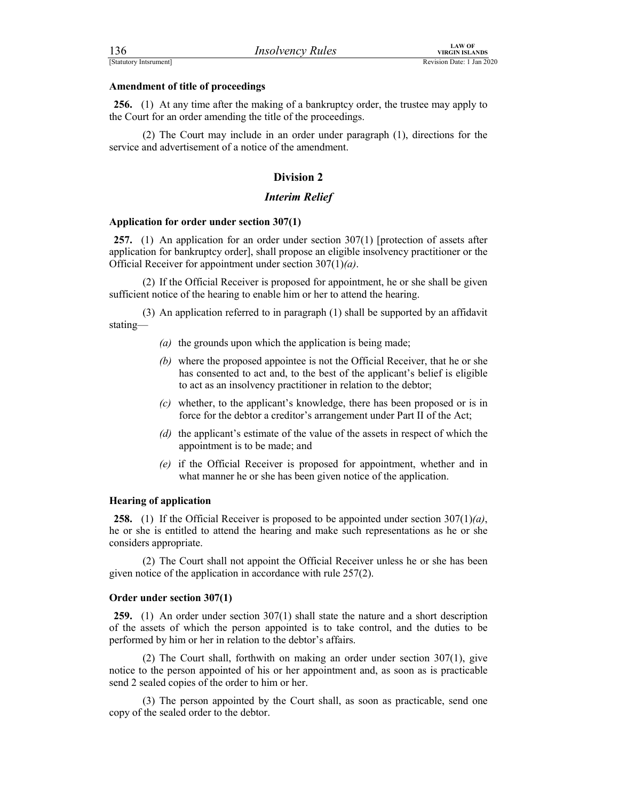FERENTIAN CONTROLLATION INTO THE UNITED MANUSIAL TRANSISTS EXAMPLE TO THE CONTROLLATION ISLANDS Revision Date: 1 Jan 2020<br> **Amendment of title of proceedings**<br> **256.** (1) At any time after the making of a bankruptcy order, 256. (1) At any time after the making of a bankruptcy order, the trustee may apply to the Court for an order amending the title of the proceedings.

 (2) The Court may include in an order under paragraph (1), directions for the service and advertisement of a notice of the amendment.

# Division 2

#### Interim Relief

#### Application for order under section 307(1)

257. (1) An application for an order under section 307(1) [protection of assets after application for bankruptcy order], shall propose an eligible insolvency practitioner or the Official Receiver for appointment under section  $307(1)(a)$ .

 (2) If the Official Receiver is proposed for appointment, he or she shall be given sufficient notice of the hearing to enable him or her to attend the hearing.

 (3) An application referred to in paragraph (1) shall be supported by an affidavit stating—

- (a) the grounds upon which the application is being made;
- (b) where the proposed appointee is not the Official Receiver, that he or she has consented to act and, to the best of the applicant's belief is eligible to act as an insolvency practitioner in relation to the debtor;
- (c) whether, to the applicant's knowledge, there has been proposed or is in force for the debtor a creditor's arrangement under Part II of the Act;
- (d) the applicant's estimate of the value of the assets in respect of which the appointment is to be made; and
- (e) if the Official Receiver is proposed for appointment, whether and in what manner he or she has been given notice of the application.

# Hearing of application

**258.** (1) If the Official Receiver is proposed to be appointed under section  $307(1)(a)$ , he or she is entitled to attend the hearing and make such representations as he or she considers appropriate.

 (2) The Court shall not appoint the Official Receiver unless he or she has been given notice of the application in accordance with rule 257(2).

#### Order under section 307(1)

259. (1) An order under section 307(1) shall state the nature and a short description of the assets of which the person appointed is to take control, and the duties to be performed by him or her in relation to the debtor's affairs.

 (2) The Court shall, forthwith on making an order under section 307(1), give notice to the person appointed of his or her appointment and, as soon as is practicable send 2 sealed copies of the order to him or her.

 (3) The person appointed by the Court shall, as soon as practicable, send one copy of the sealed order to the debtor.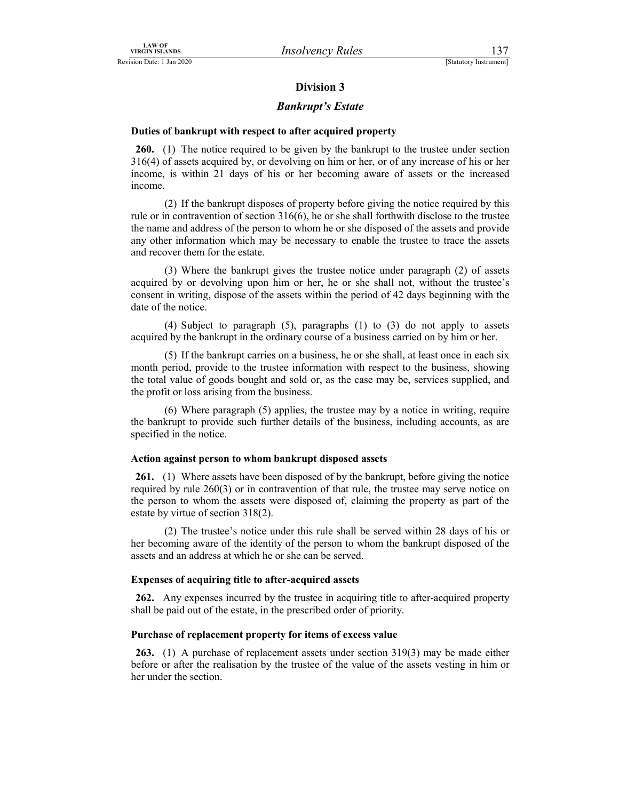# Division 3

## Bankrupt's Estate

UNIVIDELAIN OF<br>
Sign Date: 1 Jan 2020<br>
Division 3<br>
Division 3<br>
Division 3<br>
Division 3<br>
Division 3<br>
Division 3<br>
Division 3<br>
Division 3<br>
Division 3<br>
Division 3<br>
Division 3<br>
Division 3<br>
Division 3<br>
Division 3<br>
Division 3<br>
Div 260. (1) The notice required to be given by the bankrupt to the trustee under section 316(4) of assets acquired by, or devolving on him or her, or of any increase of his or her income, is within 21 days of his or her becoming aware of assets or the increased income.

 (2) If the bankrupt disposes of property before giving the notice required by this rule or in contravention of section 316(6), he or she shall forthwith disclose to the trustee the name and address of the person to whom he or she disposed of the assets and provide any other information which may be necessary to enable the trustee to trace the assets and recover them for the estate.

 (3) Where the bankrupt gives the trustee notice under paragraph (2) of assets acquired by or devolving upon him or her, he or she shall not, without the trustee's consent in writing, dispose of the assets within the period of 42 days beginning with the date of the notice.

 (4) Subject to paragraph (5), paragraphs (1) to (3) do not apply to assets acquired by the bankrupt in the ordinary course of a business carried on by him or her.

 (5) If the bankrupt carries on a business, he or she shall, at least once in each six month period, provide to the trustee information with respect to the business, showing the total value of goods bought and sold or, as the case may be, services supplied, and the profit or loss arising from the business.

 (6) Where paragraph (5) applies, the trustee may by a notice in writing, require the bankrupt to provide such further details of the business, including accounts, as are specified in the notice.

#### Action against person to whom bankrupt disposed assets

261. (1) Where assets have been disposed of by the bankrupt, before giving the notice required by rule 260(3) or in contravention of that rule, the trustee may serve notice on the person to whom the assets were disposed of, claiming the property as part of the estate by virtue of section 318(2).

 (2) The trustee's notice under this rule shall be served within 28 days of his or her becoming aware of the identity of the person to whom the bankrupt disposed of the assets and an address at which he or she can be served.

#### Expenses of acquiring title to after-acquired assets

262. Any expenses incurred by the trustee in acquiring title to after-acquired property shall be paid out of the estate, in the prescribed order of priority.

#### Purchase of replacement property for items of excess value

263. (1) A purchase of replacement assets under section 319(3) may be made either before or after the realisation by the trustee of the value of the assets vesting in him or her under the section.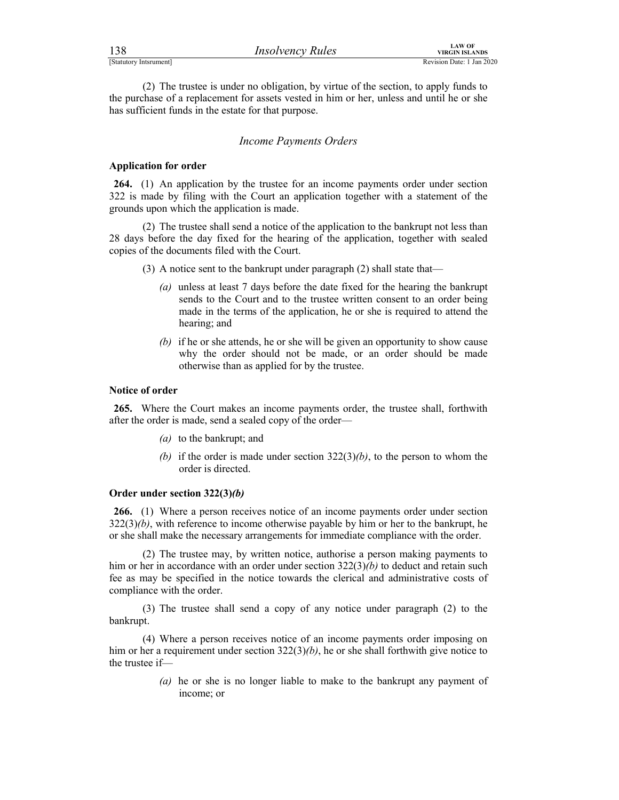| 138                    | <b>Insolvency Rules</b> | <b>LAW OF</b><br>VIRGIN ISLANDS |
|------------------------|-------------------------|---------------------------------|
| [Statutory Intsrument] |                         | Revision Date: 1 Jan 2020       |

FIRECTIVE STATUTED IN THE CONTROLL THE CONTROLL TO THE THE CONTROLL OF THE THE CONTROLL OF THE THE CONTROLL OF THE PREVISION DATE: 1 Jan 2020<br>
(2) The trustee is under no obligation, by virtue of the section, to apply fund (2) The trustee is under no obligation, by virtue of the section, to apply funds to the purchase of a replacement for assets vested in him or her, unless and until he or she has sufficient funds in the estate for that purpose.

#### Income Payments Orders

# Application for order

264. (1) An application by the trustee for an income payments order under section 322 is made by filing with the Court an application together with a statement of the grounds upon which the application is made.

 (2) The trustee shall send a notice of the application to the bankrupt not less than 28 days before the day fixed for the hearing of the application, together with sealed copies of the documents filed with the Court.

- (3) A notice sent to the bankrupt under paragraph (2) shall state that—
	- (a) unless at least 7 days before the date fixed for the hearing the bankrupt sends to the Court and to the trustee written consent to an order being made in the terms of the application, he or she is required to attend the hearing; and
	- (b) if he or she attends, he or she will be given an opportunity to show cause why the order should not be made, or an order should be made otherwise than as applied for by the trustee.

#### Notice of order

265. Where the Court makes an income payments order, the trustee shall, forthwith after the order is made, send a sealed copy of the order—

- (a) to the bankrupt; and
- (b) if the order is made under section  $322(3)(b)$ , to the person to whom the order is directed.

## Order under section 322(3)(b)

266. (1) Where a person receives notice of an income payments order under section  $322(3)(b)$ , with reference to income otherwise payable by him or her to the bankrupt, he or she shall make the necessary arrangements for immediate compliance with the order.

 (2) The trustee may, by written notice, authorise a person making payments to him or her in accordance with an order under section  $322(3)(b)$  to deduct and retain such fee as may be specified in the notice towards the clerical and administrative costs of compliance with the order.

 (3) The trustee shall send a copy of any notice under paragraph (2) to the bankrupt.

 (4) Where a person receives notice of an income payments order imposing on him or her a requirement under section  $322(3)(b)$ , he or she shall forthwith give notice to the trustee if—

> (a) he or she is no longer liable to make to the bankrupt any payment of income; or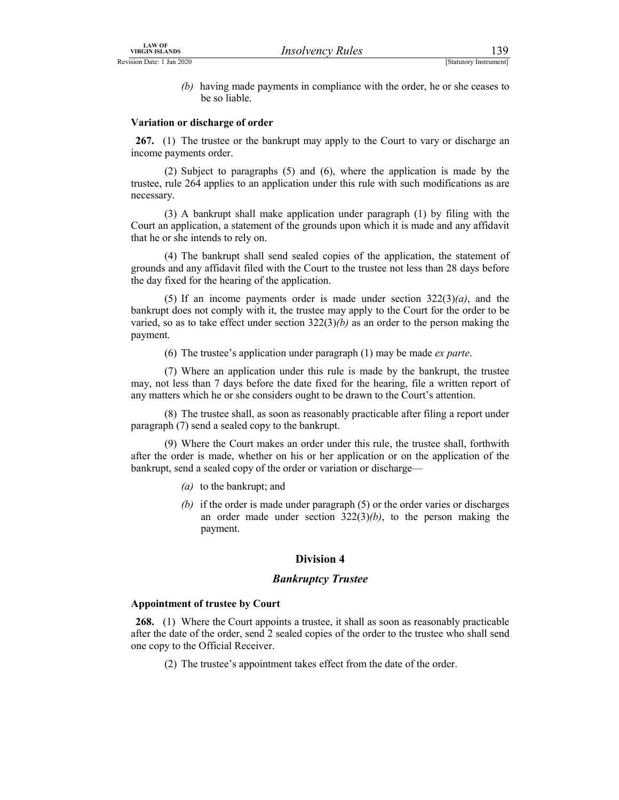LAW OF<br>
VIRGIN ISLANDS<br>
ERVISION Date: 1 Jan 2020<br>
(b) having made payments in compliance with the order, he or she ceases to<br>
be so liable.<br>
Variation or discharge of order (b) having made payments in compliance with the order, he or she ceases to be so liable.

# Variation or discharge of order

267. (1) The trustee or the bankrupt may apply to the Court to vary or discharge an income payments order.

 (2) Subject to paragraphs (5) and (6), where the application is made by the trustee, rule 264 applies to an application under this rule with such modifications as are necessary.

 (3) A bankrupt shall make application under paragraph (1) by filing with the Court an application, a statement of the grounds upon which it is made and any affidavit that he or she intends to rely on.

 (4) The bankrupt shall send sealed copies of the application, the statement of grounds and any affidavit filed with the Court to the trustee not less than 28 days before the day fixed for the hearing of the application.

(5) If an income payments order is made under section  $322(3)(a)$ , and the bankrupt does not comply with it, the trustee may apply to the Court for the order to be varied, so as to take effect under section  $322(3)(b)$  as an order to the person making the payment.

(6) The trustee's application under paragraph  $(1)$  may be made *ex parte*.

 (7) Where an application under this rule is made by the bankrupt, the trustee may, not less than 7 days before the date fixed for the hearing, file a written report of any matters which he or she considers ought to be drawn to the Court's attention.

 (8) The trustee shall, as soon as reasonably practicable after filing a report under paragraph (7) send a sealed copy to the bankrupt.

 (9) Where the Court makes an order under this rule, the trustee shall, forthwith after the order is made, whether on his or her application or on the application of the bankrupt, send a sealed copy of the order or variation or discharge—

- (a) to the bankrupt; and
- (b) if the order is made under paragraph (5) or the order varies or discharges an order made under section  $322(3)(b)$ , to the person making the payment.

# Division 4

# Bankruptcy Trustee

#### Appointment of trustee by Court

268. (1) Where the Court appoints a trustee, it shall as soon as reasonably practicable after the date of the order, send 2 sealed copies of the order to the trustee who shall send one copy to the Official Receiver.

(2) The trustee's appointment takes effect from the date of the order.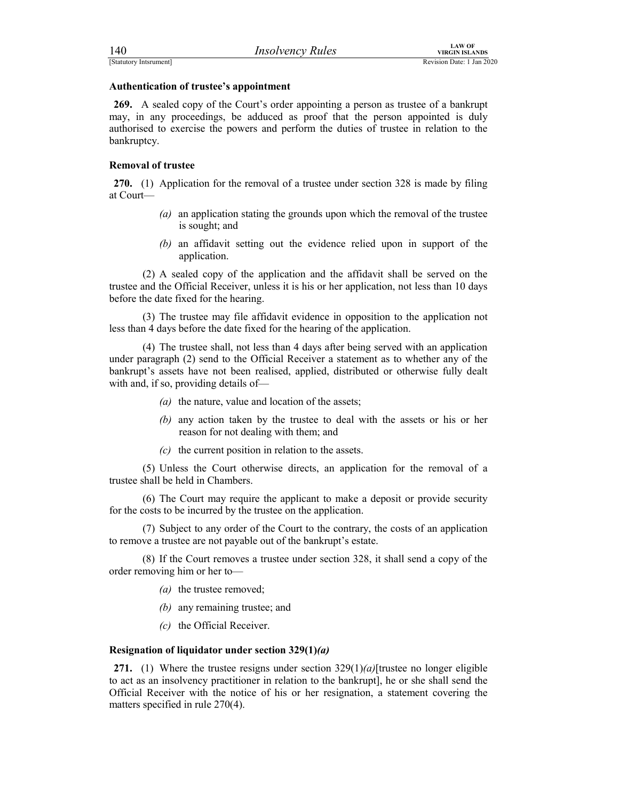FERENT EXAMPLES<br>
ESTATURDY INSTRUMENT (STATURDY INSTRUMENT REVISION DATE: 1 Jan 2020<br> **Authentication of trustee's appointment**<br> **269.** A sealed copy of the Court's order appointing a person as trustee of a bankrupt<br>
may, 269. A sealed copy of the Court's order appointing a person as trustee of a bankrupt may, in any proceedings, be adduced as proof that the person appointed is duly authorised to exercise the powers and perform the duties of trustee in relation to the bankruptcy.

# Removal of trustee

270. (1) Application for the removal of a trustee under section 328 is made by filing at Court—

- (a) an application stating the grounds upon which the removal of the trustee is sought; and
- (b) an affidavit setting out the evidence relied upon in support of the application.

 (2) A sealed copy of the application and the affidavit shall be served on the trustee and the Official Receiver, unless it is his or her application, not less than 10 days before the date fixed for the hearing.

 (3) The trustee may file affidavit evidence in opposition to the application not less than 4 days before the date fixed for the hearing of the application.

 (4) The trustee shall, not less than 4 days after being served with an application under paragraph (2) send to the Official Receiver a statement as to whether any of the bankrupt's assets have not been realised, applied, distributed or otherwise fully dealt with and, if so, providing details of—

- (a) the nature, value and location of the assets;
- (b) any action taken by the trustee to deal with the assets or his or her reason for not dealing with them; and
- $(c)$  the current position in relation to the assets.

 (5) Unless the Court otherwise directs, an application for the removal of a trustee shall be held in Chambers.

 (6) The Court may require the applicant to make a deposit or provide security for the costs to be incurred by the trustee on the application.

 (7) Subject to any order of the Court to the contrary, the costs of an application to remove a trustee are not payable out of the bankrupt's estate.

 (8) If the Court removes a trustee under section 328, it shall send a copy of the order removing him or her to—

(*a*) the trustee removed;

(b) any remaining trustee; and

(c) the Official Receiver.

#### Resignation of liquidator under section 329(1)(a)

271. (1) Where the trustee resigns under section  $329(1)(a)$ [trustee no longer eligible to act as an insolvency practitioner in relation to the bankrupt], he or she shall send the Official Receiver with the notice of his or her resignation, a statement covering the matters specified in rule 270(4).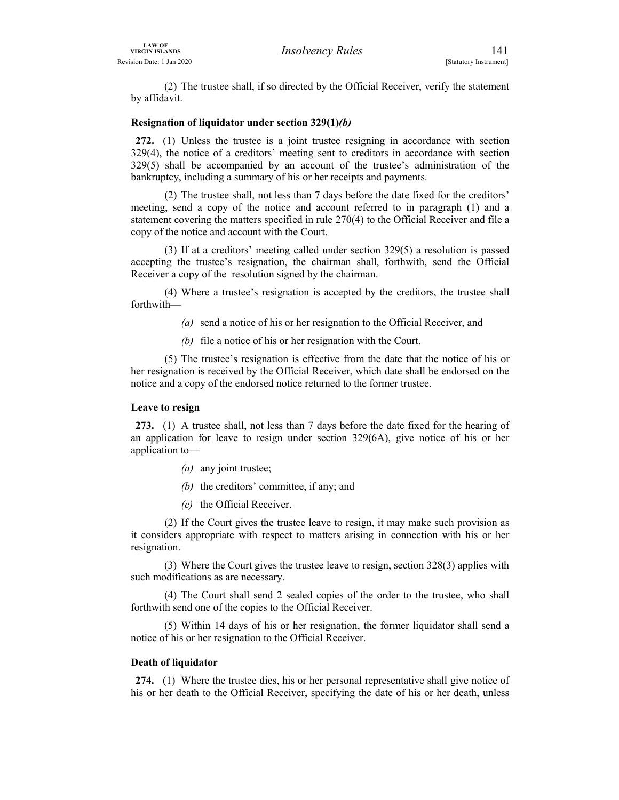VIRGIN ISLANDS<br>
VIRGIN ISLANDS<br>
ERVISION Date: 1 Jan 2020<br>
(2) The trustee shall, if so directed by the Official Receiver, verify the statement<br>
by affidavit.<br>
Resignation of liquidator under section 329(1)(*b*) (2) The trustee shall, if so directed by the Official Receiver, verify the statement by affidavit.

### Resignation of liquidator under section 329(1)(b)

272. (1) Unless the trustee is a joint trustee resigning in accordance with section 329(4), the notice of a creditors' meeting sent to creditors in accordance with section 329(5) shall be accompanied by an account of the trustee's administration of the bankruptcy, including a summary of his or her receipts and payments.

 (2) The trustee shall, not less than 7 days before the date fixed for the creditors' meeting, send a copy of the notice and account referred to in paragraph (1) and a statement covering the matters specified in rule 270(4) to the Official Receiver and file a copy of the notice and account with the Court.

 (3) If at a creditors' meeting called under section 329(5) a resolution is passed accepting the trustee's resignation, the chairman shall, forthwith, send the Official Receiver a copy of the resolution signed by the chairman.

 (4) Where a trustee's resignation is accepted by the creditors, the trustee shall forthwith—

- (a) send a notice of his or her resignation to the Official Receiver, and
- (b) file a notice of his or her resignation with the Court.

 (5) The trustee's resignation is effective from the date that the notice of his or her resignation is received by the Official Receiver, which date shall be endorsed on the notice and a copy of the endorsed notice returned to the former trustee.

### Leave to resign

273. (1) A trustee shall, not less than 7 days before the date fixed for the hearing of an application for leave to resign under section 329(6A), give notice of his or her application to—

- (a) any joint trustee;
- (b) the creditors' committee, if any; and
- (c) the Official Receiver.

 (2) If the Court gives the trustee leave to resign, it may make such provision as it considers appropriate with respect to matters arising in connection with his or her resignation.

 (3) Where the Court gives the trustee leave to resign, section 328(3) applies with such modifications as are necessary.

 (4) The Court shall send 2 sealed copies of the order to the trustee, who shall forthwith send one of the copies to the Official Receiver.

 (5) Within 14 days of his or her resignation, the former liquidator shall send a notice of his or her resignation to the Official Receiver.

### Death of liquidator

274. (1) Where the trustee dies, his or her personal representative shall give notice of his or her death to the Official Receiver, specifying the date of his or her death, unless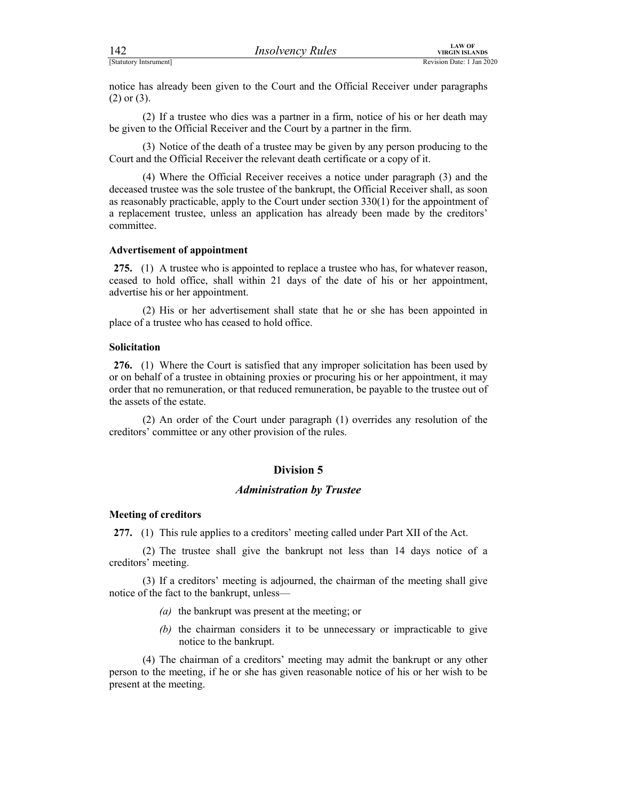| 142                    | <b>Insolvency Rules</b>                                                                                                                                      | <b>LAW OF</b><br><b>VIRGIN ISLANDS</b> |  |
|------------------------|--------------------------------------------------------------------------------------------------------------------------------------------------------------|----------------------------------------|--|
| [Statutory Intsrument] |                                                                                                                                                              | Revision Date: 1 Jan 2020              |  |
| $(2)$ or $(3)$ .       | notice has already been given to the Court and the Official Receiver under paragraphs                                                                        |                                        |  |
|                        | (2) If a trustee who dies was a partner in a firm, notice of his or her death may<br>be given to the Official Peoples and the Court by a partner in the firm |                                        |  |

 (2) If a trustee who dies was a partner in a firm, notice of his or her death may be given to the Official Receiver and the Court by a partner in the firm.

 (3) Notice of the death of a trustee may be given by any person producing to the Court and the Official Receiver the relevant death certificate or a copy of it.

 (4) Where the Official Receiver receives a notice under paragraph (3) and the deceased trustee was the sole trustee of the bankrupt, the Official Receiver shall, as soon as reasonably practicable, apply to the Court under section 330(1) for the appointment of a replacement trustee, unless an application has already been made by the creditors' committee.

### Advertisement of appointment

275. (1) A trustee who is appointed to replace a trustee who has, for whatever reason, ceased to hold office, shall within 21 days of the date of his or her appointment, advertise his or her appointment.

 (2) His or her advertisement shall state that he or she has been appointed in place of a trustee who has ceased to hold office.

### Solicitation

276. (1) Where the Court is satisfied that any improper solicitation has been used by or on behalf of a trustee in obtaining proxies or procuring his or her appointment, it may order that no remuneration, or that reduced remuneration, be payable to the trustee out of the assets of the estate.

 (2) An order of the Court under paragraph (1) overrides any resolution of the creditors' committee or any other provision of the rules.

### Division 5

### Administration by Trustee

### Meeting of creditors

277. (1) This rule applies to a creditors' meeting called under Part XII of the Act.

 (2) The trustee shall give the bankrupt not less than 14 days notice of a creditors' meeting.

 (3) If a creditors' meeting is adjourned, the chairman of the meeting shall give notice of the fact to the bankrupt, unless—

- (a) the bankrupt was present at the meeting; or
- (b) the chairman considers it to be unnecessary or impracticable to give notice to the bankrupt.

 (4) The chairman of a creditors' meeting may admit the bankrupt or any other person to the meeting, if he or she has given reasonable notice of his or her wish to be present at the meeting.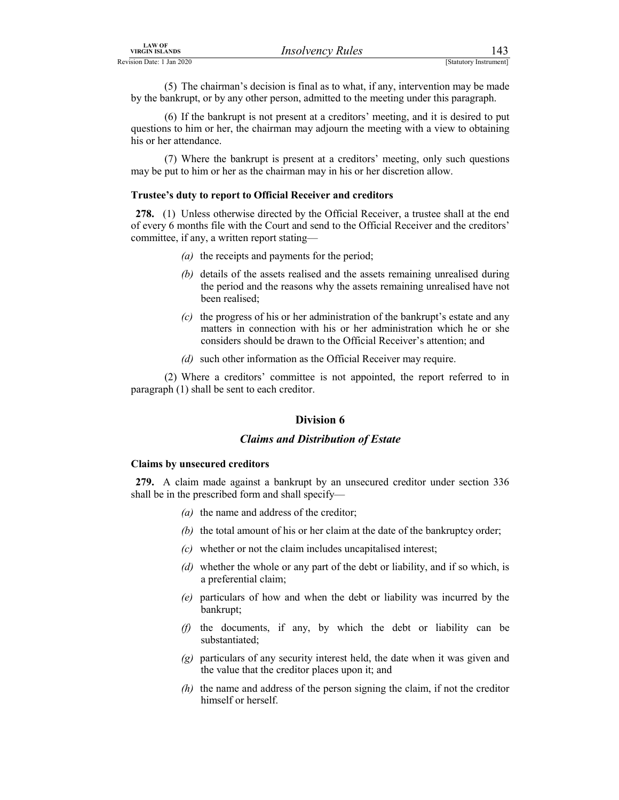*IRSO UPRUES*<br>
IRSO UPRUES<br>
ENGLIVED EXECUTES INTERVALS (Statutory Instrument)<br>
(5) The chairman's decision is final as to what, if any, intervention may be made<br>
by the bankrupt, or by any other person, admitted to the me (5) The chairman's decision is final as to what, if any, intervention may be made by the bankrupt, or by any other person, admitted to the meeting under this paragraph.

 (6) If the bankrupt is not present at a creditors' meeting, and it is desired to put questions to him or her, the chairman may adjourn the meeting with a view to obtaining his or her attendance.

 (7) Where the bankrupt is present at a creditors' meeting, only such questions may be put to him or her as the chairman may in his or her discretion allow.

### Trustee's duty to report to Official Receiver and creditors

278. (1) Unless otherwise directed by the Official Receiver, a trustee shall at the end of every 6 months file with the Court and send to the Official Receiver and the creditors' committee, if any, a written report stating—

- (a) the receipts and payments for the period;
- (b) details of the assets realised and the assets remaining unrealised during the period and the reasons why the assets remaining unrealised have not been realised;
- $(c)$  the progress of his or her administration of the bankrupt's estate and any matters in connection with his or her administration which he or she considers should be drawn to the Official Receiver's attention; and
- (d) such other information as the Official Receiver may require.

 (2) Where a creditors' committee is not appointed, the report referred to in paragraph (1) shall be sent to each creditor.

### Division 6

### Claims and Distribution of Estate

### Claims by unsecured creditors

279. A claim made against a bankrupt by an unsecured creditor under section 336 shall be in the prescribed form and shall specify—

- (a) the name and address of the creditor;
- (b) the total amount of his or her claim at the date of the bankruptcy order;
- $(c)$  whether or not the claim includes uncapitalised interest;
- (d) whether the whole or any part of the debt or liability, and if so which, is a preferential claim;
- (e) particulars of how and when the debt or liability was incurred by the bankrupt;
- (f) the documents, if any, by which the debt or liability can be substantiated;
- $(g)$  particulars of any security interest held, the date when it was given and the value that the creditor places upon it; and
- $(h)$  the name and address of the person signing the claim, if not the creditor himself or herself.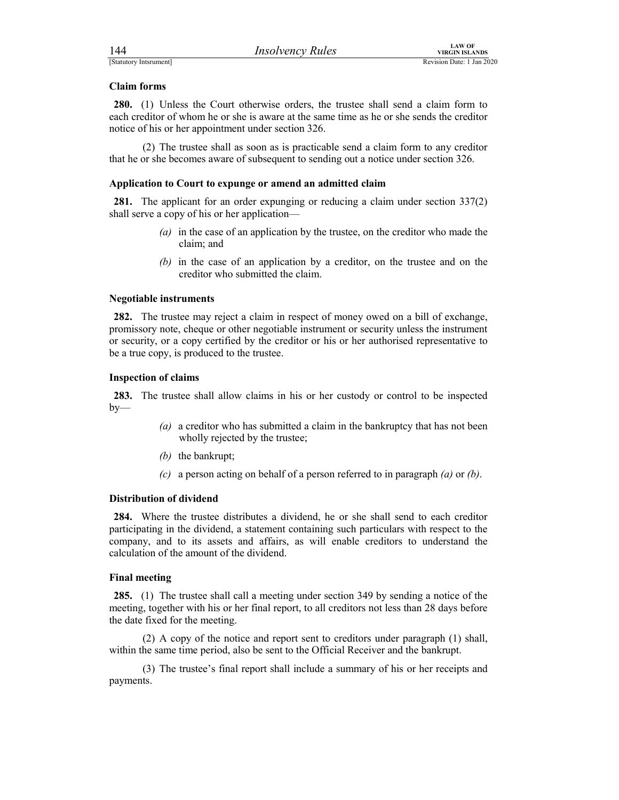FERENT SEARCH THE MANUS (STATUTE)<br>
[Statutory Intsrument]<br> **Claim forms**<br> **Claim forms**<br> **Claim forms**<br> **Claim forms**<br> **Claim forms**<br> **Claim forms**<br> **Claim forms**<br> **Claim forms**<br> **Claim forms**<br> **Claim forms**<br> **Claim forms** 280. (1) Unless the Court otherwise orders, the trustee shall send a claim form to each creditor of whom he or she is aware at the same time as he or she sends the creditor notice of his or her appointment under section 326.

 (2) The trustee shall as soon as is practicable send a claim form to any creditor that he or she becomes aware of subsequent to sending out a notice under section 326.

### Application to Court to expunge or amend an admitted claim

281. The applicant for an order expunging or reducing a claim under section 337(2) shall serve a copy of his or her application—

- (a) in the case of an application by the trustee, on the creditor who made the claim; and
- (b) in the case of an application by a creditor, on the trustee and on the creditor who submitted the claim.

### Negotiable instruments

282. The trustee may reject a claim in respect of money owed on a bill of exchange, promissory note, cheque or other negotiable instrument or security unless the instrument or security, or a copy certified by the creditor or his or her authorised representative to be a true copy, is produced to the trustee.

### Inspection of claims

283. The trustee shall allow claims in his or her custody or control to be inspected  $by-$ 

- (a) a creditor who has submitted a claim in the bankruptcy that has not been wholly rejected by the trustee;
- (b) the bankrupt;
- (c) a person acting on behalf of a person referred to in paragraph  $(a)$  or  $(b)$ .

### Distribution of dividend

284. Where the trustee distributes a dividend, he or she shall send to each creditor participating in the dividend, a statement containing such particulars with respect to the company, and to its assets and affairs, as will enable creditors to understand the calculation of the amount of the dividend.

### Final meeting

285. (1) The trustee shall call a meeting under section 349 by sending a notice of the meeting, together with his or her final report, to all creditors not less than 28 days before the date fixed for the meeting.

 (2) A copy of the notice and report sent to creditors under paragraph (1) shall, within the same time period, also be sent to the Official Receiver and the bankrupt.

 (3) The trustee's final report shall include a summary of his or her receipts and payments.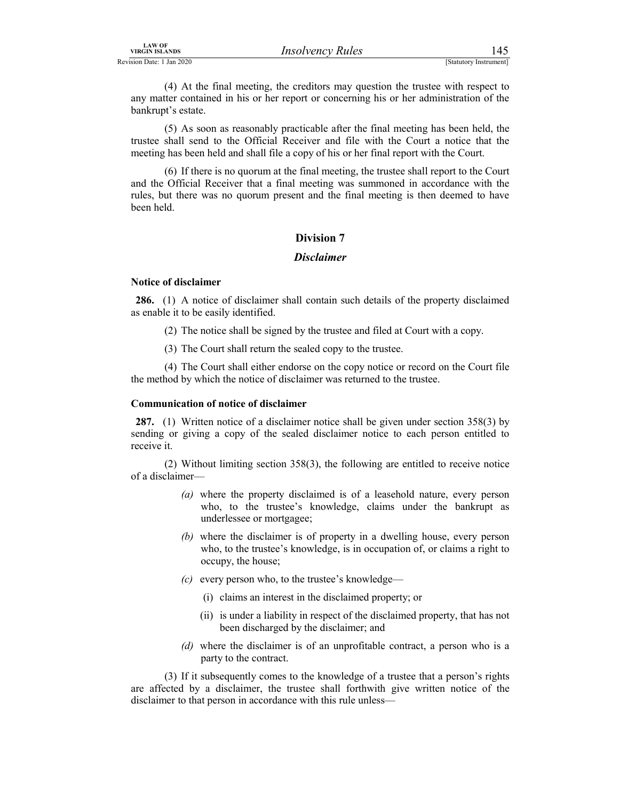*IRSOVERCY Rules*<br>
Exergision Date: 1 Jan 2020<br>
(4) At the final meeting, the creditors may question the trustee with respect to<br>
any matter contained in his or her report or concerning his or her administration of the<br>
ba (4) At the final meeting, the creditors may question the trustee with respect to any matter contained in his or her report or concerning his or her administration of the bankrupt's estate.

 (5) As soon as reasonably practicable after the final meeting has been held, the trustee shall send to the Official Receiver and file with the Court a notice that the meeting has been held and shall file a copy of his or her final report with the Court.

 (6) If there is no quorum at the final meeting, the trustee shall report to the Court and the Official Receiver that a final meeting was summoned in accordance with the rules, but there was no quorum present and the final meeting is then deemed to have been held.

### Division 7

### **Disclaimer**

### Notice of disclaimer

286. (1) A notice of disclaimer shall contain such details of the property disclaimed as enable it to be easily identified.

- (2) The notice shall be signed by the trustee and filed at Court with a copy.
- (3) The Court shall return the sealed copy to the trustee.

 (4) The Court shall either endorse on the copy notice or record on the Court file the method by which the notice of disclaimer was returned to the trustee.

### Communication of notice of disclaimer

287. (1) Written notice of a disclaimer notice shall be given under section 358(3) by sending or giving a copy of the sealed disclaimer notice to each person entitled to receive it.

 (2) Without limiting section 358(3), the following are entitled to receive notice of a disclaimer—

- (a) where the property disclaimed is of a leasehold nature, every person who, to the trustee's knowledge, claims under the bankrupt as underlessee or mortgagee;
- (b) where the disclaimer is of property in a dwelling house, every person who, to the trustee's knowledge, is in occupation of, or claims a right to occupy, the house;
- $(c)$  every person who, to the trustee's knowledge—
	- (i) claims an interest in the disclaimed property; or
	- (ii) is under a liability in respect of the disclaimed property, that has not been discharged by the disclaimer; and
- (d) where the disclaimer is of an unprofitable contract, a person who is a party to the contract.

 (3) If it subsequently comes to the knowledge of a trustee that a person's rights are affected by a disclaimer, the trustee shall forthwith give written notice of the disclaimer to that person in accordance with this rule unless—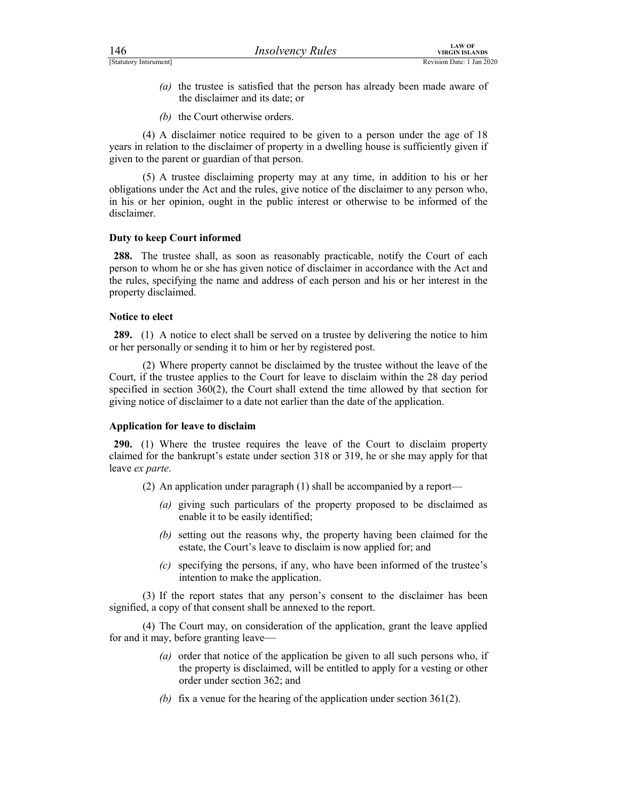- FINCTURE THE CONTROLL CONTROLL CONTROLL CONTROLL CONTROLL CONTROLL CONTROLL CONTROLL CONTROLL CONTROLL CONTROLL CONTROLL CONTROLL CONTROLL CONTROLL CONTROLL CONTROLL CONTROLL CONTROLL CONTROLL CONTROLL CONTROLL CONTROLL CO (a) the trustee is satisfied that the person has already been made aware of the disclaimer and its date; or
	- (b) the Court otherwise orders.

 (4) A disclaimer notice required to be given to a person under the age of 18 years in relation to the disclaimer of property in a dwelling house is sufficiently given if given to the parent or guardian of that person.

 (5) A trustee disclaiming property may at any time, in addition to his or her obligations under the Act and the rules, give notice of the disclaimer to any person who, in his or her opinion, ought in the public interest or otherwise to be informed of the disclaimer.

### Duty to keep Court informed

288. The trustee shall, as soon as reasonably practicable, notify the Court of each person to whom he or she has given notice of disclaimer in accordance with the Act and the rules, specifying the name and address of each person and his or her interest in the property disclaimed.

### Notice to elect

289. (1) A notice to elect shall be served on a trustee by delivering the notice to him or her personally or sending it to him or her by registered post.

 (2) Where property cannot be disclaimed by the trustee without the leave of the Court, if the trustee applies to the Court for leave to disclaim within the 28 day period specified in section 360(2), the Court shall extend the time allowed by that section for giving notice of disclaimer to a date not earlier than the date of the application.

### Application for leave to disclaim

290. (1) Where the trustee requires the leave of the Court to disclaim property claimed for the bankrupt's estate under section 318 or 319, he or she may apply for that leave ex parte.

- (2) An application under paragraph (1) shall be accompanied by a report—
	- (a) giving such particulars of the property proposed to be disclaimed as enable it to be easily identified;
	- (b) setting out the reasons why, the property having been claimed for the estate, the Court's leave to disclaim is now applied for; and
	- (c) specifying the persons, if any, who have been informed of the trustee's intention to make the application.

 (3) If the report states that any person's consent to the disclaimer has been signified, a copy of that consent shall be annexed to the report.

 (4) The Court may, on consideration of the application, grant the leave applied for and it may, before granting leave—

- (a) order that notice of the application be given to all such persons who, if the property is disclaimed, will be entitled to apply for a vesting or other order under section 362; and
- (b) fix a venue for the hearing of the application under section  $361(2)$ .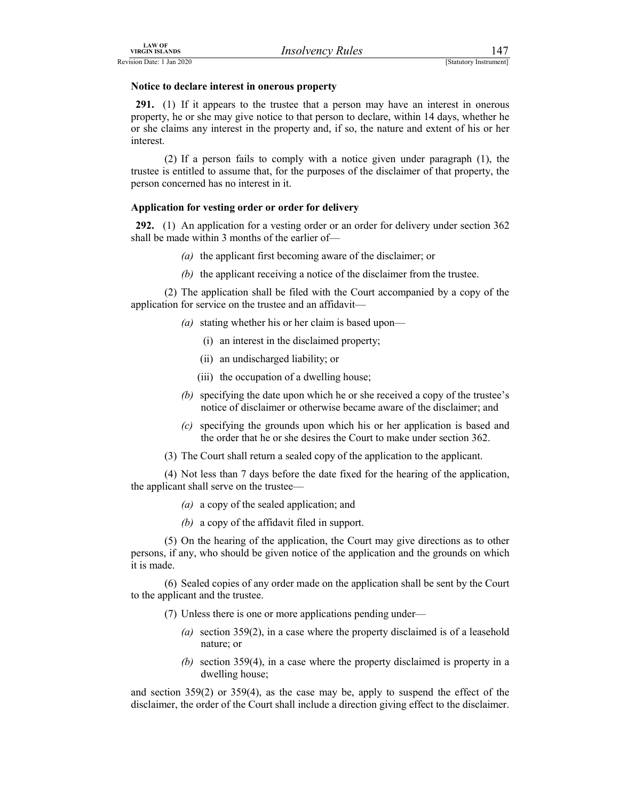### Notice to declare interest in onerous property

EXAMPLE THE CONSULTER THE CONSULTER THE CONSULTER THE CONSULTER THE CONSULTER THE CONSULTER THAT THE CONSULTER THE CONSULTER THAT A PERSON THAT A CONSULTER THAT A CONSULTER THAT A CONSULTER THAT A CONSULTER THAT A CONSULT 291. (1) If it appears to the trustee that a person may have an interest in onerous property, he or she may give notice to that person to declare, within 14 days, whether he or she claims any interest in the property and, if so, the nature and extent of his or her interest.

 (2) If a person fails to comply with a notice given under paragraph (1), the trustee is entitled to assume that, for the purposes of the disclaimer of that property, the person concerned has no interest in it.

### Application for vesting order or order for delivery

292. (1) An application for a vesting order or an order for delivery under section 362 shall be made within 3 months of the earlier of—

- (a) the applicant first becoming aware of the disclaimer; or
- (b) the applicant receiving a notice of the disclaimer from the trustee.

 (2) The application shall be filed with the Court accompanied by a copy of the application for service on the trustee and an affidavit—

- (a) stating whether his or her claim is based upon—
	- (i) an interest in the disclaimed property;
	- (ii) an undischarged liability; or
	- (iii) the occupation of a dwelling house;
- (b) specifying the date upon which he or she received a copy of the trustee's notice of disclaimer or otherwise became aware of the disclaimer; and
- (c) specifying the grounds upon which his or her application is based and the order that he or she desires the Court to make under section 362.
- (3) The Court shall return a sealed copy of the application to the applicant.

 (4) Not less than 7 days before the date fixed for the hearing of the application, the applicant shall serve on the trustee—

- (a) a copy of the sealed application; and
- (b) a copy of the affidavit filed in support.

 (5) On the hearing of the application, the Court may give directions as to other persons, if any, who should be given notice of the application and the grounds on which it is made.

 (6) Sealed copies of any order made on the application shall be sent by the Court to the applicant and the trustee.

- (7) Unless there is one or more applications pending under—
	- (a) section  $359(2)$ , in a case where the property disclaimed is of a leasehold nature; or
	- (b) section 359(4), in a case where the property disclaimed is property in a dwelling house;

and section 359(2) or 359(4), as the case may be, apply to suspend the effect of the disclaimer, the order of the Court shall include a direction giving effect to the disclaimer.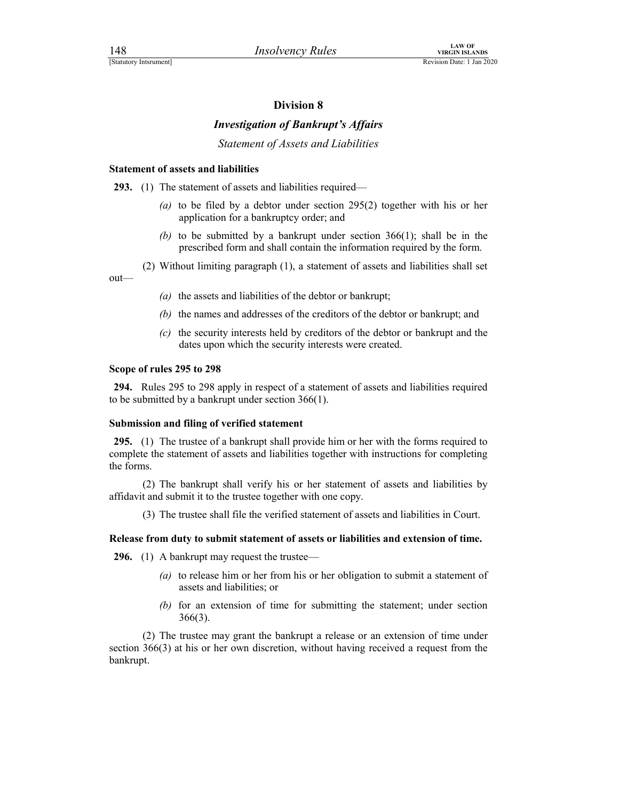### Investigation of Bankrupt's Affairs

Statement of Assets and Liabilities

### Statement of assets and liabilities

293. (1) The statement of assets and liabilities required—

- (a) to be filed by a debtor under section  $295(2)$  together with his or her application for a bankruptcy order; and
- (b) to be submitted by a bankrupt under section  $366(1)$ ; shall be in the prescribed form and shall contain the information required by the form.
- (2) Without limiting paragraph (1), a statement of assets and liabilities shall set

out—

- (a) the assets and liabilities of the debtor or bankrupt;
- (b) the names and addresses of the creditors of the debtor or bankrupt; and
- (c) the security interests held by creditors of the debtor or bankrupt and the dates upon which the security interests were created.

### Scope of rules 295 to 298

294. Rules 295 to 298 apply in respect of a statement of assets and liabilities required to be submitted by a bankrupt under section 366(1).

### Submission and filing of verified statement

295. (1) The trustee of a bankrupt shall provide him or her with the forms required to complete the statement of assets and liabilities together with instructions for completing the forms.

 (2) The bankrupt shall verify his or her statement of assets and liabilities by affidavit and submit it to the trustee together with one copy.

(3) The trustee shall file the verified statement of assets and liabilities in Court.

### Release from duty to submit statement of assets or liabilities and extension of time.

296. (1) A bankrupt may request the trustee—

- (a) to release him or her from his or her obligation to submit a statement of assets and liabilities; or
- (b) for an extension of time for submitting the statement; under section 366(3).

 (2) The trustee may grant the bankrupt a release or an extension of time under section 366(3) at his or her own discretion, without having received a request from the bankrupt.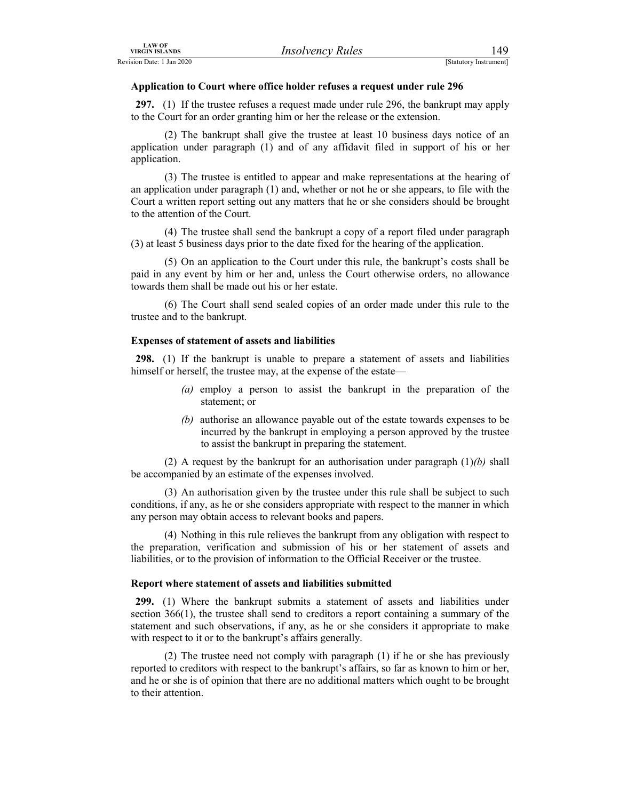### Application to Court where office holder refuses a request under rule 296

FIRGIN ISLANDS<br>
Revision Date: 1 Jan 2020<br>
Application to Court where office holder refuses a request under rule 296<br>
297. (1) If the trustee refuses a request made under rule 296, the bankrupt may apply<br>
to the Court for 297. (1) If the trustee refuses a request made under rule 296, the bankrupt may apply to the Court for an order granting him or her the release or the extension.

 (2) The bankrupt shall give the trustee at least 10 business days notice of an application under paragraph (1) and of any affidavit filed in support of his or her application.

 (3) The trustee is entitled to appear and make representations at the hearing of an application under paragraph (1) and, whether or not he or she appears, to file with the Court a written report setting out any matters that he or she considers should be brought to the attention of the Court.

 (4) The trustee shall send the bankrupt a copy of a report filed under paragraph (3) at least 5 business days prior to the date fixed for the hearing of the application.

 (5) On an application to the Court under this rule, the bankrupt's costs shall be paid in any event by him or her and, unless the Court otherwise orders, no allowance towards them shall be made out his or her estate.

 (6) The Court shall send sealed copies of an order made under this rule to the trustee and to the bankrupt.

### Expenses of statement of assets and liabilities

298. (1) If the bankrupt is unable to prepare a statement of assets and liabilities himself or herself, the trustee may, at the expense of the estate—

- (a) employ a person to assist the bankrupt in the preparation of the statement; or
- (b) authorise an allowance payable out of the estate towards expenses to be incurred by the bankrupt in employing a person approved by the trustee to assist the bankrupt in preparing the statement.

(2) A request by the bankrupt for an authorisation under paragraph  $(1)(b)$  shall be accompanied by an estimate of the expenses involved.

 (3) An authorisation given by the trustee under this rule shall be subject to such conditions, if any, as he or she considers appropriate with respect to the manner in which any person may obtain access to relevant books and papers.

 (4) Nothing in this rule relieves the bankrupt from any obligation with respect to the preparation, verification and submission of his or her statement of assets and liabilities, or to the provision of information to the Official Receiver or the trustee.

### Report where statement of assets and liabilities submitted

299. (1) Where the bankrupt submits a statement of assets and liabilities under section 366(1), the trustee shall send to creditors a report containing a summary of the statement and such observations, if any, as he or she considers it appropriate to make with respect to it or to the bankrupt's affairs generally.

 (2) The trustee need not comply with paragraph (1) if he or she has previously reported to creditors with respect to the bankrupt's affairs, so far as known to him or her, and he or she is of opinion that there are no additional matters which ought to be brought to their attention.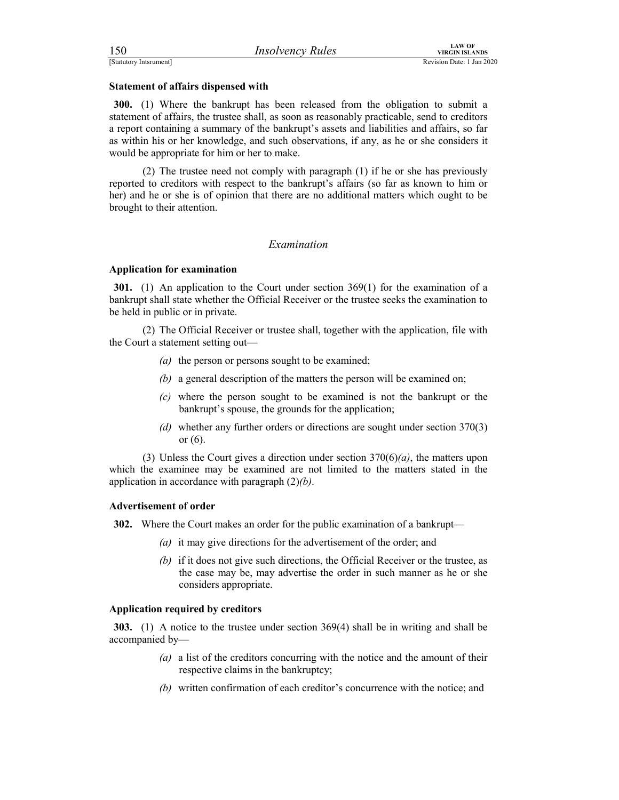### Statement of affairs dispensed with

For the control of a the control of a the control of a the control of a the control of a the control of a the control of a the control of a the control of a term of a the control of a term of a term of a term of a term of 300. (1) Where the bankrupt has been released from the obligation to submit a statement of affairs, the trustee shall, as soon as reasonably practicable, send to creditors a report containing a summary of the bankrupt's assets and liabilities and affairs, so far as within his or her knowledge, and such observations, if any, as he or she considers it would be appropriate for him or her to make.

 (2) The trustee need not comply with paragraph (1) if he or she has previously reported to creditors with respect to the bankrupt's affairs (so far as known to him or her) and he or she is of opinion that there are no additional matters which ought to be brought to their attention.

### Examination

### Application for examination

301. (1) An application to the Court under section 369(1) for the examination of a bankrupt shall state whether the Official Receiver or the trustee seeks the examination to be held in public or in private.

 (2) The Official Receiver or trustee shall, together with the application, file with the Court a statement setting out—

- (a) the person or persons sought to be examined;
- (b) a general description of the matters the person will be examined on;
- $(c)$  where the person sought to be examined is not the bankrupt or the bankrupt's spouse, the grounds for the application;
- (d) whether any further orders or directions are sought under section 370(3) or (6).

(3) Unless the Court gives a direction under section  $370(6)(a)$ , the matters upon which the examinee may be examined are not limited to the matters stated in the application in accordance with paragraph  $(2)(b)$ .

### Advertisement of order

302. Where the Court makes an order for the public examination of a bankrupt—

- (a) it may give directions for the advertisement of the order; and
- (b) if it does not give such directions, the Official Receiver or the trustee, as the case may be, may advertise the order in such manner as he or she considers appropriate.

### Application required by creditors

303. (1) A notice to the trustee under section 369(4) shall be in writing and shall be accompanied by—

- (a) a list of the creditors concurring with the notice and the amount of their respective claims in the bankruptcy;
- (b) written confirmation of each creditor's concurrence with the notice; and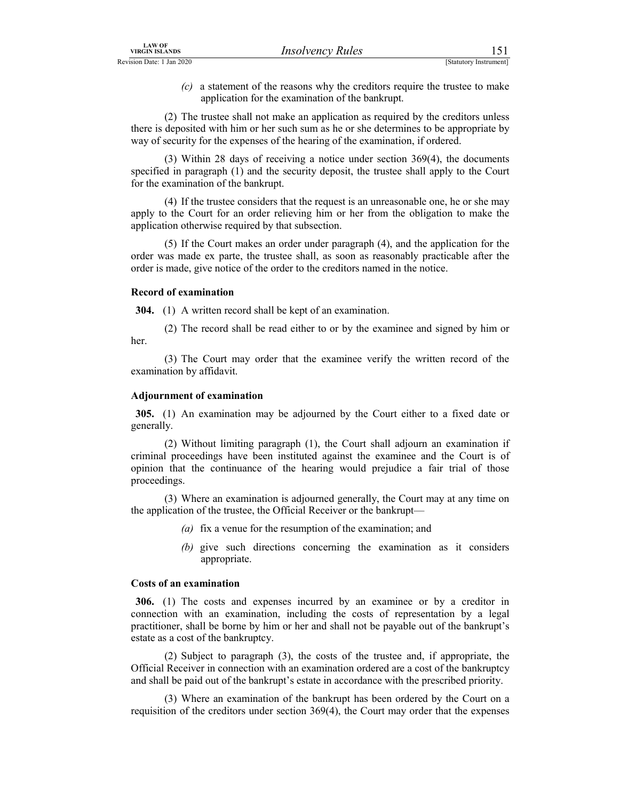EXAMPLE THE CONSULTER TREAT SEANS SEARCH TREAT SEARCH TREVISION Date: 1 Jan 2020<br>
(C) a statement of the reasons why the creditors require the trustee to make<br>
application for the examination of the bankrupt.<br>
(2) The tru  $(c)$  a statement of the reasons why the creditors require the trustee to make application for the examination of the bankrupt.

 (2) The trustee shall not make an application as required by the creditors unless there is deposited with him or her such sum as he or she determines to be appropriate by way of security for the expenses of the hearing of the examination, if ordered.

 (3) Within 28 days of receiving a notice under section 369(4), the documents specified in paragraph (1) and the security deposit, the trustee shall apply to the Court for the examination of the bankrupt.

 (4) If the trustee considers that the request is an unreasonable one, he or she may apply to the Court for an order relieving him or her from the obligation to make the application otherwise required by that subsection.

 (5) If the Court makes an order under paragraph (4), and the application for the order was made ex parte, the trustee shall, as soon as reasonably practicable after the order is made, give notice of the order to the creditors named in the notice.

### Record of examination

304. (1) A written record shall be kept of an examination.

 (2) The record shall be read either to or by the examinee and signed by him or her.

 (3) The Court may order that the examinee verify the written record of the examination by affidavit.

### Adjournment of examination

305. (1) An examination may be adjourned by the Court either to a fixed date or generally.

 (2) Without limiting paragraph (1), the Court shall adjourn an examination if criminal proceedings have been instituted against the examinee and the Court is of opinion that the continuance of the hearing would prejudice a fair trial of those proceedings.

 (3) Where an examination is adjourned generally, the Court may at any time on the application of the trustee, the Official Receiver or the bankrupt—

- (a) fix a venue for the resumption of the examination; and
- (b) give such directions concerning the examination as it considers appropriate.

### Costs of an examination

306. (1) The costs and expenses incurred by an examinee or by a creditor in connection with an examination, including the costs of representation by a legal practitioner, shall be borne by him or her and shall not be payable out of the bankrupt's estate as a cost of the bankruptcy.

 (2) Subject to paragraph (3), the costs of the trustee and, if appropriate, the Official Receiver in connection with an examination ordered are a cost of the bankruptcy and shall be paid out of the bankrupt's estate in accordance with the prescribed priority.

 (3) Where an examination of the bankrupt has been ordered by the Court on a requisition of the creditors under section 369(4), the Court may order that the expenses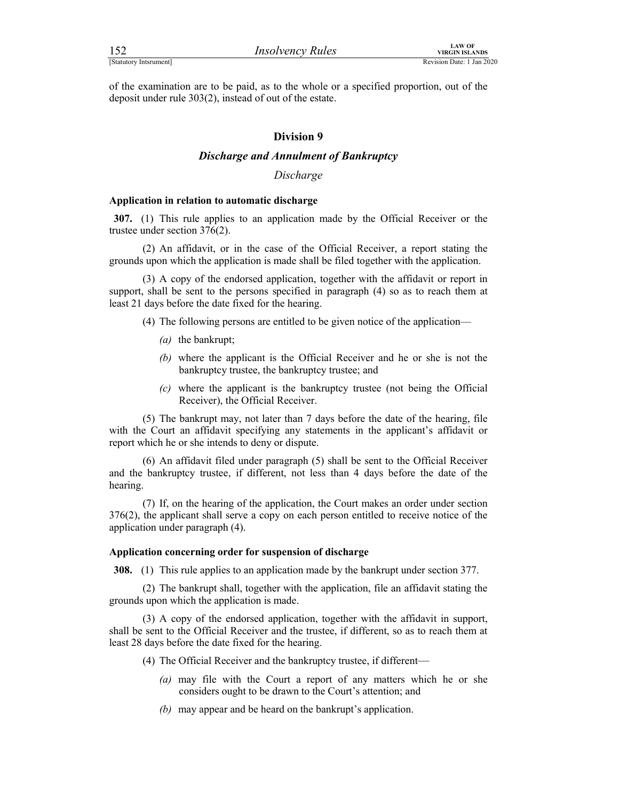Finance of the examination are to be paid, as to the whole or a specified proportion, out of the deposit under rule 303(2), instead of out of the estate. of the examination are to be paid, as to the whole or a specified proportion, out of the deposit under rule 303(2), instead of out of the estate.

### Division 9

### Discharge and Annulment of Bankruptcy

### Discharge

### Application in relation to automatic discharge

307. (1) This rule applies to an application made by the Official Receiver or the trustee under section 376(2).

 (2) An affidavit, or in the case of the Official Receiver, a report stating the grounds upon which the application is made shall be filed together with the application.

**Example 11**<br>
Insolvency Rules<br>  $\frac{\text{trivial} \cdot \text{N} \cdot \text{N} \cdot \text{N} \cdot \text{N} \cdot \text{N} \cdot \text{N} \cdot \text{N}}{\text{Rovainon Duc. } 1 \sin 2020}$ <br> **A conder rule 303(2), instead of out of the estate.**<br> **Division 9**<br> **Discharge and Annulment of Bankruptcy** support, shall be sent to the persons specified in paragraph (4) so as to reach them at least 21 days before the date fixed for the hearing.

- (4) The following persons are entitled to be given notice of the application—
	- (a) the bankrupt;
	- (b) where the applicant is the Official Receiver and he or she is not the bankruptcy trustee, the bankruptcy trustee; and
	- (c) where the applicant is the bankruptcy trustee (not being the Official Receiver), the Official Receiver.

 (5) The bankrupt may, not later than 7 days before the date of the hearing, file with the Court an affidavit specifying any statements in the applicant's affidavit or report which he or she intends to deny or dispute.

 (6) An affidavit filed under paragraph (5) shall be sent to the Official Receiver and the bankruptcy trustee, if different, not less than 4 days before the date of the hearing.

 (7) If, on the hearing of the application, the Court makes an order under section 376(2), the applicant shall serve a copy on each person entitled to receive notice of the application under paragraph (4).

### Application concerning order for suspension of discharge

308. (1) This rule applies to an application made by the bankrupt under section 377.

 (2) The bankrupt shall, together with the application, file an affidavit stating the grounds upon which the application is made.

 (3) A copy of the endorsed application, together with the affidavit in support, shall be sent to the Official Receiver and the trustee, if different, so as to reach them at least 28 days before the date fixed for the hearing.

- (4) The Official Receiver and the bankruptcy trustee, if different—
	- (a) may file with the Court a report of any matters which he or she considers ought to be drawn to the Court's attention; and
	- (b) may appear and be heard on the bankrupt's application.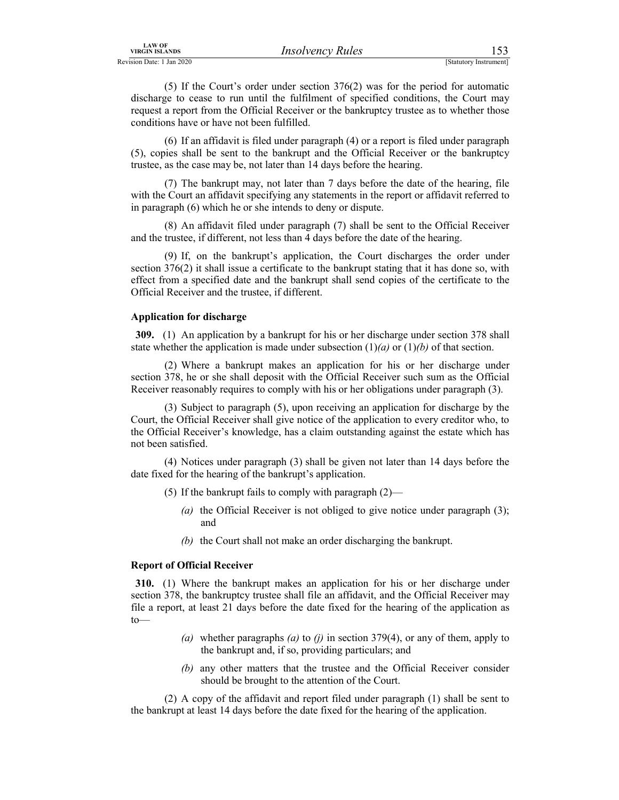LAW OF<br>
Revision Date: 1 Jan 2020<br>
(5) If the Court's order under section 376(2) was for the period for automatic<br>
discharge to cease to run until the fulfilment of specified conditions, the Court may<br>
request a report fro (5) If the Court's order under section 376(2) was for the period for automatic discharge to cease to run until the fulfilment of specified conditions, the Court may request a report from the Official Receiver or the bankruptcy trustee as to whether those conditions have or have not been fulfilled.

 (6) If an affidavit is filed under paragraph (4) or a report is filed under paragraph (5), copies shall be sent to the bankrupt and the Official Receiver or the bankruptcy trustee, as the case may be, not later than 14 days before the hearing.

 (7) The bankrupt may, not later than 7 days before the date of the hearing, file with the Court an affidavit specifying any statements in the report or affidavit referred to in paragraph (6) which he or she intends to deny or dispute.

 (8) An affidavit filed under paragraph (7) shall be sent to the Official Receiver and the trustee, if different, not less than 4 days before the date of the hearing.

 (9) If, on the bankrupt's application, the Court discharges the order under section 376(2) it shall issue a certificate to the bankrupt stating that it has done so, with effect from a specified date and the bankrupt shall send copies of the certificate to the Official Receiver and the trustee, if different.

### Application for discharge

309. (1) An application by a bankrupt for his or her discharge under section 378 shall state whether the application is made under subsection  $(1)(a)$  or  $(1)(b)$  of that section.

 (2) Where a bankrupt makes an application for his or her discharge under section 378, he or she shall deposit with the Official Receiver such sum as the Official Receiver reasonably requires to comply with his or her obligations under paragraph (3).

 (3) Subject to paragraph (5), upon receiving an application for discharge by the Court, the Official Receiver shall give notice of the application to every creditor who, to the Official Receiver's knowledge, has a claim outstanding against the estate which has not been satisfied.

 (4) Notices under paragraph (3) shall be given not later than 14 days before the date fixed for the hearing of the bankrupt's application.

- (5) If the bankrupt fails to comply with paragraph  $(2)$ 
	- (a) the Official Receiver is not obliged to give notice under paragraph  $(3)$ ; and
	- (b) the Court shall not make an order discharging the bankrupt.

### Report of Official Receiver

310. (1) Where the bankrupt makes an application for his or her discharge under section 378, the bankruptcy trustee shall file an affidavit, and the Official Receiver may file a report, at least 21 days before the date fixed for the hearing of the application as to—

- (a) whether paragraphs (a) to (j) in section 379(4), or any of them, apply to the bankrupt and, if so, providing particulars; and
- (b) any other matters that the trustee and the Official Receiver consider should be brought to the attention of the Court.

 (2) A copy of the affidavit and report filed under paragraph (1) shall be sent to the bankrupt at least 14 days before the date fixed for the hearing of the application.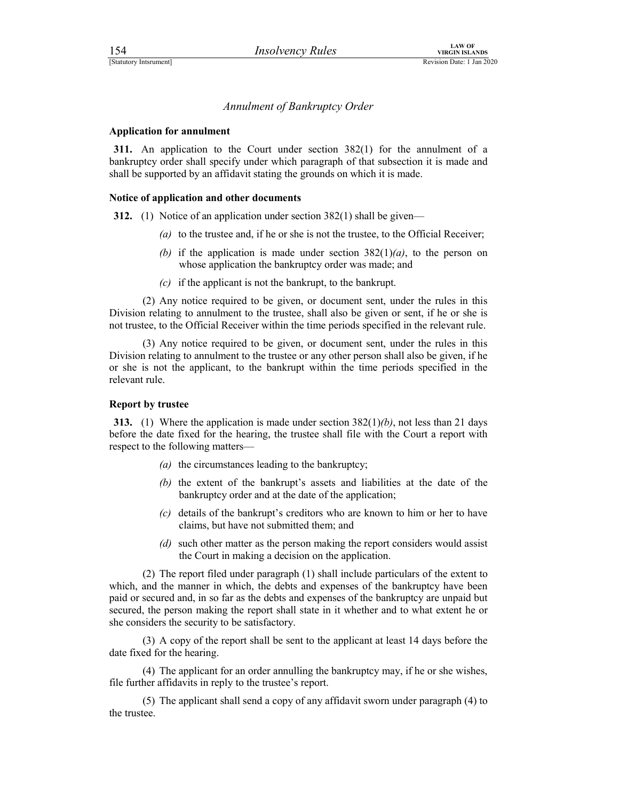# Externo LAW OF VIRGIN ISLANDS<br>
Statutory Intsrument<br>
Annulment of Bankruptcy Order<br>
Annulment of Bankruptcy Order

### Application for annulment

311. An application to the Court under section 382(1) for the annulment of a bankruptcy order shall specify under which paragraph of that subsection it is made and shall be supported by an affidavit stating the grounds on which it is made.

### Notice of application and other documents

312. (1) Notice of an application under section 382(1) shall be given—

- (a) to the trustee and, if he or she is not the trustee, to the Official Receiver;
- (b) if the application is made under section  $382(1)(a)$ , to the person on whose application the bankruptcy order was made; and
- (c) if the applicant is not the bankrupt, to the bankrupt.

 (2) Any notice required to be given, or document sent, under the rules in this Division relating to annulment to the trustee, shall also be given or sent, if he or she is not trustee, to the Official Receiver within the time periods specified in the relevant rule.

 (3) Any notice required to be given, or document sent, under the rules in this Division relating to annulment to the trustee or any other person shall also be given, if he or she is not the applicant, to the bankrupt within the time periods specified in the relevant rule.

### Report by trustee

313. (1) Where the application is made under section  $382(1)(b)$ , not less than 21 days before the date fixed for the hearing, the trustee shall file with the Court a report with respect to the following matters—

- (a) the circumstances leading to the bankruptcy;
- (b) the extent of the bankrupt's assets and liabilities at the date of the bankruptcy order and at the date of the application;
- (c) details of the bankrupt's creditors who are known to him or her to have claims, but have not submitted them; and
- (d) such other matter as the person making the report considers would assist the Court in making a decision on the application.

 (2) The report filed under paragraph (1) shall include particulars of the extent to which, and the manner in which, the debts and expenses of the bankruptcy have been paid or secured and, in so far as the debts and expenses of the bankruptcy are unpaid but secured, the person making the report shall state in it whether and to what extent he or she considers the security to be satisfactory.

 (3) A copy of the report shall be sent to the applicant at least 14 days before the date fixed for the hearing.

 (4) The applicant for an order annulling the bankruptcy may, if he or she wishes, file further affidavits in reply to the trustee's report.

 (5) The applicant shall send a copy of any affidavit sworn under paragraph (4) to the trustee.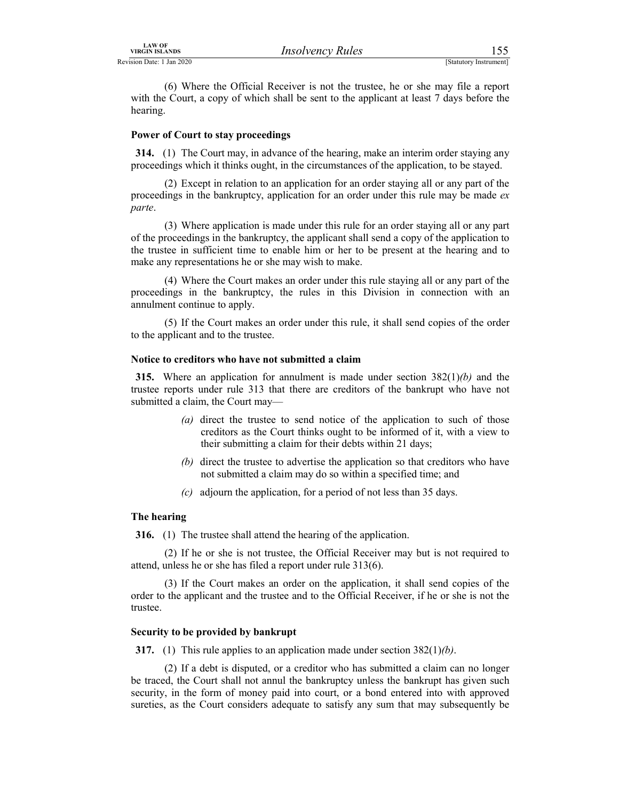LAW OF<br>
Revision Date: 1 Jan 2020<br>
(6) Where the Official Receiver is not the trustee, he or she may file a report<br>
with the Court, a copy of which shall be sent to the applicant at least 7 days before the<br>
hearing. (6) Where the Official Receiver is not the trustee, he or she may file a report with the Court, a copy of which shall be sent to the applicant at least 7 days before the hearing.

### Power of Court to stay proceedings

314. (1) The Court may, in advance of the hearing, make an interim order staying any proceedings which it thinks ought, in the circumstances of the application, to be stayed.

 (2) Except in relation to an application for an order staying all or any part of the proceedings in the bankruptcy, application for an order under this rule may be made  $ex$ parte.

 (3) Where application is made under this rule for an order staying all or any part of the proceedings in the bankruptcy, the applicant shall send a copy of the application to the trustee in sufficient time to enable him or her to be present at the hearing and to make any representations he or she may wish to make.

 (4) Where the Court makes an order under this rule staying all or any part of the proceedings in the bankruptcy, the rules in this Division in connection with an annulment continue to apply.

 (5) If the Court makes an order under this rule, it shall send copies of the order to the applicant and to the trustee.

### Notice to creditors who have not submitted a claim

315. Where an application for annulment is made under section  $382(1)(b)$  and the trustee reports under rule 313 that there are creditors of the bankrupt who have not submitted a claim, the Court may—

- (a) direct the trustee to send notice of the application to such of those creditors as the Court thinks ought to be informed of it, with a view to their submitting a claim for their debts within 21 days;
- (b) direct the trustee to advertise the application so that creditors who have not submitted a claim may do so within a specified time; and
- (c) adjourn the application, for a period of not less than 35 days.

### The hearing

316. (1) The trustee shall attend the hearing of the application.

 (2) If he or she is not trustee, the Official Receiver may but is not required to attend, unless he or she has filed a report under rule 313(6).

 (3) If the Court makes an order on the application, it shall send copies of the order to the applicant and the trustee and to the Official Receiver, if he or she is not the trustee.

### Security to be provided by bankrupt

317. (1) This rule applies to an application made under section  $382(1)(b)$ .

 (2) If a debt is disputed, or a creditor who has submitted a claim can no longer be traced, the Court shall not annul the bankruptcy unless the bankrupt has given such security, in the form of money paid into court, or a bond entered into with approved sureties, as the Court considers adequate to satisfy any sum that may subsequently be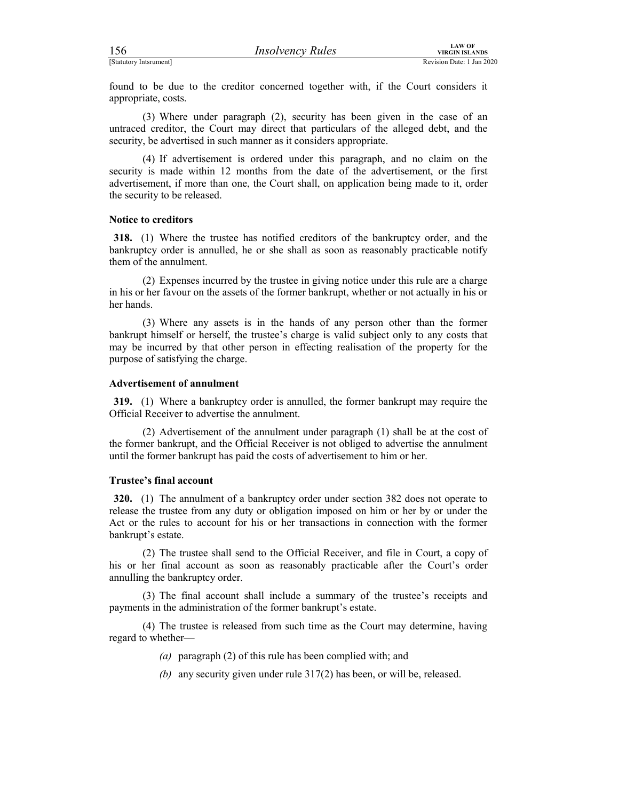For the content of the Court may display the content of the court considers it<br>
Statutory Internation Date: 1 Jan 2020<br>
Found to be due to the creditor concerned together with, if the Court considers it<br>
(3) Where under pa found to be due to the creditor concerned together with, if the Court considers it appropriate, costs.

 (3) Where under paragraph (2), security has been given in the case of an untraced creditor, the Court may direct that particulars of the alleged debt, and the security, be advertised in such manner as it considers appropriate.

 (4) If advertisement is ordered under this paragraph, and no claim on the security is made within 12 months from the date of the advertisement, or the first advertisement, if more than one, the Court shall, on application being made to it, order the security to be released.

### Notice to creditors

318. (1) Where the trustee has notified creditors of the bankruptcy order, and the bankruptcy order is annulled, he or she shall as soon as reasonably practicable notify them of the annulment.

 (2) Expenses incurred by the trustee in giving notice under this rule are a charge in his or her favour on the assets of the former bankrupt, whether or not actually in his or her hands.

 (3) Where any assets is in the hands of any person other than the former bankrupt himself or herself, the trustee's charge is valid subject only to any costs that may be incurred by that other person in effecting realisation of the property for the purpose of satisfying the charge.

### Advertisement of annulment

319. (1) Where a bankruptcy order is annulled, the former bankrupt may require the Official Receiver to advertise the annulment.

 (2) Advertisement of the annulment under paragraph (1) shall be at the cost of the former bankrupt, and the Official Receiver is not obliged to advertise the annulment until the former bankrupt has paid the costs of advertisement to him or her.

### Trustee's final account

320. (1) The annulment of a bankruptcy order under section 382 does not operate to release the trustee from any duty or obligation imposed on him or her by or under the Act or the rules to account for his or her transactions in connection with the former bankrupt's estate.

 (2) The trustee shall send to the Official Receiver, and file in Court, a copy of his or her final account as soon as reasonably practicable after the Court's order annulling the bankruptcy order.

 (3) The final account shall include a summary of the trustee's receipts and payments in the administration of the former bankrupt's estate.

 (4) The trustee is released from such time as the Court may determine, having regard to whether—

(a) paragraph  $(2)$  of this rule has been complied with; and

(b) any security given under rule 317(2) has been, or will be, released.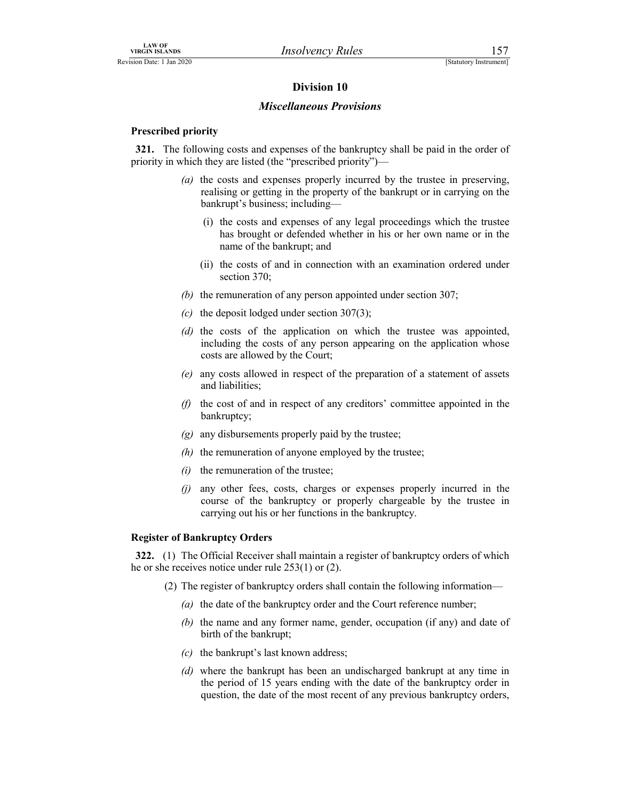### Division 10

### Miscellaneous Provisions

### Prescribed priority

321. The following costs and expenses of the bankruptcy shall be paid in the order of priority in which they are listed (the "prescribed priority")—

- (a) the costs and expenses properly incurred by the trustee in preserving, realising or getting in the property of the bankrupt or in carrying on the bankrupt's business; including—
	- (i) the costs and expenses of any legal proceedings which the trustee has brought or defended whether in his or her own name or in the name of the bankrupt; and
	- (ii) the costs of and in connection with an examination ordered under section 370;
- (b) the remuneration of any person appointed under section 307;
- (c) the deposit lodged under section 307(3);
- (d) the costs of the application on which the trustee was appointed, including the costs of any person appearing on the application whose costs are allowed by the Court;
- (e) any costs allowed in respect of the preparation of a statement of assets and liabilities;
- $(f)$  the cost of and in respect of any creditors' committee appointed in the bankruptcy;
- $(g)$  any disbursements properly paid by the trustee;
- $(h)$  the remuneration of anyone employed by the trustee;
- $(i)$  the remuneration of the trustee;
- (j) any other fees, costs, charges or expenses properly incurred in the course of the bankruptcy or properly chargeable by the trustee in carrying out his or her functions in the bankruptcy.

### Register of Bankruptcy Orders

322. (1) The Official Receiver shall maintain a register of bankruptcy orders of which he or she receives notice under rule 253(1) or (2).

- (2) The register of bankruptcy orders shall contain the following information—
	- (a) the date of the bankruptcy order and the Court reference number;
	- (b) the name and any former name, gender, occupation (if any) and date of birth of the bankrupt;
	- $(c)$  the bankrupt's last known address;
	- (d) where the bankrupt has been an undischarged bankrupt at any time in the period of 15 years ending with the date of the bankruptcy order in question, the date of the most recent of any previous bankruptcy orders,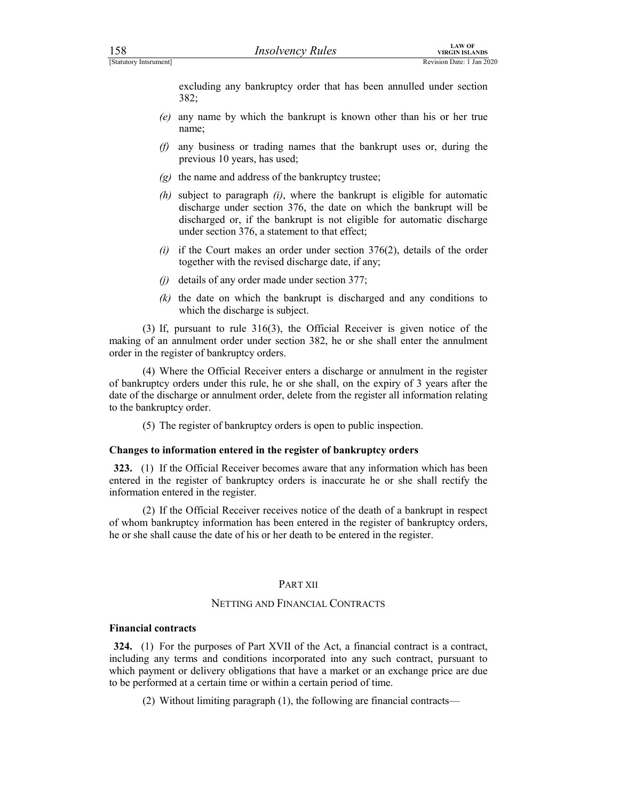For the control of the control and the parameter of the control of the control of the control of the control of the parameter of the bankrupt is known other than his or her true mannormal and the bankrupt is known other th excluding any bankruptcy order that has been annulled under section 382;

- (e) any name by which the bankrupt is known other than his or her true name;
- (f) any business or trading names that the bankrupt uses or, during the previous 10 years, has used;
- $(g)$  the name and address of the bankruptcy trustee;
- (h) subject to paragraph  $(i)$ , where the bankrupt is eligible for automatic discharge under section 376, the date on which the bankrupt will be discharged or, if the bankrupt is not eligible for automatic discharge under section 376, a statement to that effect;
- (i) if the Court makes an order under section  $376(2)$ , details of the order together with the revised discharge date, if any;
- (j) details of any order made under section 377;
- $(k)$  the date on which the bankrupt is discharged and any conditions to which the discharge is subject.

 (3) If, pursuant to rule 316(3), the Official Receiver is given notice of the making of an annulment order under section 382, he or she shall enter the annulment order in the register of bankruptcy orders.

 (4) Where the Official Receiver enters a discharge or annulment in the register of bankruptcy orders under this rule, he or she shall, on the expiry of 3 years after the date of the discharge or annulment order, delete from the register all information relating to the bankruptcy order.

(5) The register of bankruptcy orders is open to public inspection.

### Changes to information entered in the register of bankruptcy orders

323. (1) If the Official Receiver becomes aware that any information which has been entered in the register of bankruptcy orders is inaccurate he or she shall rectify the information entered in the register.

 (2) If the Official Receiver receives notice of the death of a bankrupt in respect of whom bankruptcy information has been entered in the register of bankruptcy orders, he or she shall cause the date of his or her death to be entered in the register.

### PART XII

### NETTING AND FINANCIAL CONTRACTS

### Financial contracts

324. (1) For the purposes of Part XVII of the Act, a financial contract is a contract, including any terms and conditions incorporated into any such contract, pursuant to which payment or delivery obligations that have a market or an exchange price are due to be performed at a certain time or within a certain period of time.

(2) Without limiting paragraph (1), the following are financial contracts—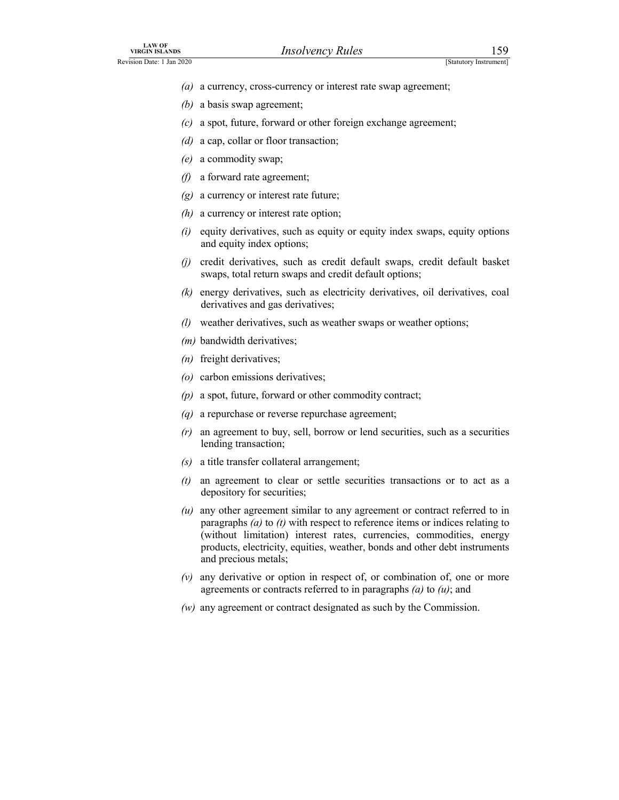- (a) a currency, cross-currency or interest rate swap agreement;
- (b) a basis swap agreement;
- LAW OF<br>
VIRGIN ISLANDS<br>
Revision Date: 1 Jan 2020<br>
(a) a currency, cross-currency or interest rate swap agreement;<br>
(b) a basis swap agreement;<br>
(c) a spot, future, forward or other foreign exchange agreement;  $(c)$  a spot, future, forward or other foreign exchange agreement;
	- (d) a cap, collar or floor transaction;
	- (e) a commodity swap;
	- (f) a forward rate agreement;
	- $(g)$  a currency or interest rate future;
	- $(h)$  a currency or interest rate option;
	- $(i)$  equity derivatives, such as equity or equity index swaps, equity options and equity index options;
	- (j) credit derivatives, such as credit default swaps, credit default basket swaps, total return swaps and credit default options;
	- (k) energy derivatives, such as electricity derivatives, oil derivatives, coal derivatives and gas derivatives;
	- (l) weather derivatives, such as weather swaps or weather options;
	- (*m*) bandwidth derivatives;
	- (n) freight derivatives;
	- (o) carbon emissions derivatives;
	- $(p)$  a spot, future, forward or other commodity contract;
	- (q) a repurchase or reverse repurchase agreement;
	- $(r)$  an agreement to buy, sell, borrow or lend securities, such as a securities lending transaction;
	- (s) a title transfer collateral arrangement;
	- $(t)$  an agreement to clear or settle securities transactions or to act as a depository for securities;
	- $(u)$  any other agreement similar to any agreement or contract referred to in paragraphs  $(a)$  to  $(t)$  with respect to reference items or indices relating to (without limitation) interest rates, currencies, commodities, energy products, electricity, equities, weather, bonds and other debt instruments and precious metals;
	- $(v)$  any derivative or option in respect of, or combination of, one or more agreements or contracts referred to in paragraphs  $(a)$  to  $(u)$ ; and
	- (w) any agreement or contract designated as such by the Commission.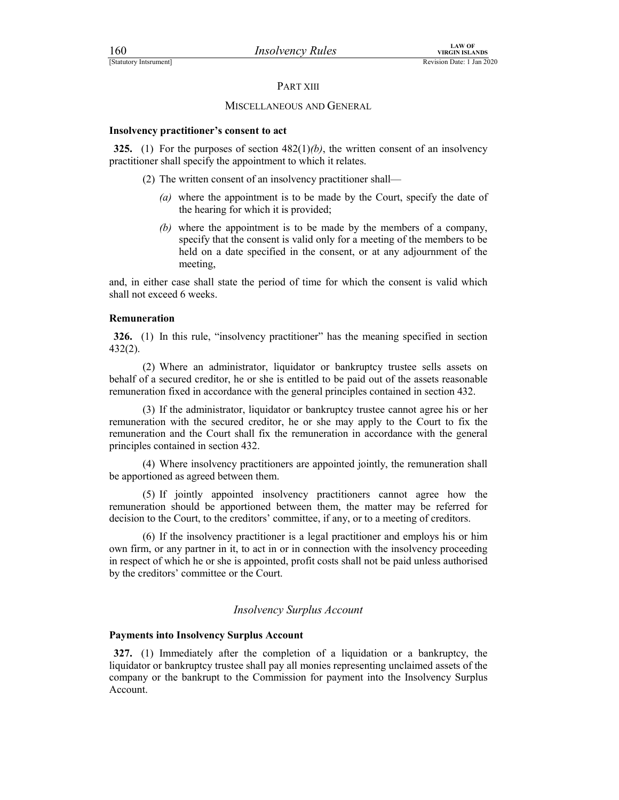### PART XIII

### MISCELLANEOUS AND GENERAL

### Insolvency practitioner's consent to act

325. (1) For the purposes of section  $482(1)/b$ , the written consent of an insolvency practitioner shall specify the appointment to which it relates.

- (2) The written consent of an insolvency practitioner shall—
	- (a) where the appointment is to be made by the Court, specify the date of the hearing for which it is provided;
	- (b) where the appointment is to be made by the members of a company, specify that the consent is valid only for a meeting of the members to be held on a date specified in the consent, or at any adjournment of the meeting,

and, in either case shall state the period of time for which the consent is valid which shall not exceed 6 weeks.

### Remuneration

326. (1) In this rule, "insolvency practitioner" has the meaning specified in section 432(2).

 (2) Where an administrator, liquidator or bankruptcy trustee sells assets on behalf of a secured creditor, he or she is entitled to be paid out of the assets reasonable remuneration fixed in accordance with the general principles contained in section 432.

 (3) If the administrator, liquidator or bankruptcy trustee cannot agree his or her remuneration with the secured creditor, he or she may apply to the Court to fix the remuneration and the Court shall fix the remuneration in accordance with the general principles contained in section 432.

 (4) Where insolvency practitioners are appointed jointly, the remuneration shall be apportioned as agreed between them.

 (5) If jointly appointed insolvency practitioners cannot agree how the remuneration should be apportioned between them, the matter may be referred for decision to the Court, to the creditors' committee, if any, or to a meeting of creditors.

 (6) If the insolvency practitioner is a legal practitioner and employs his or him own firm, or any partner in it, to act in or in connection with the insolvency proceeding in respect of which he or she is appointed, profit costs shall not be paid unless authorised by the creditors' committee or the Court.

### Insolvency Surplus Account

### Payments into Insolvency Surplus Account

327. (1) Immediately after the completion of a liquidation or a bankruptcy, the liquidator or bankruptcy trustee shall pay all monies representing unclaimed assets of the company or the bankrupt to the Commission for payment into the Insolvency Surplus Account.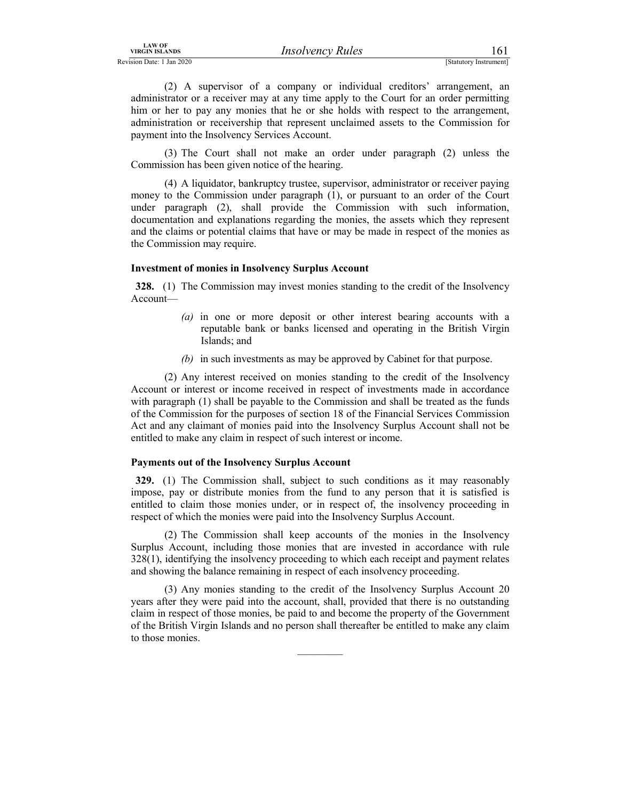*IRSO URGIN ISLANDS*<br> *IRSO UPROV Rules*<br>
[Statutory Instrument]<br>
(2) A supervisor of a company or individual creditors' arrangement, an<br>
administrator or a receiver may at any time apply to the Court for an order permitti (2) A supervisor of a company or individual creditors' arrangement, an administrator or a receiver may at any time apply to the Court for an order permitting HIM OF THE CONDUCT MEAN OF THE CONDUCT AND TRANSOR DETAILS AND SIGN USES (STALLODY INSTRUMENT)<br>
(2) A supervisor of a company or individual creditors' arrangement, an<br>
administrator or a receiver may at any time apply to t administration or receivership that represent unclaimed assets to the Commission for payment into the Insolvency Services Account.

 (3) The Court shall not make an order under paragraph (2) unless the Commission has been given notice of the hearing.

 (4) A liquidator, bankruptcy trustee, supervisor, administrator or receiver paying money to the Commission under paragraph (1), or pursuant to an order of the Court under paragraph (2), shall provide the Commission with such information, documentation and explanations regarding the monies, the assets which they represent and the claims or potential claims that have or may be made in respect of the monies as the Commission may require.

### Investment of monies in Insolvency Surplus Account

328. (1) The Commission may invest monies standing to the credit of the Insolvency Account—

- (a) in one or more deposit or other interest bearing accounts with a reputable bank or banks licensed and operating in the British Virgin Islands; and
- (b) in such investments as may be approved by Cabinet for that purpose.

 (2) Any interest received on monies standing to the credit of the Insolvency Account or interest or income received in respect of investments made in accordance with paragraph (1) shall be payable to the Commission and shall be treated as the funds of the Commission for the purposes of section 18 of the Financial Services Commission Act and any claimant of monies paid into the Insolvency Surplus Account shall not be entitled to make any claim in respect of such interest or income.

### Payments out of the Insolvency Surplus Account

329. (1) The Commission shall, subject to such conditions as it may reasonably impose, pay or distribute monies from the fund to any person that it is satisfied is entitled to claim those monies under, or in respect of, the insolvency proceeding in respect of which the monies were paid into the Insolvency Surplus Account.

 (2) The Commission shall keep accounts of the monies in the Insolvency Surplus Account, including those monies that are invested in accordance with rule 328(1), identifying the insolvency proceeding to which each receipt and payment relates and showing the balance remaining in respect of each insolvency proceeding.

 (3) Any monies standing to the credit of the Insolvency Surplus Account 20 years after they were paid into the account, shall, provided that there is no outstanding claim in respect of those monies, be paid to and become the property of the Government of the British Virgin Islands and no person shall thereafter be entitled to make any claim to those monies.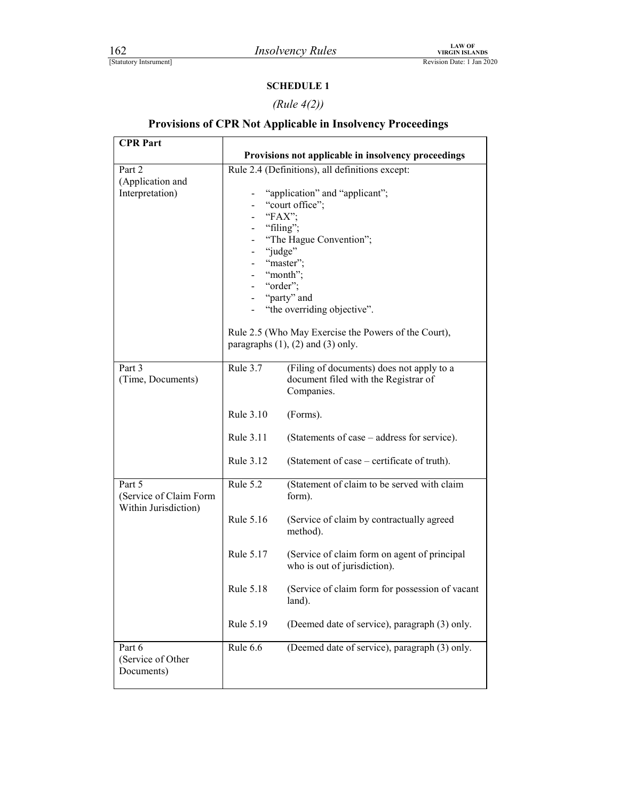### SCHEDULE 1

### (Rule 4(2))

# **EXAMPLE 1**<br> *Insolvency Rules*<br> **EXAMPLE 1**<br> **Revision Date: 1 Jan 2020**<br> **SCHEDULE 1**<br> *Rule 4(2))*<br> **Provisions of CPR Not Applicable in Insolvency Proceedings** Provisions of CPR Not Applicable in Insolvency Proceedings

| <b>CPR Part</b>                                          |           |                                                                                                                                                                                                                                                      |
|----------------------------------------------------------|-----------|------------------------------------------------------------------------------------------------------------------------------------------------------------------------------------------------------------------------------------------------------|
|                                                          |           | Provisions not applicable in insolvency proceedings                                                                                                                                                                                                  |
| Part 2<br>(Application and<br>Interpretation)            |           | Rule 2.4 (Definitions), all definitions except:<br>"application" and "applicant";<br>"court office";<br>"FAX";<br>"filing";<br>"The Hague Convention";<br>"judge"<br>"master";<br>"month";<br>"order";<br>"party" and<br>"the overriding objective". |
|                                                          |           | Rule 2.5 (Who May Exercise the Powers of the Court),<br>paragraphs $(1)$ , $(2)$ and $(3)$ only.                                                                                                                                                     |
| Part 3<br>(Time, Documents)                              | Rule 3.7  | (Filing of documents) does not apply to a<br>document filed with the Registrar of<br>Companies.                                                                                                                                                      |
|                                                          | Rule 3.10 | (Forms).                                                                                                                                                                                                                                             |
|                                                          | Rule 3.11 | (Statements of case – address for service).                                                                                                                                                                                                          |
|                                                          | Rule 3.12 | (Statement of case – certificate of truth).                                                                                                                                                                                                          |
| Part 5<br>(Service of Claim Form<br>Within Jurisdiction) | Rule 5.2  | (Statement of claim to be served with claim<br>form).                                                                                                                                                                                                |
|                                                          | Rule 5.16 | (Service of claim by contractually agreed<br>method).                                                                                                                                                                                                |
|                                                          | Rule 5.17 | (Service of claim form on agent of principal<br>who is out of jurisdiction).                                                                                                                                                                         |
|                                                          | Rule 5.18 | (Service of claim form for possession of vacant<br>land).                                                                                                                                                                                            |
|                                                          | Rule 5.19 | (Deemed date of service), paragraph (3) only.                                                                                                                                                                                                        |
| Part 6<br>(Service of Other<br>Documents)                | Rule 6.6  | (Deemed date of service), paragraph (3) only.                                                                                                                                                                                                        |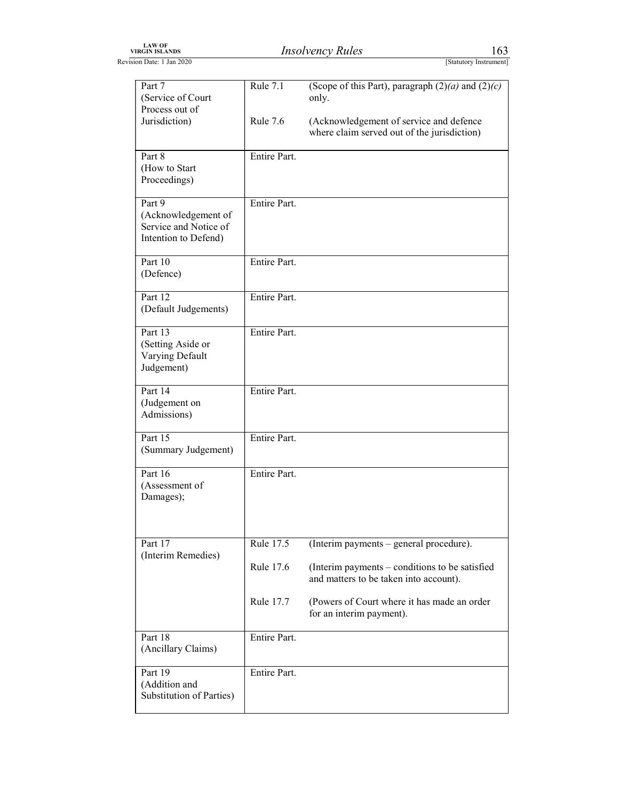| <b>LAW OF</b><br><b>VIRGIN ISLANDS</b> | Insolvencv<br>Rules | 109                    |
|----------------------------------------|---------------------|------------------------|
| evision Date: 1<br>$1$ Jan 2020        |                     | [Statutory Instrument] |
|                                        |                     |                        |

| LAW OF<br>VIRGIN ISLANDS                                                       |              | <b>Insolvency Rules</b>                                                                                           | 163                    |
|--------------------------------------------------------------------------------|--------------|-------------------------------------------------------------------------------------------------------------------|------------------------|
| Revision Date: 1 Jan 2020                                                      |              |                                                                                                                   | [Statutory Instrument] |
| Part 7<br>(Service of Court<br>Process out of                                  | Rule 7.1     | (Scope of this Part), paragraph $(2)(a)$ and $(2)(c)$<br>only.                                                    |                        |
| Jurisdiction)                                                                  | Rule 7.6     | (Acknowledgement of service and defence<br>where claim served out of the jurisdiction)                            |                        |
| Part 8<br>(How to Start<br>Proceedings)                                        | Entire Part. |                                                                                                                   |                        |
| Part 9<br>(Acknowledgement of<br>Service and Notice of<br>Intention to Defend) | Entire Part. |                                                                                                                   |                        |
| Part 10<br>(Defence)                                                           | Entire Part. |                                                                                                                   |                        |
| Part 12<br>(Default Judgements)                                                | Entire Part. |                                                                                                                   |                        |
| Part 13<br>(Setting Aside or<br>Varying Default<br>Judgement)                  | Entire Part. |                                                                                                                   |                        |
| Part 14<br>(Judgement on<br>Admissions)                                        | Entire Part. |                                                                                                                   |                        |
| Part 15<br>(Summary Judgement)                                                 | Entire Part. |                                                                                                                   |                        |
| Part 16<br>(Assessment of<br>Damages);                                         | Entire Part. |                                                                                                                   |                        |
| Part 17                                                                        | Rule 17.5    | (Interim payments – general procedure).                                                                           |                        |
| (Interim Remedies)                                                             | Rule 17.6    | (Interim payments - conditions to be satisfied                                                                    |                        |
|                                                                                | Rule 17.7    | and matters to be taken into account).<br>(Powers of Court where it has made an order<br>for an interim payment). |                        |
| Part 18<br>(Ancillary Claims)                                                  | Entire Part. |                                                                                                                   |                        |
| Part 19<br>(Addition and                                                       | Entire Part. |                                                                                                                   |                        |
| Substitution of Parties)                                                       |              |                                                                                                                   |                        |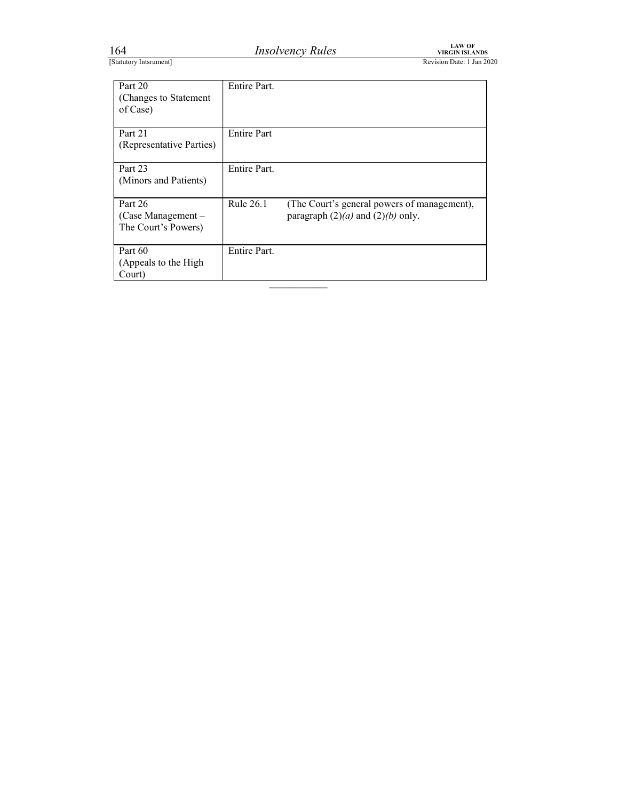| .64                    | <i>Insolvency Rules</i> | ∟AW OF<br><b>/IRGIN ISL</b><br>ANDS |
|------------------------|-------------------------|-------------------------------------|
| [Statutory Intsrument] |                         | Revision Date: 1 Jan 2020           |

|                                          |                    | LAW OF<br>VIRGIN ISLANDS<br><b>Insolvency Rules</b><br>Revision Date: 1 Jan 2020     |
|------------------------------------------|--------------------|--------------------------------------------------------------------------------------|
| 164<br>[Statutory Intsrument]<br>Part 20 | Entire Part.       |                                                                                      |
| (Changes to Statement<br>of Case)        |                    |                                                                                      |
| Part 21<br>(Representative Parties)      | <b>Entire Part</b> |                                                                                      |
| Part 23<br>(Minors and Patients)         | Entire Part.       |                                                                                      |
| Part 26<br>(Case Management-             | <b>Rule 26.1</b>   | (The Court's general powers of management),<br>paragraph $(2)(a)$ and $(2)(b)$ only. |
| The Court's Powers)<br>Part 60           | Entire Part.       |                                                                                      |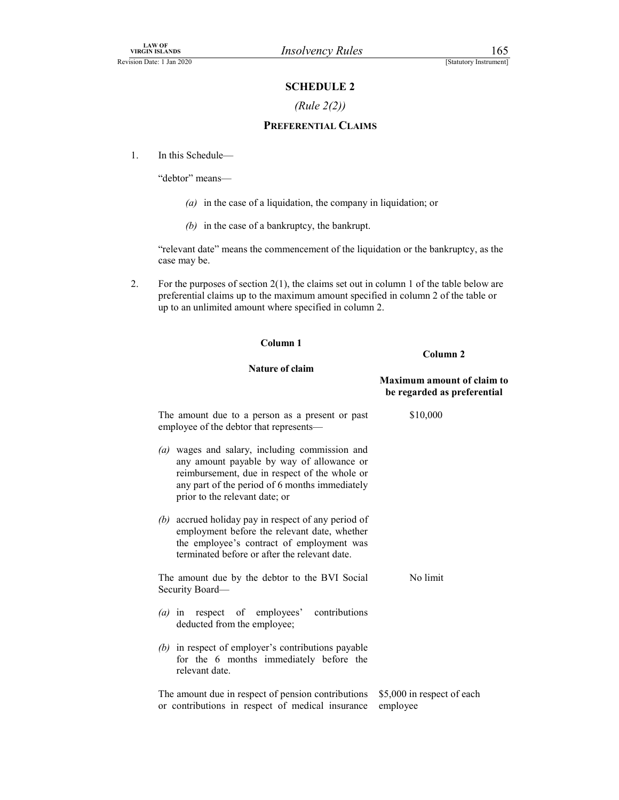### (Rule 2(2))

# Financipal Control (Statutory Instrument)<br>
SCHEDULE 2<br>
(Rule 2(2))<br>
FERENTIAL CLAIMS PREFERENTIAL CLAIMS

1. In this Schedule—

"debtor" means—

- $(a)$  in the case of a liquidation, the company in liquidation; or
- (b) in the case of a bankruptcy, the bankrupt.

"relevant date" means the commencement of the liquidation or the bankruptcy, as the case may be.

2. For the purposes of section 2(1), the claims set out in column 1 of the table below are preferential claims up to the maximum amount specified in column 2 of the table or up to an unlimited amount where specified in column 2.

### Column 1

### Nature of claim

Column 2

| <b>Maximum amount of claim to</b> |  |
|-----------------------------------|--|
| be regarded as preferential       |  |

| The amount due to a person as a present or past<br>employee of the debtor that represents-                                                                                                                                                        | \$10,000                               |
|---------------------------------------------------------------------------------------------------------------------------------------------------------------------------------------------------------------------------------------------------|----------------------------------------|
| wages and salary, including commission and<br>$\left( a\right)$<br>any amount payable by way of allowance or<br>reimbursement, due in respect of the whole or<br>any part of the period of 6 months immediately<br>prior to the relevant date; or |                                        |
| (b) accrued holiday pay in respect of any period of<br>employment before the relevant date, whether<br>the employee's contract of employment was<br>terminated before or after the relevant date.                                                 |                                        |
| The amount due by the debtor to the BVI Social<br>Security Board-                                                                                                                                                                                 | No limit                               |
| contributions<br>(a) in respect of employees'<br>deducted from the employee;                                                                                                                                                                      |                                        |
| (b) in respect of employer's contributions payable<br>for the 6 months immediately before the<br>relevant date.                                                                                                                                   |                                        |
| The amount due in respect of pension contributions<br>or contributions in respect of medical insurance                                                                                                                                            | \$5,000 in respect of each<br>employee |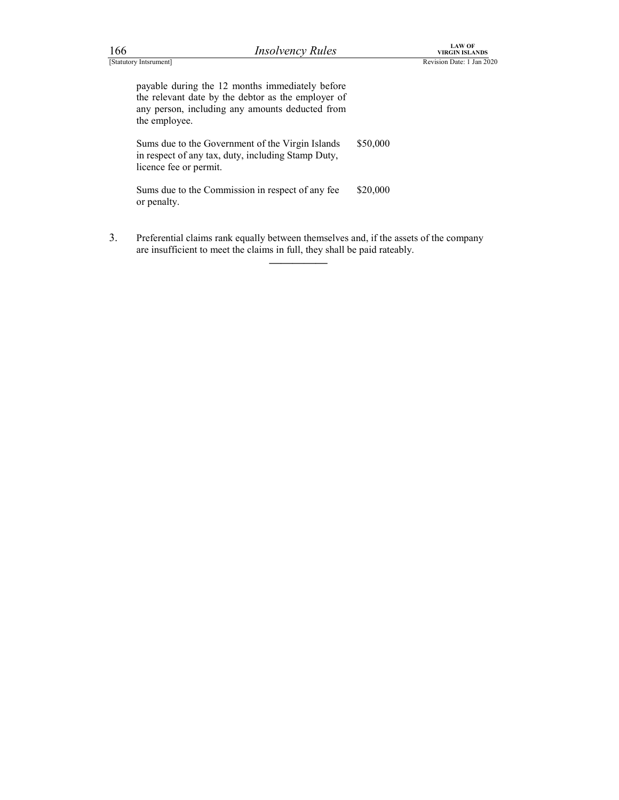| <b>LAW OF</b><br><b>Insolvency Rules</b><br>166<br><b>VIRGIN ISLANDS</b><br>[Statutory Intsrument]<br>Revision Date: 1 Jan 2020<br>payable during the 12 months immediately before<br>the relevant date by the debtor as the employer of<br>any person, including any amounts deducted from<br>the employee.<br>Sums due to the Government of the Virgin Islands<br>\$50,000<br>in respect of any tax, duty, including Stamp Duty,<br>licence fee or permit.<br>Sums due to the Commission in respect of any fee<br>\$20,000<br>or penalty. |  |  |  |
|---------------------------------------------------------------------------------------------------------------------------------------------------------------------------------------------------------------------------------------------------------------------------------------------------------------------------------------------------------------------------------------------------------------------------------------------------------------------------------------------------------------------------------------------|--|--|--|
|                                                                                                                                                                                                                                                                                                                                                                                                                                                                                                                                             |  |  |  |
|                                                                                                                                                                                                                                                                                                                                                                                                                                                                                                                                             |  |  |  |
|                                                                                                                                                                                                                                                                                                                                                                                                                                                                                                                                             |  |  |  |
|                                                                                                                                                                                                                                                                                                                                                                                                                                                                                                                                             |  |  |  |
|                                                                                                                                                                                                                                                                                                                                                                                                                                                                                                                                             |  |  |  |
|                                                                                                                                                                                                                                                                                                                                                                                                                                                                                                                                             |  |  |  |
|                                                                                                                                                                                                                                                                                                                                                                                                                                                                                                                                             |  |  |  |
|                                                                                                                                                                                                                                                                                                                                                                                                                                                                                                                                             |  |  |  |
|                                                                                                                                                                                                                                                                                                                                                                                                                                                                                                                                             |  |  |  |
|                                                                                                                                                                                                                                                                                                                                                                                                                                                                                                                                             |  |  |  |
|                                                                                                                                                                                                                                                                                                                                                                                                                                                                                                                                             |  |  |  |
|                                                                                                                                                                                                                                                                                                                                                                                                                                                                                                                                             |  |  |  |
|                                                                                                                                                                                                                                                                                                                                                                                                                                                                                                                                             |  |  |  |
|                                                                                                                                                                                                                                                                                                                                                                                                                                                                                                                                             |  |  |  |

3. Preferential claims rank equally between themselves and, if the assets of the company are insufficient to meet the claims in full, they shall be paid rateably.  $\overline{\phantom{a}}$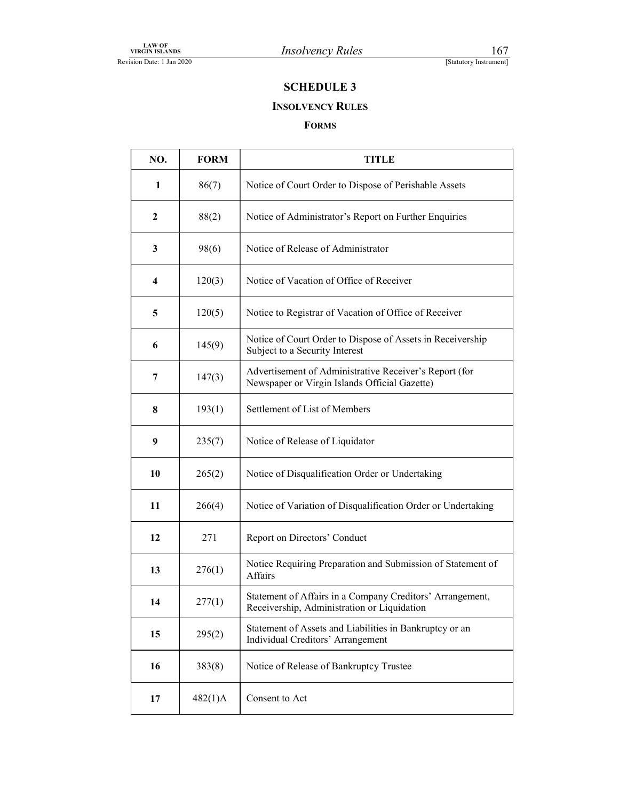### INSOLVENCY RULES

### FORMS

| <b>LAW OF</b><br><b>VIRGIN ISLANDS</b><br>ision Date: 1 Jan 2020 |             | <b>Insolvency Rules</b><br>167<br>[Statutory Instrument]                                                 |
|------------------------------------------------------------------|-------------|----------------------------------------------------------------------------------------------------------|
|                                                                  |             | <b>SCHEDULE 3</b>                                                                                        |
|                                                                  |             | <b>INSOLVENCY RULES</b><br><b>FORMS</b>                                                                  |
| NO.                                                              | <b>FORM</b> | <b>TITLE</b>                                                                                             |
| 1                                                                | 86(7)       | Notice of Court Order to Dispose of Perishable Assets                                                    |
| $\boldsymbol{2}$                                                 | 88(2)       | Notice of Administrator's Report on Further Enquiries                                                    |
| $\mathbf{3}$                                                     | 98(6)       | Notice of Release of Administrator                                                                       |
| 4                                                                | 120(3)      | Notice of Vacation of Office of Receiver                                                                 |
| $\overline{\mathbf{5}}$                                          | 120(5)      | Notice to Registrar of Vacation of Office of Receiver                                                    |
| 6                                                                | 145(9)      | Notice of Court Order to Dispose of Assets in Receivership<br>Subject to a Security Interest             |
| $\overline{7}$                                                   | 147(3)      | Advertisement of Administrative Receiver's Report (for<br>Newspaper or Virgin Islands Official Gazette)  |
| $\bf{8}$                                                         | 193(1)      | Settlement of List of Members                                                                            |
| $\boldsymbol{9}$                                                 | 235(7)      | Notice of Release of Liquidator                                                                          |
| 10                                                               | 265(2)      | Notice of Disqualification Order or Undertaking                                                          |
| 11                                                               | 266(4)      | Notice of Variation of Disqualification Order or Undertaking                                             |
| 12                                                               | 271         | Report on Directors' Conduct                                                                             |
| 13                                                               | 276(1)      | Notice Requiring Preparation and Submission of Statement of<br>Affairs                                   |
| 14                                                               | 277(1)      | Statement of Affairs in a Company Creditors' Arrangement,<br>Receivership, Administration or Liquidation |
| 15                                                               | 295(2)      | Statement of Assets and Liabilities in Bankruptcy or an<br>Individual Creditors' Arrangement             |
| 16                                                               | 383(8)      | Notice of Release of Bankruptcy Trustee                                                                  |
|                                                                  | 482(1)A     | Consent to Act                                                                                           |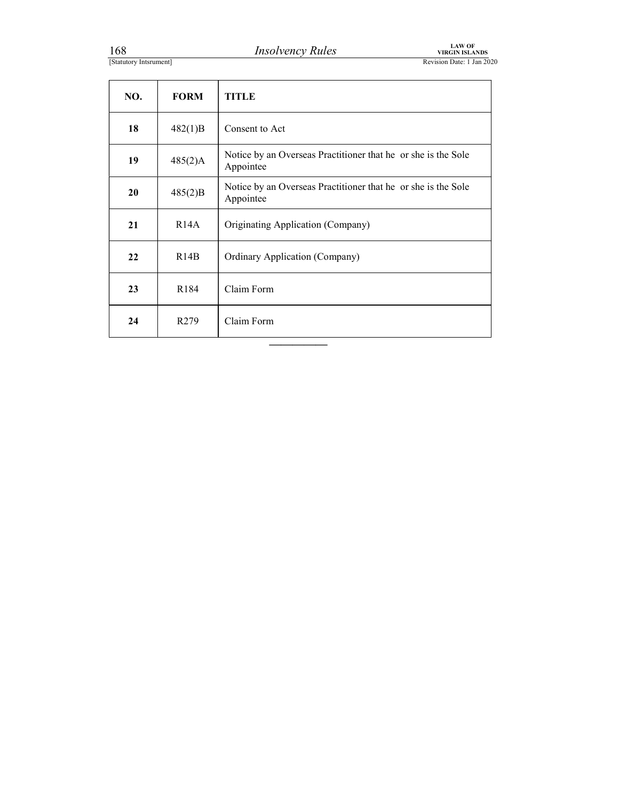| 168<br>[Statutory Intsrument] |             | LAW OF<br>VIRGIN ISLANDS<br><b>Insolvency Rules</b><br>Revision Date: 1 Jan 2020 |
|-------------------------------|-------------|----------------------------------------------------------------------------------|
| NO.                           | <b>FORM</b> | <b>TITLE</b>                                                                     |
|                               |             |                                                                                  |
| 18                            | 482(1)B     | Consent to Act                                                                   |
| 19                            | 485(2)A     | Notice by an Overseas Practitioner that he or she is the Sole<br>Appointee       |
| 20                            | 485(2)B     | Notice by an Overseas Practitioner that he or she is the Sole<br>Appointee       |
| 21                            | R14A        | Originating Application (Company)                                                |
| 22                            | R14B        | Ordinary Application (Company)                                                   |
| 23                            | R184        | Claim Form                                                                       |

—————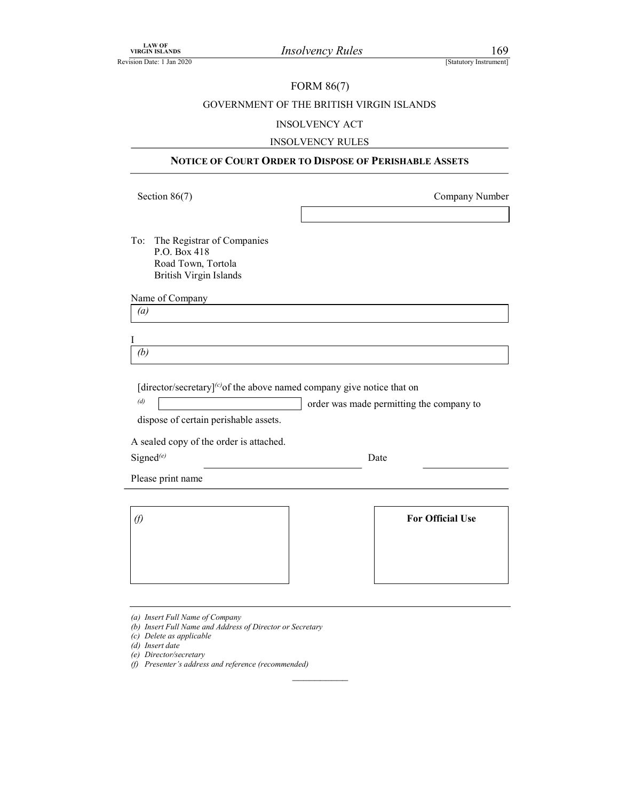### FORM 86(7)

# VIRGIN ISLANDS<br>
VIRGIN ISLANDS<br>
EREVISION Date: 1 Jan 2020<br>
GOVERNMENT OF THE BRITISH VIRGIN ISLANDS<br>
INSOLVENCY ACT GOVERNMENT OF THE BRITISH VIRGIN ISLANDS

### INSOLVENCY ACT

### INSOLVENCY RULES

| <b>VIRGIN ISLANDS</b><br>Revision Date: 1 Jan 2020                                      | <b>Insolvency Rules</b>                                                                  | 169<br>[Statutory Instrument] |
|-----------------------------------------------------------------------------------------|------------------------------------------------------------------------------------------|-------------------------------|
|                                                                                         | <b>FORM 86(7)</b>                                                                        |                               |
|                                                                                         | GOVERNMENT OF THE BRITISH VIRGIN ISLANDS                                                 |                               |
|                                                                                         | <b>INSOLVENCY ACT</b>                                                                    |                               |
|                                                                                         | <b>INSOLVENCY RULES</b>                                                                  |                               |
|                                                                                         | NOTICE OF COURT ORDER TO DISPOSE OF PERISHABLE ASSETS                                    |                               |
| Section $86(7)$                                                                         |                                                                                          | Company Number                |
|                                                                                         |                                                                                          |                               |
| (b)                                                                                     | [director/secretary] $\left($ c $\right)$ of the above named company give notice that on |                               |
| (d)<br>dispose of certain perishable assets.<br>A sealed copy of the order is attached. | order was made permitting the company to                                                 |                               |
| Signed $^{(e)}$                                                                         | Date                                                                                     |                               |
| Please print name                                                                       |                                                                                          |                               |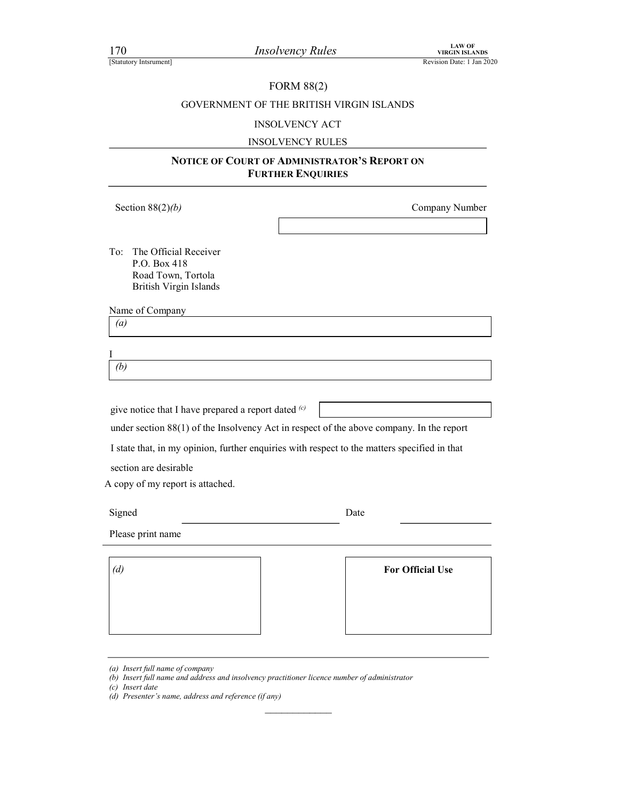### FORM 88(2)

# FORM SETTER PROFESSION SELANDS Revision Date: 1 Jan 2020<br>
FORM 88(2)<br>
GOVERNMENT OF THE BRITISH VIRGIN ISLANDS<br>
INSOLVENCY ACT GOVERNMENT OF THE BRITISH VIRGIN ISLANDS

### INSOLVENCY ACT

### INSOLVENCY RULES

### NOTICE OF COURT OF ADMINISTRATOR'S REPORT ON FURTHER ENQUIRIES

| Section $88(2)(b)$                                                                                               | Company Number                                                                                                                                                                           |
|------------------------------------------------------------------------------------------------------------------|------------------------------------------------------------------------------------------------------------------------------------------------------------------------------------------|
| The Official Receiver<br>To:<br>P.O. Box 418<br>Road Town, Tortola<br>British Virgin Islands                     |                                                                                                                                                                                          |
| Name of Company<br>(a)                                                                                           |                                                                                                                                                                                          |
|                                                                                                                  |                                                                                                                                                                                          |
| Ι                                                                                                                |                                                                                                                                                                                          |
| (b)                                                                                                              |                                                                                                                                                                                          |
| give notice that I have prepared a report dated (c)<br>section are desirable<br>A copy of my report is attached. | under section 88(1) of the Insolvency Act in respect of the above company. In the report<br>I state that, in my opinion, further enquiries with respect to the matters specified in that |
| Signed                                                                                                           | Date                                                                                                                                                                                     |
| Please print name                                                                                                |                                                                                                                                                                                          |
| (d)                                                                                                              | <b>For Official Use</b>                                                                                                                                                                  |
|                                                                                                                  |                                                                                                                                                                                          |

<sup>(</sup>a) Insert full name of company

<sup>(</sup>b) Insert full name and address and insolvency practitioner licence number of administrator

<sup>(</sup>c) Insert date

<sup>(</sup>d) Presenter's name, address and reference (if any)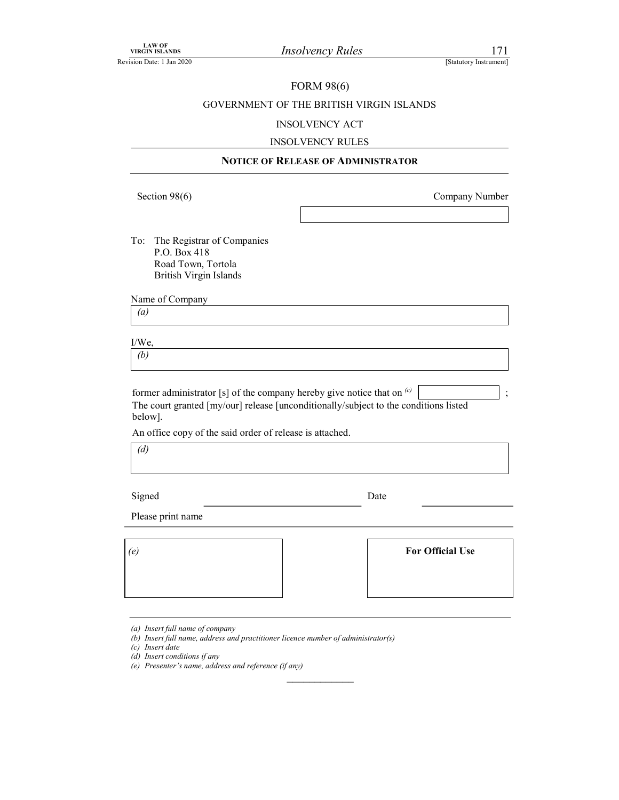### FORM 98(6)

# VIRGIN ISLANDS<br>
VIRGIN ISLANDS<br>
EREVISION Date: 1 Jan 2020<br>
FORM 98(6)<br>
GOVERNMENT OF THE BRITISH VIRGIN ISLANDS<br>
INSOLVENCY ACT GOVERNMENT OF THE BRITISH VIRGIN ISLANDS

### INSOLVENCY ACT

### INSOLVENCY RULES

### NOTICE OF RELEASE OF ADMINISTRATOR

Section 98(6) Company Number

To: The Registrar of Companies P.O. Box 418 Road Town, Tortola British Virgin Islands

| Name of Company |  |  |
|-----------------|--|--|
|                 |  |  |

(a)

| $\Delta N$<br>11 v. |  |  |  |
|---------------------|--|--|--|
| z.<br>υ             |  |  |  |

former administrator [s] of the company hereby give notice that on  $\left( c \right)$  | ; The court granted [my/our] release [unconditionally/subject to the conditions listed below].

An office copy of the said order of release is attached.

 $\overline{d}$ 

Signed Date Date

 $\frac{1}{2}$  ,  $\frac{1}{2}$  ,  $\frac{1}{2}$  ,  $\frac{1}{2}$  ,  $\frac{1}{2}$  ,  $\frac{1}{2}$  ,  $\frac{1}{2}$  ,  $\frac{1}{2}$  ,  $\frac{1}{2}$  ,  $\frac{1}{2}$  ,  $\frac{1}{2}$  ,  $\frac{1}{2}$  ,  $\frac{1}{2}$  ,  $\frac{1}{2}$  ,  $\frac{1}{2}$  ,  $\frac{1}{2}$  ,  $\frac{1}{2}$  ,  $\frac{1}{2}$  ,  $\frac{1$ 

Please print name

| (e) | <b>For Official Use</b> |  |
|-----|-------------------------|--|
|     |                         |  |
|     |                         |  |

| <b>For Official Use</b> |  |
|-------------------------|--|
|                         |  |

(a) Insert full name of company

<sup>(</sup>b) Insert full name, address and practitioner licence number of administrator(s)

<sup>(</sup>c) Insert date

<sup>(</sup>d) Insert conditions if any

<sup>(</sup>e) Presenter's name, address and reference (if any)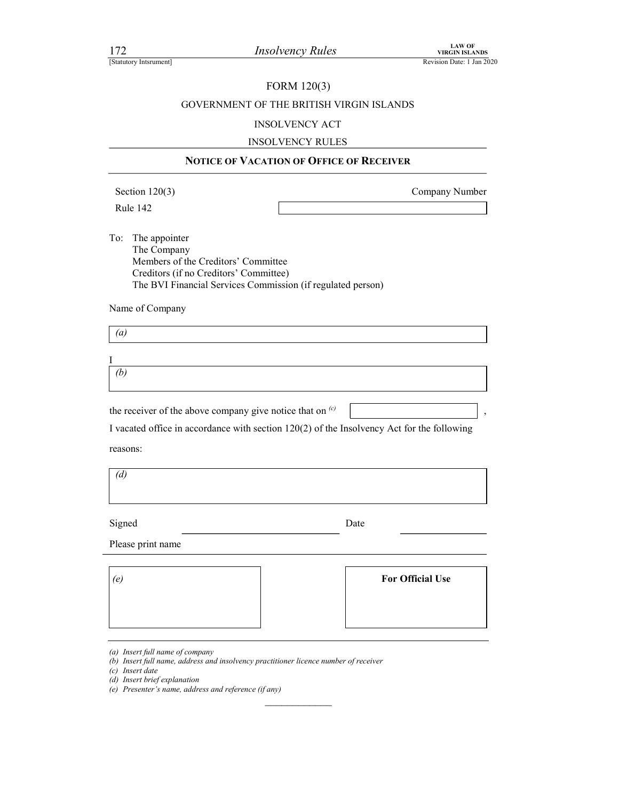### FORM 120(3)

# FORM 120(3)<br>
FORM 120(3)<br>
Revision Date: 1 Jan 2020<br>
Revision Date: 1 Jan 2020<br>
Revision Date: 1 Jan 2020<br>
GOVERNMENT OF THE BRITISH VIRGIN ISLANDS<br>
INSOLVENCY ACT GOVERNMENT OF THE BRITISH VIRGIN ISLANDS

### INSOLVENCY ACT

### INSOLVENCY RULES

### NOTICE OF VACATION OF OFFICE OF RECEIVER

Section 120(3) Company Number

, where  $\vert$  ,  $\vert$ 

To: The appointer The Company Members of the Creditors' Committee Creditors (if no Creditors' Committee) The BVI Financial Services Commission (if regulated person) The University Best Control of The BRITISH VIRGIN ISLANDS<br>
Revision Date:<br>
FORM 120(3)<br>
GOVERNMENT OF THE BRITISH VIRGIN ISLANDS<br>
INSOLVENCY ACT<br>
INSOLVENCY ACT<br>
INSOLVENCY RULES<br>
NOTICE OF VACATION OF OFFICE OF RECEIVER<br>

Name of Company

(a)

I and the set of  $\mathbf I$  $(b)$ 

I vacated office in accordance with section 120(2) of the Insolvency Act for the following

reasons:

(d)

Signed Date Date

 $\mathcal{L}_\text{max}$ 

Please print name

| (e | <b>For Official Use</b> |  |
|----|-------------------------|--|
|    |                         |  |
|    |                         |  |

<sup>(</sup>a) Insert full name of company

<sup>(</sup>b) Insert full name, address and insolvency practitioner licence number of receiver

<sup>(</sup>c) Insert date

<sup>(</sup>d) Insert brief explanation

<sup>(</sup>e) Presenter's name, address and reference (if any)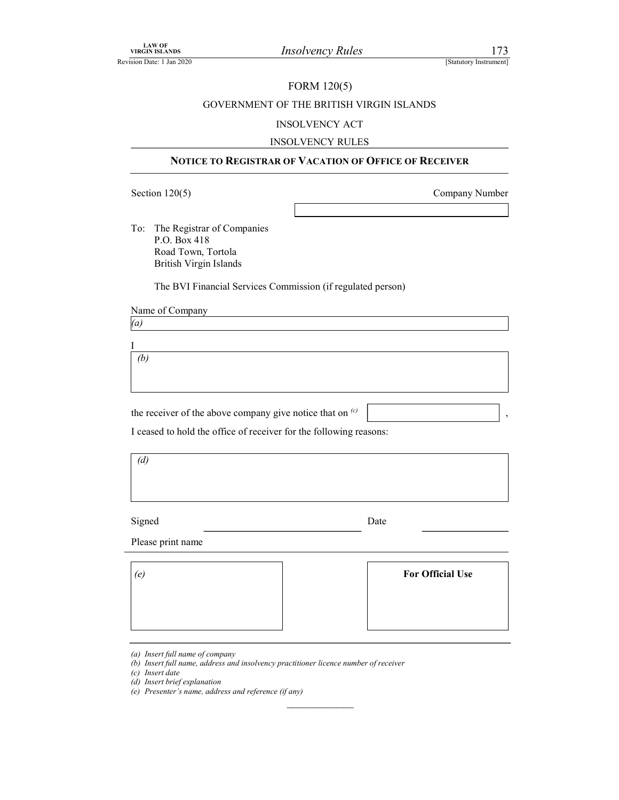### FORM 120(5)

# VIRGIN ISLANDS<br>
Revision Date: 1 Jan 2020<br>
FORM 120(5)<br>
GOVERNMENT OF THE BRITISH VIRGIN ISLANDS<br>
INSOLVENCY ACT GOVERNMENT OF THE BRITISH VIRGIN ISLANDS

### INSOLVENCY ACT

### INSOLVENCY RULES

### NOTICE TO REGISTRAR OF VACATION OF OFFICE OF RECEIVER

VIRGIN SLANDS<br>
SECTION 12006<br>
SECTION 12006<br>
SECTION 12005)<br>
COVERNMENT OF THE BRITISH VIRGIN ISLANDS<br>
INSOLVENCY ACT<br>
INSOLVENCY RULES<br>
NOTICE TO REGISTRAR OF VACATION OF OFFICE OF RECEIVER<br>
Section 120(5)<br>
Company Numbe To: The Registrar of Companies P.O. Box 418 Road Town, Tortola British Virgin Islands

The BVI Financial Services Commission (if regulated person)

Name of Company

(a)

I  $(b)$ 

the receiver of the above company give notice that on  $\frac{c}{c}$ 

I ceased to hold the office of receiver for the following reasons:

 $(d)$ 

Signed Date Date

Please print name

| (e) | <b>For Official Use</b> |  |
|-----|-------------------------|--|
|     |                         |  |
|     |                         |  |

 $\mathcal{L}_\text{max}$ 

(c) Insert date

<sup>(</sup>a) Insert full name of company

<sup>(</sup>b) Insert full name, address and insolvency practitioner licence number of receiver

<sup>(</sup>d) Insert brief explanation

<sup>(</sup>e) Presenter's name, address and reference (if any)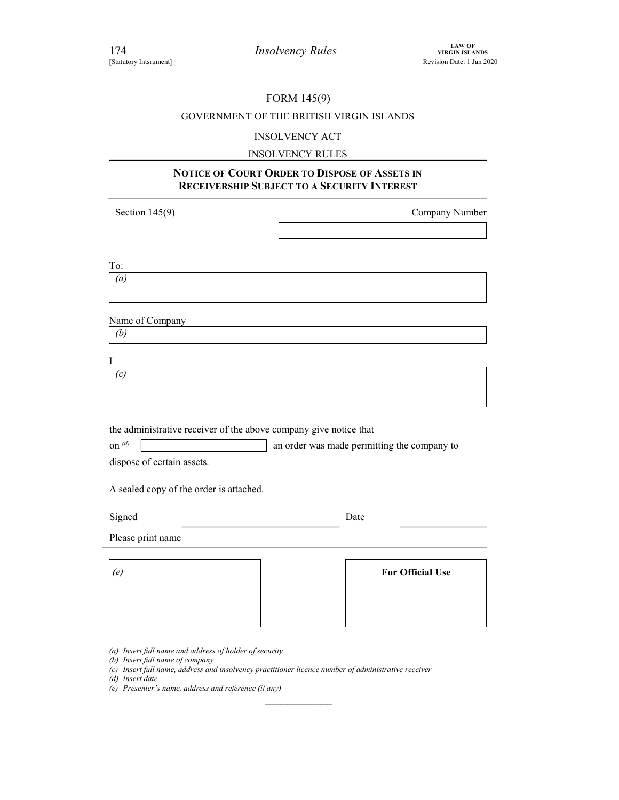### FORM 145(9)

# For the BRITISH VIRGIN ISLANDS<br>
ESTATUTE THE BRITISH VIRGIN ISLANDS<br>
Revision Date: 1 Jan 2020<br>
GOVERNMENT OF THE BRITISH VIRGIN ISLANDS GOVERNMENT OF THE BRITISH VIRGIN ISLANDS

### INSOLVENCY ACT

### INSOLVENCY RULES

### NOTICE OF COURT ORDER TO DISPOSE OF ASSETS IN RECEIVERSHIP SUBJECT TO A SECURITY INTEREST

Section 145(9) Company Number

To: (a)

Name of Company

(b)

I and the set of  $\mathbf I$  $(c)$ 

the administrative receiver of the above company give notice that

on  $\left| \phi \right|$  an order was made permitting the company to

dispose of certain assets.

A sealed copy of the order is attached.

Signed Date Date

 $\frac{1}{2}$  ,  $\frac{1}{2}$  ,  $\frac{1}{2}$  ,  $\frac{1}{2}$  ,  $\frac{1}{2}$  ,  $\frac{1}{2}$  ,  $\frac{1}{2}$  ,  $\frac{1}{2}$  ,  $\frac{1}{2}$  ,  $\frac{1}{2}$  ,  $\frac{1}{2}$  ,  $\frac{1}{2}$  ,  $\frac{1}{2}$  ,  $\frac{1}{2}$  ,  $\frac{1}{2}$  ,  $\frac{1}{2}$  ,  $\frac{1}{2}$  ,  $\frac{1}{2}$  ,  $\frac{1$ 

Please print name

| (e) | <b>For Official Use</b> |  |
|-----|-------------------------|--|
|     |                         |  |
|     |                         |  |

<sup>(</sup>a) Insert full name and address of holder of security

<sup>(</sup>b) Insert full name of company

<sup>(</sup>c) Insert full name, address and insolvency practitioner licence number of administrative receiver

<sup>(</sup>d) Insert date

<sup>(</sup>e) Presenter's name, address and reference (if any)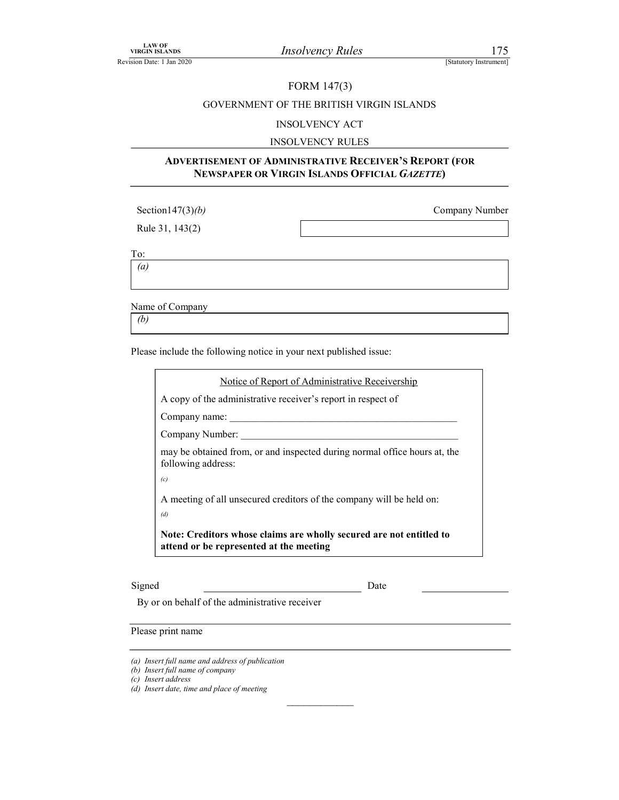### FORM 147(3)

# VIRGIN ISLANDS<br>
Revision Date: 1 Jan 2020<br>
FORM 147(3)<br>
GOVERNMENT OF THE BRITISH VIRGIN ISLANDS<br>
INSOLVENCY ACT GOVERNMENT OF THE BRITISH VIRGIN ISLANDS

### INSOLVENCY ACT

### INSOLVENCY RULES

### ADVERTISEMENT OF ADMINISTRATIVE RECEIVER'S REPORT (FOR NEWSPAPER OR VIRGIN ISLANDS OFFICIAL GAZETTE)

| Section $147(3)(b)$ | Company Number |
|---------------------|----------------|
| Rule 31, 143(2)     |                |

To:

(a)

Name of Company

 $(b)$ 

Please include the following notice in your next published issue:

|                    | Notice of Report of Administrative Receivership                                                                |
|--------------------|----------------------------------------------------------------------------------------------------------------|
|                    | A copy of the administrative receiver's report in respect of                                                   |
| Company name:      |                                                                                                                |
| Company Number:    |                                                                                                                |
| following address: | may be obtained from, or and inspected during normal office hours at, the                                      |
| (c)                |                                                                                                                |
| (d)                | A meeting of all unsecured creditors of the company will be held on:                                           |
|                    | Note: Creditors whose claims are wholly secured are not entitled to<br>attend or be represented at the meeting |

### Signed Date Date Date

 $\frac{1}{2}$  ,  $\frac{1}{2}$  ,  $\frac{1}{2}$  ,  $\frac{1}{2}$  ,  $\frac{1}{2}$  ,  $\frac{1}{2}$  ,  $\frac{1}{2}$  ,  $\frac{1}{2}$  ,  $\frac{1}{2}$  ,  $\frac{1}{2}$  ,  $\frac{1}{2}$  ,  $\frac{1}{2}$  ,  $\frac{1}{2}$  ,  $\frac{1}{2}$  ,  $\frac{1}{2}$  ,  $\frac{1}{2}$  ,  $\frac{1}{2}$  ,  $\frac{1}{2}$  ,  $\frac{1$ 

By or on behalf of the administrative receiver

Please print name

<sup>(</sup>a) Insert full name and address of publication

<sup>(</sup>b) Insert full name of company

<sup>(</sup>c) Insert address

<sup>(</sup>d) Insert date, time and place of meeting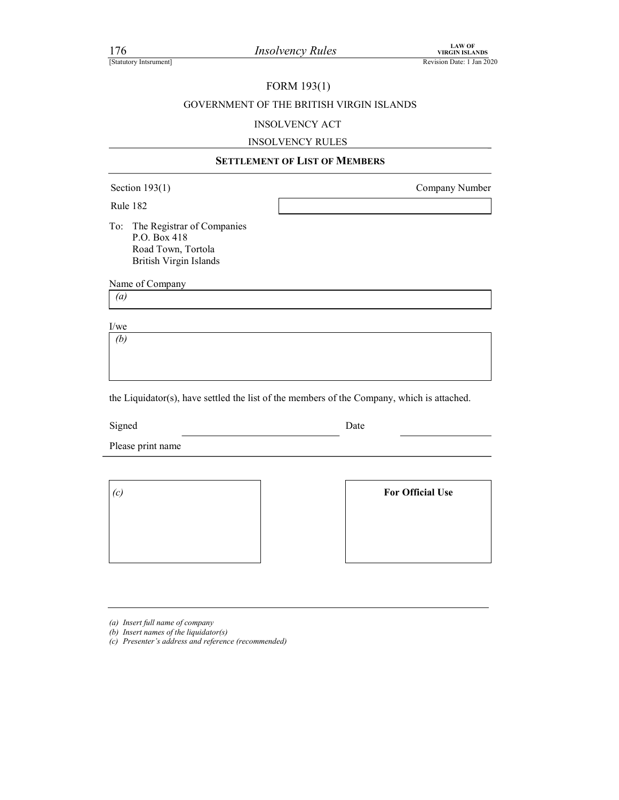### FORM 193(1)

# FORM 19311<br>
FORM 19311<br>
Revision Date: 1 Jan 2020<br>
Revision Date: 1 Jan 2020<br>
FORM 19311<br>
GOVERNMENT OF THE BRITISH VIRGIN ISLANDS<br>
INSOLVENCY ACT GOVERNMENT OF THE BRITISH VIRGIN ISLANDS

### INSOLVENCY ACT

### INSOLVENCY RULES

| 176<br>[Statutory Intsrument]      | <b>Insolvency Rules</b>                                                                    | <b>LAW OF</b><br><b>VIRGIN ISLANDS</b><br>Revision Date: 1 Jan 2020 |
|------------------------------------|--------------------------------------------------------------------------------------------|---------------------------------------------------------------------|
|                                    | FORM 193(1)<br>GOVERNMENT OF THE BRITISH VIRGIN ISLANDS<br><b>INSOLVENCY ACT</b>           |                                                                     |
|                                    | <b>INSOLVENCY RULES</b><br><b>SETTLEMENT OF LIST OF MEMBERS</b>                            |                                                                     |
| Section $193(1)$<br>Company Number |                                                                                            |                                                                     |
| Rule 182<br>To:<br>P.O. Box 418    | The Registrar of Companies<br>Road Town, Tortola<br>British Virgin Islands                 |                                                                     |
| Name of Company                    |                                                                                            |                                                                     |
| $\left(a\right)$                   |                                                                                            |                                                                     |
| $\rm I/we$<br>(b)                  |                                                                                            |                                                                     |
|                                    | the Liquidator(s), have settled the list of the members of the Company, which is attached. |                                                                     |
| Signed                             | Date                                                                                       |                                                                     |

Please print name

(c) For Official Use

(a) Insert full name of company

(b) Insert names of the liquidator(s)

(c) Presenter's address and reference (recommended)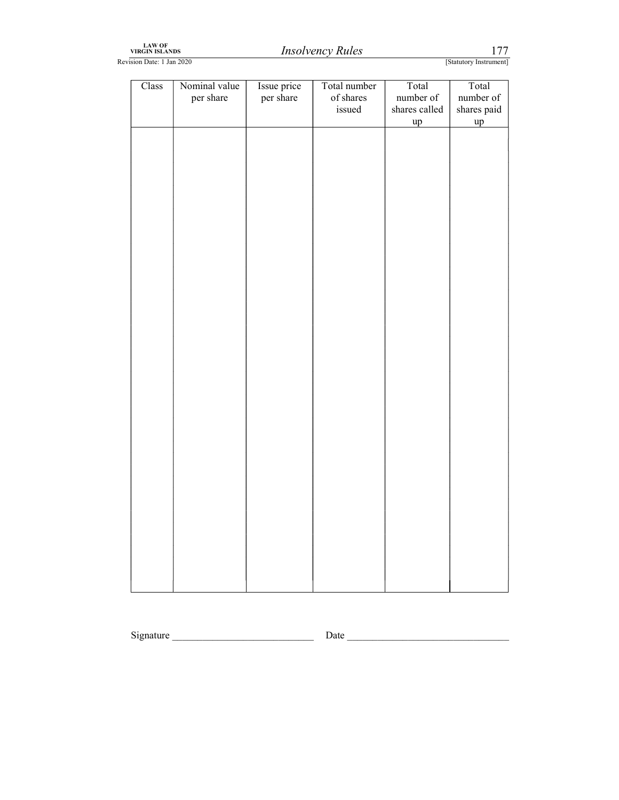| LAW OF         |
|----------------|
| VIRGIN ISLANDS |

| LAW OF<br>VIRGIN ISLANDS  |                            |                          | <b>Insolvency Rules</b>             |                                           | 177                                     |
|---------------------------|----------------------------|--------------------------|-------------------------------------|-------------------------------------------|-----------------------------------------|
| Revision Date: 1 Jan 2020 |                            |                          |                                     |                                           | [Statutory Instrument]                  |
| Class                     | Nominal value<br>per share | Issue price<br>per share | Total number<br>of shares<br>issued | Total<br>number of<br>shares called<br>up | Total<br>number of<br>shares paid<br>up |
|                           |                            |                          |                                     |                                           |                                         |
|                           |                            |                          |                                     |                                           |                                         |
|                           |                            |                          |                                     |                                           |                                         |
|                           |                            |                          |                                     |                                           |                                         |
|                           |                            |                          |                                     |                                           |                                         |
|                           |                            |                          |                                     |                                           |                                         |
|                           |                            |                          |                                     |                                           |                                         |
|                           |                            |                          |                                     |                                           |                                         |
|                           |                            |                          |                                     |                                           |                                         |
|                           |                            |                          |                                     |                                           |                                         |
|                           |                            |                          |                                     |                                           |                                         |
|                           |                            |                          |                                     |                                           |                                         |
|                           |                            |                          |                                     |                                           |                                         |
|                           |                            |                          |                                     |                                           |                                         |
|                           |                            |                          |                                     |                                           |                                         |
|                           |                            |                          |                                     |                                           |                                         |
|                           |                            |                          |                                     |                                           |                                         |
|                           |                            |                          |                                     |                                           |                                         |
|                           |                            |                          |                                     |                                           |                                         |
|                           |                            |                          |                                     |                                           |                                         |

Signature \_\_\_\_\_\_\_\_\_\_\_\_\_\_\_\_\_\_\_\_\_\_\_\_\_\_\_\_ Date \_\_\_\_\_\_\_\_\_\_\_\_\_\_\_\_\_\_\_\_\_\_\_\_\_\_\_\_\_\_\_\_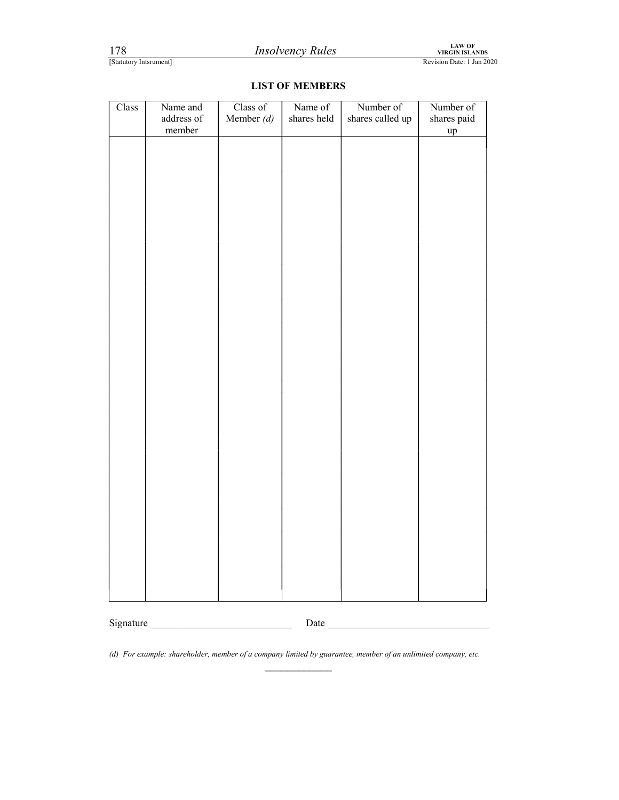| 178                    |                                         |                          | <b>Insolvency Rules</b> |                               | LAW OF<br>VIRGIN ISLANDS       |
|------------------------|-----------------------------------------|--------------------------|-------------------------|-------------------------------|--------------------------------|
| [Statutory Intsrument] |                                         |                          | <b>LIST OF MEMBERS</b>  |                               | Revision Date: 1 Jan 2020      |
| Class                  | Name and<br>$\rm{address}$ of<br>member | Class of<br>Member $(d)$ | Name of<br>shares held  | Number of<br>shares called up | Number of<br>shares paid<br>up |

\_\_\_\_\_\_\_\_\_\_\_\_ Signature \_\_\_\_\_\_\_\_\_\_\_\_\_\_\_\_\_\_\_\_\_\_\_\_\_\_\_\_ Date \_\_\_\_\_\_\_\_\_\_\_\_\_\_\_\_\_\_\_\_\_\_\_\_\_\_\_\_\_\_\_\_

(d) For example: shareholder, member of a company limited by guarantee, member of an unlimited company, etc.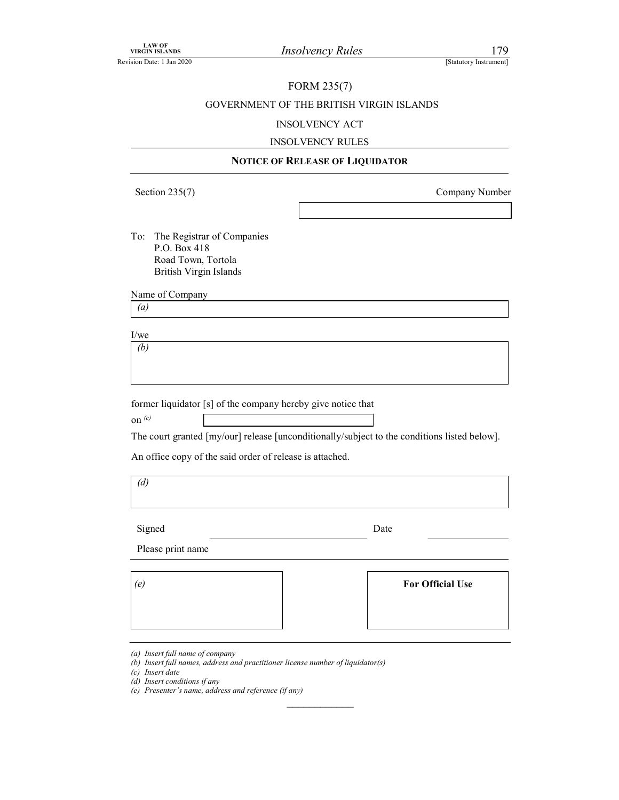### FORM 235(7)

## VIRGIN ISLANDS<br>
VIRGIN ISLANDS<br>
EREVISION Date: 1 Jan 2020<br>
FORM 235(7)<br>
GOVERNMENT OF THE BRITISH VIRGIN ISLANDS<br>
INSOLVENCY ACT GOVERNMENT OF THE BRITISH VIRGIN ISLANDS

### INSOLVENCY ACT

### INSOLVENCY RULES

### NOTICE OF RELEASE OF LIQUIDATOR

Section 235(7) Company Number

To: The Registrar of Companies P.O. Box 418 Road Town, Tortola British Virgin Islands

Name of Company

(a)

I/we (b)

former liquidator [s] of the company hereby give notice that

on  $(c)$ 

The court granted [my/our] release [unconditionally/subject to the conditions listed below].

An office copy of the said order of release is attached.

(d)

Signed Date

 $\mathcal{L}_\text{max}$ 

Please print name

(e) For Official Use

(c) Insert date

- (d) Insert conditions if any
- (e) Presenter's name, address and reference (if any)

<sup>(</sup>a) Insert full name of company

<sup>(</sup>b) Insert full names, address and practitioner license number of liquidator(s)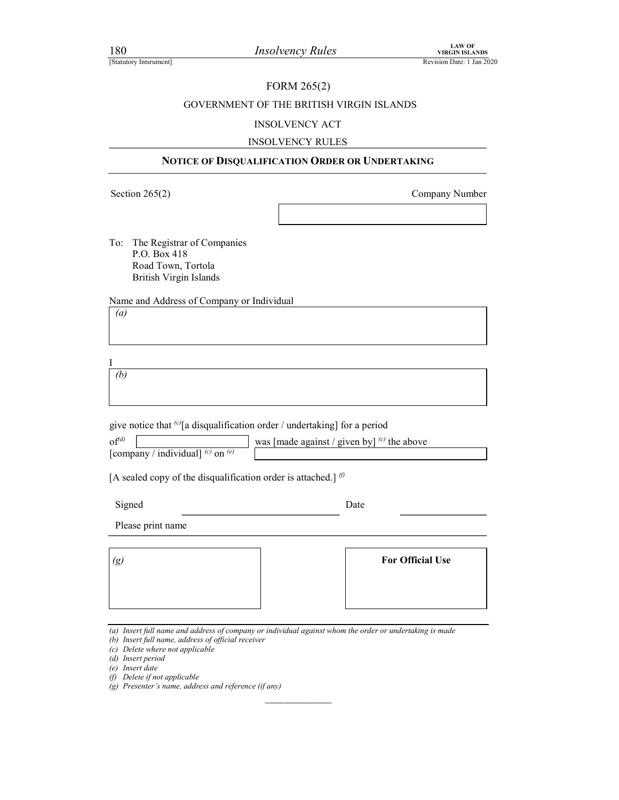### FORM 265(2)

## FIND 180<br> *Insolvency Rules*<br>
EXAMPLE PRESENTED REVISION ISLANDS<br>
Revision Date: 1 Jan 2020<br>
GOVERNMENT OF THE BRITISH VIRGIN ISLANDS<br>
INSOLVENCY ACT GOVERNMENT OF THE BRITISH VIRGIN ISLANDS

### INSOLVENCY ACT

### INSOLVENCY RULES

### NOTICE OF DISQUALIFICATION ORDER OR UNDERTAKING

Section 265(2) Company Number

To: The Registrar of Companies P.O. Box 418 Road Town, Tortola British Virgin Islands

Name and Address of Company or Individual

(a)

I (b)

give notice that  $\omega$ [a disqualification order / undertaking] for a period

| $\mathrm{of}^{(d)}$                                   | was   made against / given by $\vert^{(c)}$ the above |  |
|-------------------------------------------------------|-------------------------------------------------------|--|
| / individual] $^{(c)}$ on $^{(e)}$<br>$l$ company $l$ |                                                       |  |

[A sealed copy of the disqualification order is attached.]  $\emptyset$ 

Signed Date Date

Please print name

| $\left(g\right)$ | <b>For Official Use</b> |
|------------------|-------------------------|
|                  |                         |
|                  |                         |

(a) Insert full name and address of company or individual against whom the order or undertaking is made

- (b) Insert full name, address of official receiver
- (c) Delete where not applicable
- (d) Insert period
- (e) Insert date
- (f) Delete if not applicable
- $(g)$  Presenter's name, address and reference (if any)  $\mathcal{L}_\text{max}$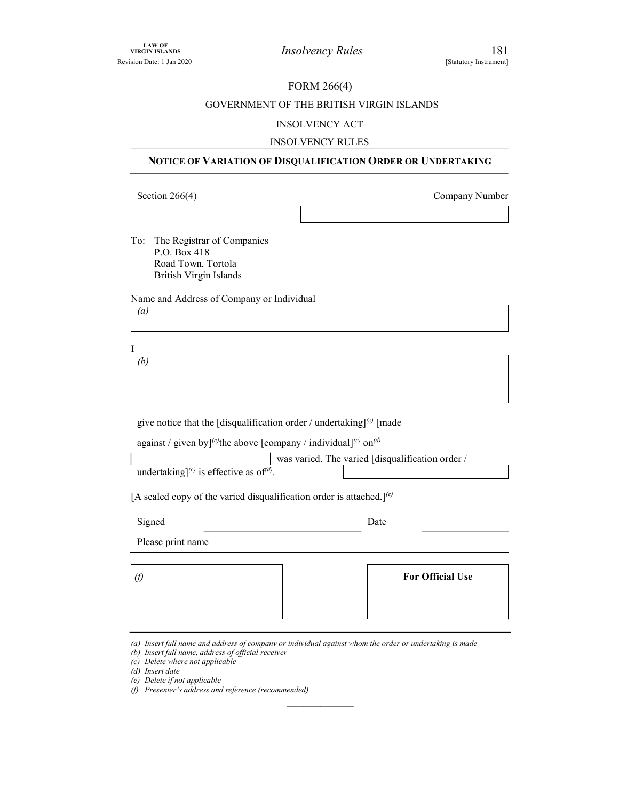### FORM 266(4)

## LAW OF<br>
Revision Date: 1 Jan 2020<br>
FORM 266(4)<br>
GOVERNMENT OF THE BRITISH VIRGIN ISLANDS<br>
INSOLVENCY ACT GOVERNMENT OF THE BRITISH VIRGIN ISLANDS

### INSOLVENCY ACT

### INSOLVENCY RULES

### NOTICE OF VARIATION OF DISQUALIFICATION ORDER OR UNDERTAKING

Section 266(4) Company Number

To: The Registrar of Companies P.O. Box 418 Road Town, Tortola British Virgin Islands To: The Registrar of Companies<br>
P.O. Box 418<br>
Boad Town, Tortola<br>
British Virgin Islands<br>
Name and Address of Company or Individual<br>
(a)<br>
(b)<br>
(b)<br>
(b)<br>
give notice that the [disqualification order / undertaking]<sup>(c)</sup> [ma

(a)

|  | against / given by] <sup>(c)</sup> the above [company / individual] <sup>(c)</sup> on <sup>(d)</sup> |  |  |  |
|--|------------------------------------------------------------------------------------------------------|--|--|--|
|--|------------------------------------------------------------------------------------------------------|--|--|--|

 $\mathcal{L}_\text{max}$ 

| Road Town, Tortola                                                                                   |                                                  |  |
|------------------------------------------------------------------------------------------------------|--------------------------------------------------|--|
| <b>British Virgin Islands</b>                                                                        |                                                  |  |
| Name and Address of Company or Individual                                                            |                                                  |  |
| $\left(a\right)$                                                                                     |                                                  |  |
|                                                                                                      |                                                  |  |
|                                                                                                      |                                                  |  |
| (b)                                                                                                  |                                                  |  |
|                                                                                                      |                                                  |  |
|                                                                                                      |                                                  |  |
| give notice that the [disqualification order / undertaking] $^{(c)}$ [made                           |                                                  |  |
| against / given by] <sup>(c)</sup> the above [company / individual] <sup>(c)</sup> on <sup>(d)</sup> |                                                  |  |
|                                                                                                      | was varied. The varied [disqualification order / |  |
| undertaking] <sup>(c)</sup> is effective as of <sup>(d)</sup> .                                      |                                                  |  |
| [A sealed copy of the varied disqualification order is attached.] <sup>(e)</sup>                     |                                                  |  |
| Signed                                                                                               | Date                                             |  |
| Please print name                                                                                    |                                                  |  |
|                                                                                                      |                                                  |  |
| $\mathcal{D}$                                                                                        | <b>For Official Use</b>                          |  |
|                                                                                                      |                                                  |  |
|                                                                                                      |                                                  |  |
|                                                                                                      |                                                  |  |

- (e) Delete if not applicable
- (f) Presenter's address and reference (recommended)

<sup>(</sup>a) Insert full name and address of company or individual against whom the order or undertaking is made

<sup>(</sup>b) Insert full name, address of official receiver

<sup>(</sup>c) Delete where not applicable

<sup>(</sup>d) Insert date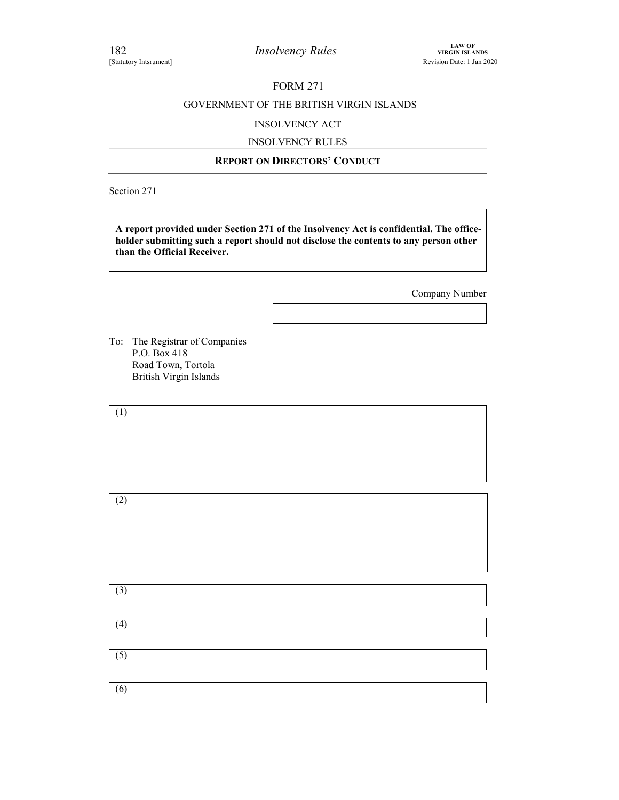### FORM 271

### Final Control of The BRITISH VIRGIN ISLANDS<br>
EVIRGIN ISLANDS<br>
Revision Date: 1 Jan 2020<br>
FORM 271<br>
GOVERNMENT OF THE BRITISH VIRGIN ISLANDS<br>
INSOLVENCY ACT GOVERNMENT OF THE BRITISH VIRGIN ISLANDS For Equipment of the Section State of the Section State of the Section Date: 1 Jan 2020<br>
FORM 271<br>
REPORT OF THE BRITISH VIRGIN ISLANDS<br>
INSOLVENCY ACT<br>
INSOLVENCY RULES<br>
REPORT ON DIRECTORS' CONDUCT

### INSOLVENCY ACT

### INSOLVENCY RULES

Section 271

A report provided under Section 271 of the Insolvency Act is confidential. The officeholder submitting such a report should not disclose the contents to any person other than the Official Receiver.

Company Number

To: The Registrar of Companies P.O. Box 418 Road Town, Tortola British Virgin Islands

| (1)              |  |  |
|------------------|--|--|
|                  |  |  |
|                  |  |  |
|                  |  |  |
| (2)              |  |  |
|                  |  |  |
|                  |  |  |
|                  |  |  |
|                  |  |  |
| (3)              |  |  |
|                  |  |  |
| (4)              |  |  |
| $\overline{(5)}$ |  |  |
|                  |  |  |
|                  |  |  |
| $\overline{(6)}$ |  |  |
|                  |  |  |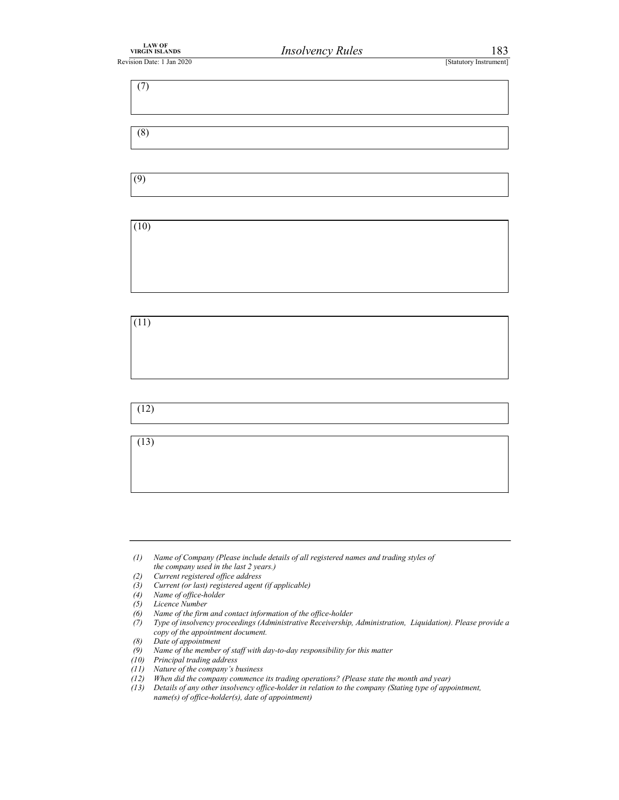| LAW OF<br>VIRGIN ISLANDS  | <b>Insolvency Rules</b> | 183                    |  |
|---------------------------|-------------------------|------------------------|--|
| Revision Date: 1 Jan 2020 |                         | [Statutory Instrument] |  |
| (7)                       |                         |                        |  |
|                           |                         |                        |  |



(8)



(11)

 $(12)$ 

(13)

- (3) Current (or last) registered agent (if applicable)  $(4)$  Name of office-holder
- Name of office-holder
- (5) Licence Number<br>(6) Name of the firm
- (6) Name of the firm and contact information of the office-holder (7) Type of insolvency proceedings (Administrative Receivership,

- (8) Date of appointment
- $(9)$  Name of the member of staff with day-to-day responsibility for this matter
- (10) Principal trading address
- (11) Nature of the company's business
- (12) When did the company commence its trading operations? (Please state the month and year)
- (13) Details of any other insolvency office-holder in relation to the company (Stating type of appointment, name(s) of office-holder(s), date of appointment)

<sup>(1)</sup> Name of Company (Please include details of all registered names and trading styles of the company used in the last 2 years.)

 <sup>(2)</sup> Current registered office address

Type of insolvency proceedings (Administrative Receivership, Administration, Liquidation). Please provide a copy of the appointment document.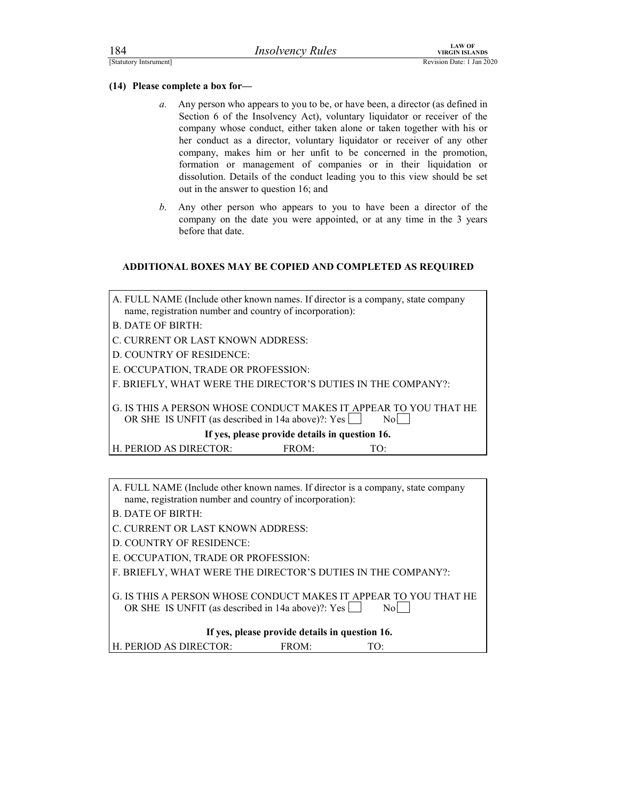### (14) Please complete a box for—

- For the complete a box for-<br>
Estatutory International Revision Date: 1 Jan 2020<br>
(14) Please complete a box for-<br>
a. Any person who appears to you to be, or have been, a director (as defined in<br>
Section 6 of the Insolvency a. Any person who appears to you to be, or have been, a director (as defined in Section 6 of the Insolvency Act), voluntary liquidator or receiver of the company whose conduct, either taken alone or taken together with his or her conduct as a director, voluntary liquidator or receiver of any other company, makes him or her unfit to be concerned in the promotion, formation or management of companies or in their liquidation or dissolution. Details of the conduct leading you to this view should be set out in the answer to question 16; and
	- b. Any other person who appears to you to have been a director of the company on the date you were appointed, or at any time in the 3 years before that date.

### ADDITIONAL BOXES MAY BE COPIED AND COMPLETED AS REQUIRED

| A. FULL NAME (Include other known names. If director is a company, state company |  |
|----------------------------------------------------------------------------------|--|
| name, registration number and country of incorporation):                         |  |

B. DATE OF BIRTH:

C. CURRENT OR LAST KNOWN ADDRESS:

D. COUNTRY OF RESIDENCE:

E. OCCUPATION, TRADE OR PROFESSION:

F. BRIEFLY, WHAT WERE THE DIRECTOR'S DUTIES IN THE COMPANY?:

G. IS THIS A PERSON WHOSE CONDUCT MAKES IT APPEAR TO YOU THAT HE OR SHE IS UNFIT (as described in 14a above)?:  $Yes \Box$  No

If yes, please provide details in question 16.

H. PERIOD AS DIRECTOR: FROM: TO:

A. FULL NAME (Include other known names. If director is a company, state company name, registration number and country of incorporation):

- B. DATE OF BIRTH:
- C. CURRENT OR LAST KNOWN ADDRESS:

D. COUNTRY OF RESIDENCE:

E. OCCUPATION, TRADE OR PROFESSION:

F. BRIEFLY, WHAT WERE THE DIRECTOR'S DUTIES IN THE COMPANY?:

G. IS THIS A PERSON WHOSE CONDUCT MAKES IT APPEAR TO YOU THAT HE OR SHE IS UNFIT (as described in 14a above)?:  $Yes \Box$  No  $\Box$ 

If yes, please provide details in question 16.

H. PERIOD AS DIRECTOR: FROM: TO: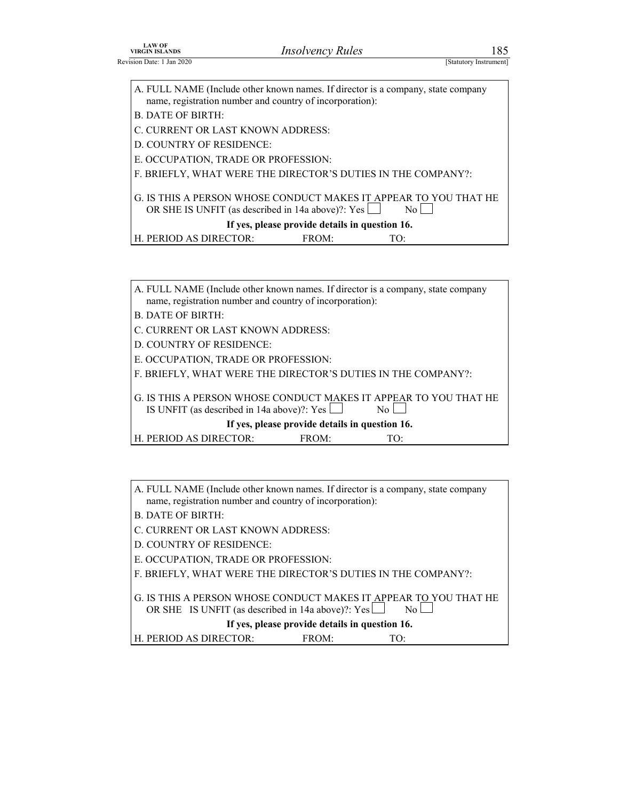| <b>LAW OF<br/>VIRGIN ISLANDS</b>                              | <b>Insolvency Rules</b>                                                          | 185                    |
|---------------------------------------------------------------|----------------------------------------------------------------------------------|------------------------|
| Revision Date: 1 Jan 2020                                     |                                                                                  | [Statutory Instrument] |
|                                                               |                                                                                  |                        |
|                                                               | A. FULL NAME (Include other known names. If director is a company, state company |                        |
|                                                               |                                                                                  |                        |
| name, registration number and country of incorporation):      |                                                                                  |                        |
| <b>B. DATE OF BIRTH:</b><br>C. CURRENT OR LAST KNOWN ADDRESS: |                                                                                  |                        |
| D. COUNTRY OF RESIDENCE:                                      |                                                                                  |                        |
| E. OCCUPATION, TRADE OR PROFESSION:                           |                                                                                  |                        |
|                                                               | F. BRIEFLY, WHAT WERE THE DIRECTOR'S DUTIES IN THE COMPANY?:                     |                        |
|                                                               |                                                                                  |                        |
|                                                               | G. IS THIS A PERSON WHOSE CONDUCT MAKES IT APPEAR TO YOU THAT HE                 |                        |
|                                                               | OR SHE IS UNFIT (as described in 14a above)?: Yes                                | $\overline{N_0}$       |
| H. PERIOD AS DIRECTOR:                                        | If yes, please provide details in question 16.<br>FROM:<br>TO:                   |                        |
|                                                               |                                                                                  |                        |
|                                                               |                                                                                  |                        |
|                                                               | A. FULL NAME (Include other known names. If director is a company, state company |                        |

| A. FULL NAME (Include other known names. If director is a company, state company<br>name, registration number and country of incorporation): |  |
|----------------------------------------------------------------------------------------------------------------------------------------------|--|
| B. DATE OF BIRTH:                                                                                                                            |  |
| C. CURRENT OR LAST KNOWN ADDRESS:                                                                                                            |  |
| <b>D. COUNTRY OF RESIDENCE:</b>                                                                                                              |  |
| E. OCCUPATION, TRADE OR PROFESSION:                                                                                                          |  |
| F. BRIEFLY, WHAT WERE THE DIRECTOR'S DUTIES IN THE COMPANY?:                                                                                 |  |
| G. IS THIS A PERSON WHOSE CONDUCT MAKES IT APPEAR TO YOU THAT HE<br>IS UNFIT (as described in 14a above)?: Yes $\Box$<br>No                  |  |
| If yes, please provide details in question 16.                                                                                               |  |
| H. PERIOD AS DIRECTOR:<br>FROM:<br>TO:                                                                                                       |  |

A. FULL NAME (Include other known names. If director is a company, state company name, registration number and country of incorporation):

B. DATE OF BIRTH:

C. CURRENT OR LAST KNOWN ADDRESS:

D. COUNTRY OF RESIDENCE:

E. OCCUPATION, TRADE OR PROFESSION:

F. BRIEFLY, WHAT WERE THE DIRECTOR'S DUTIES IN THE COMPANY?:

| G. IS THIS A PERSON WHOSE CONDUCT MAKES IT APPEAR TO YOU THAT HE<br>OR SHE IS UNFIT (as described in 14a above)?: $Yes \Box$ |                                                | $\rm{No}$ |  |
|------------------------------------------------------------------------------------------------------------------------------|------------------------------------------------|-----------|--|
|                                                                                                                              | If yes, please provide details in question 16. |           |  |
| H. PERIOD AS DIRECTOR:                                                                                                       | $FROM+$                                        | T∩∙       |  |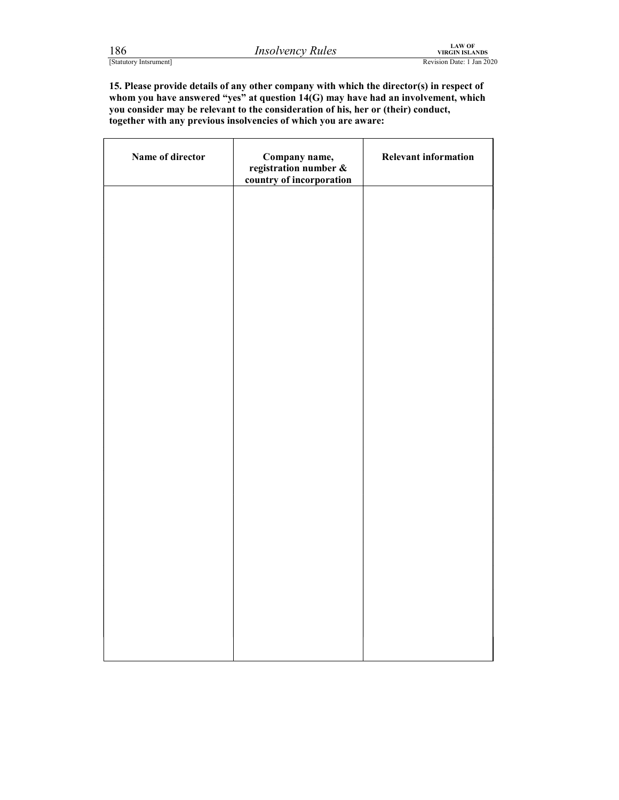| 1 O O |                        |  |
|-------|------------------------|--|
|       | [Statutory Intsrument] |  |

r

┑

For the control of the consideration of his performance of the considered at the considered at the considered at the consideration of his, her or (their) conduct, the director of whom you have answered "yes" at question 14 15. Please provide details of any other company with which the director(s) in respect of whom you have answered "yes" at question 14(G) may have had an involvement, which you consider may be relevant to the consideration of his, her or (their) conduct, together with any previous insolvencies of which you are aware:

| Name of director | Company name,<br>registration number &<br>country of incorporation | Relevant information |
|------------------|--------------------------------------------------------------------|----------------------|
|                  |                                                                    |                      |
|                  |                                                                    |                      |
|                  |                                                                    |                      |
|                  |                                                                    |                      |
|                  |                                                                    |                      |
|                  |                                                                    |                      |
|                  |                                                                    |                      |
|                  |                                                                    |                      |
|                  |                                                                    |                      |
|                  |                                                                    |                      |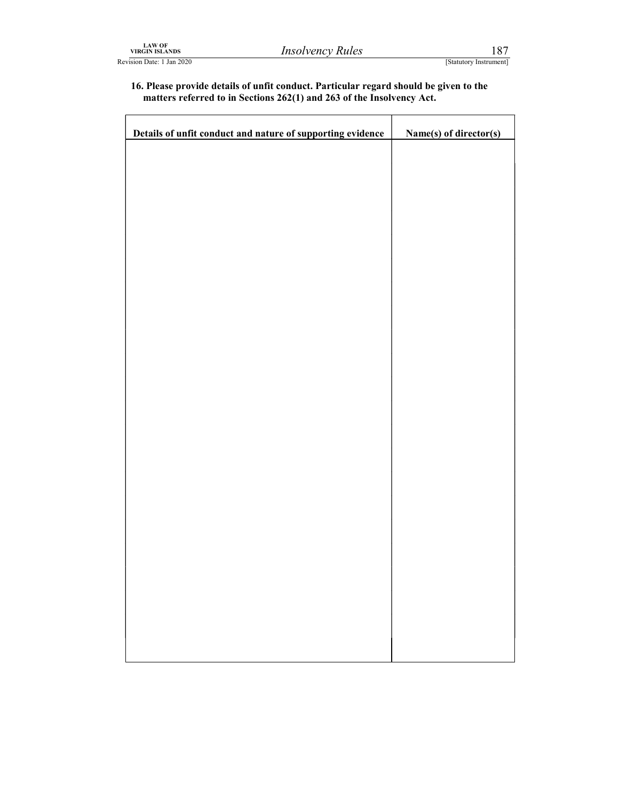### VIRGIN ISLANDS<br>
VIRGIN ISLANDS<br>
Elevision Date: 1 Jan 2020<br>
16. Please provide details of unfit conduct. Particular regard should be given to the<br>
matters referred to in Sections 262(1) and 263 of the Insolvency Act. 16. Please provide details of unfit conduct. Particular regard should be given to the matters referred to in Sections 262(1) and 263 of the Insolvency Act.

| <b>LAW OF<br/>VIRGIN ISLANDS</b><br>devision Date: 1 Jan 2020 | <b>Insolvency Rules</b>                                                                                                                                        | 187<br>[Statutory Instrument] |
|---------------------------------------------------------------|----------------------------------------------------------------------------------------------------------------------------------------------------------------|-------------------------------|
|                                                               | 16. Please provide details of unfit conduct. Particular regard should be given to the<br>matters referred to in Sections 262(1) and 263 of the Insolvency Act. |                               |
|                                                               | Details of unfit conduct and nature of supporting evidence                                                                                                     | Name(s) of director(s)        |
|                                                               |                                                                                                                                                                |                               |
|                                                               |                                                                                                                                                                |                               |
|                                                               |                                                                                                                                                                |                               |
|                                                               |                                                                                                                                                                |                               |
|                                                               |                                                                                                                                                                |                               |
|                                                               |                                                                                                                                                                |                               |
|                                                               |                                                                                                                                                                |                               |
|                                                               |                                                                                                                                                                |                               |
|                                                               |                                                                                                                                                                |                               |
|                                                               |                                                                                                                                                                |                               |
|                                                               |                                                                                                                                                                |                               |
|                                                               |                                                                                                                                                                |                               |
|                                                               |                                                                                                                                                                |                               |
|                                                               |                                                                                                                                                                |                               |
|                                                               |                                                                                                                                                                |                               |
|                                                               |                                                                                                                                                                |                               |
|                                                               |                                                                                                                                                                |                               |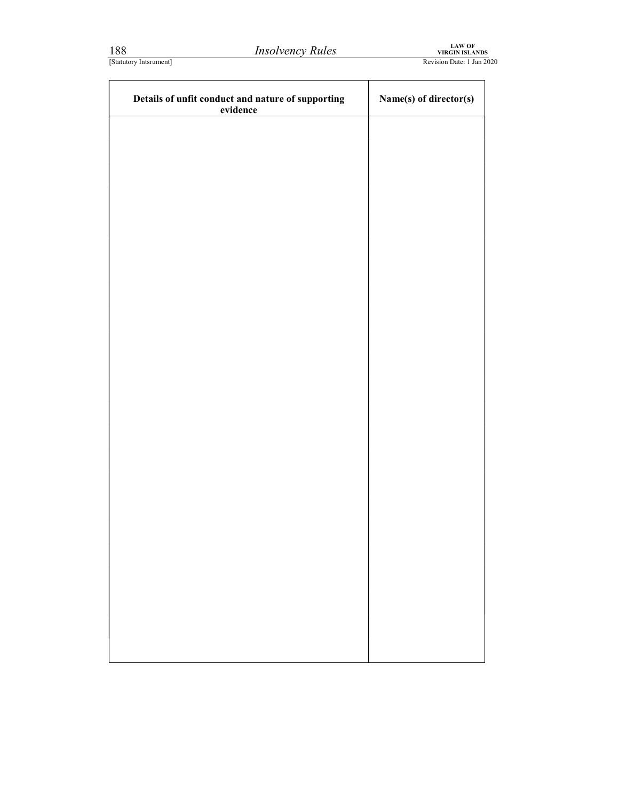| 188                    | <b>Insolvency Rules</b>                           | LAW OF<br>VIRGIN ISLANDS  |  |
|------------------------|---------------------------------------------------|---------------------------|--|
| [Statutory Intsrument] |                                                   | Revision Date: 1 Jan 2020 |  |
|                        | Details of unfit conduct and nature of supporting | Name(s) of director(s)    |  |
|                        | evidence                                          |                           |  |
|                        |                                                   |                           |  |
|                        |                                                   |                           |  |
|                        |                                                   |                           |  |
|                        |                                                   |                           |  |
|                        |                                                   |                           |  |
|                        |                                                   |                           |  |
|                        |                                                   |                           |  |
|                        |                                                   |                           |  |
|                        |                                                   |                           |  |
|                        |                                                   |                           |  |
|                        |                                                   |                           |  |
|                        |                                                   |                           |  |
|                        |                                                   |                           |  |
|                        |                                                   |                           |  |
|                        |                                                   |                           |  |
|                        |                                                   |                           |  |
|                        |                                                   |                           |  |
|                        |                                                   |                           |  |
|                        |                                                   |                           |  |
|                        |                                                   |                           |  |
|                        |                                                   |                           |  |
|                        |                                                   |                           |  |
|                        |                                                   |                           |  |
|                        |                                                   |                           |  |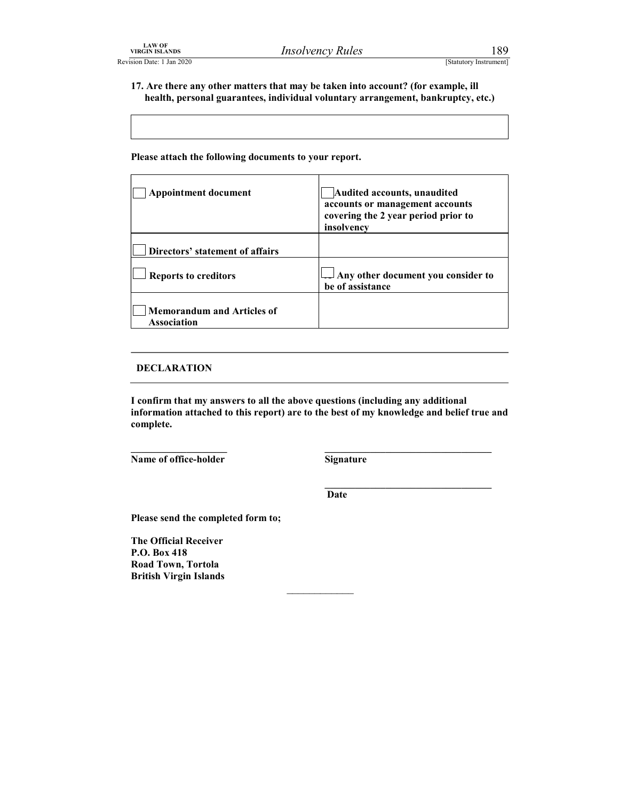LAW OF<br>
VIRGIN ISLANDS<br>
Elevision Date: 1 Jan 2020<br>
17. Are there any other matters that may be taken into account? (for example, ill<br>
health, personal guarantees, individual voluntary arrangement, bankruptcy, etc.) 17. Are there any other matters that may be taken into account? (for example, ill health, personal guarantees, individual voluntary arrangement, bankruptcy, etc.)

| <b>LAW OF</b><br>VIRGIN ISLANDS                         | <i><b>Insolvency Rules</b></i>                                                                                                                                        | 189                    |
|---------------------------------------------------------|-----------------------------------------------------------------------------------------------------------------------------------------------------------------------|------------------------|
| sion Date: 1 Jan 2020                                   |                                                                                                                                                                       | [Statutory Instrument] |
|                                                         | 17. Are there any other matters that may be taken into account? (for example, ill<br>health, personal guarantees, individual voluntary arrangement, bankruptcy, etc.) |                        |
| Please attach the following documents to your report.   |                                                                                                                                                                       |                        |
| <b>Appointment document</b>                             | Audited accounts, unaudited<br>accounts or management accounts<br>covering the 2 year period prior to<br>insolvency                                                   |                        |
| Directors' statement of affairs                         |                                                                                                                                                                       |                        |
| <b>Reports to creditors</b>                             | Any other document you consider to<br>be of assistance                                                                                                                |                        |
| <b>Memorandum and Articles of</b><br><b>Association</b> |                                                                                                                                                                       |                        |

### DECLARATION

I confirm that my answers to all the above questions (including any additional information attached to this report) are to the best of my knowledge and belief true and complete. \_\_\_\_\_\_\_\_\_\_\_\_\_\_\_\_\_\_\_ Name of office-holder \_\_\_\_\_\_\_\_\_\_\_\_\_\_\_\_\_\_\_\_\_\_\_\_\_\_\_\_\_\_\_\_\_ Signature

\_\_\_\_\_\_\_\_\_\_\_\_\_\_\_\_\_\_\_\_\_\_\_\_\_\_\_\_\_\_\_\_\_

**Date Date** 

 $\mathcal{L}_\text{max}$ 

Please send the completed form to;

The Official Receiver P.O. Box 418 Road Town, Tortola British Virgin Islands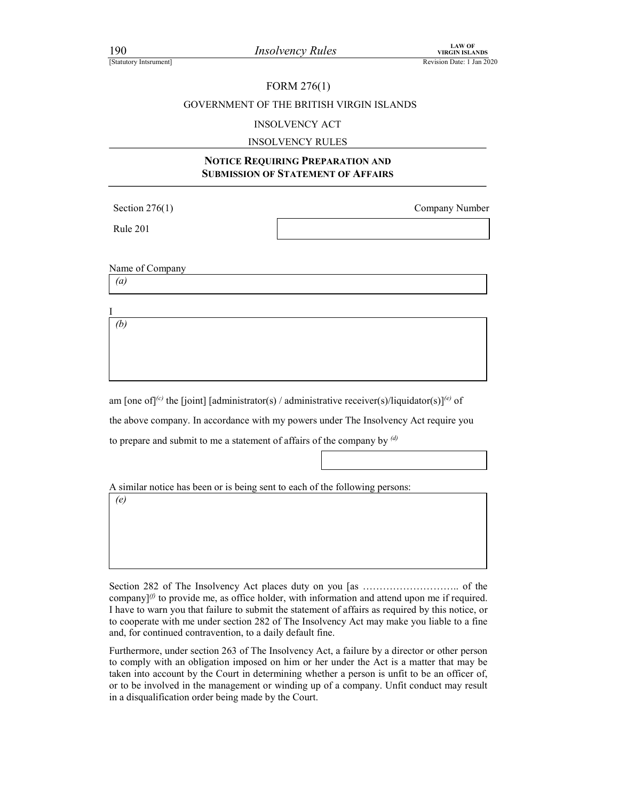### FORM 276(1)

## FORM 276(1)<br>
FORM 276(1)<br>
GOVERNMENT OF THE BRITISH VIRGIN ISLANDS<br>
Revision Date: 1 Jan 2020<br>
REVISION OF THE BRITISH VIRGIN ISLANDS<br>
INSOLVENCY ACT GOVERNMENT OF THE BRITISH VIRGIN ISLANDS

### INSOLVENCY ACT

### INSOLVENCY RULES

### NOTICE REQUIRING PREPARATION AND SUBMISSION OF STATEMENT OF AFFAIRS

Rule 201

Section 276(1) Company Number

Name of Company (a)

I (b)

am [one of]<sup>(c)</sup> the [joint] [administrator(s) / administrative receiver(s)/liquidator(s)]<sup>(e)</sup> of the above company. In accordance with my powers under The Insolvency Act require you to prepare and submit to me a statement of affairs of the company by  $\frac{d}{dx}$ 

A similar notice has been or is being sent to each of the following persons:

(e)

Section 282 of The Insolvency Act places duty on you [as ……………………….. of the company] $(0)$  to provide me, as office holder, with information and attend upon me if required. I have to warn you that failure to submit the statement of affairs as required by this notice, or to cooperate with me under section 282 of The Insolvency Act may make you liable to a fine and, for continued contravention, to a daily default fine.

Furthermore, under section 263 of The Insolvency Act, a failure by a director or other person to comply with an obligation imposed on him or her under the Act is a matter that may be taken into account by the Court in determining whether a person is unfit to be an officer of, or to be involved in the management or winding up of a company. Unfit conduct may result in a disqualification order being made by the Court.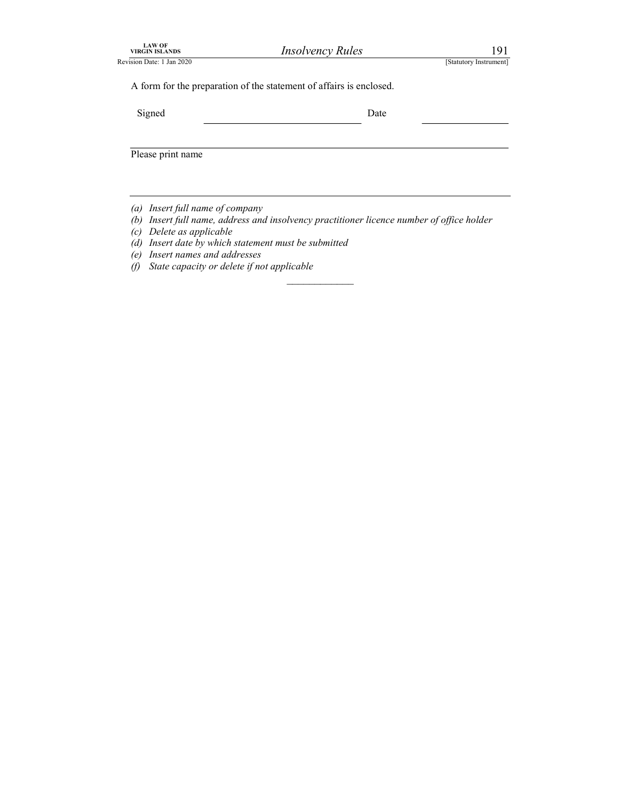| <b>LAW OF</b><br><b>VIRGIN ISLANDS</b>                                                         | <b>Insolvency Rules</b>                                                               | 191                    |  |
|------------------------------------------------------------------------------------------------|---------------------------------------------------------------------------------------|------------------------|--|
|                                                                                                |                                                                                       |                        |  |
|                                                                                                |                                                                                       | [Statutory Instrument] |  |
|                                                                                                | A form for the preparation of the statement of affairs is enclosed.                   |                        |  |
| Revision Date: 1 Jan 2020<br>Signed                                                            | Date                                                                                  |                        |  |
|                                                                                                |                                                                                       |                        |  |
| Please print name                                                                              |                                                                                       |                        |  |
|                                                                                                |                                                                                       |                        |  |
|                                                                                                |                                                                                       |                        |  |
| (a) Insert full name of company<br>(b)                                                         | Insert full name, address and insolvency practitioner licence number of office holder |                        |  |
| Delete as applicable<br>(c)<br>(d)                                                             | Insert date by which statement must be submitted                                      |                        |  |
| Insert names and addresses<br>(e)<br>State capacity or delete if not applicable<br>$\vartheta$ |                                                                                       |                        |  |

- 
- (b) Insert full name, address and insolvency practitioner licence number of office holder

 $\mathcal{L}_\text{max}$ 

- (c) Delete as applicable
- (d) Insert date by which statement must be submitted
- (e) Insert names and addresses
- (f) State capacity or delete if not applicable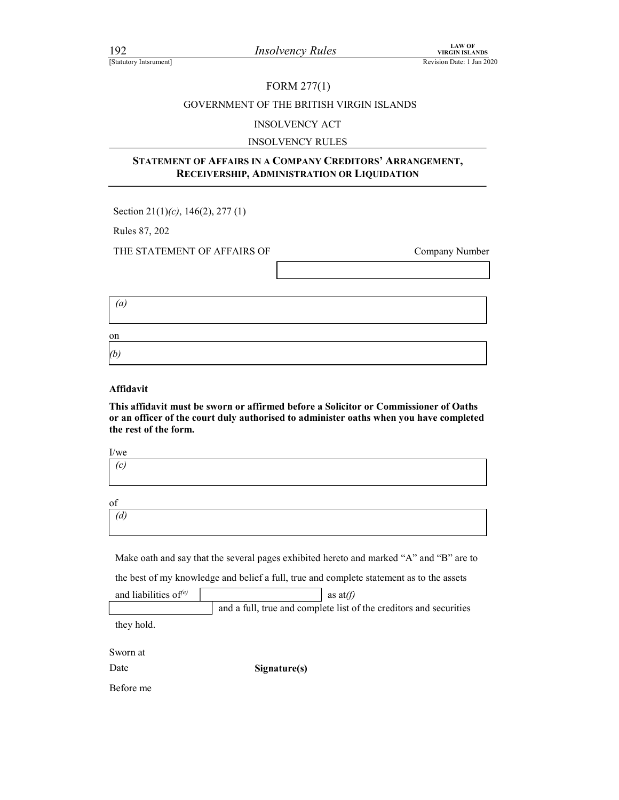### FORM 277(1)

## FIND 192<br> *Insolvency Rules*<br>
EXAMPLE REVISION DATE: 1 Jan 2020<br>
FORM 277(1)<br>
GOVERNMENT OF THE BRITISH VIRGIN ISLANDS<br>
INSOLVENCY ACT GOVERNMENT OF THE BRITISH VIRGIN ISLANDS

### INSOLVENCY ACT

### INSOLVENCY RULES

# $\begin{array}{lll}\n & \text{Insolvency Rules} & \text{vars} & \text{NRCN-SLANDS} \\
 \text{Revision Date 1 Jan 2020} & \text{FORM 277(1)} \\
 & \text{GOVERMENT OF THE BRITISH VIRGIN ISLANDS} & \text{NSOLVENCY ACT} \\
 & \text{INSOLVENCY ALLES} & \text{INSOLVENCY RULEIS} & \text{NRCMPAIV CREDITORS' ARRANGEMENT,} \\
 & \text{RECEIVERSIIIP, ADMINISTRATION OR LIQUIDATION} & \text{O.11111111111111111111111111$ 92 *Insolvency Rules*<br>
EURON 277(1)<br>
Revision Date : <br>
FORM 277(1)<br>
GOVERNMENT OF THE BRITISH VIRGIN ISLANDS<br>
INSOLVENCY ACT<br>
INSOLVENCY RULES<br> **STATEMENT OF AFFAIRS IN A COMPANY CREDITORS' ARRANGEMENT,<br>
RECEIVERSHIP, ADM**

Section 21(1)(c), 146(2), 277 (1)

THE STATEMENT OF AFFAIRS OF Company Number

(a)

| on       |  |  |
|----------|--|--|
| $\Phi$ , |  |  |

### Affidavit

This affidavit must be sworn or affirmed before a Solicitor or Commissioner of Oaths or an officer of the court duly authorised to administer oaths when you have completed the rest of the form.

of (d)

Make oath and say that the several pages exhibited hereto and marked "A" and "B" are to

the best of my knowledge and belief a full, true and complete statement as to the assets

| and liabilities of $(e)$ | as at $(f)$                                                        |
|--------------------------|--------------------------------------------------------------------|
|                          | and a full, true and complete list of the creditors and securities |

they hold.

Sworn at

Date Signature(s)

Before me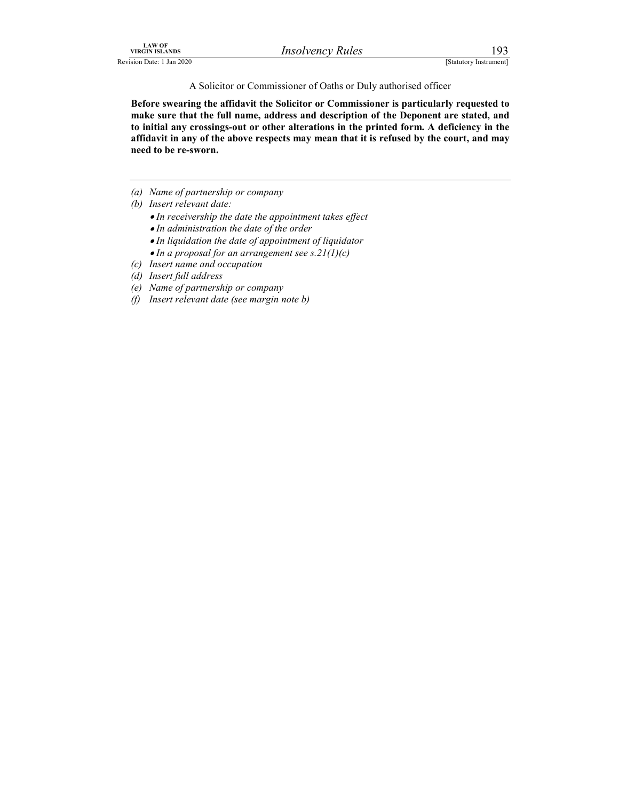A Solicitor or Commissioner of Oaths or Duly authorised officer

IRGIN ISLANDS<br>
INSOLVENCY Rules<br>
[Statutory Instrument]<br>
A Solicitor or Commissioner of Oaths or Duly authorised officer<br> **Before swearing the affidavit the Solicitor or Commissioner is particularly requested to**<br>
make sur Before swearing the affidavit the Solicitor or Commissioner is particularly requested to make sure that the full name, address and description of the Deponent are stated, and to initial any crossings-out or other alterations in the printed form. A deficiency in the affidavit in any of the above respects may mean that it is refused by the court, and may need to be re-sworn.

- (a) Name of partnership or company
- (b) Insert relevant date:
	- In receivership the date the appointment takes effect
	- In administration the date of the order
	- In liquidation the date of appointment of liquidator
	- $\bullet$  In a proposal for an arrangement see s.21(1)(c)
- (c) Insert name and occupation
- (d) Insert full address
- (e) Name of partnership or company
- (f) Insert relevant date (see margin note b)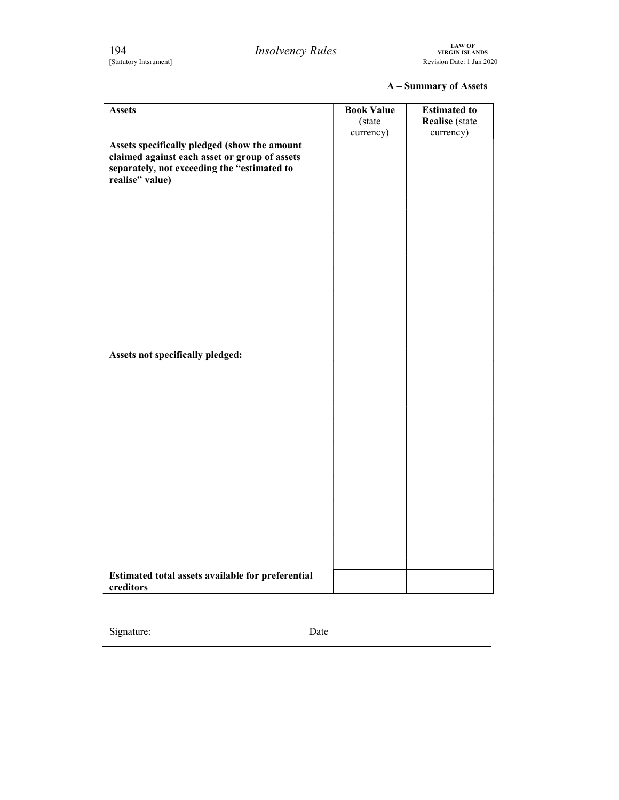| 194                                                                                                                                                             | <b>Insolvency Rules</b> |                      | <b>LAW OF<br/>VIRGIN ISLANDS</b>             |
|-----------------------------------------------------------------------------------------------------------------------------------------------------------------|-------------------------|----------------------|----------------------------------------------|
| [Statutory Intsrument]                                                                                                                                          |                         |                      | Revision Date: 1 Jan 2020                    |
| <b>Assets</b>                                                                                                                                                   |                         | <b>Book Value</b>    | A - Summary of Assets<br><b>Estimated to</b> |
|                                                                                                                                                                 |                         | (state)<br>currency) | <b>Realise</b> (state<br>currency)           |
| Assets specifically pledged (show the amount<br>claimed against each asset or group of assets<br>separately, not exceeding the "estimated to<br>realise" value) |                         |                      |                                              |
|                                                                                                                                                                 |                         |                      |                                              |
|                                                                                                                                                                 |                         |                      |                                              |
|                                                                                                                                                                 |                         |                      |                                              |
|                                                                                                                                                                 |                         |                      |                                              |
|                                                                                                                                                                 |                         |                      |                                              |
|                                                                                                                                                                 |                         |                      |                                              |
| Assets not specifically pledged:                                                                                                                                |                         |                      |                                              |
|                                                                                                                                                                 |                         |                      |                                              |
|                                                                                                                                                                 |                         |                      |                                              |
|                                                                                                                                                                 |                         |                      |                                              |
|                                                                                                                                                                 |                         |                      |                                              |
|                                                                                                                                                                 |                         |                      |                                              |
|                                                                                                                                                                 |                         |                      |                                              |
|                                                                                                                                                                 |                         |                      |                                              |
|                                                                                                                                                                 |                         |                      |                                              |
| Estimated total assets available for preferential                                                                                                               |                         |                      |                                              |
| creditors                                                                                                                                                       |                         |                      |                                              |

Signature: Date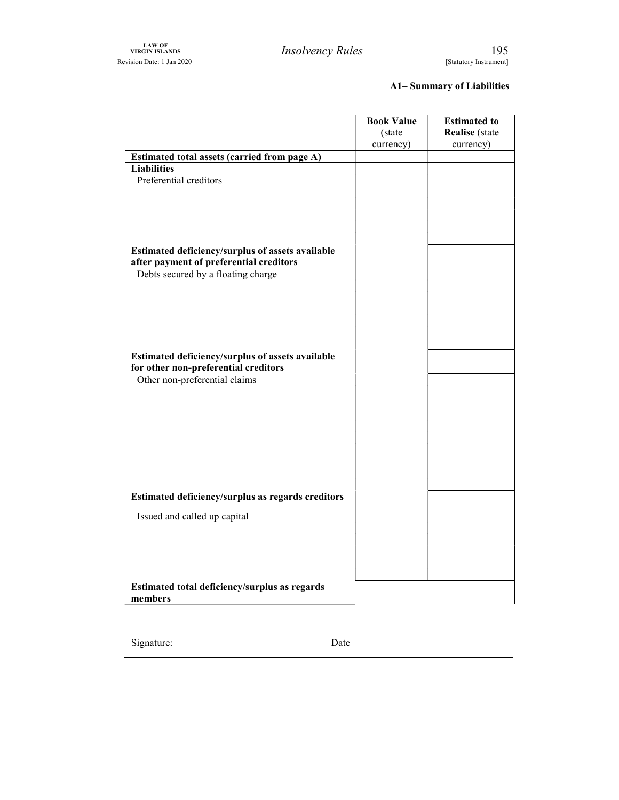### A1– Summary of Liabilities

| ${\rm LAW~OF}$ VIRGIN ISLANDS<br><b>Insolvency Rules</b><br>Revision Date: 1 Jan 2020 |                             |                                       |
|---------------------------------------------------------------------------------------|-----------------------------|---------------------------------------|
|                                                                                       |                             | 195<br>[Statutory Instrument]         |
|                                                                                       |                             | <b>A1-Summary of Liabilities</b>      |
|                                                                                       | <b>Book Value</b><br>(state | <b>Estimated to</b><br>Realise (state |
|                                                                                       | currency)                   | currency)                             |
| Estimated total assets (carried from page A)                                          |                             |                                       |
| <b>Liabilities</b><br>Preferential creditors                                          |                             |                                       |
|                                                                                       |                             |                                       |
|                                                                                       |                             |                                       |
|                                                                                       |                             |                                       |
|                                                                                       |                             |                                       |
| Estimated deficiency/surplus of assets available                                      |                             |                                       |
| after payment of preferential creditors<br>Debts secured by a floating charge         |                             |                                       |
|                                                                                       |                             |                                       |
|                                                                                       |                             |                                       |
|                                                                                       |                             |                                       |
|                                                                                       |                             |                                       |
| Estimated deficiency/surplus of assets available                                      |                             |                                       |
| for other non-preferential creditors                                                  |                             |                                       |
| Other non-preferential claims                                                         |                             |                                       |
|                                                                                       |                             |                                       |
|                                                                                       |                             |                                       |
|                                                                                       |                             |                                       |
|                                                                                       |                             |                                       |
|                                                                                       |                             |                                       |
|                                                                                       |                             |                                       |
| Estimated deficiency/surplus as regards creditors                                     |                             |                                       |
| Issued and called up capital                                                          |                             |                                       |
|                                                                                       |                             |                                       |
|                                                                                       |                             |                                       |
|                                                                                       |                             |                                       |
|                                                                                       |                             |                                       |
| Estimated total deficiency/surplus as regards                                         |                             |                                       |

| Signature: | Date |  |
|------------|------|--|
|------------|------|--|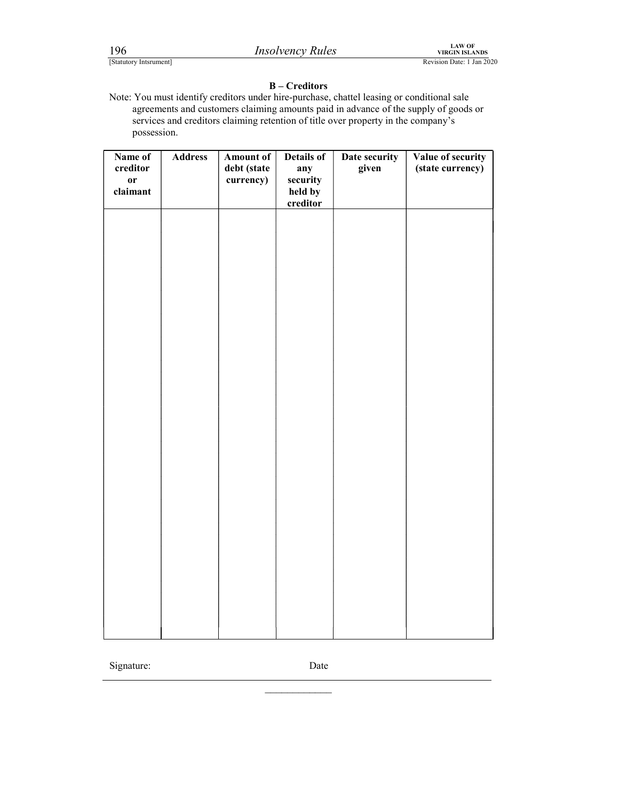FERENTIAN THE TRANSFORM CONTROLL THE TRANSFORM CONTROLL AND TRANSFORM REVISION DETAILS (STATURE)<br>
Revision Date: 1 Jan 2020<br>
Revision Date: 1 Jan 2020<br>
Note: You must identify creditors under hire-purchase, chattel leasing Note: You must identify creditors under hire-purchase, chattel leasing or conditional sale agreements and customers claiming amounts paid in advance of the supply of goods or services and creditors claiming retention of title over property in the company's possession.

| Name of       | <b>Address</b> | <b>Amount of</b> | Details of | Date security | Value of security |  |
|---------------|----------------|------------------|------------|---------------|-------------------|--|
| creditor      |                | debt (state      | any        | given         | (state currency)  |  |
| $\mathbf{or}$ |                | currency)        | security   |               |                   |  |
| claimant      |                |                  | held by    |               |                   |  |
|               |                |                  | creditor   |               |                   |  |
|               |                |                  |            |               |                   |  |
|               |                |                  |            |               |                   |  |
|               |                |                  |            |               |                   |  |
|               |                |                  |            |               |                   |  |
|               |                |                  |            |               |                   |  |
|               |                |                  |            |               |                   |  |
|               |                |                  |            |               |                   |  |
|               |                |                  |            |               |                   |  |
|               |                |                  |            |               |                   |  |
|               |                |                  |            |               |                   |  |
|               |                |                  |            |               |                   |  |
|               |                |                  |            |               |                   |  |
|               |                |                  |            |               |                   |  |
|               |                |                  |            |               |                   |  |
|               |                |                  |            |               |                   |  |
|               |                |                  |            |               |                   |  |
|               |                |                  |            |               |                   |  |
|               |                |                  |            |               |                   |  |
|               |                |                  |            |               |                   |  |
|               |                |                  |            |               |                   |  |
|               |                |                  |            |               |                   |  |
|               |                |                  |            |               |                   |  |
|               |                |                  |            |               |                   |  |
|               |                |                  |            |               |                   |  |
|               |                |                  |            |               |                   |  |
|               |                |                  |            |               |                   |  |
|               |                |                  |            |               |                   |  |
|               |                |                  |            |               |                   |  |
|               |                |                  |            |               |                   |  |
|               |                |                  |            |               |                   |  |
|               |                |                  |            |               |                   |  |
|               |                |                  |            |               |                   |  |
|               |                |                  |            |               |                   |  |
|               |                |                  |            |               |                   |  |
|               |                |                  |            |               |                   |  |
|               |                |                  |            |               |                   |  |

Signature: Date

 $\mathcal{L}_\text{max}$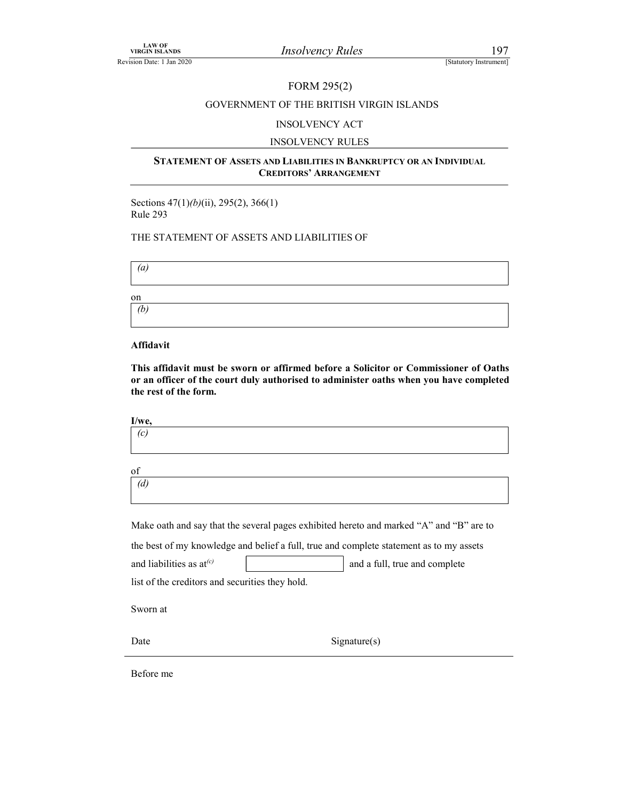### FORM 295(2)

## VIRGIN ISLANDS<br>
TREVISION Date: 1 Jan 2020<br>
FORM 295(2)<br>
GOVERNMENT OF THE BRITISH VIRGIN ISLANDS<br>
INSOLVENCY ACT GOVERNMENT OF THE BRITISH VIRGIN ISLANDS

### INSOLVENCY ACT

### INSOLVENCY RULES

### STATEMENT OF ASSETS AND LIABILITIES IN BANKRUPTCY OR AN INDIVIDUAL CREDITORS' ARRANGEMENT

Sections 47(1)(b)(ii), 295(2), 366(1) Rule 293

### THE STATEMENT OF ASSETS AND LIABILITIES OF

 $\left( a\right)$ 

on (b)

### Affidavit

This affidavit must be sworn or affirmed before a Solicitor or Commissioner of Oaths or an officer of the court duly authorised to administer oaths when you have completed the rest of the form.

| I/we.      |  |  |  |
|------------|--|--|--|
| $\sqrt{2}$ |  |  |  |

of (d)

Make oath and say that the several pages exhibited hereto and marked "A" and "B" are to

the best of my knowledge and belief a full, true and complete statement as to my assets

and liabilities as  $at^{(c)}$  and a full, true and complete

list of the creditors and securities they hold.

Sworn at

Date Signature(s)

Before me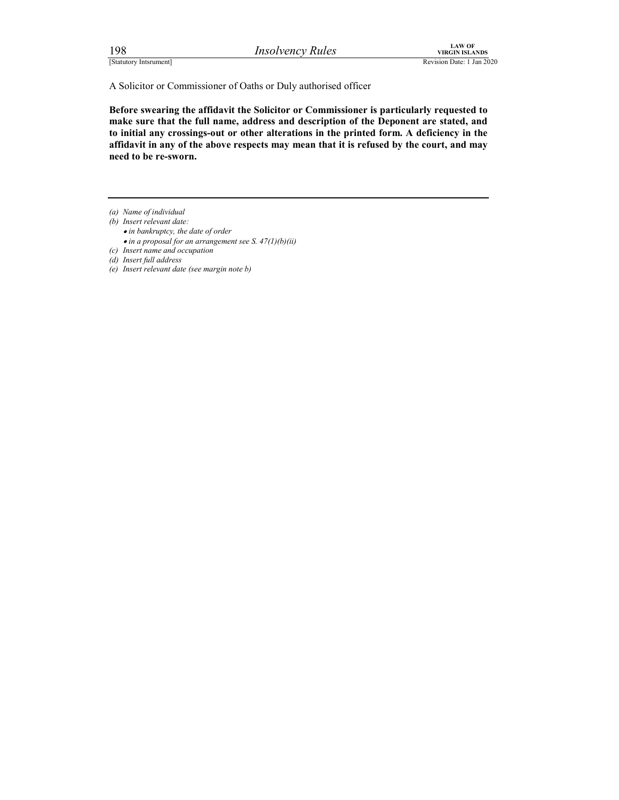FERENT EXTREM SEANDS<br>
ESTATURENT ISLANDS<br>
Revision Date: 1 Jan 2020<br>
A Solicitor or Commissioner of Oaths or Duly authorised officer<br> **Experience Solicitor or Commissioner is particularly requested to**<br>
make sure that the Before swearing the affidavit the Solicitor or Commissioner is particularly requested to make sure that the full name, address and description of the Deponent are stated, and to initial any crossings-out or other alterations in the printed form. A deficiency in the affidavit in any of the above respects may mean that it is refused by the court, and may need to be re-sworn.

(a) Name of individual

- (b) Insert relevant date:
	- in bankruptcy, the date of order
	- $\bullet$  in a proposal for an arrangement see S. 47(1)(b)(ii)

(c) Insert name and occupation

- (d) Insert full address
- (e) Insert relevant date (see margin note b)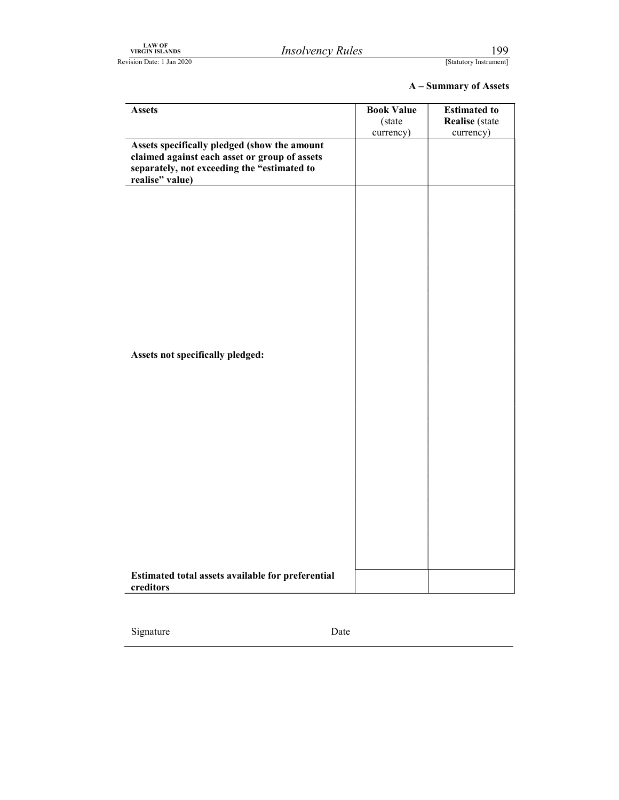| ${\rm LAW~OF}$ VIRGIN ISLANDS<br>Revision Date: 1 Jan 2020                                                                                                      | <b>Insolvency Rules</b> |                                          | 199<br>[Statutory Instrument]                             |
|-----------------------------------------------------------------------------------------------------------------------------------------------------------------|-------------------------|------------------------------------------|-----------------------------------------------------------|
|                                                                                                                                                                 |                         |                                          | A - Summary of Assets                                     |
| <b>Assets</b>                                                                                                                                                   |                         | <b>Book Value</b><br>(state<br>currency) | <b>Estimated to</b><br><b>Realise</b> (state<br>currency) |
| Assets specifically pledged (show the amount<br>claimed against each asset or group of assets<br>separately, not exceeding the "estimated to<br>realise" value) |                         |                                          |                                                           |
|                                                                                                                                                                 |                         |                                          |                                                           |
|                                                                                                                                                                 |                         |                                          |                                                           |
|                                                                                                                                                                 |                         |                                          |                                                           |
| Assets not specifically pledged:                                                                                                                                |                         |                                          |                                                           |
|                                                                                                                                                                 |                         |                                          |                                                           |
|                                                                                                                                                                 |                         |                                          |                                                           |
|                                                                                                                                                                 |                         |                                          |                                                           |
|                                                                                                                                                                 |                         |                                          |                                                           |
|                                                                                                                                                                 |                         |                                          |                                                           |
| Estimated total assets available for preferential<br>creditors                                                                                                  |                         |                                          |                                                           |

Signature Date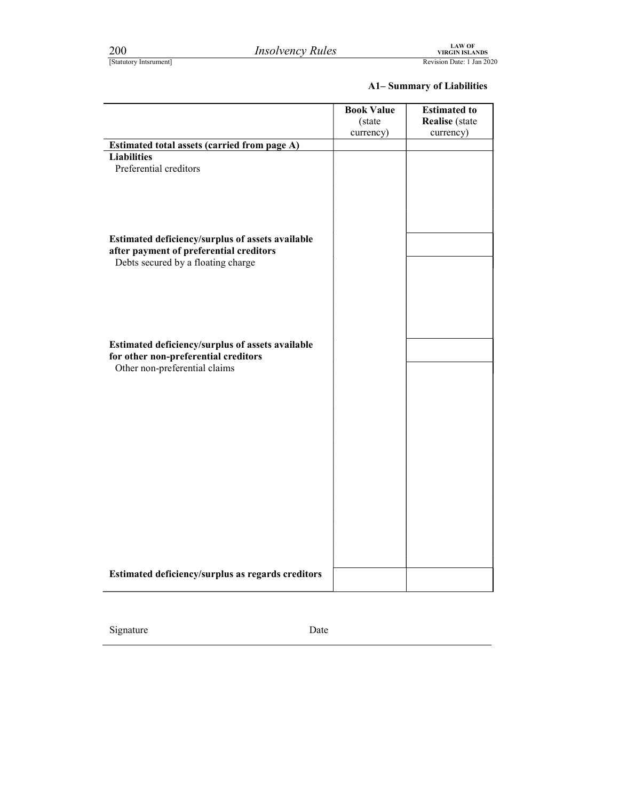| 200<br>[Statutory Intsrument]                                                                                                     | <b>Insolvency Rules</b>                           |                                          | <b>LAW OF<br/>VIRGIN ISLANDS</b><br>Revision Date: 1 Jan 2020 |
|-----------------------------------------------------------------------------------------------------------------------------------|---------------------------------------------------|------------------------------------------|---------------------------------------------------------------|
|                                                                                                                                   |                                                   |                                          | <b>A1-Summary of Liabilities</b>                              |
|                                                                                                                                   |                                                   | <b>Book Value</b><br>(state<br>currency) | <b>Estimated to</b><br><b>Realise</b> (state<br>currency)     |
| Estimated total assets (carried from page A)                                                                                      |                                                   |                                          |                                                               |
| <b>Liabilities</b><br>Preferential creditors                                                                                      |                                                   |                                          |                                                               |
| Estimated deficiency/surplus of assets available<br>after payment of preferential creditors<br>Debts secured by a floating charge |                                                   |                                          |                                                               |
| Estimated deficiency/surplus of assets available<br>for other non-preferential creditors<br>Other non-preferential claims         |                                                   |                                          |                                                               |
|                                                                                                                                   |                                                   |                                          |                                                               |
|                                                                                                                                   |                                                   |                                          |                                                               |
|                                                                                                                                   |                                                   |                                          |                                                               |
|                                                                                                                                   |                                                   |                                          |                                                               |
|                                                                                                                                   | Estimated deficiency/surplus as regards creditors |                                          |                                                               |

Signature Date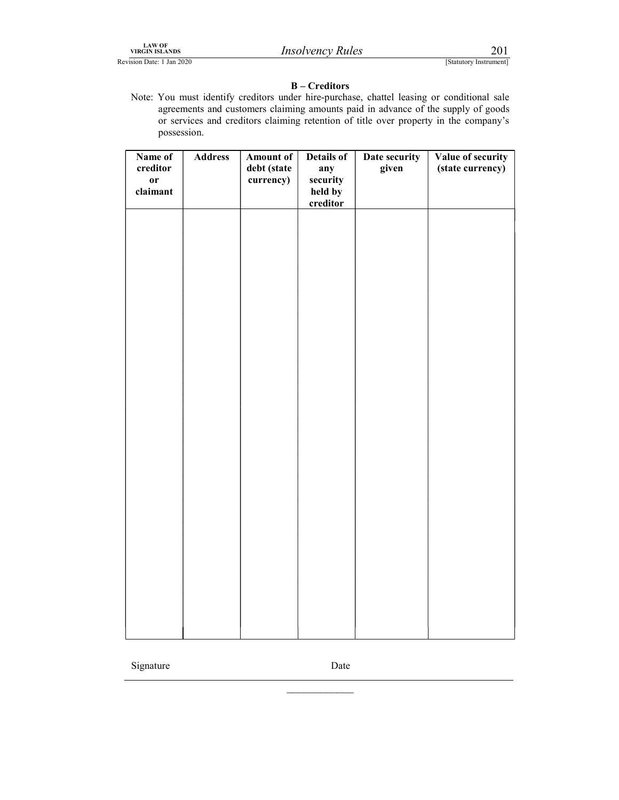LAW OF VIRGIN ISLANDS *Insolvency Rules* 201<br>Revision Date: 1 Jan 2020 **Insolvency Rules** [Statutory Instrument]

### B – Creditors

LAW OF<br>
Revision Date: 1 Jan 2020<br>
Revision Date: 1 Jan 2020<br> **B** – **Creditors**<br>
Rote: You must identify creditors under hire-purchase, chattel leasing or conditional sale<br>
agreements and customers claiming amounts paid in Note: You must identify creditors under hire-purchase, chattel leasing or conditional sale agreements and customers claiming amounts paid in advance of the supply of goods or services and creditors claiming retention of title over property in the company's possession.

| Name of       | <b>Address</b> | Amount of   | Details of          | Date security | Value of security |  |
|---------------|----------------|-------------|---------------------|---------------|-------------------|--|
| $\,$ creditor |                | debt (state | any                 | given         | (state currency)  |  |
| $\mathbf{or}$ |                | currency)   | security            |               |                   |  |
| claimant      |                |             | held by<br>creditor |               |                   |  |
|               |                |             |                     |               |                   |  |
|               |                |             |                     |               |                   |  |
|               |                |             |                     |               |                   |  |
|               |                |             |                     |               |                   |  |
|               |                |             |                     |               |                   |  |
|               |                |             |                     |               |                   |  |
|               |                |             |                     |               |                   |  |
|               |                |             |                     |               |                   |  |
|               |                |             |                     |               |                   |  |
|               |                |             |                     |               |                   |  |
|               |                |             |                     |               |                   |  |
|               |                |             |                     |               |                   |  |
|               |                |             |                     |               |                   |  |
|               |                |             |                     |               |                   |  |
|               |                |             |                     |               |                   |  |
|               |                |             |                     |               |                   |  |
|               |                |             |                     |               |                   |  |
|               |                |             |                     |               |                   |  |
|               |                |             |                     |               |                   |  |
|               |                |             |                     |               |                   |  |
|               |                |             |                     |               |                   |  |
|               |                |             |                     |               |                   |  |
|               |                |             |                     |               |                   |  |
|               |                |             |                     |               |                   |  |
|               |                |             |                     |               |                   |  |
|               |                |             |                     |               |                   |  |
|               |                |             |                     |               |                   |  |
|               |                |             |                     |               |                   |  |
|               |                |             |                     |               |                   |  |
|               |                |             |                     |               |                   |  |
|               |                |             |                     |               |                   |  |
|               |                |             |                     |               |                   |  |
|               |                |             |                     |               |                   |  |
|               |                |             |                     |               |                   |  |

Signature Date

 $\mathcal{L}_\text{max}$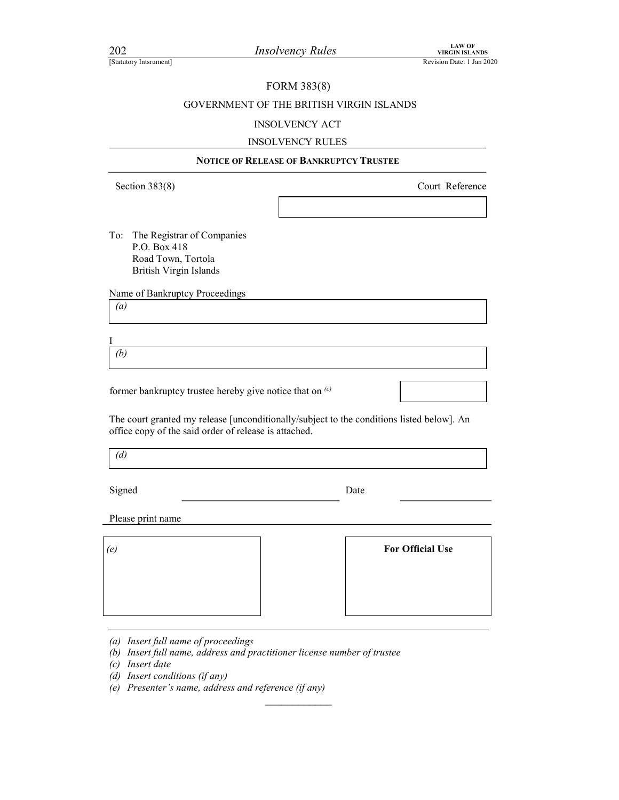### FORM 383(8)

## Final and Machinese Correct Machinese Correct Machinese Correct Machinese Revision Date: 1 Jan 2020<br>
Revision Date: 1 Jan 2020<br>
FORM 383(8)<br>
GOVERNMENT OF THE BRITISH VIRGIN ISLANDS<br>
INSOLVENCY ACT GOVERNMENT OF THE BRITISH VIRGIN ISLANDS

### INSOLVENCY ACT

### INSOLVENCY RULES

| 202<br>[Statutory Intsrument]                                                                            | <b>Insolvency Rules</b>                                                                   | <b>LAW OF</b><br><b>VIRGIN ISLANDS</b><br>Revision Date: 1 Jan 2020 |
|----------------------------------------------------------------------------------------------------------|-------------------------------------------------------------------------------------------|---------------------------------------------------------------------|
|                                                                                                          |                                                                                           |                                                                     |
|                                                                                                          | FORM 383(8)                                                                               |                                                                     |
|                                                                                                          | GOVERNMENT OF THE BRITISH VIRGIN ISLANDS                                                  |                                                                     |
|                                                                                                          | <b>INSOLVENCY ACT</b>                                                                     |                                                                     |
|                                                                                                          | <b>INSOLVENCY RULES</b><br><b>NOTICE OF RELEASE OF BANKRUPTCY TRUSTEE</b>                 |                                                                     |
|                                                                                                          |                                                                                           |                                                                     |
| Section $383(8)$                                                                                         |                                                                                           | Court Reference                                                     |
|                                                                                                          |                                                                                           |                                                                     |
| The Registrar of Companies<br>To:<br>P.O. Box 418<br>Road Town, Tortola<br><b>British Virgin Islands</b> |                                                                                           |                                                                     |
| Name of Bankruptcy Proceedings<br>$\left(a\right)$                                                       |                                                                                           |                                                                     |
| Ι<br>(b)                                                                                                 |                                                                                           |                                                                     |
|                                                                                                          | former bankruptcy trustee hereby give notice that on <sup>(c)</sup>                       |                                                                     |
| office copy of the said order of release is attached.                                                    | The court granted my release [unconditionally/subject to the conditions listed below]. An |                                                                     |
| (d)                                                                                                      |                                                                                           |                                                                     |
| Signed                                                                                                   | Date                                                                                      |                                                                     |
| Please print name                                                                                        |                                                                                           |                                                                     |
| (e)                                                                                                      |                                                                                           | <b>For Official Use</b>                                             |

 $\mathcal{L}_\text{max}$ 

(d) Insert conditions (if any)

 $\overline{\phantom{a}}$ 

(e) Presenter's name, address and reference (if any)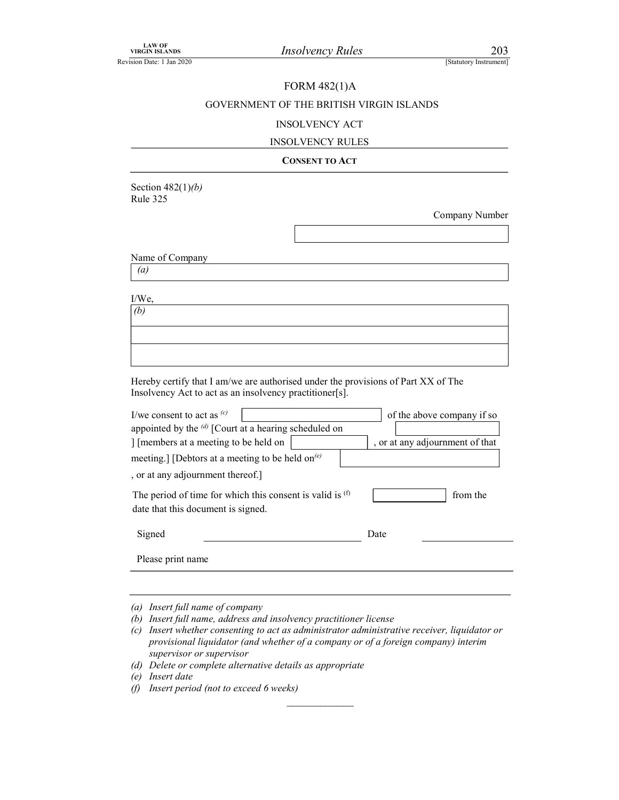### FORM 482(1)A

## VIRGIN ISLANDS<br>
Revision Date: 1 Jan 2020<br>
FORM 482(1)A<br>
GOVERNMENT OF THE BRITISH VIRGIN ISLANDS<br>
INSOLVENCY ACT GOVERNMENT OF THE BRITISH VIRGIN ISLANDS

### INSOLVENCY ACT

### INSOLVENCY RULES

### CONSENT TO ACT

Section  $482(1)(b)$ Rule 325

Company Number

Name of Company

(a)

| (u)                                                                                                                                                                                                                                                                                                                                                   |                                                                           |
|-------------------------------------------------------------------------------------------------------------------------------------------------------------------------------------------------------------------------------------------------------------------------------------------------------------------------------------------------------|---------------------------------------------------------------------------|
| I/We,                                                                                                                                                                                                                                                                                                                                                 |                                                                           |
| (b)                                                                                                                                                                                                                                                                                                                                                   |                                                                           |
|                                                                                                                                                                                                                                                                                                                                                       |                                                                           |
|                                                                                                                                                                                                                                                                                                                                                       |                                                                           |
| Hereby certify that I am/we are authorised under the provisions of Part XX of The<br>Insolvency Act to act as an insolvency practitioner[s].                                                                                                                                                                                                          |                                                                           |
| I/we consent to act as $(c)$<br>appointed by the $\left(d\right)$ [Court at a hearing scheduled on<br>] [members at a meeting to be held on<br>meeting.] [Debtors at a meeting to be held on <sup>(e)</sup><br>, or at any adjournment thereof.]<br>The period of time for which this consent is valid is $(f)$<br>date that this document is signed. | of the above company if so<br>, or at any adjournment of that<br>from the |
| Signed                                                                                                                                                                                                                                                                                                                                                | Date                                                                      |
| Please print name                                                                                                                                                                                                                                                                                                                                     |                                                                           |
|                                                                                                                                                                                                                                                                                                                                                       |                                                                           |
|                                                                                                                                                                                                                                                                                                                                                       |                                                                           |

(a) Insert full name of company

(b) Insert full name, address and insolvency practitioner license

(c) Insert whether consenting to act as administrator administrative receiver, liquidator or provisional liquidator (and whether of a company or of a foreign company) interim supervisor or supervisor

(d) Delete or complete alternative details as appropriate

(e) Insert date

(f) Insert period (not to exceed 6 weeks)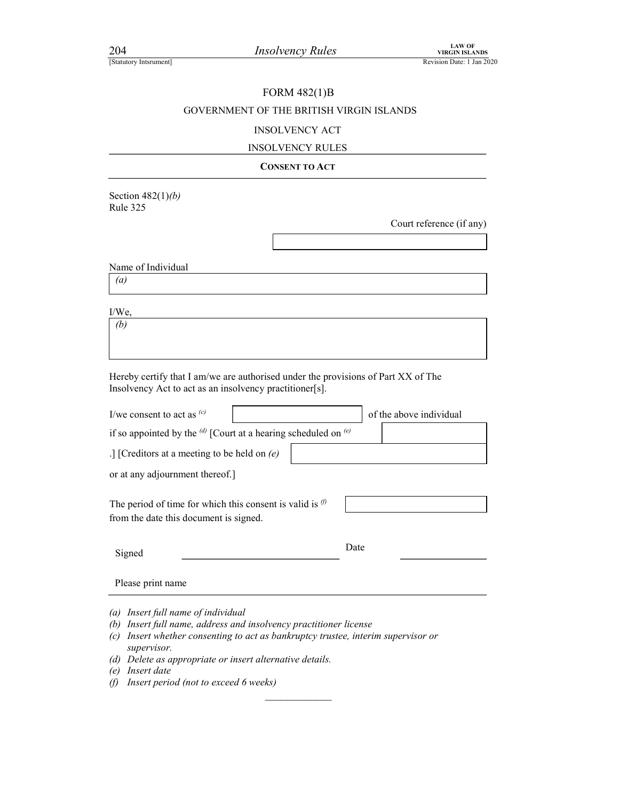204 Insolvency Rules

### EXAMPLE 204<br> *Insolvency Rules*<br>
Revision Date: 1 Jan 2020<br>
FORM 482(1)B<br>
GOVERNMENT OF THE BRITISH VIRGIN ISLANDS FORM 482(1)B GOVERNMENT OF THE BRITISH VIRGIN ISLANDS

### INSOLVENCY ACT

### INSOLVENCY RULES

### CONSENT TO ACT

Section  $482(1)(b)$ Rule 325

Court reference (if any)

Name of Individual

(a)

I/We,

 $\overline{(b)}$ 

Hereby certify that I am/we are authorised under the provisions of Part XX of The Insolvency Act to act as an insolvency practitioner[s].

| I/we consent to act as $(c)$                                                                                | of the above individual |
|-------------------------------------------------------------------------------------------------------------|-------------------------|
| if so appointed by the $^{(d)}$ [Court at a hearing scheduled on $^{(e)}$                                   |                         |
| .] [Creditors at a meeting to be held on $(e)$                                                              |                         |
| or at any adjournment thereof.]                                                                             |                         |
| The period of time for which this consent is valid is $\emptyset$<br>from the date this document is signed. |                         |
| Signed                                                                                                      | Date                    |
| Please print name                                                                                           |                         |
| (a) Insert full name of individual<br>(b) Insert full name, address and insolvency practitioner license     |                         |

- (c) Insert whether consenting to act as bankruptcy trustee, interim supervisor or supervisor.
- (d) Delete as appropriate or insert alternative details.

(f) Insert period (not to exceed 6 weeks)

<sup>(</sup>e) Insert date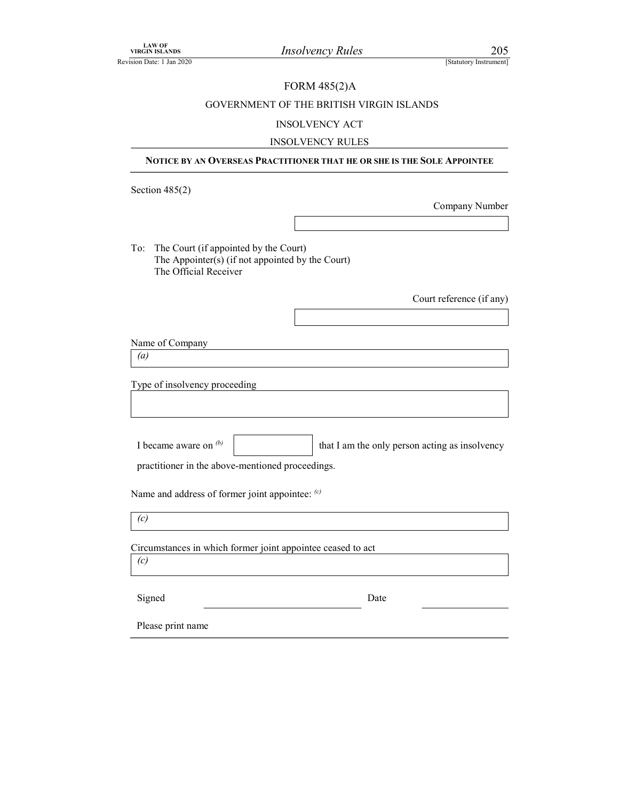### FORM 485(2)A

## LAW OF<br>
Revision Date: 1 Jan 2020<br>
FORM 485(2)A<br>
GOVERNMENT OF THE BRITISH VIRGIN ISLANDS<br>
INSOLVENCY ACT GOVERNMENT OF THE BRITISH VIRGIN ISLANDS

### INSOLVENCY ACT

### INSOLVENCY RULES NOTICE BY AN OVERSEAS PRACTITIONER THAT HE OR SHE IS THE SOLE APPOINTEE<br>
SIGNAL AND STRUCT THE BRITISH VIRGIN ISLANDS<br>
NOTICE BY AN OVERSEAS PRACTITIONER THAT HE OR SHE IS THE SOLE APPOINTEE<br>
NOTICE BY AN OVERSEAS PRACTITI Section 485(2) Company Number To: The Court (if appointed by the Court) The Appointer(s) (if not appointed by the Court) The Official Receiver Court reference (if any) Name of Company (a) Type of insolvency proceeding Name and address of former joint appointee: (c)  $(c)$ Circumstances in which former joint appointee ceased to act (c) Signed Date Date Please print name I became aware on  $\phi$  that I am the only person acting as insolvency practitioner in the above-mentioned proceedings.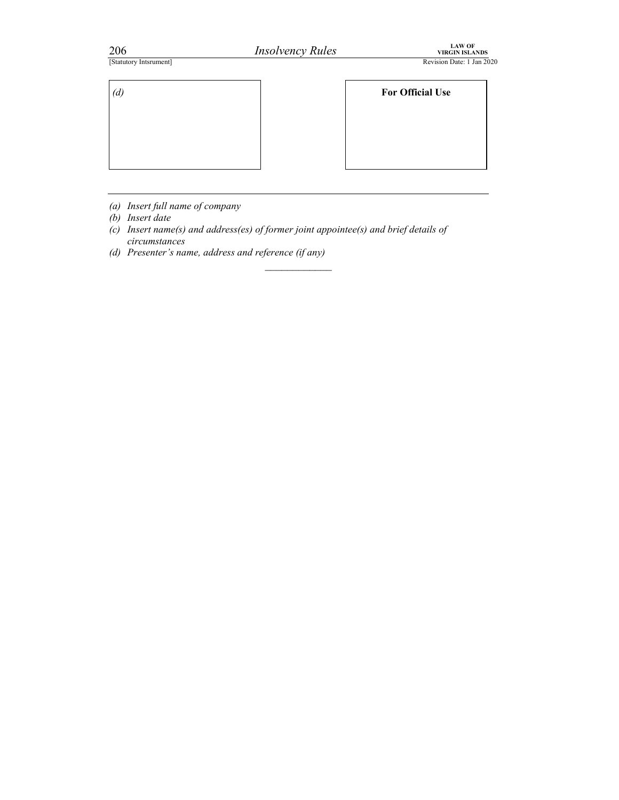| 206                    | <b>Insolvency Rules</b> | LAW OF<br>VIRGIN ISLANDS  |  |
|------------------------|-------------------------|---------------------------|--|
| [Statutory Intsrument] |                         | Revision Date: 1 Jan 2020 |  |
|                        |                         |                           |  |
|                        |                         |                           |  |
| $(d)$                  |                         | <b>For Official Use</b>   |  |
|                        |                         |                           |  |
|                        |                         |                           |  |
|                        |                         |                           |  |

- (a) Insert full name of company
- (b) Insert date
- (c) Insert name(s) and address(es) of former joint appointee(s) and brief details of circumstances

 $\mathcal{L}_\text{max}$ 

(d) Presenter's name, address and reference (if any)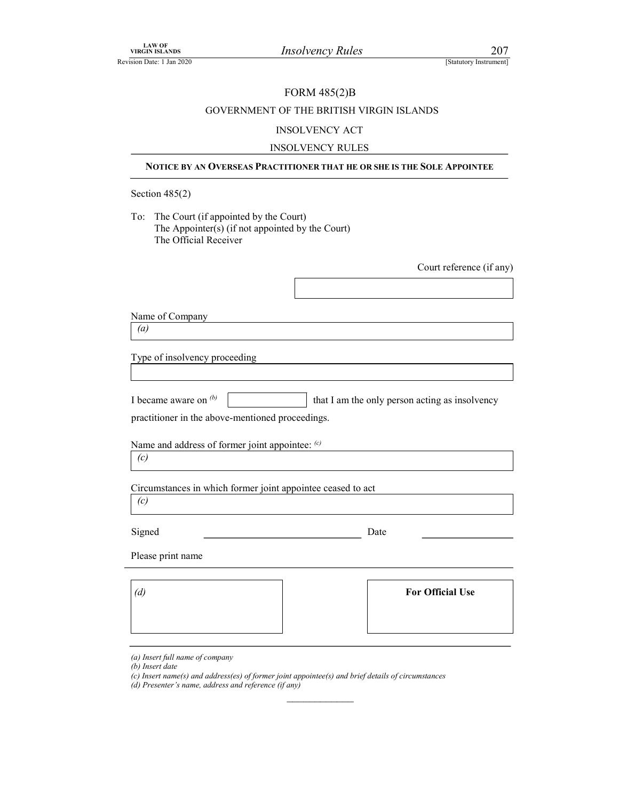### FORM 485(2)B

## VIRGIN ISLANDS<br>
TREVISION Date: 1 Jan 2020<br>
FORM 485(2)B<br>
GOVERNMENT OF THE BRITISH VIRGIN ISLANDS<br>
NIGO VITNOV A CT GOVERNMENT OF THE BRITISH VIRGIN ISLANDS

### INSOLVENCY ACT

### INSOLVENCY RULES

Section 485(2)

NOTE BY AN OVERSEAS PRACTITIONER THAT HE ORSHELS THE SOLE APPOINTER<br>
NOTICE BY AN OVERSASS PRACTITIONER THAT HE ORSHELS THE SOLE APPOINTEE<br>
NOTICE BY AN OVERSEAS PRACTITIONER THAT HE OR SHE IS THE SOLE APPOINTEE<br>
THE SOLE To: The Court (if appointed by the Court) The Appointer(s) (if not appointed by the Court) The Official Receiver

Court reference (if any)

| Name of Company |
|-----------------|
|-----------------|

| I became aware on $\mathcal{P}$ | that I am the only person acting as insolvency |  |
|---------------------------------|------------------------------------------------|--|
|---------------------------------|------------------------------------------------|--|

|                                                                           | $\sim$ and report the country |  |
|---------------------------------------------------------------------------|-------------------------------|--|
|                                                                           |                               |  |
|                                                                           |                               |  |
| Name of Company                                                           |                               |  |
| $\left(a\right)$                                                          |                               |  |
| Type of insolvency proceeding                                             |                               |  |
|                                                                           |                               |  |
| I became aware on $(b)$<br>that I am the only person acting as insolvency |                               |  |
| practitioner in the above-mentioned proceedings.                          |                               |  |
| Name and address of former joint appointee: (c)                           |                               |  |
| (c)                                                                       |                               |  |
| Circumstances in which former joint appointee ceased to act               |                               |  |
| (c)                                                                       |                               |  |
| Signed                                                                    | Date                          |  |
| Please print name                                                         |                               |  |
|                                                                           |                               |  |
| (d)                                                                       | <b>For Official Use</b>       |  |
|                                                                           |                               |  |
|                                                                           |                               |  |

 $\mathcal{L}_\text{max}$ 

(b) Insert date

<sup>(</sup>a) Insert full name of company

<sup>(</sup>c) Insert name(s) and address(es) of former joint appointee(s) and brief details of circumstances

<sup>(</sup>d) Presenter's name, address and reference (if any)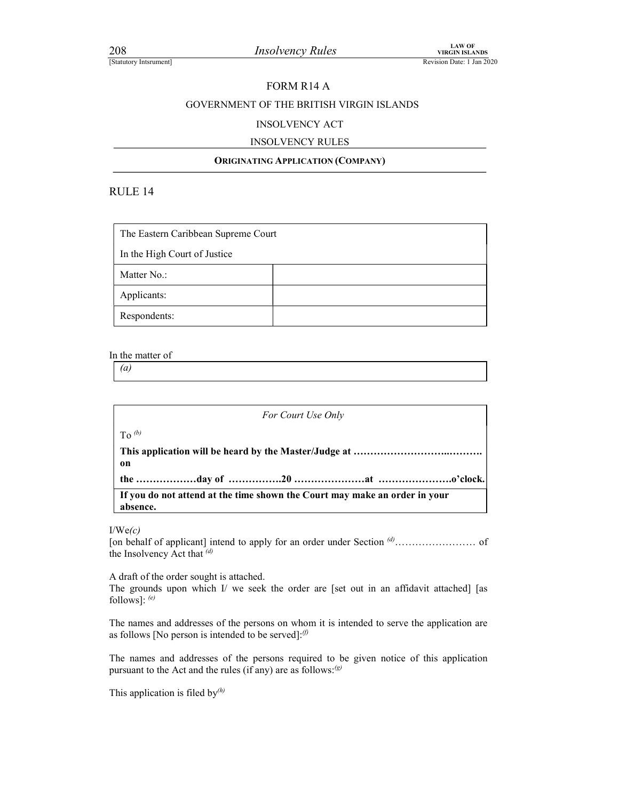### FORM R14 A

## EXAMPLE 2008<br> *Insolvency Rules*<br>
Revision Date: 1 Jan 2020<br>
FORM R14 A<br>
GOVERNMENT OF THE BRITISH VIRGIN ISLANDS<br>
INSOLVENCY ACT GOVERNMENT OF THE BRITISH VIRGIN ISLANDS

### INSOLVENCY ACT

### INSOLVENCY RULES

### ORIGINATING APPLICATION (COMPANY)

| 208<br>[Statutory Intsrument] |                                     | <b>Insolvency Rules</b>                  | <b>LAW OF</b><br><b>VIRGIN ISLANDS</b><br>Revision Date: 1 Jan 2 |
|-------------------------------|-------------------------------------|------------------------------------------|------------------------------------------------------------------|
|                               |                                     | FORM R14 A                               |                                                                  |
|                               |                                     | GOVERNMENT OF THE BRITISH VIRGIN ISLANDS |                                                                  |
|                               |                                     | <b>INSOLVENCY ACT</b>                    |                                                                  |
|                               |                                     | <b>INSOLVENCY RULES</b>                  |                                                                  |
|                               |                                     | <b>ORIGINATING APPLICATION (COMPANY)</b> |                                                                  |
| RULE 14                       |                                     |                                          |                                                                  |
|                               | The Eastern Caribbean Supreme Court |                                          |                                                                  |
| In the High Court of Justice  |                                     |                                          |                                                                  |
| Matter No.:                   |                                     |                                          |                                                                  |
| Applicants:                   |                                     |                                          |                                                                  |
| Respondents:                  |                                     |                                          |                                                                  |

### In the matter of

 $\left( a\right)$ 

For Court Use Only To  $(b)$ This application will be heard by the Master/Judge at ………………………..………. on the ………………day of …………….20 …………………at ………………….o'clock. If you do not attend at the time shown the Court may make an order in your absence.

 $I/We(c)$ 

[on behalf of applicant] intend to apply for an order under Section (d)…………………… of the Insolvency Act that (d)

A draft of the order sought is attached.

The grounds upon which  $I$  we seek the order are [set out in an affidavit attached] [as follows]:  $(e)$ 

The names and addresses of the persons on whom it is intended to serve the application are as follows [No person is intended to be served]: $\emptyset$ 

The names and addresses of the persons required to be given notice of this application pursuant to the Act and the rules (if any) are as follows: $\mathcal{L}^{(g)}$ 

This application is filed by $(h)$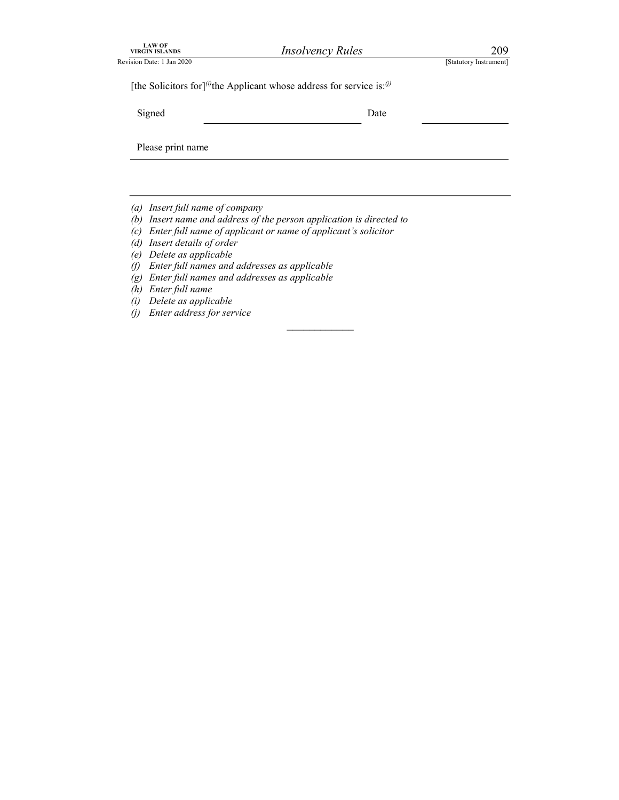| LAW OF<br>VIRGIN ISLANDS<br>Revision Date: 1 Jan 2020 | <b>Insolvency Rules</b>                                                                        | 209                    |  |
|-------------------------------------------------------|------------------------------------------------------------------------------------------------|------------------------|--|
|                                                       | [the Solicitors for] <sup>(i)</sup> the Applicant whose address for service is: <sup>(j)</sup> | [Statutory Instrument] |  |
| Signed                                                | Date                                                                                           |                        |  |
| Please print name                                     |                                                                                                |                        |  |
|                                                       |                                                                                                |                        |  |
|                                                       |                                                                                                |                        |  |

 $\mathcal{L}_\text{max}$ 

- (a) Insert full name of company
- (b) Insert name and address of the person application is directed to
- (c) Enter full name of applicant or name of applicant's solicitor
- (d) Insert details of order
- (e) Delete as applicable
- (f) Enter full names and addresses as applicable
- (g) Enter full names and addresses as applicable
- (h) Enter full name
- (i) Delete as applicable
- (j) Enter address for service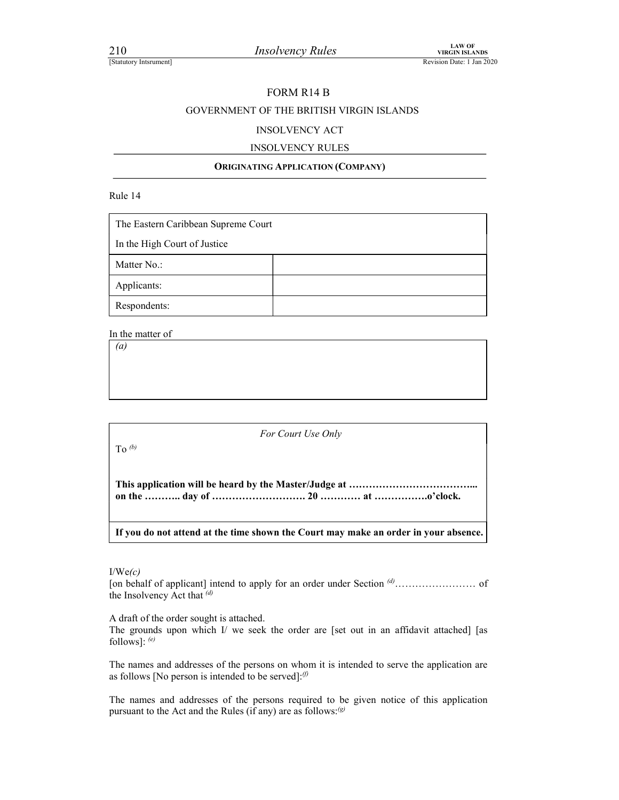10<br>
Insolvency Rules<br>
Insolvency Rules<br>
Examples<br>
Revision Date: 1 Jan 2020

### FORM R14 B

## EXAMPLE 210<br> *Insolvency Rules*<br>
Revision Date: 1 Jan 2020<br>
FORM R14 B<br>
GOVERNMENT OF THE BRITISH VIRGIN ISLANDS<br>
PERSON ISLANDS GOVERNMENT OF THE BRITISH VIRGIN ISLANDS

### INSOLVENCY ACT

### INSOLVENCY RULES

### ORIGINATING APPLICATION (COMPANY)

Rule 14

| The Eastern Caribbean Supreme Court |                                                                                     |  |
|-------------------------------------|-------------------------------------------------------------------------------------|--|
| In the High Court of Justice        |                                                                                     |  |
| Matter No.:                         |                                                                                     |  |
| Applicants:                         |                                                                                     |  |
| Respondents:                        |                                                                                     |  |
| In the matter of                    |                                                                                     |  |
| (a)                                 |                                                                                     |  |
|                                     |                                                                                     |  |
|                                     |                                                                                     |  |
|                                     |                                                                                     |  |
|                                     | For Court Use Only                                                                  |  |
| To $(b)$                            |                                                                                     |  |
|                                     |                                                                                     |  |
|                                     | If you do not attend at the time shown the Court may make an order in your absence. |  |
|                                     |                                                                                     |  |

 $I/We(c)$ 

[on behalf of applicant] intend to apply for an order under Section (d)…………………… of the Insolvency Act that  $\frac{d}{dt}$ 

A draft of the order sought is attached.

The grounds upon which  $I$  we seek the order are [set out in an affidavit attached] [as follows]:  $(e)$ 

The names and addresses of the persons on whom it is intended to serve the application are as follows [No person is intended to be served]: $\theta$ 

The names and addresses of the persons required to be given notice of this application pursuant to the Act and the Rules (if any) are as follows: $\mathcal{L}^{(g)}$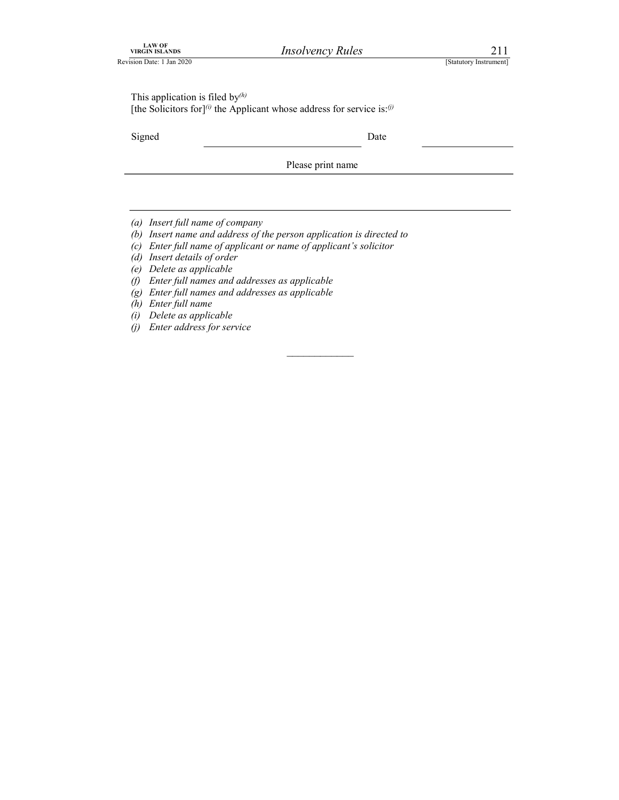| LAW OF<br>VIRGIN ISLANDS  |  |
|---------------------------|--|
| Revision Date: 1 Jan 2020 |  |

EXAVOR<br>
REVISIANDS *Insolvency Rules* 211<br>
[Statutory Instrument]<br>
This application is filed by<sup>(*h*)</sup><br>
[the Solicitors for]<sup>(*i*)</sup> the Applicant whose address for service is:<sup>(*j*)</sup> This application is filed by $(h)$ [the Solicitors for]<sup>(i)</sup> the Applicant whose address for service is:<sup>(j)</sup>

Signed Date Date

Please print name

- (a) Insert full name of company
- (b) Insert name and address of the person application is directed to
- (c) Enter full name of applicant or name of applicant's solicitor
- (d) Insert details of order
- (e) Delete as applicable
- (f) Enter full names and addresses as applicable
- (g) Enter full names and addresses as applicable
- (h) Enter full name
- (i) Delete as applicable
- (j) Enter address for service

 $\mathcal{L}_\text{max}$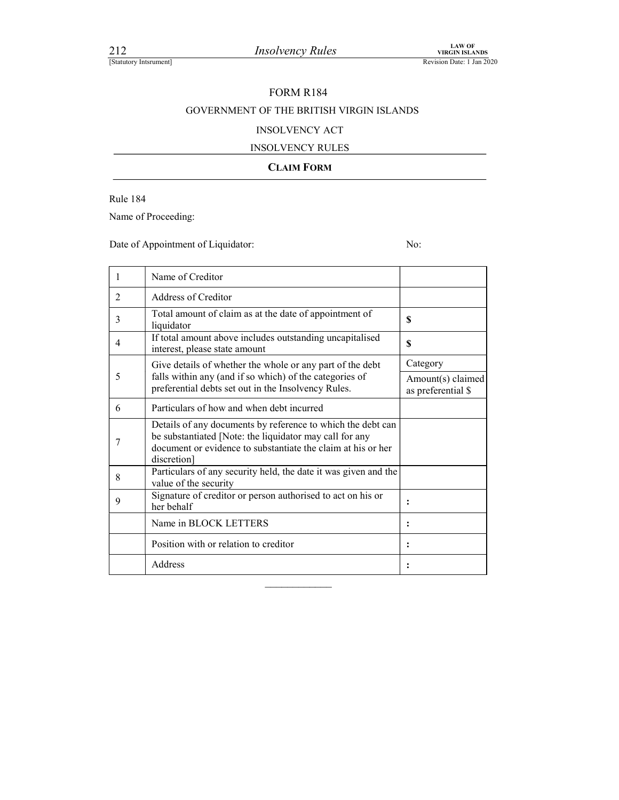### FORM R184

## EXAMPLE 212<br> *Insolvency Rules*<br>
Revision Date: 1 Jan 2020<br>
FORM R184<br>
GOVERNMENT OF THE BRITISH VIRGIN ISLANDS<br>
PERSON VIRGIN ISLANDS GOVERNMENT OF THE BRITISH VIRGIN ISLANDS

### INSOLVENCY ACT

### INSOLVENCY RULES

### CLAIM FORM

Rule 184

Name of Proceeding:

Date of Appointment of Liquidator: No:

|   | Name of Creditor                                                                                                                                                                                      |                                         |
|---|-------------------------------------------------------------------------------------------------------------------------------------------------------------------------------------------------------|-----------------------------------------|
| 2 | Address of Creditor                                                                                                                                                                                   |                                         |
| 3 | Total amount of claim as at the date of appointment of<br>liquidator                                                                                                                                  | \$                                      |
| 4 | If total amount above includes outstanding uncapitalised<br>interest, please state amount                                                                                                             | S                                       |
|   | Give details of whether the whole or any part of the debt                                                                                                                                             | Category                                |
| 5 | falls within any (and if so which) of the categories of<br>preferential debts set out in the Insolvency Rules.                                                                                        | Amount(s) claimed<br>as preferential \$ |
| 6 | Particulars of how and when debt incurred                                                                                                                                                             |                                         |
|   | Details of any documents by reference to which the debt can<br>be substantiated [Note: the liquidator may call for any<br>document or evidence to substantiate the claim at his or her<br>discretion] |                                         |
| 8 | Particulars of any security held, the date it was given and the<br>value of the security                                                                                                              |                                         |
| 9 | Signature of creditor or person authorised to act on his or<br>her behalf                                                                                                                             |                                         |
|   | Name in BLOCK LETTERS                                                                                                                                                                                 |                                         |
|   | Position with or relation to creditor                                                                                                                                                                 |                                         |
|   | Address                                                                                                                                                                                               |                                         |

 $\mathcal{L}_\text{max}$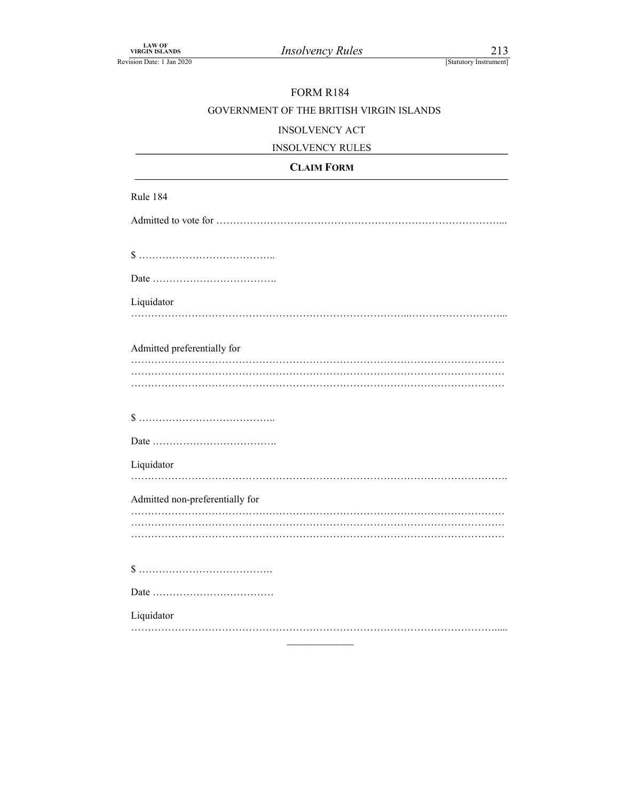## FORM R184

# LAW OF<br>
VIRGIN ISLANDS<br>
EREVISION Date: 1 Jan 2020<br>
FORM R184<br>
GOVERNMENT OF THE BRITISH VIRGIN ISLANDS<br>
NIGOLYTMOV ACT GOVERNMENT OF THE BRITISH VIRGIN ISLANDS

### INSOLVENCY ACT

| <b>INSOLVENCY RULES</b><br>- 155 |  |
|----------------------------------|--|
|                                  |  |

## CLAIM FORM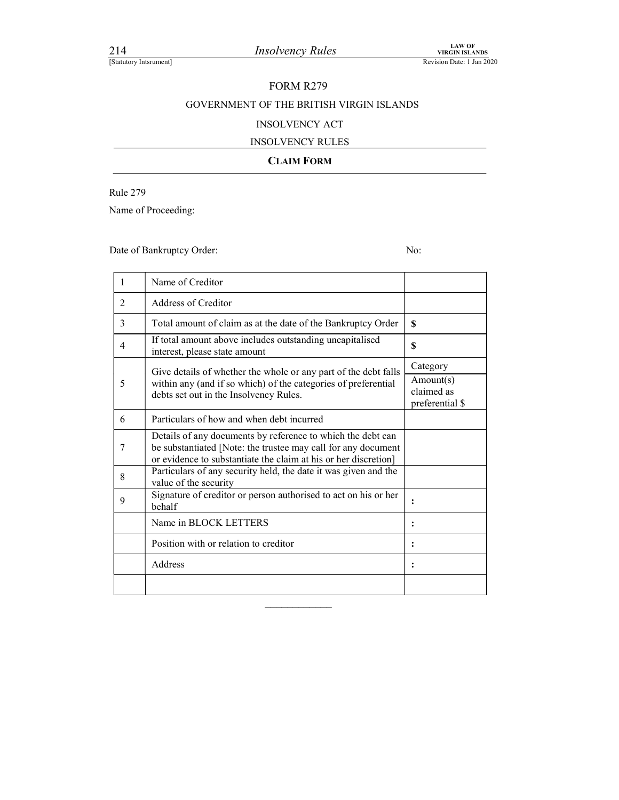# FORM R279

# EXAMPLE 214<br> *Insolvency Rules*<br>
Revision Date: 1 Jan 2020<br>
FORM R279<br>
GOVERNMENT OF THE BRITISH VIRGIN ISLANDS<br>
INSOLVENCY ACT GOVERNMENT OF THE BRITISH VIRGIN ISLANDS

### INSOLVENCY ACT

### INSOLVENCY RULES

### CLAIM FORM

Rule 279

| 214             | <b>Insolvency Rules</b><br>[Statutory Intsrument]                                                                                                           | <b>LAW OF</b><br><b>VIRGIN ISLANDS</b><br>Revision Date: 1 Jan 2020 |
|-----------------|-------------------------------------------------------------------------------------------------------------------------------------------------------------|---------------------------------------------------------------------|
|                 |                                                                                                                                                             |                                                                     |
|                 | <b>FORM R279</b>                                                                                                                                            |                                                                     |
|                 | GOVERNMENT OF THE BRITISH VIRGIN ISLANDS                                                                                                                    |                                                                     |
|                 | <b>INSOLVENCY ACT</b>                                                                                                                                       |                                                                     |
|                 | <b>INSOLVENCY RULES</b>                                                                                                                                     |                                                                     |
|                 | <b>CLAIM FORM</b>                                                                                                                                           |                                                                     |
| <b>Rule 279</b> |                                                                                                                                                             |                                                                     |
|                 | Name of Proceeding:                                                                                                                                         |                                                                     |
|                 |                                                                                                                                                             |                                                                     |
|                 | Date of Bankruptcy Order:                                                                                                                                   | No:                                                                 |
|                 |                                                                                                                                                             |                                                                     |
| 1               | Name of Creditor                                                                                                                                            |                                                                     |
| 2               | Address of Creditor                                                                                                                                         |                                                                     |
|                 |                                                                                                                                                             |                                                                     |
| 3               | Total amount of claim as at the date of the Bankruptcy Order                                                                                                | $\boldsymbol{\mathsf{S}}$                                           |
| $\overline{4}$  | If total amount above includes outstanding uncapitalised<br>interest, please state amount                                                                   | \$                                                                  |
|                 |                                                                                                                                                             | Category                                                            |
| 5               | Give details of whether the whole or any part of the debt falls<br>within any (and if so which) of the categories of preferential                           | Amount(s)                                                           |
|                 | debts set out in the Insolvency Rules.                                                                                                                      | claimed as<br>preferential \$                                       |
| 6               | Particulars of how and when debt incurred                                                                                                                   |                                                                     |
| 7               | Details of any documents by reference to which the debt can<br>be substantiated [Note: the trustee may call for any document                                |                                                                     |
| 8               | or evidence to substantiate the claim at his or her discretion]<br>Particulars of any security held, the date it was given and the<br>value of the security |                                                                     |
| 9               | Signature of creditor or person authorised to act on his or her<br>behalf                                                                                   | :                                                                   |
|                 | Name in BLOCK LETTERS                                                                                                                                       | :                                                                   |
|                 | Position with or relation to creditor                                                                                                                       | $\ddot{\cdot}$                                                      |

 $\frac{1}{2}$